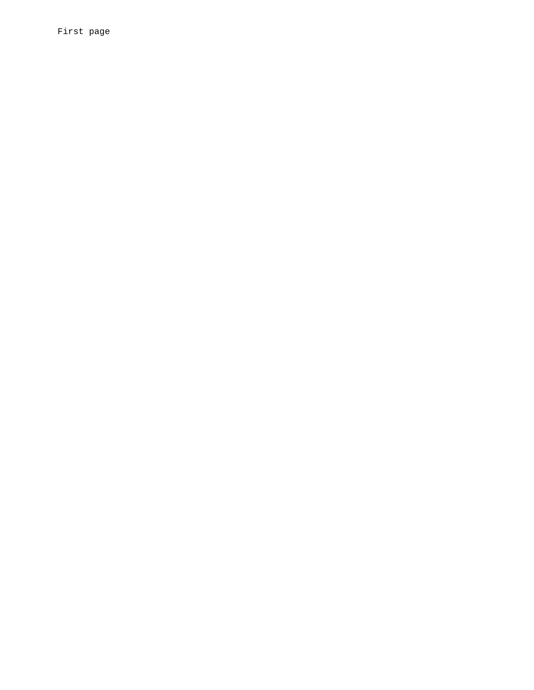First page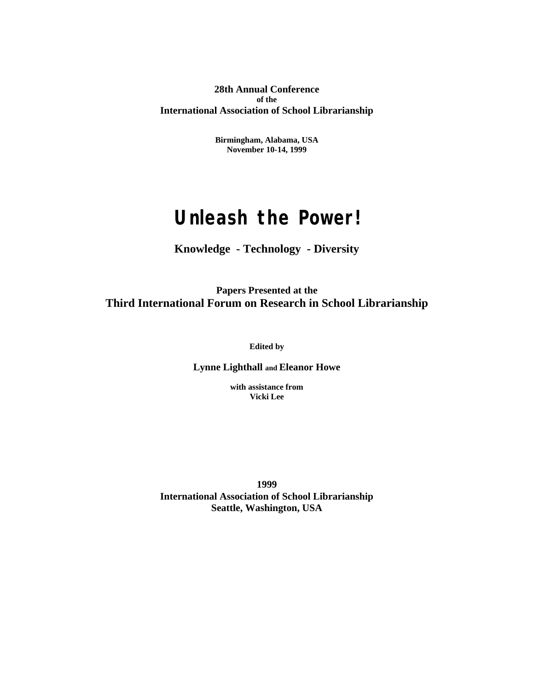**28th Annual Conference of the International Association of School Librarianship**

> **Birmingham, Alabama, USA November 10-14, 1999**

### **Unleash the Power!**

**Knowledge - Technology - Diversity**

**Papers Presented at the Third International Forum on Research in School Librarianship**

**Edited by**

**Lynne Lighthall and Eleanor Howe**

**with assistance from Vicki Lee**

**1999 International Association of School Librarianship Seattle, Washington, USA**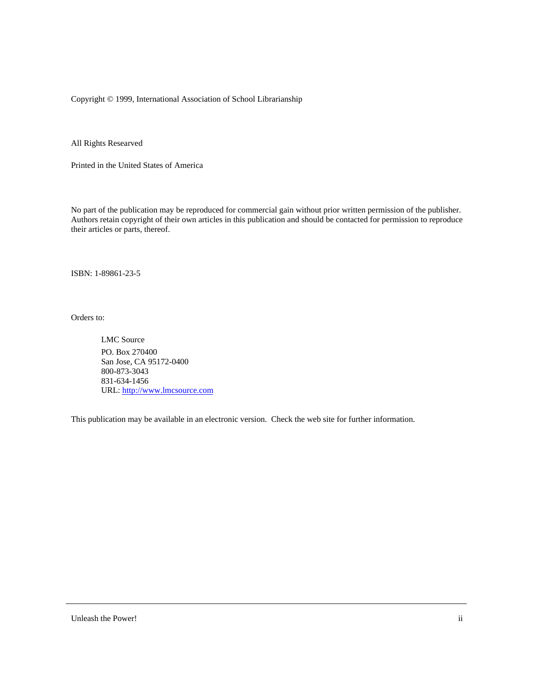Copyright © 1999, International Association of School Librarianship

All Rights Researved

Printed in the United States of America

No part of the publication may be reproduced for commercial gain without prior written permission of the publisher. Authors retain copyright of their own articles in this publication and should be contacted for permission to reproduce their articles or parts, thereof.

ISBN: 1-89861-23-5

Orders to:

LMC Source PO. Box 270400 San Jose, CA 95172-0400 800-873-3043 831-634-1456 URL: http://www.lmcsource.com

This publication may be available in an electronic version. Check the web site for further information.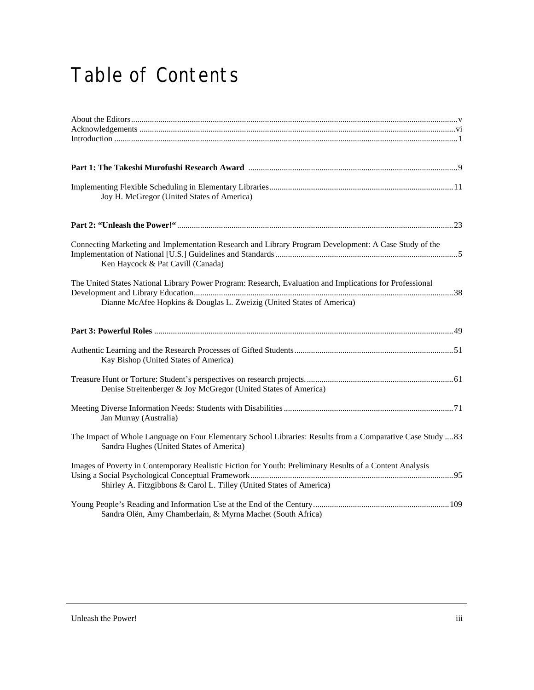### Table of Contents

| Joy H. McGregor (United States of America)                                                                                                              |  |
|---------------------------------------------------------------------------------------------------------------------------------------------------------|--|
|                                                                                                                                                         |  |
| Connecting Marketing and Implementation Research and Library Program Development: A Case Study of the                                                   |  |
| Ken Haycock & Pat Cavill (Canada)                                                                                                                       |  |
| The United States National Library Power Program: Research, Evaluation and Implications for Professional                                                |  |
| Dianne McAfee Hopkins & Douglas L. Zweizig (United States of America)                                                                                   |  |
|                                                                                                                                                         |  |
| Kay Bishop (United States of America)                                                                                                                   |  |
| Denise Streitenberger & Joy McGregor (United States of America)                                                                                         |  |
| Jan Murray (Australia)                                                                                                                                  |  |
| The Impact of Whole Language on Four Elementary School Libraries: Results from a Comparative Case Study  83<br>Sandra Hughes (United States of America) |  |
| Images of Poverty in Contemporary Realistic Fiction for Youth: Preliminary Results of a Content Analysis                                                |  |
| Shirley A. Fitzgibbons & Carol L. Tilley (United States of America)                                                                                     |  |
| Sandra Olën, Amy Chamberlain, & Myrna Machet (South Africa)                                                                                             |  |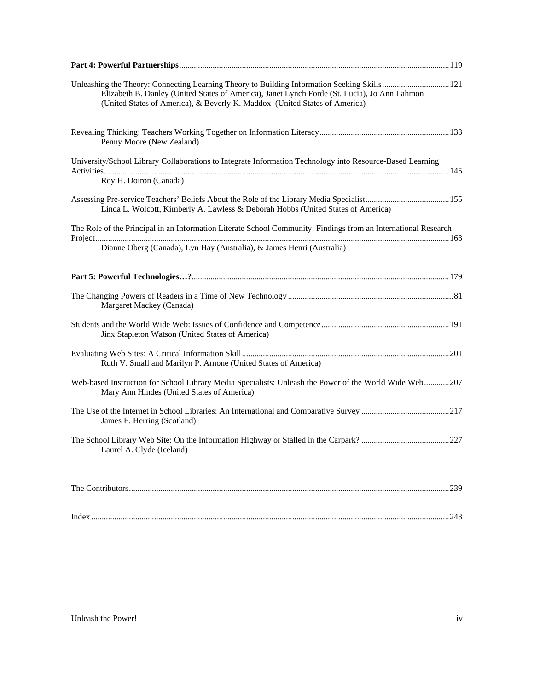| Unleashing the Theory: Connecting Learning Theory to Building Information Seeking Skills121<br>Elizabeth B. Danley (United States of America), Janet Lynch Forde (St. Lucia), Jo Ann Lahmon<br>(United States of America), & Beverly K. Maddox (United States of America) |  |
|---------------------------------------------------------------------------------------------------------------------------------------------------------------------------------------------------------------------------------------------------------------------------|--|
| Penny Moore (New Zealand)                                                                                                                                                                                                                                                 |  |
| University/School Library Collaborations to Integrate Information Technology into Resource-Based Learning<br>Roy H. Doiron (Canada)                                                                                                                                       |  |
| Linda L. Wolcott, Kimberly A. Lawless & Deborah Hobbs (United States of America)                                                                                                                                                                                          |  |
| The Role of the Principal in an Information Literate School Community: Findings from an International Research<br>Dianne Oberg (Canada), Lyn Hay (Australia), & James Henri (Australia)                                                                                   |  |
|                                                                                                                                                                                                                                                                           |  |
| Margaret Mackey (Canada)                                                                                                                                                                                                                                                  |  |
| Jinx Stapleton Watson (United States of America)                                                                                                                                                                                                                          |  |
| Ruth V. Small and Marilyn P. Arnone (United States of America)                                                                                                                                                                                                            |  |
| Web-based Instruction for School Library Media Specialists: Unleash the Power of the World Wide Web207<br>Mary Ann Hindes (United States of America)                                                                                                                      |  |
| James E. Herring (Scotland)                                                                                                                                                                                                                                               |  |
| Laurel A. Clyde (Iceland)                                                                                                                                                                                                                                                 |  |
|                                                                                                                                                                                                                                                                           |  |
|                                                                                                                                                                                                                                                                           |  |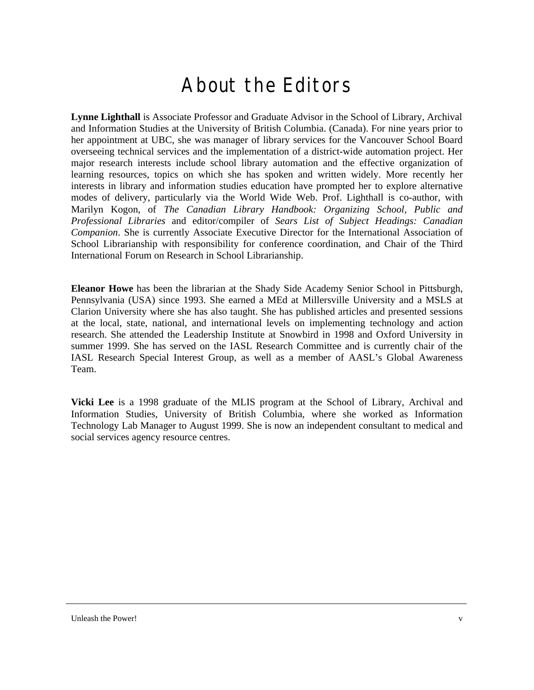### About the Editors

**Lynne Lighthall** is Associate Professor and Graduate Advisor in the School of Library, Archival and Information Studies at the University of British Columbia. (Canada). For nine years prior to her appointment at UBC, she was manager of library services for the Vancouver School Board overseeing technical services and the implementation of a district-wide automation project. Her major research interests include school library automation and the effective organization of learning resources, topics on which she has spoken and written widely. More recently her interests in library and information studies education have prompted her to explore alternative modes of delivery, particularly via the World Wide Web. Prof. Lighthall is co-author, with Marilyn Kogon, of *The Canadian Library Handbook: Organizing School, Public and Professional Libraries* and editor/compiler of *Sears List of Subject Headings: Canadian Companion*. She is currently Associate Executive Director for the International Association of School Librarianship with responsibility for conference coordination, and Chair of the Third International Forum on Research in School Librarianship.

**Eleanor Howe** has been the librarian at the Shady Side Academy Senior School in Pittsburgh, Pennsylvania (USA) since 1993. She earned a MEd at Millersville University and a MSLS at Clarion University where she has also taught. She has published articles and presented sessions at the local, state, national, and international levels on implementing technology and action research. She attended the Leadership Institute at Snowbird in 1998 and Oxford University in summer 1999. She has served on the IASL Research Committee and is currently chair of the IASL Research Special Interest Group, as well as a member of AASL's Global Awareness Team.

**Vicki Lee** is a 1998 graduate of the MLIS program at the School of Library, Archival and Information Studies, University of British Columbia, where she worked as Information Technology Lab Manager to August 1999. She is now an independent consultant to medical and social services agency resource centres.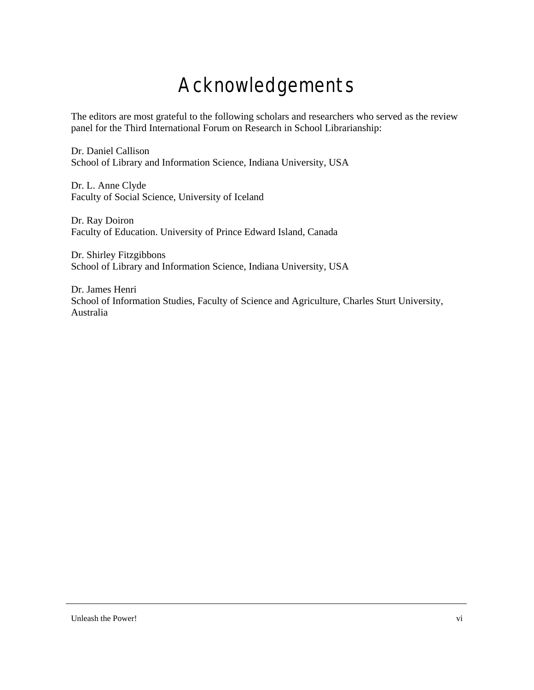## Acknowledgements

The editors are most grateful to the following scholars and researchers who served as the review panel for the Third International Forum on Research in School Librarianship:

Dr. Daniel Callison School of Library and Information Science, Indiana University, USA

Dr. L. Anne Clyde Faculty of Social Science, University of Iceland

Dr. Ray Doiron Faculty of Education. University of Prince Edward Island, Canada

Dr. Shirley Fitzgibbons School of Library and Information Science, Indiana University, USA

Dr. James Henri School of Information Studies, Faculty of Science and Agriculture, Charles Sturt University, Australia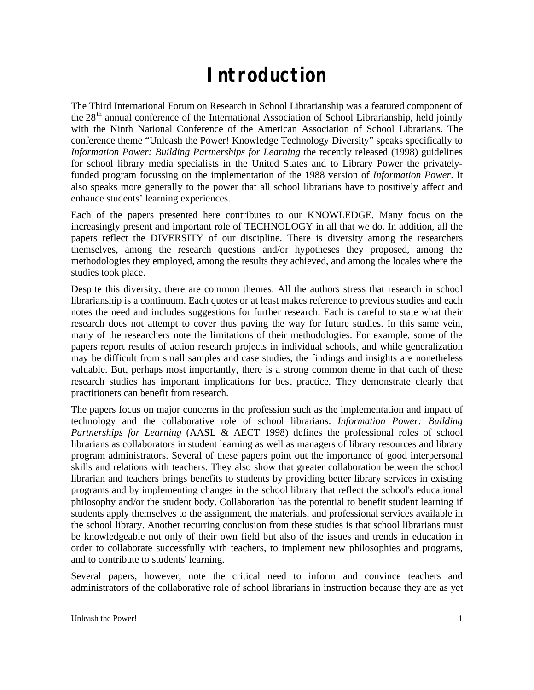### **Introduction**

The Third International Forum on Research in School Librarianship was a featured component of the 28<sup>th</sup> annual conference of the International Association of School Librarianship, held jointly with the Ninth National Conference of the American Association of School Librarians. The conference theme "Unleash the Power! Knowledge Technology Diversity" speaks specifically to *Information Power: Building Partnerships for Learning* the recently released (1998) guidelines for school library media specialists in the United States and to Library Power the privatelyfunded program focussing on the implementation of the 1988 version of *Information Power*. It also speaks more generally to the power that all school librarians have to positively affect and enhance students' learning experiences.

Each of the papers presented here contributes to our KNOWLEDGE. Many focus on the increasingly present and important role of TECHNOLOGY in all that we do. In addition, all the papers reflect the DIVERSITY of our discipline. There is diversity among the researchers themselves, among the research questions and/or hypotheses they proposed, among the methodologies they employed, among the results they achieved, and among the locales where the studies took place.

Despite this diversity, there are common themes. All the authors stress that research in school librarianship is a continuum. Each quotes or at least makes reference to previous studies and each notes the need and includes suggestions for further research. Each is careful to state what their research does not attempt to cover thus paving the way for future studies. In this same vein, many of the researchers note the limitations of their methodologies. For example, some of the papers report results of action research projects in individual schools, and while generalization may be difficult from small samples and case studies, the findings and insights are nonetheless valuable. But, perhaps most importantly, there is a strong common theme in that each of these research studies has important implications for best practice. They demonstrate clearly that practitioners can benefit from research.

The papers focus on major concerns in the profession such as the implementation and impact of technology and the collaborative role of school librarians. *Information Power: Building Partnerships for Learning* (AASL & AECT 1998) defines the professional roles of school librarians as collaborators in student learning as well as managers of library resources and library program administrators. Several of these papers point out the importance of good interpersonal skills and relations with teachers. They also show that greater collaboration between the school librarian and teachers brings benefits to students by providing better library services in existing programs and by implementing changes in the school library that reflect the school's educational philosophy and/or the student body. Collaboration has the potential to benefit student learning if students apply themselves to the assignment, the materials, and professional services available in the school library. Another recurring conclusion from these studies is that school librarians must be knowledgeable not only of their own field but also of the issues and trends in education in order to collaborate successfully with teachers, to implement new philosophies and programs, and to contribute to students' learning.

Several papers, however, note the critical need to inform and convince teachers and administrators of the collaborative role of school librarians in instruction because they are as yet

Unleash the Power!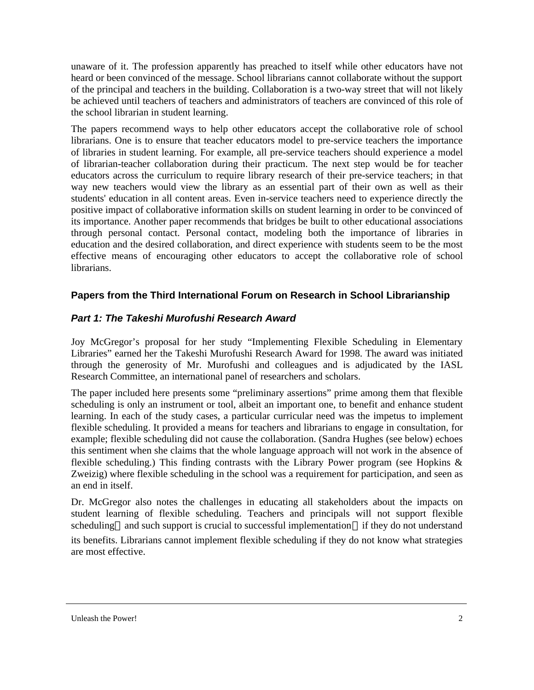unaware of it. The profession apparently has preached to itself while other educators have not heard or been convinced of the message. School librarians cannot collaborate without the support of the principal and teachers in the building. Collaboration is a two-way street that will not likely be achieved until teachers of teachers and administrators of teachers are convinced of this role of the school librarian in student learning.

The papers recommend ways to help other educators accept the collaborative role of school librarians. One is to ensure that teacher educators model to pre-service teachers the importance of libraries in student learning. For example, all pre-service teachers should experience a model of librarian-teacher collaboration during their practicum. The next step would be for teacher educators across the curriculum to require library research of their pre-service teachers; in that way new teachers would view the library as an essential part of their own as well as their students' education in all content areas. Even in-service teachers need to experience directly the positive impact of collaborative information skills on student learning in order to be convinced of its importance. Another paper recommends that bridges be built to other educational associations through personal contact. Personal contact, modeling both the importance of libraries in education and the desired collaboration, and direct experience with students seem to be the most effective means of encouraging other educators to accept the collaborative role of school librarians.

#### **Papers from the Third International Forum on Research in School Librarianship**

#### *Part 1: The Takeshi Murofushi Research Award*

Joy McGregor's proposal for her study "Implementing Flexible Scheduling in Elementary Libraries" earned her the Takeshi Murofushi Research Award for 1998. The award was initiated through the generosity of Mr. Murofushi and colleagues and is adjudicated by the IASL Research Committee, an international panel of researchers and scholars.

The paper included here presents some "preliminary assertions" prime among them that flexible scheduling is only an instrument or tool, albeit an important one, to benefit and enhance student learning. In each of the study cases, a particular curricular need was the impetus to implement flexible scheduling. It provided a means for teachers and librarians to engage in consultation, for example; flexible scheduling did not cause the collaboration. (Sandra Hughes (see below) echoes this sentiment when she claims that the whole language approach will not work in the absence of flexible scheduling.) This finding contrasts with the Library Power program (see Hopkins  $\&$ Zweizig) where flexible scheduling in the school was a requirement for participation, and seen as an end in itself.

Dr. McGregor also notes the challenges in educating all stakeholders about the impacts on student learning of flexible scheduling. Teachers and principals will not support flexible scheduling and such support is crucial to successful implementation if they do not understand its benefits. Librarians cannot implement flexible scheduling if they do not know what strategies are most effective.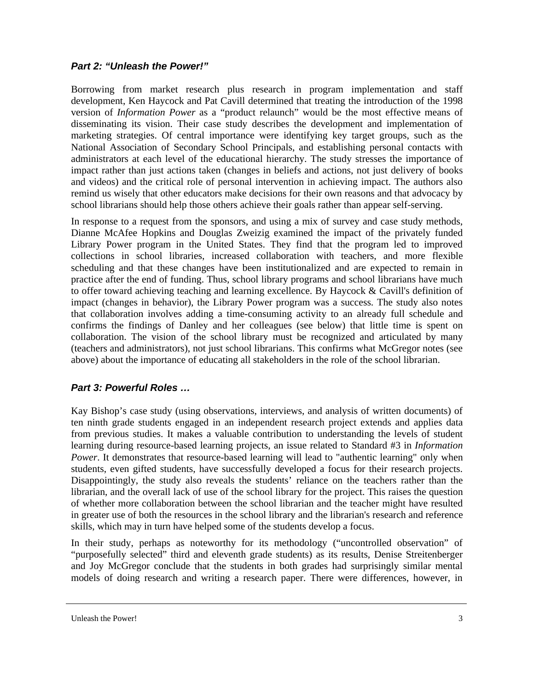#### *Part 2: "Unleash the Power!"*

Borrowing from market research plus research in program implementation and staff development, Ken Haycock and Pat Cavill determined that treating the introduction of the 1998 version of *Information Power* as a "product relaunch" would be the most effective means of disseminating its vision. Their case study describes the development and implementation of marketing strategies. Of central importance were identifying key target groups, such as the National Association of Secondary School Principals, and establishing personal contacts with administrators at each level of the educational hierarchy. The study stresses the importance of impact rather than just actions taken (changes in beliefs and actions, not just delivery of books and videos) and the critical role of personal intervention in achieving impact. The authors also remind us wisely that other educators make decisions for their own reasons and that advocacy by school librarians should help those others achieve their goals rather than appear self-serving.

In response to a request from the sponsors, and using a mix of survey and case study methods, Dianne McAfee Hopkins and Douglas Zweizig examined the impact of the privately funded Library Power program in the United States. They find that the program led to improved collections in school libraries, increased collaboration with teachers, and more flexible scheduling and that these changes have been institutionalized and are expected to remain in practice after the end of funding. Thus, school library programs and school librarians have much to offer toward achieving teaching and learning excellence. By Haycock & Cavill's definition of impact (changes in behavior), the Library Power program was a success. The study also notes that collaboration involves adding a time-consuming activity to an already full schedule and confirms the findings of Danley and her colleagues (see below) that little time is spent on collaboration. The vision of the school library must be recognized and articulated by many (teachers and administrators), not just school librarians. This confirms what McGregor notes (see above) about the importance of educating all stakeholders in the role of the school librarian.

#### *Part 3: Powerful Roles …*

Kay Bishop's case study (using observations, interviews, and analysis of written documents) of ten ninth grade students engaged in an independent research project extends and applies data from previous studies. It makes a valuable contribution to understanding the levels of student learning during resource-based learning projects, an issue related to Standard #3 in *Information Power*. It demonstrates that resource-based learning will lead to "authentic learning" only when students, even gifted students, have successfully developed a focus for their research projects. Disappointingly, the study also reveals the students' reliance on the teachers rather than the librarian, and the overall lack of use of the school library for the project. This raises the question of whether more collaboration between the school librarian and the teacher might have resulted in greater use of both the resources in the school library and the librarian's research and reference skills, which may in turn have helped some of the students develop a focus.

In their study, perhaps as noteworthy for its methodology ("uncontrolled observation" of "purposefully selected" third and eleventh grade students) as its results, Denise Streitenberger and Joy McGregor conclude that the students in both grades had surprisingly similar mental models of doing research and writing a research paper. There were differences, however, in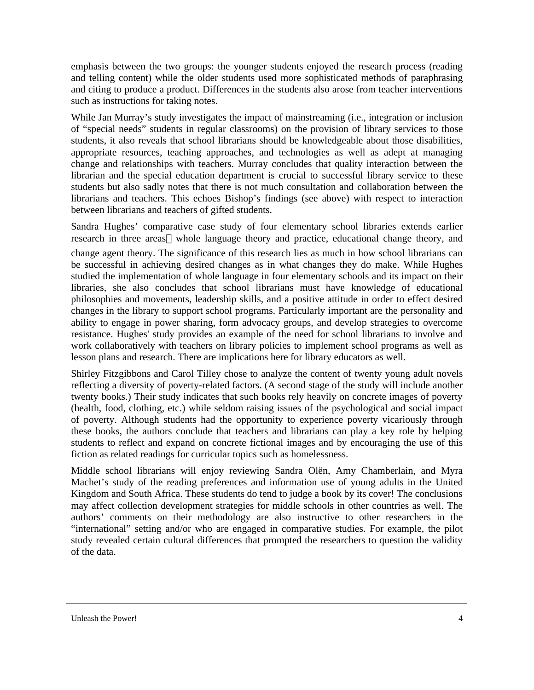emphasis between the two groups: the younger students enjoyed the research process (reading and telling content) while the older students used more sophisticated methods of paraphrasing and citing to produce a product. Differences in the students also arose from teacher interventions such as instructions for taking notes.

While Jan Murray's study investigates the impact of mainstreaming (i.e., integration or inclusion of "special needs" students in regular classrooms) on the provision of library services to those students, it also reveals that school librarians should be knowledgeable about those disabilities, appropriate resources, teaching approaches, and technologies as well as adept at managing change and relationships with teachers. Murray concludes that quality interaction between the librarian and the special education department is crucial to successful library service to these students but also sadly notes that there is not much consultation and collaboration between the librarians and teachers. This echoes Bishop's findings (see above) with respect to interaction between librarians and teachers of gifted students.

Sandra Hughes' comparative case study of four elementary school libraries extends earlier research in three areas whole language theory and practice, educational change theory, and change agent theory. The significance of this research lies as much in how school librarians can be successful in achieving desired changes as in what changes they do make. While Hughes studied the implementation of whole language in four elementary schools and its impact on their libraries, she also concludes that school librarians must have knowledge of educational philosophies and movements, leadership skills, and a positive attitude in order to effect desired changes in the library to support school programs. Particularly important are the personality and ability to engage in power sharing, form advocacy groups, and develop strategies to overcome resistance. Hughes' study provides an example of the need for school librarians to involve and work collaboratively with teachers on library policies to implement school programs as well as lesson plans and research. There are implications here for library educators as well.

Shirley Fitzgibbons and Carol Tilley chose to analyze the content of twenty young adult novels reflecting a diversity of poverty-related factors. (A second stage of the study will include another twenty books.) Their study indicates that such books rely heavily on concrete images of poverty (health, food, clothing, etc.) while seldom raising issues of the psychological and social impact of poverty. Although students had the opportunity to experience poverty vicariously through these books, the authors conclude that teachers and librarians can play a key role by helping students to reflect and expand on concrete fictional images and by encouraging the use of this fiction as related readings for curricular topics such as homelessness.

Middle school librarians will enjoy reviewing Sandra Olën, Amy Chamberlain, and Myra Machet's study of the reading preferences and information use of young adults in the United Kingdom and South Africa. These students do tend to judge a book by its cover! The conclusions may affect collection development strategies for middle schools in other countries as well. The authors' comments on their methodology are also instructive to other researchers in the "international" setting and/or who are engaged in comparative studies. For example, the pilot study revealed certain cultural differences that prompted the researchers to question the validity of the data.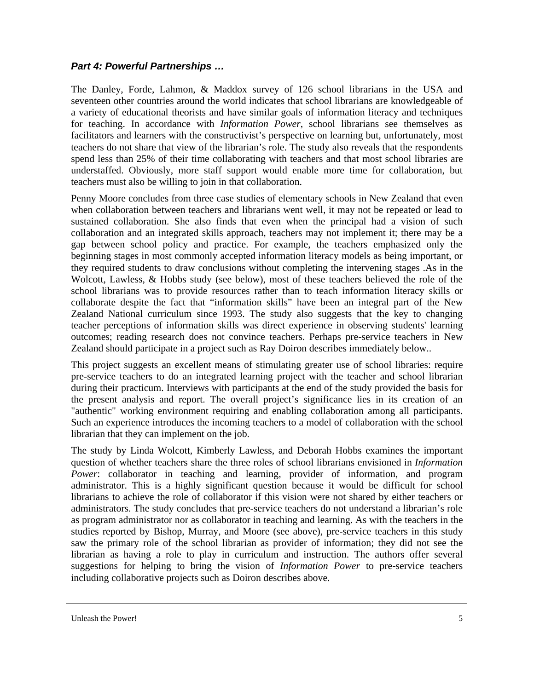#### *Part 4: Powerful Partnerships …*

The Danley, Forde, Lahmon, & Maddox survey of 126 school librarians in the USA and seventeen other countries around the world indicates that school librarians are knowledgeable of a variety of educational theorists and have similar goals of information literacy and techniques for teaching. In accordance with *Information Power*, school librarians see themselves as facilitators and learners with the constructivist's perspective on learning but, unfortunately, most teachers do not share that view of the librarian's role. The study also reveals that the respondents spend less than 25% of their time collaborating with teachers and that most school libraries are understaffed. Obviously, more staff support would enable more time for collaboration, but teachers must also be willing to join in that collaboration.

Penny Moore concludes from three case studies of elementary schools in New Zealand that even when collaboration between teachers and librarians went well, it may not be repeated or lead to sustained collaboration. She also finds that even when the principal had a vision of such collaboration and an integrated skills approach, teachers may not implement it; there may be a gap between school policy and practice. For example, the teachers emphasized only the beginning stages in most commonly accepted information literacy models as being important, or they required students to draw conclusions without completing the intervening stages .As in the Wolcott, Lawless, & Hobbs study (see below), most of these teachers believed the role of the school librarians was to provide resources rather than to teach information literacy skills or collaborate despite the fact that "information skills" have been an integral part of the New Zealand National curriculum since 1993. The study also suggests that the key to changing teacher perceptions of information skills was direct experience in observing students' learning outcomes; reading research does not convince teachers. Perhaps pre-service teachers in New Zealand should participate in a project such as Ray Doiron describes immediately below..

This project suggests an excellent means of stimulating greater use of school libraries: require pre-service teachers to do an integrated learning project with the teacher and school librarian during their practicum. Interviews with participants at the end of the study provided the basis for the present analysis and report. The overall project's significance lies in its creation of an "authentic" working environment requiring and enabling collaboration among all participants. Such an experience introduces the incoming teachers to a model of collaboration with the school librarian that they can implement on the job.

The study by Linda Wolcott, Kimberly Lawless, and Deborah Hobbs examines the important question of whether teachers share the three roles of school librarians envisioned in *Information Power*: collaborator in teaching and learning, provider of information, and program administrator. This is a highly significant question because it would be difficult for school librarians to achieve the role of collaborator if this vision were not shared by either teachers or administrators. The study concludes that pre-service teachers do not understand a librarian's role as program administrator nor as collaborator in teaching and learning. As with the teachers in the studies reported by Bishop, Murray, and Moore (see above), pre-service teachers in this study saw the primary role of the school librarian as provider of information; they did not see the librarian as having a role to play in curriculum and instruction. The authors offer several suggestions for helping to bring the vision of *Information Power* to pre-service teachers including collaborative projects such as Doiron describes above.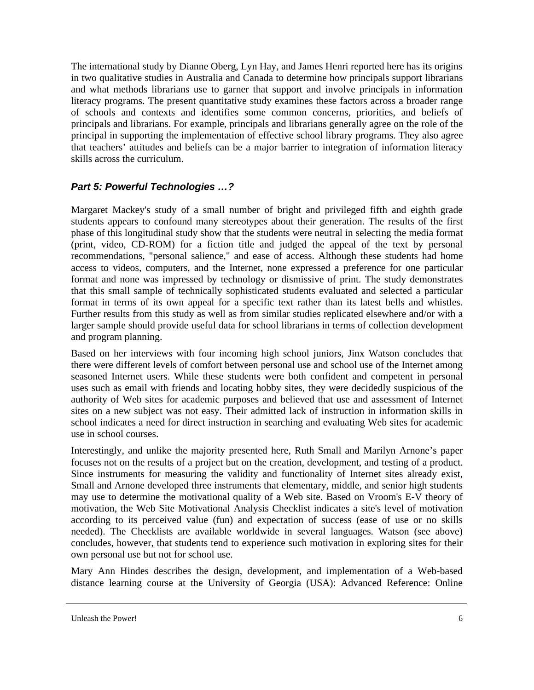The international study by Dianne Oberg, Lyn Hay, and James Henri reported here has its origins in two qualitative studies in Australia and Canada to determine how principals support librarians and what methods librarians use to garner that support and involve principals in information literacy programs. The present quantitative study examines these factors across a broader range of schools and contexts and identifies some common concerns, priorities, and beliefs of principals and librarians. For example, principals and librarians generally agree on the role of the principal in supporting the implementation of effective school library programs. They also agree that teachers' attitudes and beliefs can be a major barrier to integration of information literacy skills across the curriculum.

#### *Part 5: Powerful Technologies …?*

Margaret Mackey's study of a small number of bright and privileged fifth and eighth grade students appears to confound many stereotypes about their generation. The results of the first phase of this longitudinal study show that the students were neutral in selecting the media format (print, video, CD-ROM) for a fiction title and judged the appeal of the text by personal recommendations, "personal salience," and ease of access. Although these students had home access to videos, computers, and the Internet, none expressed a preference for one particular format and none was impressed by technology or dismissive of print. The study demonstrates that this small sample of technically sophisticated students evaluated and selected a particular format in terms of its own appeal for a specific text rather than its latest bells and whistles. Further results from this study as well as from similar studies replicated elsewhere and/or with a larger sample should provide useful data for school librarians in terms of collection development and program planning.

Based on her interviews with four incoming high school juniors, Jinx Watson concludes that there were different levels of comfort between personal use and school use of the Internet among seasoned Internet users. While these students were both confident and competent in personal uses such as email with friends and locating hobby sites, they were decidedly suspicious of the authority of Web sites for academic purposes and believed that use and assessment of Internet sites on a new subject was not easy. Their admitted lack of instruction in information skills in school indicates a need for direct instruction in searching and evaluating Web sites for academic use in school courses.

Interestingly, and unlike the majority presented here, Ruth Small and Marilyn Arnone's paper focuses not on the results of a project but on the creation, development, and testing of a product. Since instruments for measuring the validity and functionality of Internet sites already exist, Small and Arnone developed three instruments that elementary, middle, and senior high students may use to determine the motivational quality of a Web site. Based on Vroom's E-V theory of motivation, the Web Site Motivational Analysis Checklist indicates a site's level of motivation according to its perceived value (fun) and expectation of success (ease of use or no skills needed). The Checklists are available worldwide in several languages. Watson (see above) concludes, however, that students tend to experience such motivation in exploring sites for their own personal use but not for school use.

Mary Ann Hindes describes the design, development, and implementation of a Web-based distance learning course at the University of Georgia (USA): Advanced Reference: Online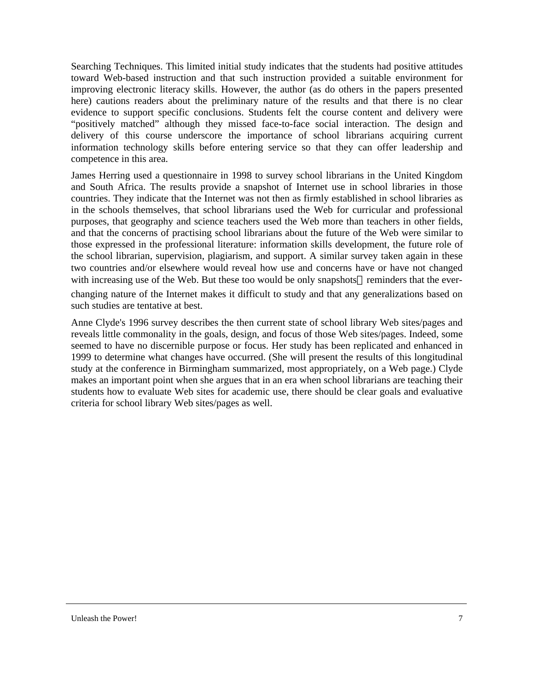Searching Techniques. This limited initial study indicates that the students had positive attitudes toward Web-based instruction and that such instruction provided a suitable environment for improving electronic literacy skills. However, the author (as do others in the papers presented here) cautions readers about the preliminary nature of the results and that there is no clear evidence to support specific conclusions. Students felt the course content and delivery were "positively matched" although they missed face-to-face social interaction. The design and delivery of this course underscore the importance of school librarians acquiring current information technology skills before entering service so that they can offer leadership and competence in this area.

James Herring used a questionnaire in 1998 to survey school librarians in the United Kingdom and South Africa. The results provide a snapshot of Internet use in school libraries in those countries. They indicate that the Internet was not then as firmly established in school libraries as in the schools themselves, that school librarians used the Web for curricular and professional purposes, that geography and science teachers used the Web more than teachers in other fields, and that the concerns of practising school librarians about the future of the Web were similar to those expressed in the professional literature: information skills development, the future role of the school librarian, supervision, plagiarism, and support. A similar survey taken again in these two countries and/or elsewhere would reveal how use and concerns have or have not changed with increasing use of the Web. But these too would be only snapshots reminders that the ever-

changing nature of the Internet makes it difficult to study and that any generalizations based on such studies are tentative at best.

Anne Clyde's 1996 survey describes the then current state of school library Web sites/pages and reveals little commonality in the goals, design, and focus of those Web sites/pages. Indeed, some seemed to have no discernible purpose or focus. Her study has been replicated and enhanced in 1999 to determine what changes have occurred. (She will present the results of this longitudinal study at the conference in Birmingham summarized, most appropriately, on a Web page.) Clyde makes an important point when she argues that in an era when school librarians are teaching their students how to evaluate Web sites for academic use, there should be clear goals and evaluative criteria for school library Web sites/pages as well.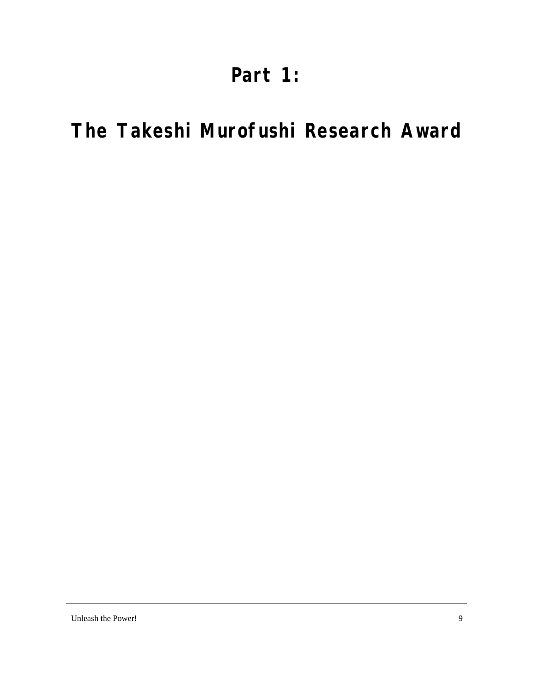## **Part 1:**

## **The Takeshi Murofushi Research Award**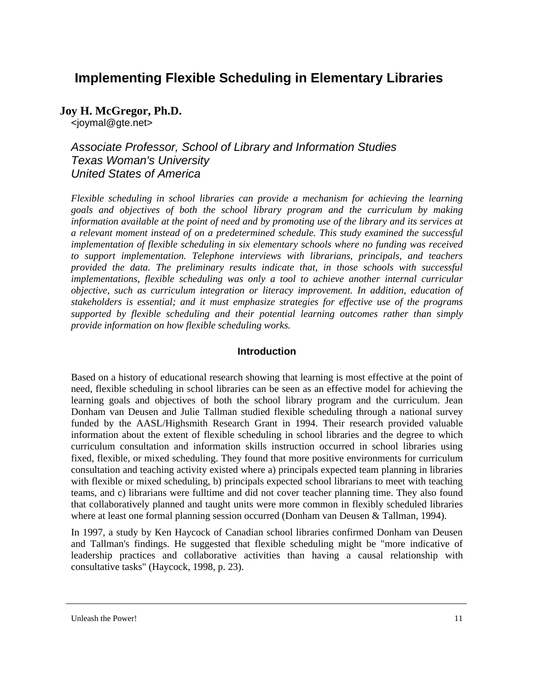### **Implementing Flexible Scheduling in Elementary Libraries**

#### **Joy H. McGregor, Ph.D.**

<joymal@gte.net>

*Associate Professor, School of Library and Information Studies Texas Woman's University United States of America*

*Flexible scheduling in school libraries can provide a mechanism for achieving the learning goals and objectives of both the school library program and the curriculum by making information available at the point of need and by promoting use of the library and its services at a relevant moment instead of on a predetermined schedule. This study examined the successful implementation of flexible scheduling in six elementary schools where no funding was received to support implementation. Telephone interviews with librarians, principals, and teachers provided the data. The preliminary results indicate that, in those schools with successful implementations, flexible scheduling was only a tool to achieve another internal curricular objective, such as curriculum integration or literacy improvement. In addition, education of stakeholders is essential; and it must emphasize strategies for effective use of the programs supported by flexible scheduling and their potential learning outcomes rather than simply provide information on how flexible scheduling works.*

#### **Introduction**

Based on a history of educational research showing that learning is most effective at the point of need, flexible scheduling in school libraries can be seen as an effective model for achieving the learning goals and objectives of both the school library program and the curriculum. Jean Donham van Deusen and Julie Tallman studied flexible scheduling through a national survey funded by the AASL/Highsmith Research Grant in 1994. Their research provided valuable information about the extent of flexible scheduling in school libraries and the degree to which curriculum consultation and information skills instruction occurred in school libraries using fixed, flexible, or mixed scheduling. They found that more positive environments for curriculum consultation and teaching activity existed where a) principals expected team planning in libraries with flexible or mixed scheduling, b) principals expected school librarians to meet with teaching teams, and c) librarians were fulltime and did not cover teacher planning time. They also found that collaboratively planned and taught units were more common in flexibly scheduled libraries where at least one formal planning session occurred (Donham van Deusen & Tallman, 1994).

In 1997, a study by Ken Haycock of Canadian school libraries confirmed Donham van Deusen and Tallman's findings. He suggested that flexible scheduling might be "more indicative of leadership practices and collaborative activities than having a causal relationship with consultative tasks" (Haycock, 1998, p. 23).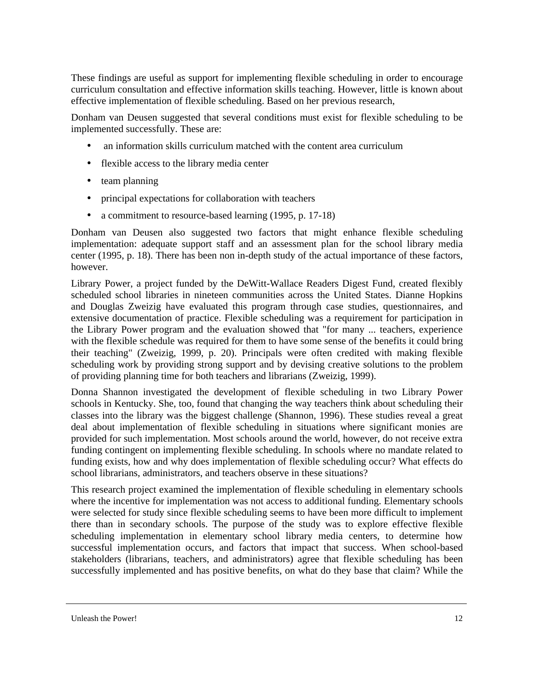These findings are useful as support for implementing flexible scheduling in order to encourage curriculum consultation and effective information skills teaching. However, little is known about effective implementation of flexible scheduling. Based on her previous research,

Donham van Deusen suggested that several conditions must exist for flexible scheduling to be implemented successfully. These are:

- an information skills curriculum matched with the content area curriculum
- flexible access to the library media center
- team planning
- principal expectations for collaboration with teachers
- a commitment to resource-based learning (1995, p. 17-18)

Donham van Deusen also suggested two factors that might enhance flexible scheduling implementation: adequate support staff and an assessment plan for the school library media center (1995, p. 18). There has been non in-depth study of the actual importance of these factors, however.

Library Power, a project funded by the DeWitt-Wallace Readers Digest Fund, created flexibly scheduled school libraries in nineteen communities across the United States. Dianne Hopkins and Douglas Zweizig have evaluated this program through case studies, questionnaires, and extensive documentation of practice. Flexible scheduling was a requirement for participation in the Library Power program and the evaluation showed that "for many ... teachers, experience with the flexible schedule was required for them to have some sense of the benefits it could bring their teaching" (Zweizig, 1999, p. 20). Principals were often credited with making flexible scheduling work by providing strong support and by devising creative solutions to the problem of providing planning time for both teachers and librarians (Zweizig, 1999).

Donna Shannon investigated the development of flexible scheduling in two Library Power schools in Kentucky. She, too, found that changing the way teachers think about scheduling their classes into the library was the biggest challenge (Shannon, 1996). These studies reveal a great deal about implementation of flexible scheduling in situations where significant monies are provided for such implementation. Most schools around the world, however, do not receive extra funding contingent on implementing flexible scheduling. In schools where no mandate related to funding exists, how and why does implementation of flexible scheduling occur? What effects do school librarians, administrators, and teachers observe in these situations?

This research project examined the implementation of flexible scheduling in elementary schools where the incentive for implementation was not access to additional funding. Elementary schools were selected for study since flexible scheduling seems to have been more difficult to implement there than in secondary schools. The purpose of the study was to explore effective flexible scheduling implementation in elementary school library media centers, to determine how successful implementation occurs, and factors that impact that success. When school-based stakeholders (librarians, teachers, and administrators) agree that flexible scheduling has been successfully implemented and has positive benefits, on what do they base that claim? While the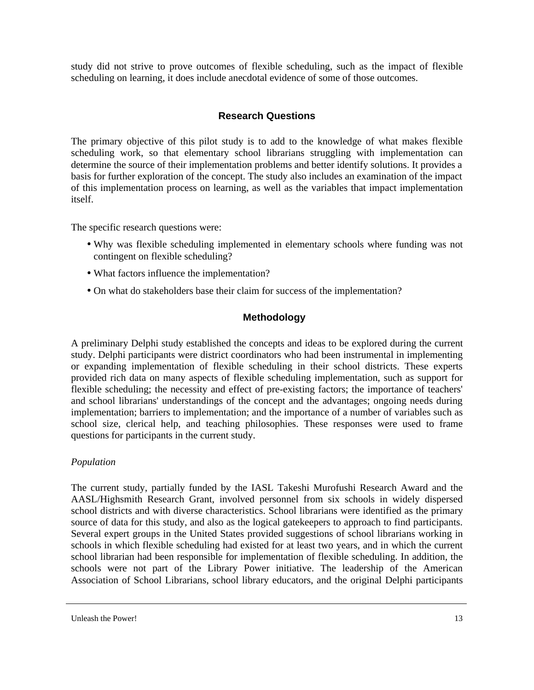study did not strive to prove outcomes of flexible scheduling, such as the impact of flexible scheduling on learning, it does include anecdotal evidence of some of those outcomes.

#### **Research Questions**

The primary objective of this pilot study is to add to the knowledge of what makes flexible scheduling work, so that elementary school librarians struggling with implementation can determine the source of their implementation problems and better identify solutions. It provides a basis for further exploration of the concept. The study also includes an examination of the impact of this implementation process on learning, as well as the variables that impact implementation itself.

The specific research questions were:

- Why was flexible scheduling implemented in elementary schools where funding was not contingent on flexible scheduling?
- What factors influence the implementation?
- On what do stakeholders base their claim for success of the implementation?

#### **Methodology**

A preliminary Delphi study established the concepts and ideas to be explored during the current study. Delphi participants were district coordinators who had been instrumental in implementing or expanding implementation of flexible scheduling in their school districts. These experts provided rich data on many aspects of flexible scheduling implementation, such as support for flexible scheduling; the necessity and effect of pre-existing factors; the importance of teachers' and school librarians' understandings of the concept and the advantages; ongoing needs during implementation; barriers to implementation; and the importance of a number of variables such as school size, clerical help, and teaching philosophies. These responses were used to frame questions for participants in the current study.

#### *Population*

The current study, partially funded by the IASL Takeshi Murofushi Research Award and the AASL/Highsmith Research Grant, involved personnel from six schools in widely dispersed school districts and with diverse characteristics. School librarians were identified as the primary source of data for this study, and also as the logical gatekeepers to approach to find participants. Several expert groups in the United States provided suggestions of school librarians working in schools in which flexible scheduling had existed for at least two years, and in which the current school librarian had been responsible for implementation of flexible scheduling. In addition, the schools were not part of the Library Power initiative. The leadership of the American Association of School Librarians, school library educators, and the original Delphi participants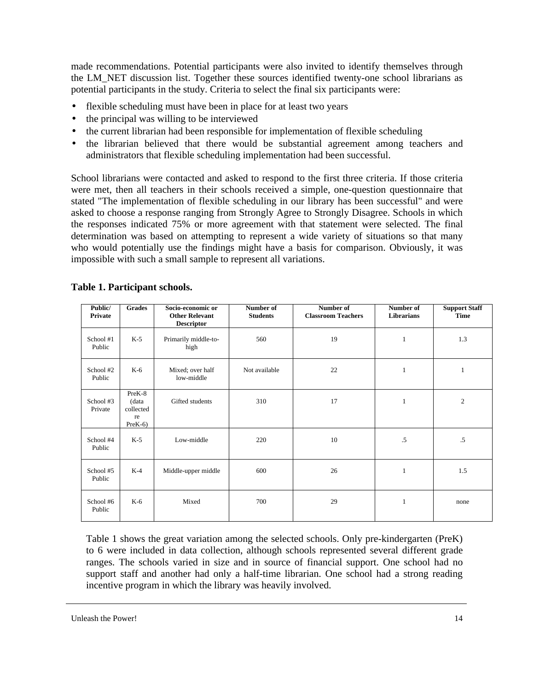made recommendations. Potential participants were also invited to identify themselves through the LM\_NET discussion list. Together these sources identified twenty-one school librarians as potential participants in the study. Criteria to select the final six participants were:

- flexible scheduling must have been in place for at least two years
- the principal was willing to be interviewed
- the current librarian had been responsible for implementation of flexible scheduling
- the librarian believed that there would be substantial agreement among teachers and administrators that flexible scheduling implementation had been successful.

School librarians were contacted and asked to respond to the first three criteria. If those criteria were met, then all teachers in their schools received a simple, one-question questionnaire that stated "The implementation of flexible scheduling in our library has been successful" and were asked to choose a response ranging from Strongly Agree to Strongly Disagree. Schools in which the responses indicated 75% or more agreement with that statement were selected. The final determination was based on attempting to represent a wide variety of situations so that many who would potentially use the findings might have a basis for comparison. Obviously, it was impossible with such a small sample to represent all variations.

| Public/<br>Private   | Grades                                          | Socio-economic or<br><b>Other Relevant</b><br><b>Descriptor</b> | Number of<br><b>Students</b> | Number of<br><b>Classroom Teachers</b> | Number of<br>Librarians | <b>Support Staff</b><br><b>Time</b> |
|----------------------|-------------------------------------------------|-----------------------------------------------------------------|------------------------------|----------------------------------------|-------------------------|-------------------------------------|
| School #1<br>Public  | $K-5$                                           | Primarily middle-to-<br>high                                    | 560                          | 19                                     | 1                       | 1.3                                 |
| School #2<br>Public  | K-6                                             | Mixed; over half<br>low-middle                                  | Not available                | 22                                     | 1                       | $\mathbf{1}$                        |
| School #3<br>Private | PreK-8<br>(data<br>collected<br>re<br>$PreK-6)$ | Gifted students                                                 | 310                          | 17                                     | $\mathbf{1}$            | $\mathfrak{2}$                      |
| School #4<br>Public  | $K-5$                                           | Low-middle                                                      | 220                          | 10                                     | $.5\,$                  | .5                                  |
| School #5<br>Public  | $K-4$                                           | Middle-upper middle                                             | 600                          | 26                                     | $\mathbf{1}$            | 1.5                                 |
| School #6<br>Public  | K-6                                             | Mixed                                                           | 700                          | 29                                     | 1                       | none                                |

#### **Table 1. Participant schools.**

Table 1 shows the great variation among the selected schools. Only pre-kindergarten (PreK) to 6 were included in data collection, although schools represented several different grade ranges. The schools varied in size and in source of financial support. One school had no support staff and another had only a half-time librarian. One school had a strong reading incentive program in which the library was heavily involved.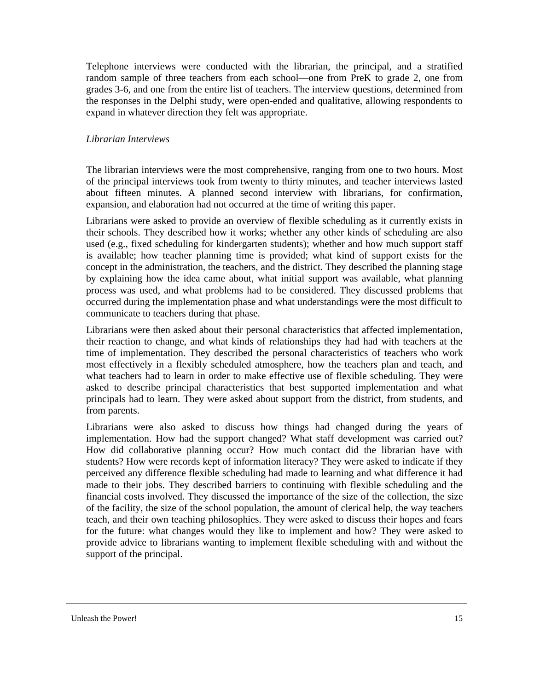Telephone interviews were conducted with the librarian, the principal, and a stratified random sample of three teachers from each school—one from PreK to grade 2, one from grades 3-6, and one from the entire list of teachers. The interview questions, determined from the responses in the Delphi study, were open-ended and qualitative, allowing respondents to expand in whatever direction they felt was appropriate.

#### *Librarian Interviews*

The librarian interviews were the most comprehensive, ranging from one to two hours. Most of the principal interviews took from twenty to thirty minutes, and teacher interviews lasted about fifteen minutes. A planned second interview with librarians, for confirmation, expansion, and elaboration had not occurred at the time of writing this paper.

Librarians were asked to provide an overview of flexible scheduling as it currently exists in their schools. They described how it works; whether any other kinds of scheduling are also used (e.g., fixed scheduling for kindergarten students); whether and how much support staff is available; how teacher planning time is provided; what kind of support exists for the concept in the administration, the teachers, and the district. They described the planning stage by explaining how the idea came about, what initial support was available, what planning process was used, and what problems had to be considered. They discussed problems that occurred during the implementation phase and what understandings were the most difficult to communicate to teachers during that phase.

Librarians were then asked about their personal characteristics that affected implementation, their reaction to change, and what kinds of relationships they had had with teachers at the time of implementation. They described the personal characteristics of teachers who work most effectively in a flexibly scheduled atmosphere, how the teachers plan and teach, and what teachers had to learn in order to make effective use of flexible scheduling. They were asked to describe principal characteristics that best supported implementation and what principals had to learn. They were asked about support from the district, from students, and from parents.

Librarians were also asked to discuss how things had changed during the years of implementation. How had the support changed? What staff development was carried out? How did collaborative planning occur? How much contact did the librarian have with students? How were records kept of information literacy? They were asked to indicate if they perceived any difference flexible scheduling had made to learning and what difference it had made to their jobs. They described barriers to continuing with flexible scheduling and the financial costs involved. They discussed the importance of the size of the collection, the size of the facility, the size of the school population, the amount of clerical help, the way teachers teach, and their own teaching philosophies. They were asked to discuss their hopes and fears for the future: what changes would they like to implement and how? They were asked to provide advice to librarians wanting to implement flexible scheduling with and without the support of the principal.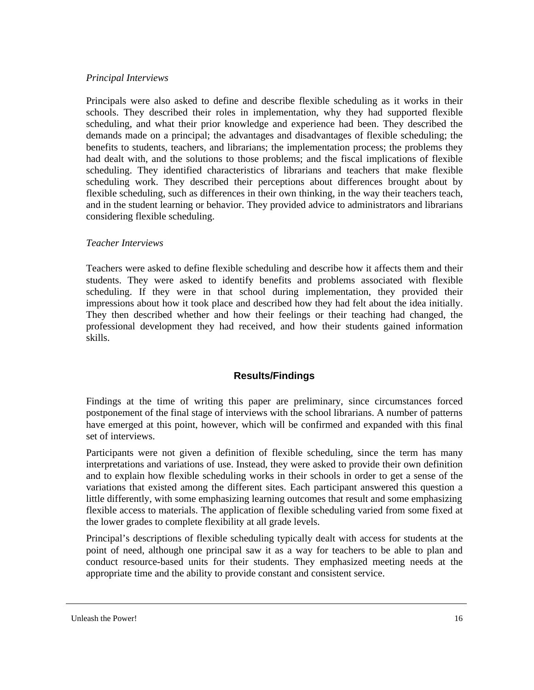#### *Principal Interviews*

Principals were also asked to define and describe flexible scheduling as it works in their schools. They described their roles in implementation, why they had supported flexible scheduling, and what their prior knowledge and experience had been. They described the demands made on a principal; the advantages and disadvantages of flexible scheduling; the benefits to students, teachers, and librarians; the implementation process; the problems they had dealt with, and the solutions to those problems; and the fiscal implications of flexible scheduling. They identified characteristics of librarians and teachers that make flexible scheduling work. They described their perceptions about differences brought about by flexible scheduling, such as differences in their own thinking, in the way their teachers teach, and in the student learning or behavior. They provided advice to administrators and librarians considering flexible scheduling.

#### *Teacher Interviews*

Teachers were asked to define flexible scheduling and describe how it affects them and their students. They were asked to identify benefits and problems associated with flexible scheduling. If they were in that school during implementation, they provided their impressions about how it took place and described how they had felt about the idea initially. They then described whether and how their feelings or their teaching had changed, the professional development they had received, and how their students gained information skills.

#### **Results/Findings**

Findings at the time of writing this paper are preliminary, since circumstances forced postponement of the final stage of interviews with the school librarians. A number of patterns have emerged at this point, however, which will be confirmed and expanded with this final set of interviews.

Participants were not given a definition of flexible scheduling, since the term has many interpretations and variations of use. Instead, they were asked to provide their own definition and to explain how flexible scheduling works in their schools in order to get a sense of the variations that existed among the different sites. Each participant answered this question a little differently, with some emphasizing learning outcomes that result and some emphasizing flexible access to materials. The application of flexible scheduling varied from some fixed at the lower grades to complete flexibility at all grade levels.

Principal's descriptions of flexible scheduling typically dealt with access for students at the point of need, although one principal saw it as a way for teachers to be able to plan and conduct resource-based units for their students. They emphasized meeting needs at the appropriate time and the ability to provide constant and consistent service.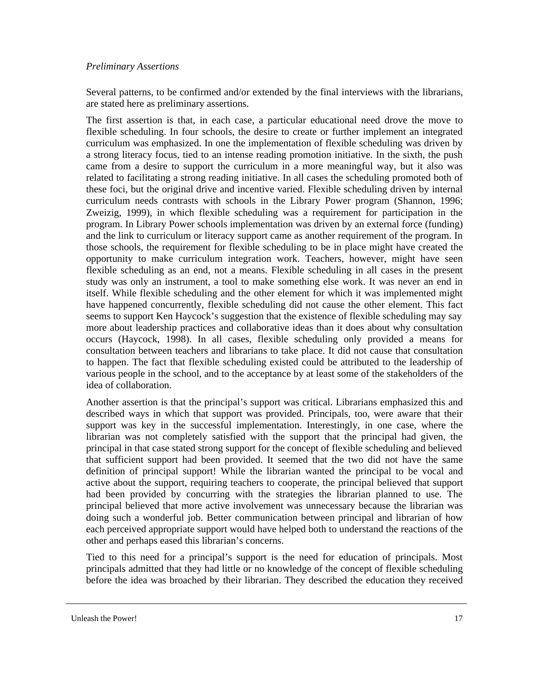#### *Preliminary Assertions*

Several patterns, to be confirmed and/or extended by the final interviews with the librarians, are stated here as preliminary assertions.

The first assertion is that, in each case, a particular educational need drove the move to flexible scheduling. In four schools, the desire to create or further implement an integrated curriculum was emphasized. In one the implementation of flexible scheduling was driven by a strong literacy focus, tied to an intense reading promotion initiative. In the sixth, the push came from a desire to support the curriculum in a more meaningful way, but it also was related to facilitating a strong reading initiative. In all cases the scheduling promoted both of these foci, but the original drive and incentive varied. Flexible scheduling driven by internal curriculum needs contrasts with schools in the Library Power program (Shannon, 1996; Zweizig, 1999), in which flexible scheduling was a requirement for participation in the program. In Library Power schools implementation was driven by an external force (funding) and the link to curriculum or literacy support came as another requirement of the program. In those schools, the requirement for flexible scheduling to be in place might have created the opportunity to make curriculum integration work. Teachers, however, might have seen flexible scheduling as an end, not a means. Flexible scheduling in all cases in the present study was only an instrument, a tool to make something else work. It was never an end in itself. While flexible scheduling and the other element for which it was implemented might have happened concurrently, flexible scheduling did not cause the other element. This fact seems to support Ken Haycock's suggestion that the existence of flexible scheduling may say more about leadership practices and collaborative ideas than it does about why consultation occurs (Haycock, 1998). In all cases, flexible scheduling only provided a means for consultation between teachers and librarians to take place. It did not cause that consultation to happen. The fact that flexible scheduling existed could be attributed to the leadership of various people in the school, and to the acceptance by at least some of the stakeholders of the idea of collaboration.

Another assertion is that the principal's support was critical. Librarians emphasized this and described ways in which that support was provided. Principals, too, were aware that their support was key in the successful implementation. Interestingly, in one case, where the librarian was not completely satisfied with the support that the principal had given, the principal in that case stated strong support for the concept of flexible scheduling and believed that sufficient support had been provided. It seemed that the two did not have the same definition of principal support! While the librarian wanted the principal to be vocal and active about the support, requiring teachers to cooperate, the principal believed that support had been provided by concurring with the strategies the librarian planned to use. The principal believed that more active involvement was unnecessary because the librarian was doing such a wonderful job. Better communication between principal and librarian of how each perceived appropriate support would have helped both to understand the reactions of the other and perhaps eased this librarian's concerns.

Tied to this need for a principal's support is the need for education of principals. Most principals admitted that they had little or no knowledge of the concept of flexible scheduling before the idea was broached by their librarian. They described the education they received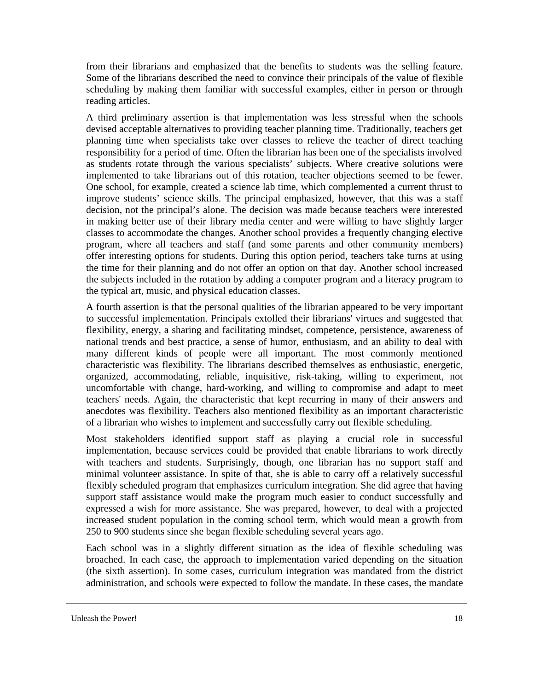from their librarians and emphasized that the benefits to students was the selling feature. Some of the librarians described the need to convince their principals of the value of flexible scheduling by making them familiar with successful examples, either in person or through reading articles.

A third preliminary assertion is that implementation was less stressful when the schools devised acceptable alternatives to providing teacher planning time. Traditionally, teachers get planning time when specialists take over classes to relieve the teacher of direct teaching responsibility for a period of time. Often the librarian has been one of the specialists involved as students rotate through the various specialists' subjects. Where creative solutions were implemented to take librarians out of this rotation, teacher objections seemed to be fewer. One school, for example, created a science lab time, which complemented a current thrust to improve students' science skills. The principal emphasized, however, that this was a staff decision, not the principal's alone. The decision was made because teachers were interested in making better use of their library media center and were willing to have slightly larger classes to accommodate the changes. Another school provides a frequently changing elective program, where all teachers and staff (and some parents and other community members) offer interesting options for students. During this option period, teachers take turns at using the time for their planning and do not offer an option on that day. Another school increased the subjects included in the rotation by adding a computer program and a literacy program to the typical art, music, and physical education classes.

A fourth assertion is that the personal qualities of the librarian appeared to be very important to successful implementation. Principals extolled their librarians' virtues and suggested that flexibility, energy, a sharing and facilitating mindset, competence, persistence, awareness of national trends and best practice, a sense of humor, enthusiasm, and an ability to deal with many different kinds of people were all important. The most commonly mentioned characteristic was flexibility. The librarians described themselves as enthusiastic, energetic, organized, accommodating, reliable, inquisitive, risk-taking, willing to experiment, not uncomfortable with change, hard-working, and willing to compromise and adapt to meet teachers' needs. Again, the characteristic that kept recurring in many of their answers and anecdotes was flexibility. Teachers also mentioned flexibility as an important characteristic of a librarian who wishes to implement and successfully carry out flexible scheduling.

Most stakeholders identified support staff as playing a crucial role in successful implementation, because services could be provided that enable librarians to work directly with teachers and students. Surprisingly, though, one librarian has no support staff and minimal volunteer assistance. In spite of that, she is able to carry off a relatively successful flexibly scheduled program that emphasizes curriculum integration. She did agree that having support staff assistance would make the program much easier to conduct successfully and expressed a wish for more assistance. She was prepared, however, to deal with a projected increased student population in the coming school term, which would mean a growth from 250 to 900 students since she began flexible scheduling several years ago.

Each school was in a slightly different situation as the idea of flexible scheduling was broached. In each case, the approach to implementation varied depending on the situation (the sixth assertion). In some cases, curriculum integration was mandated from the district administration, and schools were expected to follow the mandate. In these cases, the mandate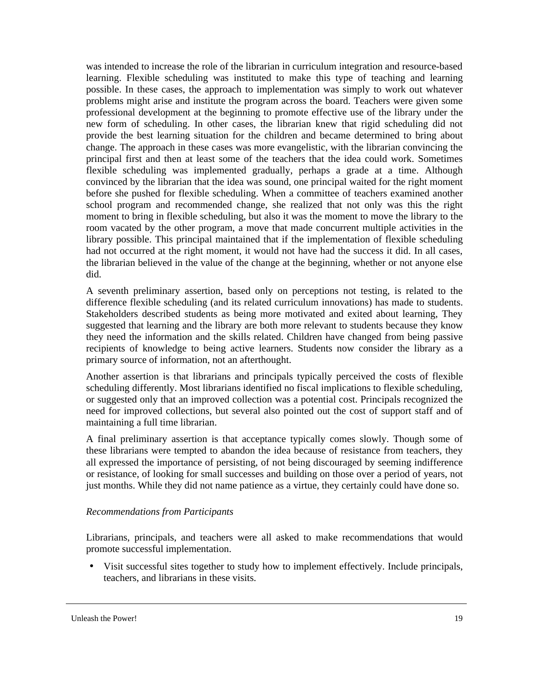was intended to increase the role of the librarian in curriculum integration and resource-based learning. Flexible scheduling was instituted to make this type of teaching and learning possible. In these cases, the approach to implementation was simply to work out whatever problems might arise and institute the program across the board. Teachers were given some professional development at the beginning to promote effective use of the library under the new form of scheduling. In other cases, the librarian knew that rigid scheduling did not provide the best learning situation for the children and became determined to bring about change. The approach in these cases was more evangelistic, with the librarian convincing the principal first and then at least some of the teachers that the idea could work. Sometimes flexible scheduling was implemented gradually, perhaps a grade at a time. Although convinced by the librarian that the idea was sound, one principal waited for the right moment before she pushed for flexible scheduling. When a committee of teachers examined another school program and recommended change, she realized that not only was this the right moment to bring in flexible scheduling, but also it was the moment to move the library to the room vacated by the other program, a move that made concurrent multiple activities in the library possible. This principal maintained that if the implementation of flexible scheduling had not occurred at the right moment, it would not have had the success it did. In all cases, the librarian believed in the value of the change at the beginning, whether or not anyone else did.

A seventh preliminary assertion, based only on perceptions not testing, is related to the difference flexible scheduling (and its related curriculum innovations) has made to students. Stakeholders described students as being more motivated and exited about learning, They suggested that learning and the library are both more relevant to students because they know they need the information and the skills related. Children have changed from being passive recipients of knowledge to being active learners. Students now consider the library as a primary source of information, not an afterthought.

Another assertion is that librarians and principals typically perceived the costs of flexible scheduling differently. Most librarians identified no fiscal implications to flexible scheduling, or suggested only that an improved collection was a potential cost. Principals recognized the need for improved collections, but several also pointed out the cost of support staff and of maintaining a full time librarian.

A final preliminary assertion is that acceptance typically comes slowly. Though some of these librarians were tempted to abandon the idea because of resistance from teachers, they all expressed the importance of persisting, of not being discouraged by seeming indifference or resistance, of looking for small successes and building on those over a period of years, not just months. While they did not name patience as a virtue, they certainly could have done so.

#### *Recommendations from Participants*

Librarians, principals, and teachers were all asked to make recommendations that would promote successful implementation.

• Visit successful sites together to study how to implement effectively. Include principals, teachers, and librarians in these visits.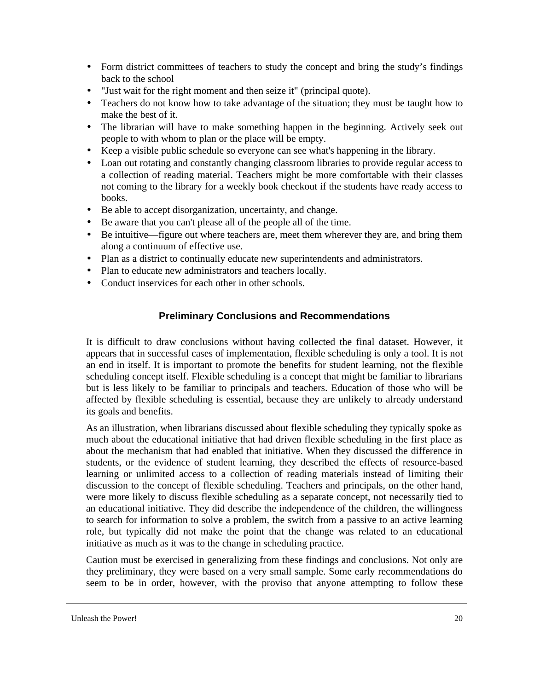- Form district committees of teachers to study the concept and bring the study's findings back to the school
- "Just wait for the right moment and then seize it" (principal quote).
- Teachers do not know how to take advantage of the situation; they must be taught how to make the best of it.
- The librarian will have to make something happen in the beginning. Actively seek out people to with whom to plan or the place will be empty.
- Keep a visible public schedule so everyone can see what's happening in the library.
- Loan out rotating and constantly changing classroom libraries to provide regular access to a collection of reading material. Teachers might be more comfortable with their classes not coming to the library for a weekly book checkout if the students have ready access to books.
- Be able to accept disorganization, uncertainty, and change.
- Be aware that you can't please all of the people all of the time.
- Be intuitive—figure out where teachers are, meet them wherever they are, and bring them along a continuum of effective use.
- Plan as a district to continually educate new superintendents and administrators.
- Plan to educate new administrators and teachers locally.
- Conduct inservices for each other in other schools.

#### **Preliminary Conclusions and Recommendations**

It is difficult to draw conclusions without having collected the final dataset. However, it appears that in successful cases of implementation, flexible scheduling is only a tool. It is not an end in itself. It is important to promote the benefits for student learning, not the flexible scheduling concept itself. Flexible scheduling is a concept that might be familiar to librarians but is less likely to be familiar to principals and teachers. Education of those who will be affected by flexible scheduling is essential, because they are unlikely to already understand its goals and benefits.

As an illustration, when librarians discussed about flexible scheduling they typically spoke as much about the educational initiative that had driven flexible scheduling in the first place as about the mechanism that had enabled that initiative. When they discussed the difference in students, or the evidence of student learning, they described the effects of resource-based learning or unlimited access to a collection of reading materials instead of limiting their discussion to the concept of flexible scheduling. Teachers and principals, on the other hand, were more likely to discuss flexible scheduling as a separate concept, not necessarily tied to an educational initiative. They did describe the independence of the children, the willingness to search for information to solve a problem, the switch from a passive to an active learning role, but typically did not make the point that the change was related to an educational initiative as much as it was to the change in scheduling practice.

Caution must be exercised in generalizing from these findings and conclusions. Not only are they preliminary, they were based on a very small sample. Some early recommendations do seem to be in order, however, with the proviso that anyone attempting to follow these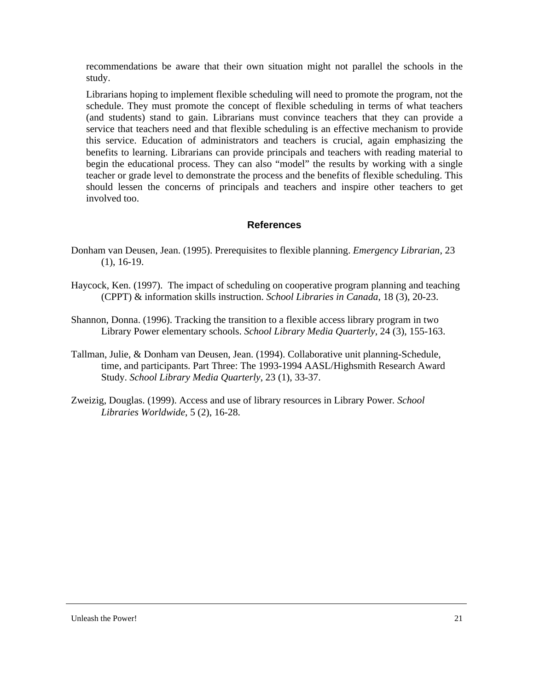recommendations be aware that their own situation might not parallel the schools in the study.

Librarians hoping to implement flexible scheduling will need to promote the program, not the schedule. They must promote the concept of flexible scheduling in terms of what teachers (and students) stand to gain. Librarians must convince teachers that they can provide a service that teachers need and that flexible scheduling is an effective mechanism to provide this service. Education of administrators and teachers is crucial, again emphasizing the benefits to learning. Librarians can provide principals and teachers with reading material to begin the educational process. They can also "model" the results by working with a single teacher or grade level to demonstrate the process and the benefits of flexible scheduling. This should lessen the concerns of principals and teachers and inspire other teachers to get involved too.

#### **References**

- Donham van Deusen, Jean. (1995). Prerequisites to flexible planning. *Emergency Librarian*, 23 (1), 16-19.
- Haycock, Ken. (1997). The impact of scheduling on cooperative program planning and teaching (CPPT) & information skills instruction. *School Libraries in Canada*, 18 (3), 20-23.
- Shannon, Donna. (1996). Tracking the transition to a flexible access library program in two Library Power elementary schools. *School Library Media Quarterly*, 24 (3), 155-163.
- Tallman, Julie, & Donham van Deusen, Jean. (1994). Collaborative unit planning-Schedule, time, and participants. Part Three: The 1993-1994 AASL/Highsmith Research Award Study. *School Library Media Quarterly*, 23 (1), 33-37.
- Zweizig, Douglas. (1999). Access and use of library resources in Library Power*. School Libraries Worldwide*, 5 (2), 16-28.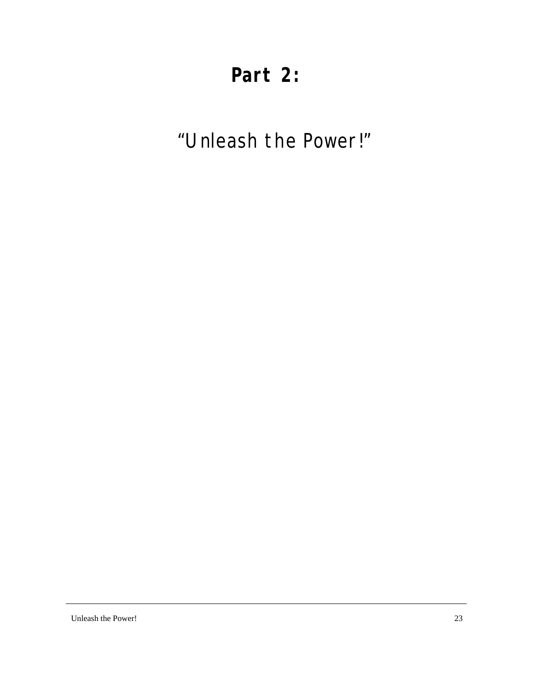## **Part 2:**

# "Unleash the Power!"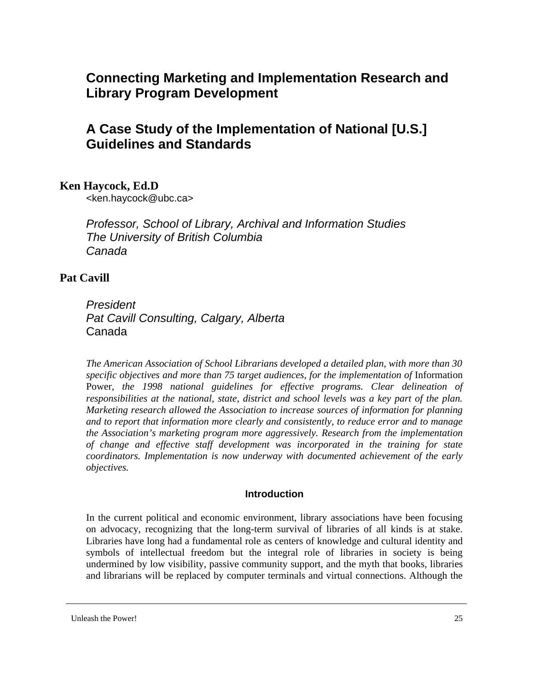### **Connecting Marketing and Implementation Research and Library Program Development**

### **A Case Study of the Implementation of National [U.S.] Guidelines and Standards**

#### **Ken Haycock, Ed.D**

<ken.haycock@ubc.ca>

*Professor, School of Library, Archival and Information Studies The University of British Columbia Canada*

#### **Pat Cavill**

*President Pat Cavill Consulting, Calgary, Alberta* Canada

*The American Association of School Librarians developed a detailed plan, with more than 30 specific objectives and more than 75 target audiences, for the implementation of Information* Power*, the 1998 national guidelines for effective programs. Clear delineation of responsibilities at the national, state, district and school levels was a key part of the plan. Marketing research allowed the Association to increase sources of information for planning and to report that information more clearly and consistently, to reduce error and to manage the Association's marketing program more aggressively. Research from the implementation of change and effective staff development was incorporated in the training for state coordinators. Implementation is now underway with documented achievement of the early objectives.*

#### **Introduction**

In the current political and economic environment, library associations have been focusing on advocacy, recognizing that the long-term survival of libraries of all kinds is at stake. Libraries have long had a fundamental role as centers of knowledge and cultural identity and symbols of intellectual freedom but the integral role of libraries in society is being undermined by low visibility, passive community support, and the myth that books, libraries and librarians will be replaced by computer terminals and virtual connections. Although the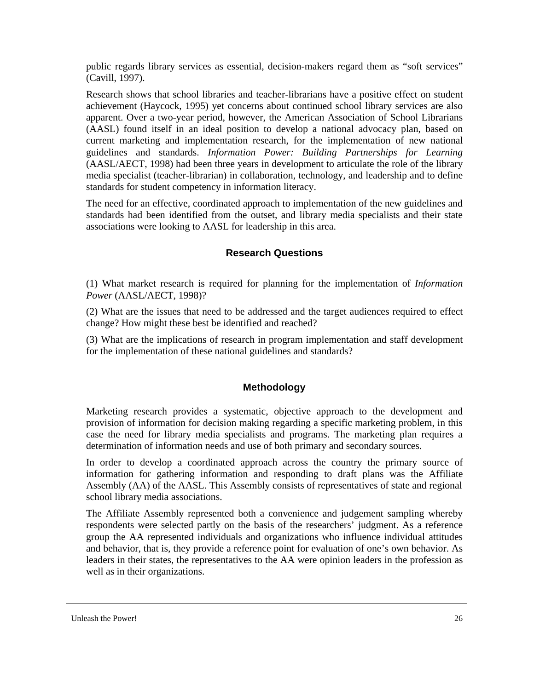public regards library services as essential, decision-makers regard them as "soft services" (Cavill, 1997).

Research shows that school libraries and teacher-librarians have a positive effect on student achievement (Haycock, 1995) yet concerns about continued school library services are also apparent. Over a two-year period, however, the American Association of School Librarians (AASL) found itself in an ideal position to develop a national advocacy plan, based on current marketing and implementation research, for the implementation of new national guidelines and standards. *Information Power: Building Partnerships for Learning* (AASL/AECT, 1998) had been three years in development to articulate the role of the library media specialist (teacher-librarian) in collaboration, technology, and leadership and to define standards for student competency in information literacy.

The need for an effective, coordinated approach to implementation of the new guidelines and standards had been identified from the outset, and library media specialists and their state associations were looking to AASL for leadership in this area.

#### **Research Questions**

(1) What market research is required for planning for the implementation of *Information Power* (AASL/AECT, 1998)?

(2) What are the issues that need to be addressed and the target audiences required to effect change? How might these best be identified and reached?

(3) What are the implications of research in program implementation and staff development for the implementation of these national guidelines and standards?

#### **Methodology**

Marketing research provides a systematic, objective approach to the development and provision of information for decision making regarding a specific marketing problem, in this case the need for library media specialists and programs. The marketing plan requires a determination of information needs and use of both primary and secondary sources.

In order to develop a coordinated approach across the country the primary source of information for gathering information and responding to draft plans was the Affiliate Assembly (AA) of the AASL. This Assembly consists of representatives of state and regional school library media associations.

The Affiliate Assembly represented both a convenience and judgement sampling whereby respondents were selected partly on the basis of the researchers' judgment. As a reference group the AA represented individuals and organizations who influence individual attitudes and behavior, that is, they provide a reference point for evaluation of one's own behavior. As leaders in their states, the representatives to the AA were opinion leaders in the profession as well as in their organizations.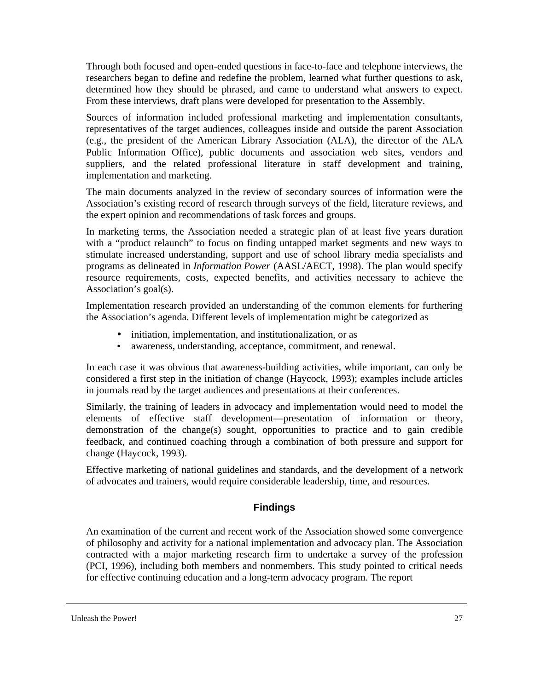Through both focused and open-ended questions in face-to-face and telephone interviews, the researchers began to define and redefine the problem, learned what further questions to ask, determined how they should be phrased, and came to understand what answers to expect. From these interviews, draft plans were developed for presentation to the Assembly.

Sources of information included professional marketing and implementation consultants, representatives of the target audiences, colleagues inside and outside the parent Association (e.g., the president of the American Library Association (ALA), the director of the ALA Public Information Office), public documents and association web sites, vendors and suppliers, and the related professional literature in staff development and training, implementation and marketing.

The main documents analyzed in the review of secondary sources of information were the Association's existing record of research through surveys of the field, literature reviews, and the expert opinion and recommendations of task forces and groups.

In marketing terms, the Association needed a strategic plan of at least five years duration with a "product relaunch" to focus on finding untapped market segments and new ways to stimulate increased understanding, support and use of school library media specialists and programs as delineated in *Information Power* (AASL/AECT, 1998). The plan would specify resource requirements, costs, expected benefits, and activities necessary to achieve the Association's goal(s).

Implementation research provided an understanding of the common elements for furthering the Association's agenda. Different levels of implementation might be categorized as

- initiation, implementation, and institutionalization, or as
- awareness, understanding, acceptance, commitment, and renewal.

In each case it was obvious that awareness-building activities, while important, can only be considered a first step in the initiation of change (Haycock, 1993); examples include articles in journals read by the target audiences and presentations at their conferences.

Similarly, the training of leaders in advocacy and implementation would need to model the elements of effective staff development—presentation of information or theory, demonstration of the change(s) sought, opportunities to practice and to gain credible feedback, and continued coaching through a combination of both pressure and support for change (Haycock, 1993).

Effective marketing of national guidelines and standards, and the development of a network of advocates and trainers, would require considerable leadership, time, and resources.

#### **Findings**

An examination of the current and recent work of the Association showed some convergence of philosophy and activity for a national implementation and advocacy plan. The Association contracted with a major marketing research firm to undertake a survey of the profession (PCI, 1996), including both members and nonmembers. This study pointed to critical needs for effective continuing education and a long-term advocacy program. The report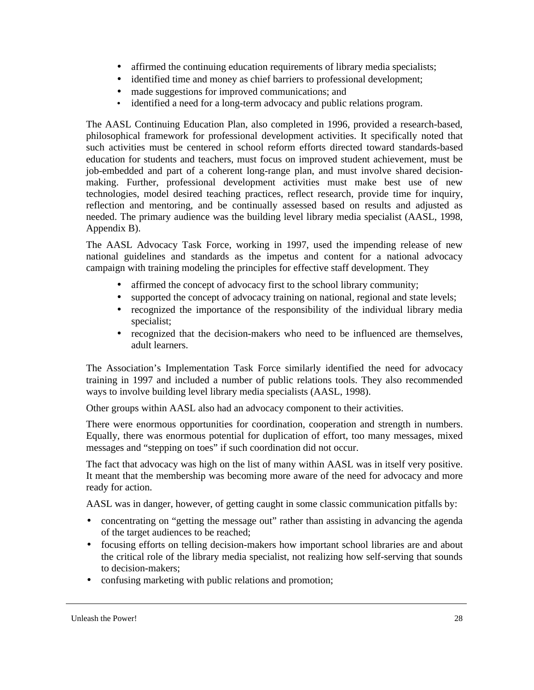- affirmed the continuing education requirements of library media specialists;
- identified time and money as chief barriers to professional development;
- made suggestions for improved communications; and
- identified a need for a long-term advocacy and public relations program.

The AASL Continuing Education Plan, also completed in 1996, provided a research-based, philosophical framework for professional development activities. It specifically noted that such activities must be centered in school reform efforts directed toward standards-based education for students and teachers, must focus on improved student achievement, must be job-embedded and part of a coherent long-range plan, and must involve shared decisionmaking. Further, professional development activities must make best use of new technologies, model desired teaching practices, reflect research, provide time for inquiry, reflection and mentoring, and be continually assessed based on results and adjusted as needed. The primary audience was the building level library media specialist (AASL, 1998, Appendix B).

The AASL Advocacy Task Force, working in 1997, used the impending release of new national guidelines and standards as the impetus and content for a national advocacy campaign with training modeling the principles for effective staff development. They

- affirmed the concept of advocacy first to the school library community;
- supported the concept of advocacy training on national, regional and state levels;
- recognized the importance of the responsibility of the individual library media specialist;
- recognized that the decision-makers who need to be influenced are themselves, adult learners.

The Association's Implementation Task Force similarly identified the need for advocacy training in 1997 and included a number of public relations tools. They also recommended ways to involve building level library media specialists (AASL, 1998).

Other groups within AASL also had an advocacy component to their activities.

There were enormous opportunities for coordination, cooperation and strength in numbers. Equally, there was enormous potential for duplication of effort, too many messages, mixed messages and "stepping on toes" if such coordination did not occur.

The fact that advocacy was high on the list of many within AASL was in itself very positive. It meant that the membership was becoming more aware of the need for advocacy and more ready for action.

AASL was in danger, however, of getting caught in some classic communication pitfalls by:

- concentrating on "getting the message out" rather than assisting in advancing the agenda of the target audiences to be reached;
- focusing efforts on telling decision-makers how important school libraries are and about the critical role of the library media specialist, not realizing how self-serving that sounds to decision-makers;
- confusing marketing with public relations and promotion;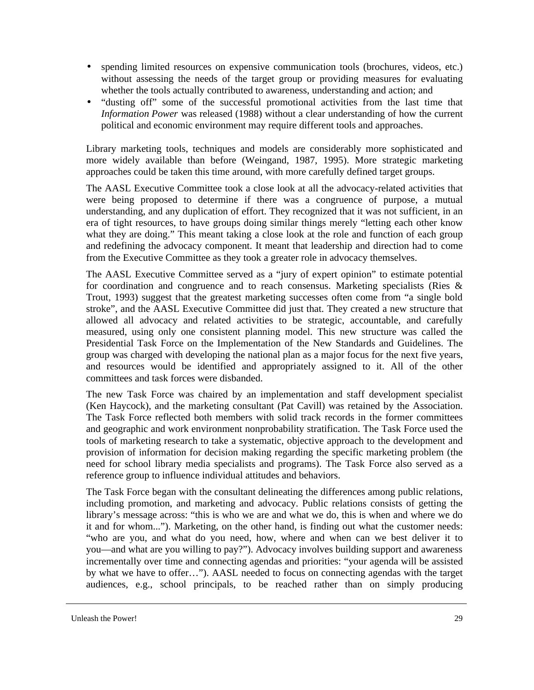- spending limited resources on expensive communication tools (brochures, videos, etc.) without assessing the needs of the target group or providing measures for evaluating whether the tools actually contributed to awareness, understanding and action; and
- "dusting off" some of the successful promotional activities from the last time that *Information Power* was released (1988) without a clear understanding of how the current political and economic environment may require different tools and approaches.

Library marketing tools, techniques and models are considerably more sophisticated and more widely available than before (Weingand, 1987, 1995). More strategic marketing approaches could be taken this time around, with more carefully defined target groups.

The AASL Executive Committee took a close look at all the advocacy-related activities that were being proposed to determine if there was a congruence of purpose, a mutual understanding, and any duplication of effort. They recognized that it was not sufficient, in an era of tight resources, to have groups doing similar things merely "letting each other know what they are doing." This meant taking a close look at the role and function of each group and redefining the advocacy component. It meant that leadership and direction had to come from the Executive Committee as they took a greater role in advocacy themselves.

The AASL Executive Committee served as a "jury of expert opinion" to estimate potential for coordination and congruence and to reach consensus. Marketing specialists (Ries & Trout, 1993) suggest that the greatest marketing successes often come from "a single bold stroke", and the AASL Executive Committee did just that. They created a new structure that allowed all advocacy and related activities to be strategic, accountable, and carefully measured, using only one consistent planning model. This new structure was called the Presidential Task Force on the Implementation of the New Standards and Guidelines. The group was charged with developing the national plan as a major focus for the next five years, and resources would be identified and appropriately assigned to it. All of the other committees and task forces were disbanded.

The new Task Force was chaired by an implementation and staff development specialist (Ken Haycock), and the marketing consultant (Pat Cavill) was retained by the Association. The Task Force reflected both members with solid track records in the former committees and geographic and work environment nonprobability stratification. The Task Force used the tools of marketing research to take a systematic, objective approach to the development and provision of information for decision making regarding the specific marketing problem (the need for school library media specialists and programs). The Task Force also served as a reference group to influence individual attitudes and behaviors.

The Task Force began with the consultant delineating the differences among public relations, including promotion, and marketing and advocacy. Public relations consists of getting the library's message across: "this is who we are and what we do, this is when and where we do it and for whom..."). Marketing, on the other hand, is finding out what the customer needs: "who are you, and what do you need, how, where and when can we best deliver it to you—and what are you willing to pay?"). Advocacy involves building support and awareness incrementally over time and connecting agendas and priorities: "your agenda will be assisted by what we have to offer…"). AASL needed to focus on connecting agendas with the target audiences, e.g., school principals, to be reached rather than on simply producing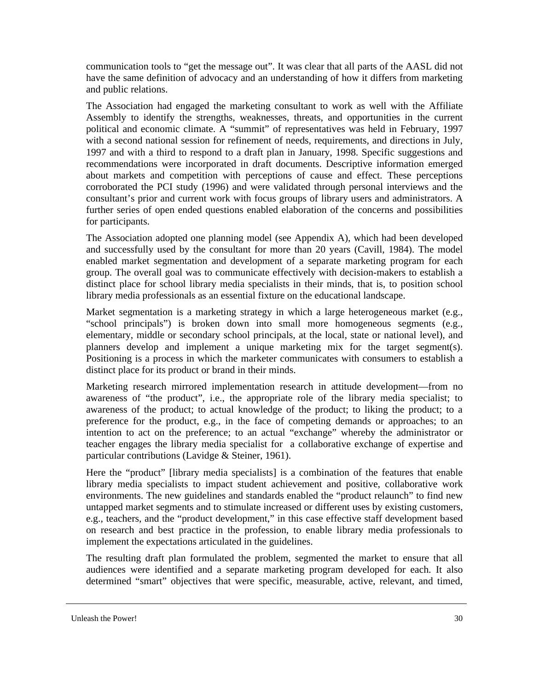communication tools to "get the message out". It was clear that all parts of the AASL did not have the same definition of advocacy and an understanding of how it differs from marketing and public relations.

The Association had engaged the marketing consultant to work as well with the Affiliate Assembly to identify the strengths, weaknesses, threats, and opportunities in the current political and economic climate. A "summit" of representatives was held in February, 1997 with a second national session for refinement of needs, requirements, and directions in July, 1997 and with a third to respond to a draft plan in January, 1998. Specific suggestions and recommendations were incorporated in draft documents. Descriptive information emerged about markets and competition with perceptions of cause and effect. These perceptions corroborated the PCI study (1996) and were validated through personal interviews and the consultant's prior and current work with focus groups of library users and administrators. A further series of open ended questions enabled elaboration of the concerns and possibilities for participants.

The Association adopted one planning model (see Appendix A), which had been developed and successfully used by the consultant for more than 20 years (Cavill, 1984). The model enabled market segmentation and development of a separate marketing program for each group. The overall goal was to communicate effectively with decision-makers to establish a distinct place for school library media specialists in their minds, that is, to position school library media professionals as an essential fixture on the educational landscape.

Market segmentation is a marketing strategy in which a large heterogeneous market (e.g., "school principals") is broken down into small more homogeneous segments (e.g., elementary, middle or secondary school principals, at the local, state or national level), and planners develop and implement a unique marketing mix for the target segment(s). Positioning is a process in which the marketer communicates with consumers to establish a distinct place for its product or brand in their minds.

Marketing research mirrored implementation research in attitude development—from no awareness of "the product", i.e., the appropriate role of the library media specialist; to awareness of the product; to actual knowledge of the product; to liking the product; to a preference for the product, e.g., in the face of competing demands or approaches; to an intention to act on the preference; to an actual "exchange" whereby the administrator or teacher engages the library media specialist for a collaborative exchange of expertise and particular contributions (Lavidge & Steiner, 1961).

Here the "product" [library media specialists] is a combination of the features that enable library media specialists to impact student achievement and positive, collaborative work environments. The new guidelines and standards enabled the "product relaunch" to find new untapped market segments and to stimulate increased or different uses by existing customers, e.g., teachers, and the "product development," in this case effective staff development based on research and best practice in the profession, to enable library media professionals to implement the expectations articulated in the guidelines.

The resulting draft plan formulated the problem, segmented the market to ensure that all audiences were identified and a separate marketing program developed for each. It also determined "smart" objectives that were specific, measurable, active, relevant, and timed,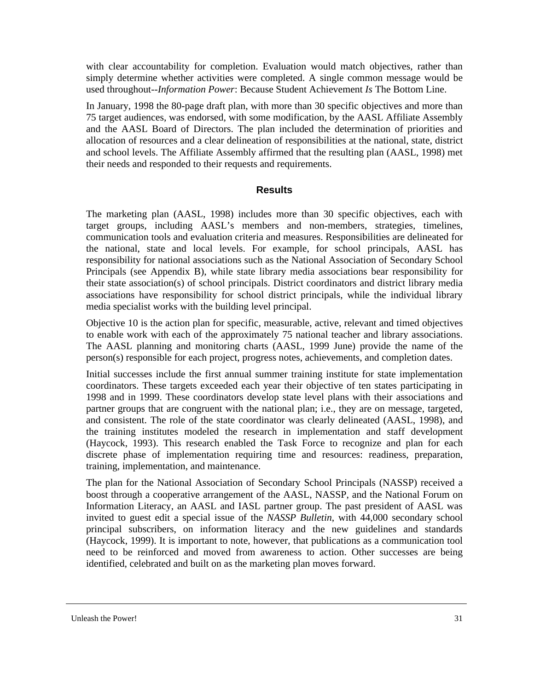with clear accountability for completion. Evaluation would match objectives, rather than simply determine whether activities were completed. A single common message would be used throughout--*Information Power*: Because Student Achievement *Is* The Bottom Line.

In January, 1998 the 80-page draft plan, with more than 30 specific objectives and more than 75 target audiences, was endorsed, with some modification, by the AASL Affiliate Assembly and the AASL Board of Directors. The plan included the determination of priorities and allocation of resources and a clear delineation of responsibilities at the national, state, district and school levels. The Affiliate Assembly affirmed that the resulting plan (AASL, 1998) met their needs and responded to their requests and requirements.

#### **Results**

The marketing plan (AASL, 1998) includes more than 30 specific objectives, each with target groups, including AASL's members and non-members, strategies, timelines, communication tools and evaluation criteria and measures. Responsibilities are delineated for the national, state and local levels. For example, for school principals, AASL has responsibility for national associations such as the National Association of Secondary School Principals (see Appendix B), while state library media associations bear responsibility for their state association(s) of school principals. District coordinators and district library media associations have responsibility for school district principals, while the individual library media specialist works with the building level principal.

Objective 10 is the action plan for specific, measurable, active, relevant and timed objectives to enable work with each of the approximately 75 national teacher and library associations. The AASL planning and monitoring charts (AASL, 1999 June) provide the name of the person(s) responsible for each project, progress notes, achievements, and completion dates.

Initial successes include the first annual summer training institute for state implementation coordinators. These targets exceeded each year their objective of ten states participating in 1998 and in 1999. These coordinators develop state level plans with their associations and partner groups that are congruent with the national plan; i.e., they are on message, targeted, and consistent. The role of the state coordinator was clearly delineated (AASL, 1998), and the training institutes modeled the research in implementation and staff development (Haycock, 1993). This research enabled the Task Force to recognize and plan for each discrete phase of implementation requiring time and resources: readiness, preparation, training, implementation, and maintenance.

The plan for the National Association of Secondary School Principals (NASSP) received a boost through a cooperative arrangement of the AASL, NASSP, and the National Forum on Information Literacy, an AASL and IASL partner group. The past president of AASL was invited to guest edit a special issue of the *NASSP Bulletin*, with 44,000 secondary school principal subscribers, on information literacy and the new guidelines and standards (Haycock, 1999). It is important to note, however, that publications as a communication tool need to be reinforced and moved from awareness to action. Other successes are being identified, celebrated and built on as the marketing plan moves forward.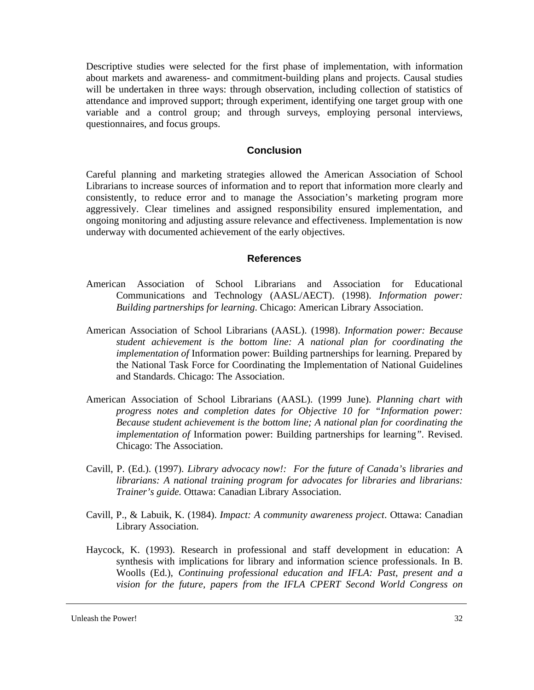Descriptive studies were selected for the first phase of implementation, with information about markets and awareness- and commitment-building plans and projects. Causal studies will be undertaken in three ways: through observation, including collection of statistics of attendance and improved support; through experiment, identifying one target group with one variable and a control group; and through surveys, employing personal interviews, questionnaires, and focus groups.

#### **Conclusion**

Careful planning and marketing strategies allowed the American Association of School Librarians to increase sources of information and to report that information more clearly and consistently, to reduce error and to manage the Association's marketing program more aggressively. Clear timelines and assigned responsibility ensured implementation, and ongoing monitoring and adjusting assure relevance and effectiveness. Implementation is now underway with documented achievement of the early objectives.

#### **References**

- American Association of School Librarians and Association for Educational Communications and Technology (AASL/AECT). (1998). *Information power: Building partnerships for learning*. Chicago: American Library Association.
- American Association of School Librarians (AASL). (1998). *Information power: Because student achievement is the bottom line: A national plan for coordinating the implementation of* Information power: Building partnerships for learning. Prepared by the National Task Force for Coordinating the Implementation of National Guidelines and Standards. Chicago: The Association.
- American Association of School Librarians (AASL). (1999 June). *Planning chart with progress notes and completion dates for Objective 10 for "Information power: Because student achievement is the bottom line; A national plan for coordinating the implementation of* Information power: Building partnerships for learning*".* Revised. Chicago: The Association.
- Cavill, P. (Ed.). (1997). *Library advocacy now!: For the future of Canada's libraries and librarians: A national training program for advocates for libraries and librarians: Trainer's guide.* Ottawa: Canadian Library Association.
- Cavill, P., & Labuik, K. (1984). *Impact: A community awareness project*. Ottawa: Canadian Library Association.
- Haycock, K. (1993). Research in professional and staff development in education: A synthesis with implications for library and information science professionals. In B. Woolls (Ed.), *Continuing professional education and IFLA: Past, present and a vision for the future, papers from the IFLA CPERT Second World Congress on*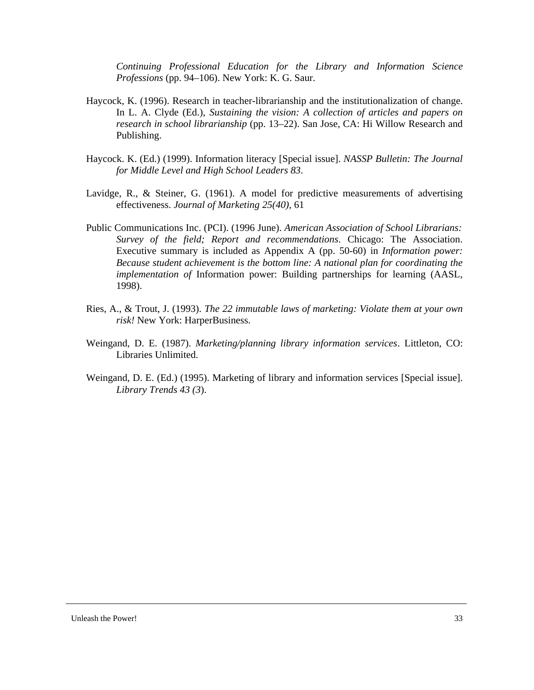*Continuing Professional Education for the Library and Information Science Professions* (pp. 94–106). New York: K. G. Saur.

- Haycock, K. (1996). Research in teacher-librarianship and the institutionalization of change. In L. A. Clyde (Ed.), *Sustaining the vision: A collection of articles and papers on research in school librarianship* (pp. 13–22). San Jose, CA: Hi Willow Research and Publishing.
- Haycock. K. (Ed.) (1999). Information literacy [Special issue]. *NASSP Bulletin: The Journal for Middle Level and High School Leaders 83*.
- Lavidge, R., & Steiner, G. (1961). A model for predictive measurements of advertising effectiveness. *Journal of Marketing 25(40),* 61
- Public Communications Inc. (PCI). (1996 June). *American Association of School Librarians: Survey of the field; Report and recommendations*. Chicago: The Association. Executive summary is included as Appendix A (pp. 50-60) in *Information power: Because student achievement is the bottom line: A national plan for coordinating the implementation of* Information power: Building partnerships for learning (AASL, 1998).
- Ries, A., & Trout, J. (1993). *The 22 immutable laws of marketing: Violate them at your own risk!* New York: HarperBusiness.
- Weingand, D. E. (1987). *Marketing/planning library information services*. Littleton, CO: Libraries Unlimited.
- Weingand, D. E. (Ed.) (1995). Marketing of library and information services [Special issue]. *Library Trends 43 (3*).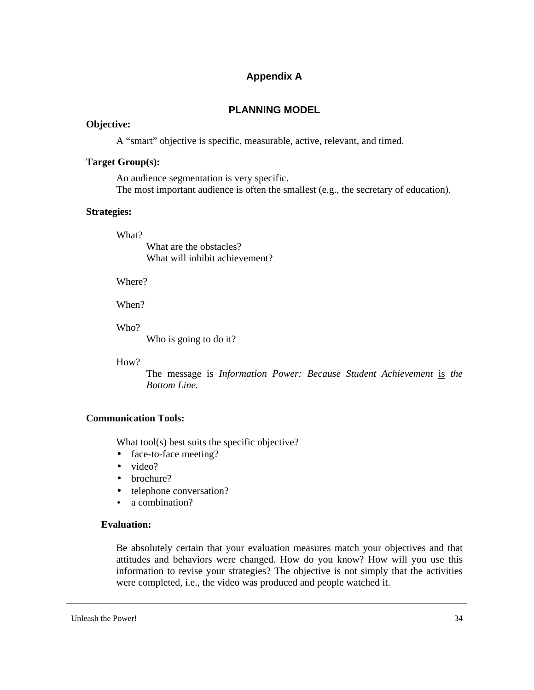## **Appendix A**

#### **PLANNING MODEL**

#### **Objective:**

A "smart" objective is specific, measurable, active, relevant, and timed.

#### **Target Group(s):**

An audience segmentation is very specific. The most important audience is often the smallest (e.g., the secretary of education).

#### **Strategies:**

#### What?

What are the obstacles? What will inhibit achievement?

Where?

When?

Who?

Who is going to do it?

H<sub>ow</sub>?

The message is *Information Power: Because Student Achievement* is *the Bottom Line.*

#### **Communication Tools:**

What tool(s) best suits the specific objective?

- face-to-face meeting?
- video?
- brochure?
- telephone conversation?
- a combination?

#### **Evaluation:**

Be absolutely certain that your evaluation measures match your objectives and that attitudes and behaviors were changed. How do you know? How will you use this information to revise your strategies? The objective is not simply that the activities were completed, i.e., the video was produced and people watched it.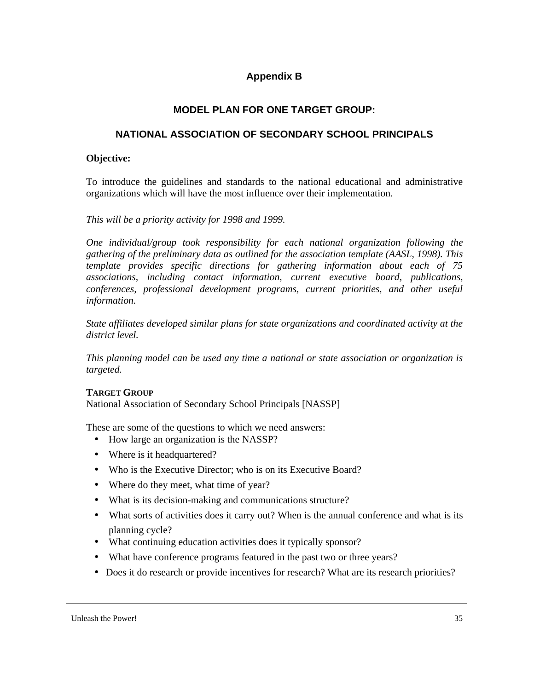# **Appendix B**

# **MODEL PLAN FOR ONE TARGET GROUP:**

# **NATIONAL ASSOCIATION OF SECONDARY SCHOOL PRINCIPALS**

## **Objective:**

To introduce the guidelines and standards to the national educational and administrative organizations which will have the most influence over their implementation.

*This will be a priority activity for 1998 and 1999.*

*One individual/group took responsibility for each national organization following the gathering of the preliminary data as outlined for the association template (AASL, 1998). This template provides specific directions for gathering information about each of 75 associations, including contact information, current executive board, publications, conferences, professional development programs, current priorities, and other useful information.*

*State affiliates developed similar plans for state organizations and coordinated activity at the district level.*

*This planning model can be used any time a national or state association or organization is targeted.*

## **TARGET GROUP**

National Association of Secondary School Principals [NASSP]

These are some of the questions to which we need answers:

- How large an organization is the NASSP?
- Where is it headquartered?
- Who is the Executive Director; who is on its Executive Board?
- Where do they meet, what time of year?
- What is its decision-making and communications structure?
- What sorts of activities does it carry out? When is the annual conference and what is its planning cycle?
- What continuing education activities does it typically sponsor?
- What have conference programs featured in the past two or three years?
- Does it do research or provide incentives for research? What are its research priorities?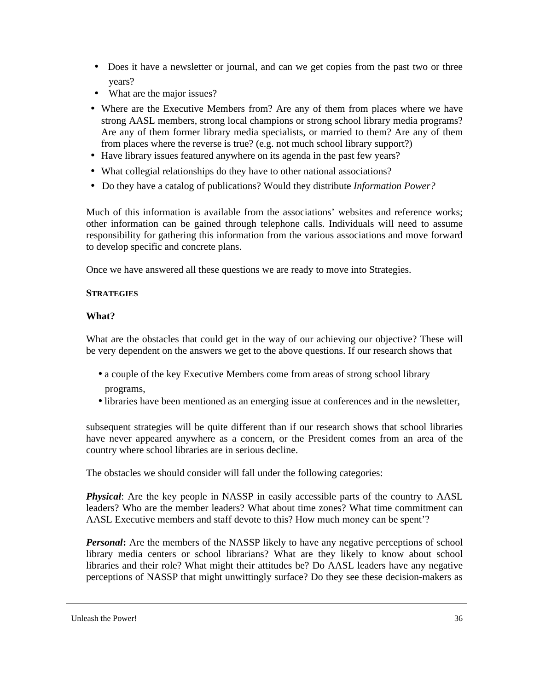- Does it have a newsletter or journal, and can we get copies from the past two or three years?
- What are the major issues?
- Where are the Executive Members from? Are any of them from places where we have strong AASL members, strong local champions or strong school library media programs? Are any of them former library media specialists, or married to them? Are any of them from places where the reverse is true? (e.g. not much school library support?)
- Have library issues featured anywhere on its agenda in the past few years?
- What collegial relationships do they have to other national associations?
- Do they have a catalog of publications? Would they distribute *Information Power?*

Much of this information is available from the associations' websites and reference works; other information can be gained through telephone calls. Individuals will need to assume responsibility for gathering this information from the various associations and move forward to develop specific and concrete plans.

Once we have answered all these questions we are ready to move into Strategies.

## **STRATEGIES**

## **What?**

What are the obstacles that could get in the way of our achieving our objective? These will be very dependent on the answers we get to the above questions. If our research shows that

- a couple of the key Executive Members come from areas of strong school library programs,
- libraries have been mentioned as an emerging issue at conferences and in the newsletter,

subsequent strategies will be quite different than if our research shows that school libraries have never appeared anywhere as a concern, or the President comes from an area of the country where school libraries are in serious decline.

The obstacles we should consider will fall under the following categories:

*Physical*: Are the key people in NASSP in easily accessible parts of the country to AASL leaders? Who are the member leaders? What about time zones? What time commitment can AASL Executive members and staff devote to this? How much money can be spent'?

**Personal:** Are the members of the NASSP likely to have any negative perceptions of school library media centers or school librarians? What are they likely to know about school libraries and their role? What might their attitudes be? Do AASL leaders have any negative perceptions of NASSP that might unwittingly surface? Do they see these decision-makers as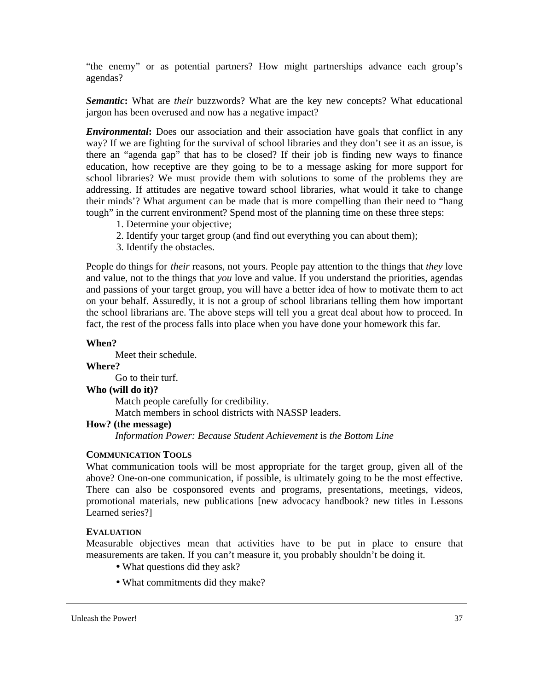"the enemy" or as potential partners? How might partnerships advance each group's agendas?

**Semantic:** What are *their* buzzwords? What are the key new concepts? What educational jargon has been overused and now has a negative impact?

*Environmental***:** Does our association and their association have goals that conflict in any way? If we are fighting for the survival of school libraries and they don't see it as an issue, is there an "agenda gap" that has to be closed? If their job is finding new ways to finance education, how receptive are they going to be to a message asking for more support for school libraries? We must provide them with solutions to some of the problems they are addressing. If attitudes are negative toward school libraries, what would it take to change their minds'? What argument can be made that is more compelling than their need to "hang tough" in the current environment? Spend most of the planning time on these three steps:

- 1. Determine your objective;
- 2. Identify your target group (and find out everything you can about them);
- 3. Identify the obstacles.

People do things for *their* reasons, not yours. People pay attention to the things that *they* love and value, not to the things that *you* love and value. If you understand the priorities, agendas and passions of your target group, you will have a better idea of how to motivate them to act on your behalf. Assuredly, it is not a group of school librarians telling them how important the school librarians are. The above steps will tell you a great deal about how to proceed. In fact, the rest of the process falls into place when you have done your homework this far.

#### **When?**

Meet their schedule.

#### **Where?**

Go to their turf.

#### **Who (will do it)?**

Match people carefully for credibility.

Match members in school districts with NASSP leaders.

# **How? (the message)**

*Information Power: Because Student Achievement* is *the Bottom Line*

#### **COMMUNICATION TOOLS**

What communication tools will be most appropriate for the target group, given all of the above? One-on-one communication, if possible, is ultimately going to be the most effective. There can also be cosponsored events and programs, presentations, meetings, videos, promotional materials, new publications [new advocacy handbook? new titles in Lessons Learned series?]

#### **EVALUATION**

Measurable objectives mean that activities have to be put in place to ensure that measurements are taken. If you can't measure it, you probably shouldn't be doing it.

- What questions did they ask?
- What commitments did they make?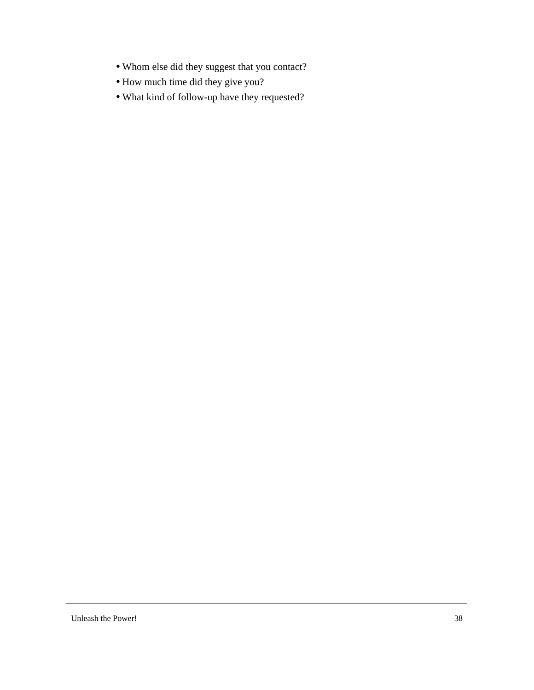- Whom else did they suggest that you contact?
- How much time did they give you?
- What kind of follow-up have they requested?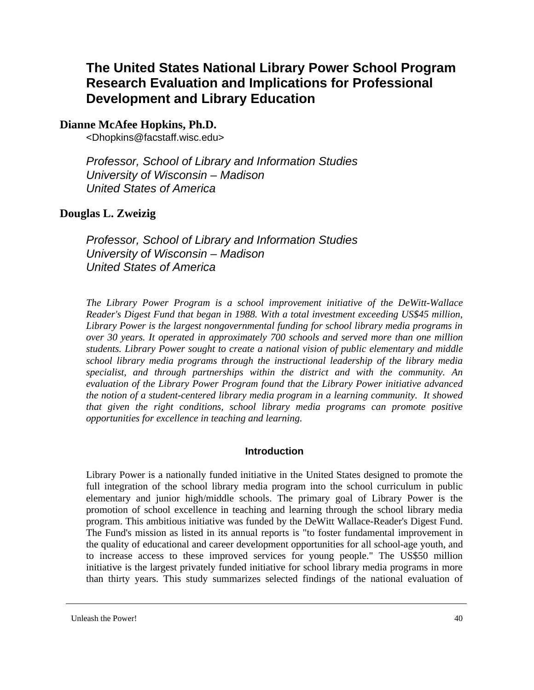# **The United States National Library Power School Program Research Evaluation and Implications for Professional Development and Library Education**

# **Dianne McAfee Hopkins, Ph.D.**

<Dhopkins@facstaff.wisc.edu>

*Professor, School of Library and Information Studies University of Wisconsin – Madison United States of America*

# **Douglas L. Zweizig**

*Professor, School of Library and Information Studies University of Wisconsin – Madison United States of America*

*The Library Power Program is a school improvement initiative of the DeWitt-Wallace Reader's Digest Fund that began in 1988. With a total investment exceeding US\$45 million, Library Power is the largest nongovernmental funding for school library media programs in over 30 years. It operated in approximately 700 schools and served more than one million students. Library Power sought to create a national vision of public elementary and middle school library media programs through the instructional leadership of the library media specialist, and through partnerships within the district and with the community. An evaluation of the Library Power Program found that the Library Power initiative advanced the notion of a student-centered library media program in a learning community. It showed that given the right conditions, school library media programs can promote positive opportunities for excellence in teaching and learning.*

## **Introduction**

Library Power is a nationally funded initiative in the United States designed to promote the full integration of the school library media program into the school curriculum in public elementary and junior high/middle schools. The primary goal of Library Power is the promotion of school excellence in teaching and learning through the school library media program. This ambitious initiative was funded by the DeWitt Wallace-Reader's Digest Fund. The Fund's mission as listed in its annual reports is "to foster fundamental improvement in the quality of educational and career development opportunities for all school-age youth, and to increase access to these improved services for young people." The US\$50 million initiative is the largest privately funded initiative for school library media programs in more than thirty years. This study summarizes selected findings of the national evaluation of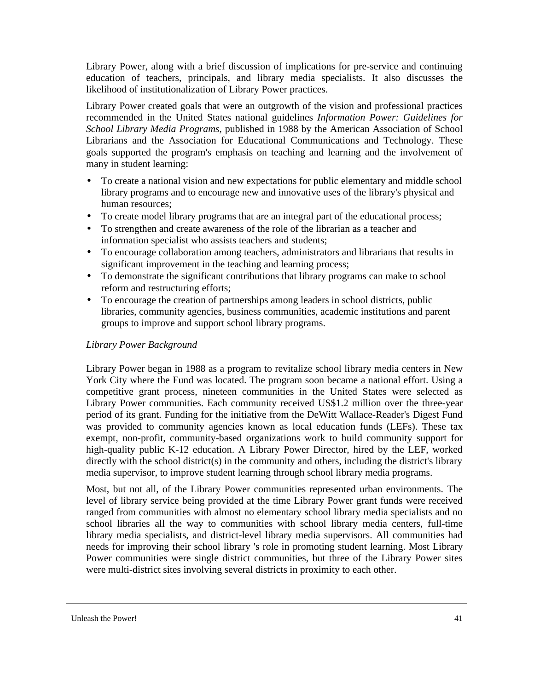Library Power, along with a brief discussion of implications for pre-service and continuing education of teachers, principals, and library media specialists. It also discusses the likelihood of institutionalization of Library Power practices.

Library Power created goals that were an outgrowth of the vision and professional practices recommended in the United States national guidelines *Information Power: Guidelines for School Library Media Programs*, published in 1988 by the American Association of School Librarians and the Association for Educational Communications and Technology. These goals supported the program's emphasis on teaching and learning and the involvement of many in student learning:

- To create a national vision and new expectations for public elementary and middle school library programs and to encourage new and innovative uses of the library's physical and human resources;
- To create model library programs that are an integral part of the educational process;
- To strengthen and create awareness of the role of the librarian as a teacher and information specialist who assists teachers and students;
- To encourage collaboration among teachers, administrators and librarians that results in significant improvement in the teaching and learning process;
- To demonstrate the significant contributions that library programs can make to school reform and restructuring efforts;
- To encourage the creation of partnerships among leaders in school districts, public libraries, community agencies, business communities, academic institutions and parent groups to improve and support school library programs.

# *Library Power Background*

Library Power began in 1988 as a program to revitalize school library media centers in New York City where the Fund was located. The program soon became a national effort. Using a competitive grant process, nineteen communities in the United States were selected as Library Power communities. Each community received US\$1.2 million over the three-year period of its grant. Funding for the initiative from the DeWitt Wallace-Reader's Digest Fund was provided to community agencies known as local education funds (LEFs). These tax exempt, non-profit, community-based organizations work to build community support for high-quality public K-12 education. A Library Power Director, hired by the LEF, worked directly with the school district(s) in the community and others, including the district's library media supervisor, to improve student learning through school library media programs.

Most, but not all, of the Library Power communities represented urban environments. The level of library service being provided at the time Library Power grant funds were received ranged from communities with almost no elementary school library media specialists and no school libraries all the way to communities with school library media centers, full-time library media specialists, and district-level library media supervisors. All communities had needs for improving their school library 's role in promoting student learning. Most Library Power communities were single district communities, but three of the Library Power sites were multi-district sites involving several districts in proximity to each other.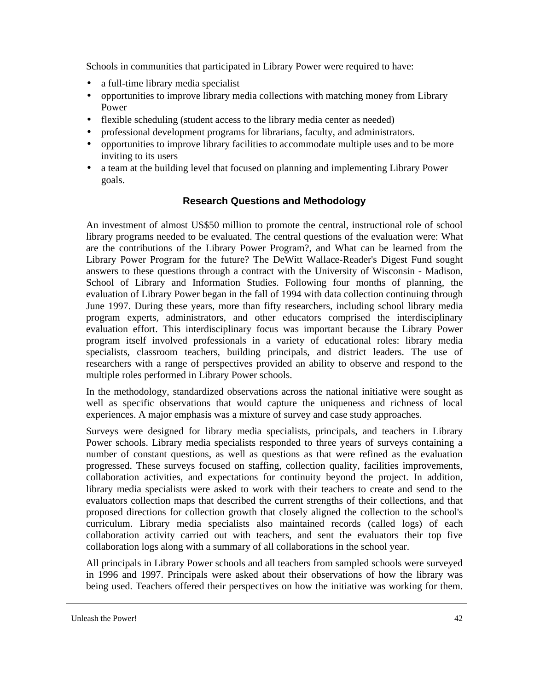Schools in communities that participated in Library Power were required to have:

- a full-time library media specialist
- opportunities to improve library media collections with matching money from Library Power
- flexible scheduling (student access to the library media center as needed)
- professional development programs for librarians, faculty, and administrators.
- opportunities to improve library facilities to accommodate multiple uses and to be more inviting to its users
- a team at the building level that focused on planning and implementing Library Power goals.

# **Research Questions and Methodology**

An investment of almost US\$50 million to promote the central, instructional role of school library programs needed to be evaluated. The central questions of the evaluation were: What are the contributions of the Library Power Program?, and What can be learned from the Library Power Program for the future? The DeWitt Wallace-Reader's Digest Fund sought answers to these questions through a contract with the University of Wisconsin - Madison, School of Library and Information Studies. Following four months of planning, the evaluation of Library Power began in the fall of 1994 with data collection continuing through June 1997. During these years, more than fifty researchers, including school library media program experts, administrators, and other educators comprised the interdisciplinary evaluation effort. This interdisciplinary focus was important because the Library Power program itself involved professionals in a variety of educational roles: library media specialists, classroom teachers, building principals, and district leaders. The use of researchers with a range of perspectives provided an ability to observe and respond to the multiple roles performed in Library Power schools.

In the methodology, standardized observations across the national initiative were sought as well as specific observations that would capture the uniqueness and richness of local experiences. A major emphasis was a mixture of survey and case study approaches.

Surveys were designed for library media specialists, principals, and teachers in Library Power schools. Library media specialists responded to three years of surveys containing a number of constant questions, as well as questions as that were refined as the evaluation progressed. These surveys focused on staffing, collection quality, facilities improvements, collaboration activities, and expectations for continuity beyond the project. In addition, library media specialists were asked to work with their teachers to create and send to the evaluators collection maps that described the current strengths of their collections, and that proposed directions for collection growth that closely aligned the collection to the school's curriculum. Library media specialists also maintained records (called logs) of each collaboration activity carried out with teachers, and sent the evaluators their top five collaboration logs along with a summary of all collaborations in the school year.

All principals in Library Power schools and all teachers from sampled schools were surveyed in 1996 and 1997. Principals were asked about their observations of how the library was being used. Teachers offered their perspectives on how the initiative was working for them.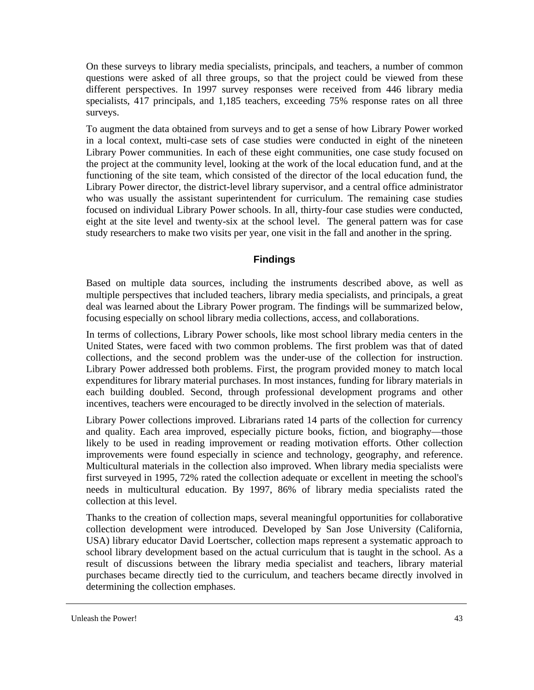On these surveys to library media specialists, principals, and teachers, a number of common questions were asked of all three groups, so that the project could be viewed from these different perspectives. In 1997 survey responses were received from 446 library media specialists, 417 principals, and 1,185 teachers, exceeding 75% response rates on all three surveys.

To augment the data obtained from surveys and to get a sense of how Library Power worked in a local context, multi-case sets of case studies were conducted in eight of the nineteen Library Power communities. In each of these eight communities, one case study focused on the project at the community level, looking at the work of the local education fund, and at the functioning of the site team, which consisted of the director of the local education fund, the Library Power director, the district-level library supervisor, and a central office administrator who was usually the assistant superintendent for curriculum. The remaining case studies focused on individual Library Power schools. In all, thirty-four case studies were conducted, eight at the site level and twenty-six at the school level. The general pattern was for case study researchers to make two visits per year, one visit in the fall and another in the spring.

# **Findings**

Based on multiple data sources, including the instruments described above, as well as multiple perspectives that included teachers, library media specialists, and principals, a great deal was learned about the Library Power program. The findings will be summarized below, focusing especially on school library media collections, access, and collaborations.

In terms of collections, Library Power schools, like most school library media centers in the United States, were faced with two common problems. The first problem was that of dated collections, and the second problem was the under-use of the collection for instruction. Library Power addressed both problems. First, the program provided money to match local expenditures for library material purchases. In most instances, funding for library materials in each building doubled. Second, through professional development programs and other incentives, teachers were encouraged to be directly involved in the selection of materials.

Library Power collections improved. Librarians rated 14 parts of the collection for currency and quality. Each area improved, especially picture books, fiction, and biography—those likely to be used in reading improvement or reading motivation efforts. Other collection improvements were found especially in science and technology, geography, and reference. Multicultural materials in the collection also improved. When library media specialists were first surveyed in 1995, 72% rated the collection adequate or excellent in meeting the school's needs in multicultural education. By 1997, 86% of library media specialists rated the collection at this level.

Thanks to the creation of collection maps, several meaningful opportunities for collaborative collection development were introduced. Developed by San Jose University (California, USA) library educator David Loertscher, collection maps represent a systematic approach to school library development based on the actual curriculum that is taught in the school. As a result of discussions between the library media specialist and teachers, library material purchases became directly tied to the curriculum, and teachers became directly involved in determining the collection emphases.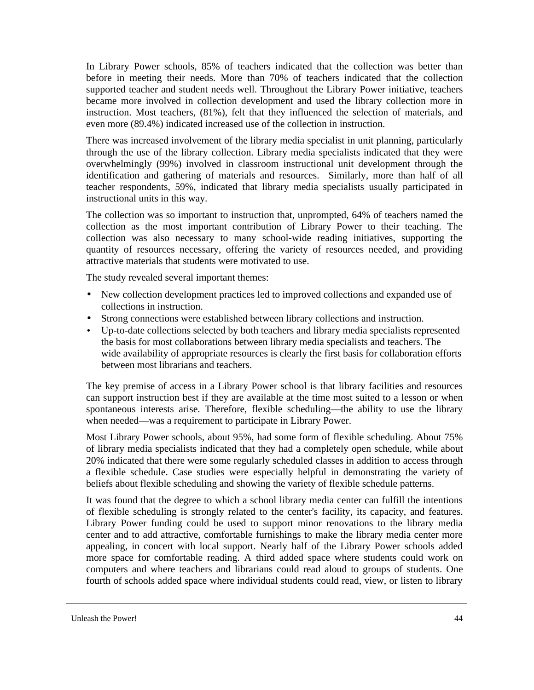In Library Power schools, 85% of teachers indicated that the collection was better than before in meeting their needs. More than 70% of teachers indicated that the collection supported teacher and student needs well. Throughout the Library Power initiative, teachers became more involved in collection development and used the library collection more in instruction. Most teachers, (81%), felt that they influenced the selection of materials, and even more (89.4%) indicated increased use of the collection in instruction.

There was increased involvement of the library media specialist in unit planning, particularly through the use of the library collection. Library media specialists indicated that they were overwhelmingly (99%) involved in classroom instructional unit development through the identification and gathering of materials and resources. Similarly, more than half of all teacher respondents, 59%, indicated that library media specialists usually participated in instructional units in this way.

The collection was so important to instruction that, unprompted, 64% of teachers named the collection as the most important contribution of Library Power to their teaching. The collection was also necessary to many school-wide reading initiatives, supporting the quantity of resources necessary, offering the variety of resources needed, and providing attractive materials that students were motivated to use.

The study revealed several important themes:

- New collection development practices led to improved collections and expanded use of collections in instruction.
- Strong connections were established between library collections and instruction.
- Up-to-date collections selected by both teachers and library media specialists represented the basis for most collaborations between library media specialists and teachers. The wide availability of appropriate resources is clearly the first basis for collaboration efforts between most librarians and teachers.

The key premise of access in a Library Power school is that library facilities and resources can support instruction best if they are available at the time most suited to a lesson or when spontaneous interests arise. Therefore, flexible scheduling—the ability to use the library when needed—was a requirement to participate in Library Power.

Most Library Power schools, about 95%, had some form of flexible scheduling. About 75% of library media specialists indicated that they had a completely open schedule, while about 20% indicated that there were some regularly scheduled classes in addition to access through a flexible schedule. Case studies were especially helpful in demonstrating the variety of beliefs about flexible scheduling and showing the variety of flexible schedule patterns.

It was found that the degree to which a school library media center can fulfill the intentions of flexible scheduling is strongly related to the center's facility, its capacity, and features. Library Power funding could be used to support minor renovations to the library media center and to add attractive, comfortable furnishings to make the library media center more appealing, in concert with local support. Nearly half of the Library Power schools added more space for comfortable reading. A third added space where students could work on computers and where teachers and librarians could read aloud to groups of students. One fourth of schools added space where individual students could read, view, or listen to library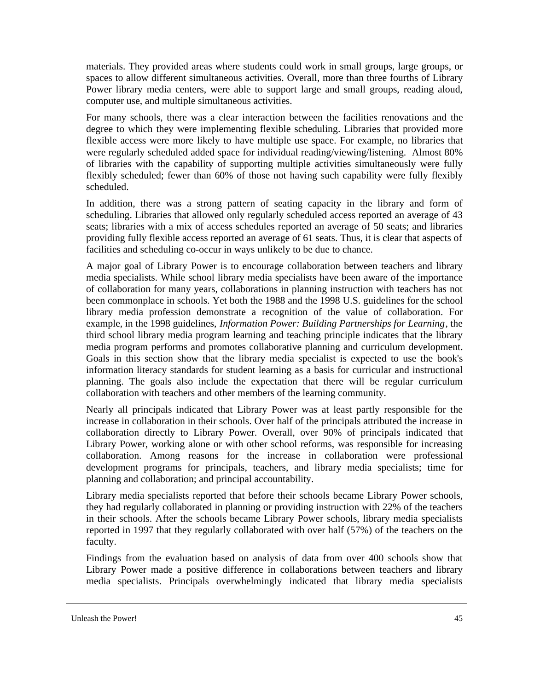materials. They provided areas where students could work in small groups, large groups, or spaces to allow different simultaneous activities. Overall, more than three fourths of Library Power library media centers, were able to support large and small groups, reading aloud, computer use, and multiple simultaneous activities.

For many schools, there was a clear interaction between the facilities renovations and the degree to which they were implementing flexible scheduling. Libraries that provided more flexible access were more likely to have multiple use space. For example, no libraries that were regularly scheduled added space for individual reading/viewing/listening. Almost 80% of libraries with the capability of supporting multiple activities simultaneously were fully flexibly scheduled; fewer than 60% of those not having such capability were fully flexibly scheduled.

In addition, there was a strong pattern of seating capacity in the library and form of scheduling. Libraries that allowed only regularly scheduled access reported an average of 43 seats; libraries with a mix of access schedules reported an average of 50 seats; and libraries providing fully flexible access reported an average of 61 seats. Thus, it is clear that aspects of facilities and scheduling co-occur in ways unlikely to be due to chance.

A major goal of Library Power is to encourage collaboration between teachers and library media specialists. While school library media specialists have been aware of the importance of collaboration for many years, collaborations in planning instruction with teachers has not been commonplace in schools. Yet both the 1988 and the 1998 U.S. guidelines for the school library media profession demonstrate a recognition of the value of collaboration. For example, in the 1998 guidelines, *Information Power: Building Partnerships for Learning*, the third school library media program learning and teaching principle indicates that the library media program performs and promotes collaborative planning and curriculum development. Goals in this section show that the library media specialist is expected to use the book's information literacy standards for student learning as a basis for curricular and instructional planning. The goals also include the expectation that there will be regular curriculum collaboration with teachers and other members of the learning community.

Nearly all principals indicated that Library Power was at least partly responsible for the increase in collaboration in their schools. Over half of the principals attributed the increase in collaboration directly to Library Power. Overall, over 90% of principals indicated that Library Power, working alone or with other school reforms, was responsible for increasing collaboration. Among reasons for the increase in collaboration were professional development programs for principals, teachers, and library media specialists; time for planning and collaboration; and principal accountability.

Library media specialists reported that before their schools became Library Power schools, they had regularly collaborated in planning or providing instruction with 22% of the teachers in their schools. After the schools became Library Power schools, library media specialists reported in 1997 that they regularly collaborated with over half (57%) of the teachers on the faculty.

Findings from the evaluation based on analysis of data from over 400 schools show that Library Power made a positive difference in collaborations between teachers and library media specialists. Principals overwhelmingly indicated that library media specialists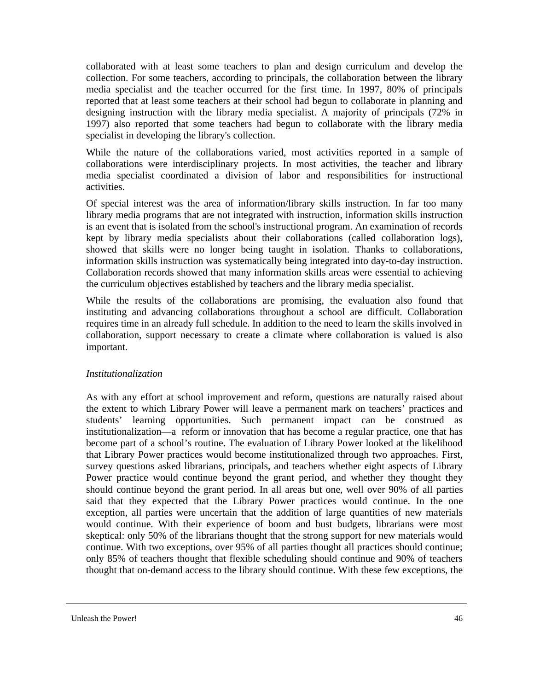collaborated with at least some teachers to plan and design curriculum and develop the collection. For some teachers, according to principals, the collaboration between the library media specialist and the teacher occurred for the first time. In 1997, 80% of principals reported that at least some teachers at their school had begun to collaborate in planning and designing instruction with the library media specialist. A majority of principals (72% in 1997) also reported that some teachers had begun to collaborate with the library media specialist in developing the library's collection.

While the nature of the collaborations varied, most activities reported in a sample of collaborations were interdisciplinary projects. In most activities, the teacher and library media specialist coordinated a division of labor and responsibilities for instructional activities.

Of special interest was the area of information/library skills instruction. In far too many library media programs that are not integrated with instruction, information skills instruction is an event that is isolated from the school's instructional program. An examination of records kept by library media specialists about their collaborations (called collaboration logs), showed that skills were no longer being taught in isolation. Thanks to collaborations, information skills instruction was systematically being integrated into day-to-day instruction. Collaboration records showed that many information skills areas were essential to achieving the curriculum objectives established by teachers and the library media specialist.

While the results of the collaborations are promising, the evaluation also found that instituting and advancing collaborations throughout a school are difficult. Collaboration requires time in an already full schedule. In addition to the need to learn the skills involved in collaboration, support necessary to create a climate where collaboration is valued is also important.

## *Institutionalization*

As with any effort at school improvement and reform, questions are naturally raised about the extent to which Library Power will leave a permanent mark on teachers' practices and students' learning opportunities. Such permanent impact can be construed as institutionalization—a reform or innovation that has become a regular practice, one that has become part of a school's routine. The evaluation of Library Power looked at the likelihood that Library Power practices would become institutionalized through two approaches. First, survey questions asked librarians, principals, and teachers whether eight aspects of Library Power practice would continue beyond the grant period, and whether they thought they should continue beyond the grant period. In all areas but one, well over 90% of all parties said that they expected that the Library Power practices would continue. In the one exception, all parties were uncertain that the addition of large quantities of new materials would continue. With their experience of boom and bust budgets, librarians were most skeptical: only 50% of the librarians thought that the strong support for new materials would continue. With two exceptions, over 95% of all parties thought all practices should continue; only 85% of teachers thought that flexible scheduling should continue and 90% of teachers thought that on-demand access to the library should continue. With these few exceptions, the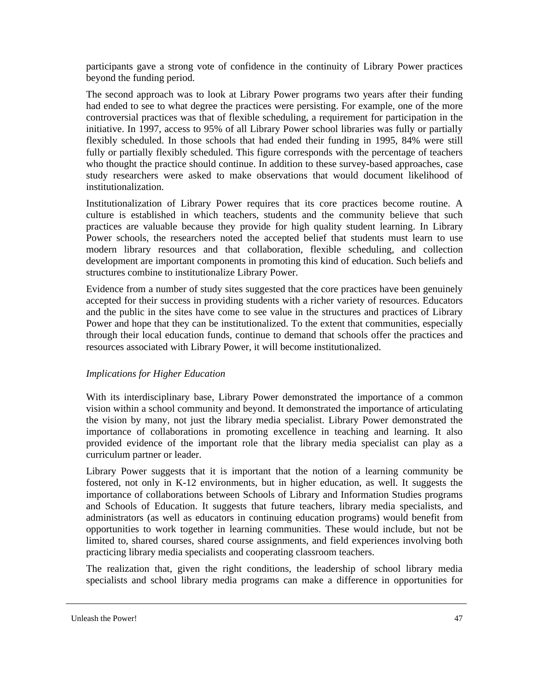participants gave a strong vote of confidence in the continuity of Library Power practices beyond the funding period.

The second approach was to look at Library Power programs two years after their funding had ended to see to what degree the practices were persisting. For example, one of the more controversial practices was that of flexible scheduling, a requirement for participation in the initiative. In 1997, access to 95% of all Library Power school libraries was fully or partially flexibly scheduled. In those schools that had ended their funding in 1995, 84% were still fully or partially flexibly scheduled. This figure corresponds with the percentage of teachers who thought the practice should continue. In addition to these survey-based approaches, case study researchers were asked to make observations that would document likelihood of institutionalization.

Institutionalization of Library Power requires that its core practices become routine. A culture is established in which teachers, students and the community believe that such practices are valuable because they provide for high quality student learning. In Library Power schools, the researchers noted the accepted belief that students must learn to use modern library resources and that collaboration, flexible scheduling, and collection development are important components in promoting this kind of education. Such beliefs and structures combine to institutionalize Library Power.

Evidence from a number of study sites suggested that the core practices have been genuinely accepted for their success in providing students with a richer variety of resources. Educators and the public in the sites have come to see value in the structures and practices of Library Power and hope that they can be institutionalized. To the extent that communities, especially through their local education funds, continue to demand that schools offer the practices and resources associated with Library Power, it will become institutionalized.

## *Implications for Higher Education*

With its interdisciplinary base, Library Power demonstrated the importance of a common vision within a school community and beyond. It demonstrated the importance of articulating the vision by many, not just the library media specialist. Library Power demonstrated the importance of collaborations in promoting excellence in teaching and learning. It also provided evidence of the important role that the library media specialist can play as a curriculum partner or leader.

Library Power suggests that it is important that the notion of a learning community be fostered, not only in K-12 environments, but in higher education, as well. It suggests the importance of collaborations between Schools of Library and Information Studies programs and Schools of Education. It suggests that future teachers, library media specialists, and administrators (as well as educators in continuing education programs) would benefit from opportunities to work together in learning communities. These would include, but not be limited to, shared courses, shared course assignments, and field experiences involving both practicing library media specialists and cooperating classroom teachers.

The realization that, given the right conditions, the leadership of school library media specialists and school library media programs can make a difference in opportunities for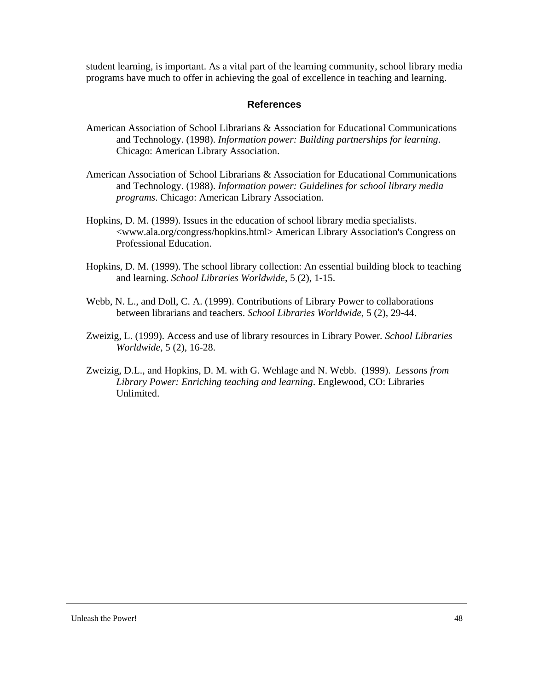student learning, is important. As a vital part of the learning community, school library media programs have much to offer in achieving the goal of excellence in teaching and learning.

#### **References**

- American Association of School Librarians & Association for Educational Communications and Technology. (1998). *Information power: Building partnerships for learning*. Chicago: American Library Association.
- American Association of School Librarians & Association for Educational Communications and Technology. (1988). *Information power: Guidelines for school library media programs*. Chicago: American Library Association.
- Hopkins, D. M. (1999). Issues in the education of school library media specialists. <www.ala.org/congress/hopkins.html> American Library Association's Congress on Professional Education.
- Hopkins, D. M. (1999). The school library collection: An essential building block to teaching and learning. *School Libraries Worldwide*, 5 (2), 1-15.
- Webb, N. L., and Doll, C. A. (1999). Contributions of Library Power to collaborations between librarians and teachers. *School Libraries Worldwide,* 5 (2), 29-44.
- Zweizig, L. (1999). Access and use of library resources in Library Power*. School Libraries Worldwide*, 5 (2), 16-28.
- Zweizig, D.L., and Hopkins, D. M. with G. Wehlage and N. Webb. (1999). *Lessons from Library Power: Enriching teaching and learning*. Englewood, CO: Libraries Unlimited.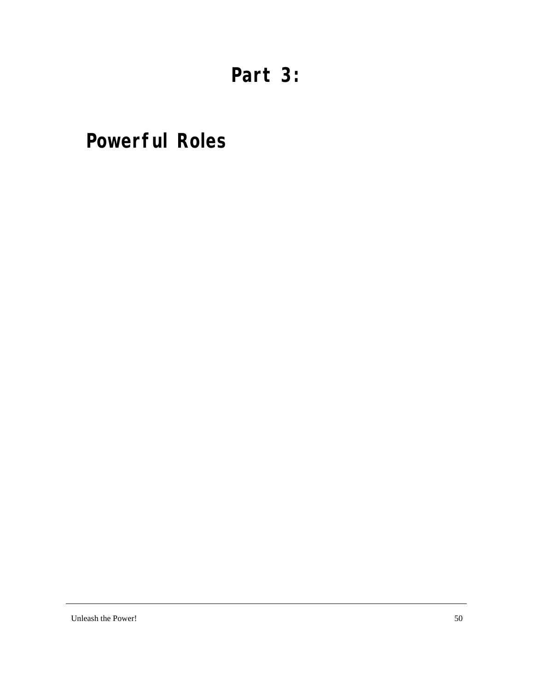# **Part 3:**

# **Powerful Roles**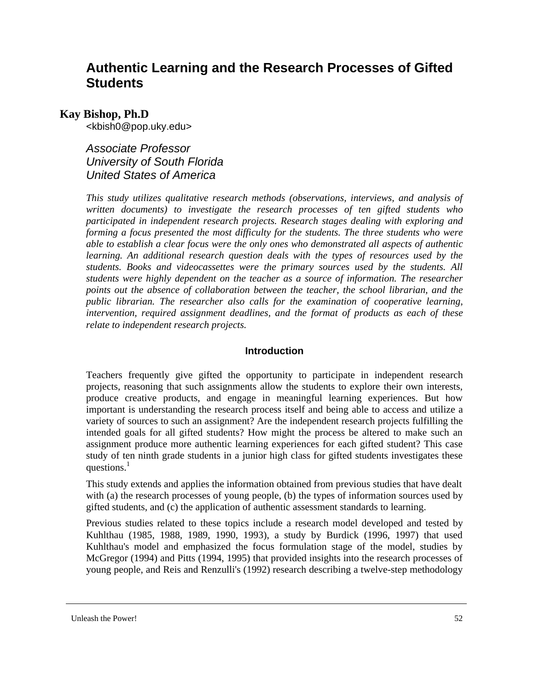# **Authentic Learning and the Research Processes of Gifted Students**

# **Kay Bishop, Ph.D**

<kbish0@pop.uky.edu>

*Associate Professor University of South Florida United States of America*

*This study utilizes qualitative research methods (observations, interviews, and analysis of written documents) to investigate the research processes of ten gifted students who participated in independent research projects. Research stages dealing with exploring and forming a focus presented the most difficulty for the students. The three students who were able to establish a clear focus were the only ones who demonstrated all aspects of authentic learning. An additional research question deals with the types of resources used by the students. Books and videocassettes were the primary sources used by the students. All students were highly dependent on the teacher as a source of information. The researcher points out the absence of collaboration between the teacher, the school librarian, and the public librarian. The researcher also calls for the examination of cooperative learning, intervention, required assignment deadlines, and the format of products as each of these relate to independent research projects.*

## **Introduction**

Teachers frequently give gifted the opportunity to participate in independent research projects, reasoning that such assignments allow the students to explore their own interests, produce creative products, and engage in meaningful learning experiences. But how important is understanding the research process itself and being able to access and utilize a variety of sources to such an assignment? Are the independent research projects fulfilling the intended goals for all gifted students? How might the process be altered to make such an assignment produce more authentic learning experiences for each gifted student? This case study of ten ninth grade students in a junior high class for gifted students investigates these questions. $<sup>1</sup>$ </sup>

This study extends and applies the information obtained from previous studies that have dealt with (a) the research processes of young people, (b) the types of information sources used by gifted students, and (c) the application of authentic assessment standards to learning.

Previous studies related to these topics include a research model developed and tested by Kuhlthau (1985, 1988, 1989, 1990, 1993), a study by Burdick (1996, 1997) that used Kuhlthau's model and emphasized the focus formulation stage of the model, studies by McGregor (1994) and Pitts (1994, 1995) that provided insights into the research processes of young people, and Reis and Renzulli's (1992) research describing a twelve-step methodology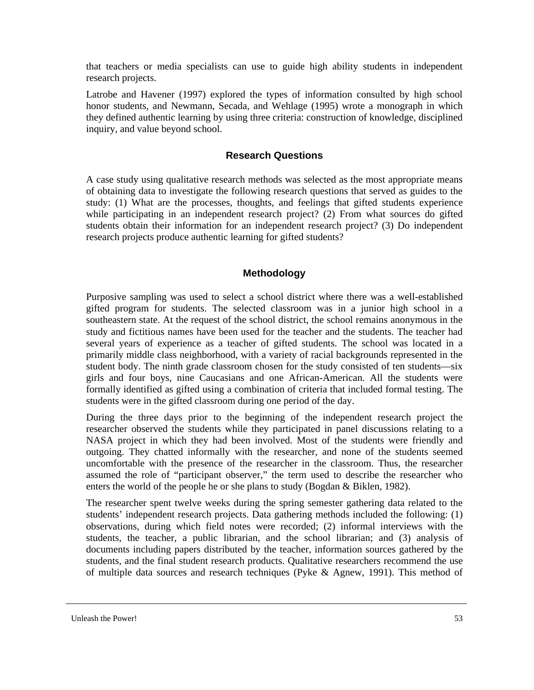that teachers or media specialists can use to guide high ability students in independent research projects.

Latrobe and Havener (1997) explored the types of information consulted by high school honor students, and Newmann, Secada, and Wehlage (1995) wrote a monograph in which they defined authentic learning by using three criteria: construction of knowledge, disciplined inquiry, and value beyond school.

## **Research Questions**

A case study using qualitative research methods was selected as the most appropriate means of obtaining data to investigate the following research questions that served as guides to the study: (1) What are the processes, thoughts, and feelings that gifted students experience while participating in an independent research project? (2) From what sources do gifted students obtain their information for an independent research project? (3) Do independent research projects produce authentic learning for gifted students?

# **Methodology**

Purposive sampling was used to select a school district where there was a well-established gifted program for students. The selected classroom was in a junior high school in a southeastern state. At the request of the school district, the school remains anonymous in the study and fictitious names have been used for the teacher and the students. The teacher had several years of experience as a teacher of gifted students. The school was located in a primarily middle class neighborhood, with a variety of racial backgrounds represented in the student body. The ninth grade classroom chosen for the study consisted of ten students—six girls and four boys, nine Caucasians and one African-American. All the students were formally identified as gifted using a combination of criteria that included formal testing. The students were in the gifted classroom during one period of the day.

During the three days prior to the beginning of the independent research project the researcher observed the students while they participated in panel discussions relating to a NASA project in which they had been involved. Most of the students were friendly and outgoing. They chatted informally with the researcher, and none of the students seemed uncomfortable with the presence of the researcher in the classroom. Thus, the researcher assumed the role of "participant observer," the term used to describe the researcher who enters the world of the people he or she plans to study (Bogdan & Biklen, 1982).

The researcher spent twelve weeks during the spring semester gathering data related to the students' independent research projects. Data gathering methods included the following: (1) observations, during which field notes were recorded; (2) informal interviews with the students, the teacher, a public librarian, and the school librarian; and (3) analysis of documents including papers distributed by the teacher, information sources gathered by the students, and the final student research products. Qualitative researchers recommend the use of multiple data sources and research techniques (Pyke & Agnew, 1991). This method of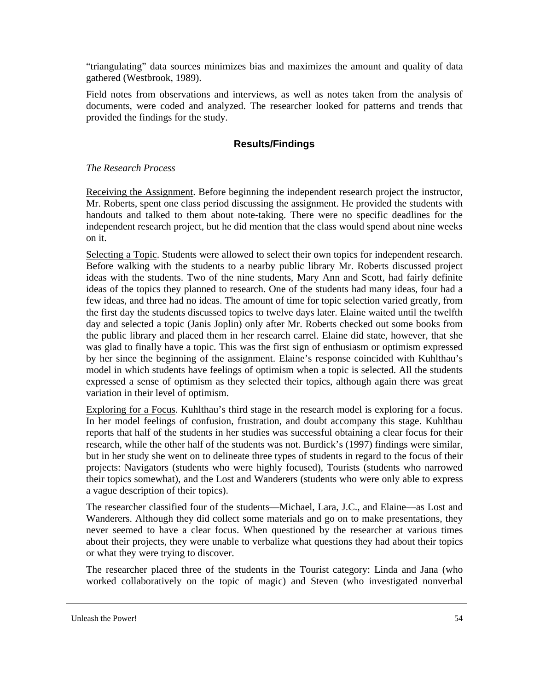"triangulating" data sources minimizes bias and maximizes the amount and quality of data gathered (Westbrook, 1989).

Field notes from observations and interviews, as well as notes taken from the analysis of documents, were coded and analyzed. The researcher looked for patterns and trends that provided the findings for the study.

# **Results/Findings**

*The Research Process*

Receiving the Assignment. Before beginning the independent research project the instructor, Mr. Roberts, spent one class period discussing the assignment. He provided the students with handouts and talked to them about note-taking. There were no specific deadlines for the independent research project, but he did mention that the class would spend about nine weeks on it.

Selecting a Topic. Students were allowed to select their own topics for independent research. Before walking with the students to a nearby public library Mr. Roberts discussed project ideas with the students. Two of the nine students, Mary Ann and Scott, had fairly definite ideas of the topics they planned to research. One of the students had many ideas, four had a few ideas, and three had no ideas. The amount of time for topic selection varied greatly, from the first day the students discussed topics to twelve days later. Elaine waited until the twelfth day and selected a topic (Janis Joplin) only after Mr. Roberts checked out some books from the public library and placed them in her research carrel. Elaine did state, however, that she was glad to finally have a topic. This was the first sign of enthusiasm or optimism expressed by her since the beginning of the assignment. Elaine's response coincided with Kuhlthau's model in which students have feelings of optimism when a topic is selected. All the students expressed a sense of optimism as they selected their topics, although again there was great variation in their level of optimism.

Exploring for a Focus. Kuhlthau's third stage in the research model is exploring for a focus. In her model feelings of confusion, frustration, and doubt accompany this stage. Kuhlthau reports that half of the students in her studies was successful obtaining a clear focus for their research, while the other half of the students was not. Burdick's (1997) findings were similar, but in her study she went on to delineate three types of students in regard to the focus of their projects: Navigators (students who were highly focused), Tourists (students who narrowed their topics somewhat), and the Lost and Wanderers (students who were only able to express a vague description of their topics).

The researcher classified four of the students—Michael, Lara, J.C., and Elaine—as Lost and Wanderers. Although they did collect some materials and go on to make presentations, they never seemed to have a clear focus. When questioned by the researcher at various times about their projects, they were unable to verbalize what questions they had about their topics or what they were trying to discover.

The researcher placed three of the students in the Tourist category: Linda and Jana (who worked collaboratively on the topic of magic) and Steven (who investigated nonverbal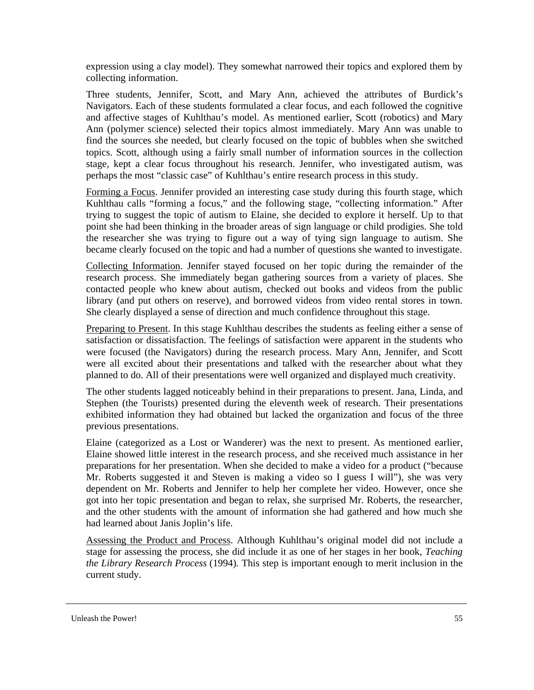expression using a clay model). They somewhat narrowed their topics and explored them by collecting information.

Three students, Jennifer, Scott, and Mary Ann, achieved the attributes of Burdick's Navigators. Each of these students formulated a clear focus, and each followed the cognitive and affective stages of Kuhlthau's model. As mentioned earlier, Scott (robotics) and Mary Ann (polymer science) selected their topics almost immediately. Mary Ann was unable to find the sources she needed, but clearly focused on the topic of bubbles when she switched topics. Scott, although using a fairly small number of information sources in the collection stage, kept a clear focus throughout his research. Jennifer, who investigated autism, was perhaps the most "classic case" of Kuhlthau's entire research process in this study.

Forming a Focus. Jennifer provided an interesting case study during this fourth stage, which Kuhlthau calls "forming a focus," and the following stage, "collecting information." After trying to suggest the topic of autism to Elaine, she decided to explore it herself. Up to that point she had been thinking in the broader areas of sign language or child prodigies. She told the researcher she was trying to figure out a way of tying sign language to autism. She became clearly focused on the topic and had a number of questions she wanted to investigate.

Collecting Information. Jennifer stayed focused on her topic during the remainder of the research process. She immediately began gathering sources from a variety of places. She contacted people who knew about autism, checked out books and videos from the public library (and put others on reserve), and borrowed videos from video rental stores in town. She clearly displayed a sense of direction and much confidence throughout this stage.

Preparing to Present. In this stage Kuhlthau describes the students as feeling either a sense of satisfaction or dissatisfaction. The feelings of satisfaction were apparent in the students who were focused (the Navigators) during the research process. Mary Ann, Jennifer, and Scott were all excited about their presentations and talked with the researcher about what they planned to do. All of their presentations were well organized and displayed much creativity.

The other students lagged noticeably behind in their preparations to present. Jana, Linda, and Stephen (the Tourists) presented during the eleventh week of research. Their presentations exhibited information they had obtained but lacked the organization and focus of the three previous presentations.

Elaine (categorized as a Lost or Wanderer) was the next to present. As mentioned earlier, Elaine showed little interest in the research process, and she received much assistance in her preparations for her presentation. When she decided to make a video for a product ("because Mr. Roberts suggested it and Steven is making a video so I guess I will"), she was very dependent on Mr. Roberts and Jennifer to help her complete her video. However, once she got into her topic presentation and began to relax, she surprised Mr. Roberts, the researcher, and the other students with the amount of information she had gathered and how much she had learned about Janis Joplin's life.

Assessing the Product and Process. Although Kuhlthau's original model did not include a stage for assessing the process, she did include it as one of her stages in her book, *Teaching the Library Research Process* (1994)*.* This step is important enough to merit inclusion in the current study.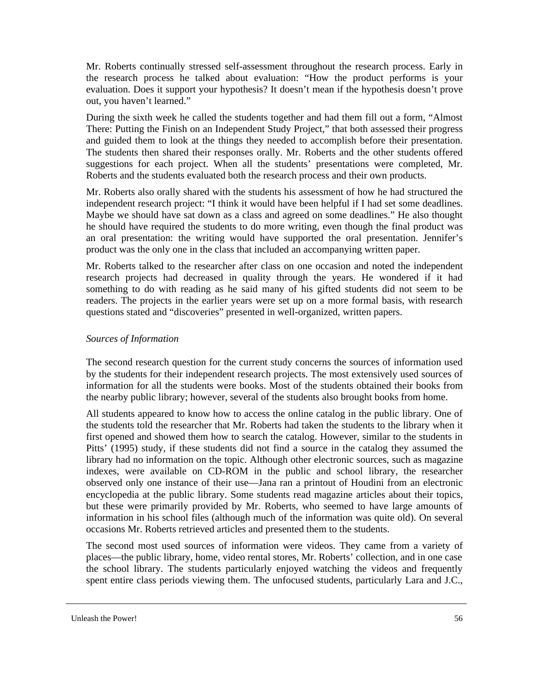Mr. Roberts continually stressed self-assessment throughout the research process. Early in the research process he talked about evaluation: "How the product performs is your evaluation. Does it support your hypothesis? It doesn't mean if the hypothesis doesn't prove out, you haven't learned."

During the sixth week he called the students together and had them fill out a form, "Almost There: Putting the Finish on an Independent Study Project," that both assessed their progress and guided them to look at the things they needed to accomplish before their presentation. The students then shared their responses orally. Mr. Roberts and the other students offered suggestions for each project. When all the students' presentations were completed, Mr. Roberts and the students evaluated both the research process and their own products.

Mr. Roberts also orally shared with the students his assessment of how he had structured the independent research project: "I think it would have been helpful if I had set some deadlines. Maybe we should have sat down as a class and agreed on some deadlines." He also thought he should have required the students to do more writing, even though the final product was an oral presentation: the writing would have supported the oral presentation. Jennifer's product was the only one in the class that included an accompanying written paper.

Mr. Roberts talked to the researcher after class on one occasion and noted the independent research projects had decreased in quality through the years. He wondered if it had something to do with reading as he said many of his gifted students did not seem to be readers. The projects in the earlier years were set up on a more formal basis, with research questions stated and "discoveries" presented in well-organized, written papers.

#### *Sources of Information*

The second research question for the current study concerns the sources of information used by the students for their independent research projects. The most extensively used sources of information for all the students were books. Most of the students obtained their books from the nearby public library; however, several of the students also brought books from home.

All students appeared to know how to access the online catalog in the public library. One of the students told the researcher that Mr. Roberts had taken the students to the library when it first opened and showed them how to search the catalog. However, similar to the students in Pitts' (1995) study, if these students did not find a source in the catalog they assumed the library had no information on the topic. Although other electronic sources, such as magazine indexes, were available on CD-ROM in the public and school library, the researcher observed only one instance of their use—Jana ran a printout of Houdini from an electronic encyclopedia at the public library. Some students read magazine articles about their topics, but these were primarily provided by Mr. Roberts, who seemed to have large amounts of information in his school files (although much of the information was quite old). On several occasions Mr. Roberts retrieved articles and presented them to the students.

The second most used sources of information were videos. They came from a variety of places—the public library, home, video rental stores, Mr. Roberts' collection, and in one case the school library. The students particularly enjoyed watching the videos and frequently spent entire class periods viewing them. The unfocused students, particularly Lara and J.C.,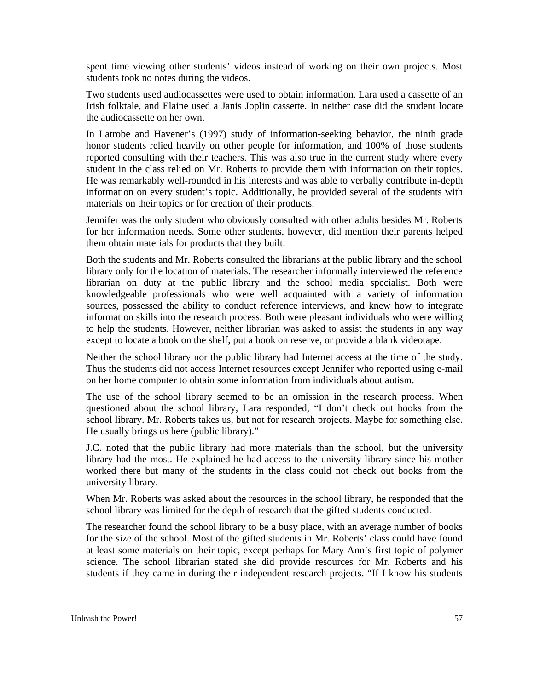spent time viewing other students' videos instead of working on their own projects. Most students took no notes during the videos.

Two students used audiocassettes were used to obtain information. Lara used a cassette of an Irish folktale, and Elaine used a Janis Joplin cassette. In neither case did the student locate the audiocassette on her own.

In Latrobe and Havener's (1997) study of information-seeking behavior, the ninth grade honor students relied heavily on other people for information, and 100% of those students reported consulting with their teachers. This was also true in the current study where every student in the class relied on Mr. Roberts to provide them with information on their topics. He was remarkably well-rounded in his interests and was able to verbally contribute in-depth information on every student's topic. Additionally, he provided several of the students with materials on their topics or for creation of their products.

Jennifer was the only student who obviously consulted with other adults besides Mr. Roberts for her information needs. Some other students, however, did mention their parents helped them obtain materials for products that they built.

Both the students and Mr. Roberts consulted the librarians at the public library and the school library only for the location of materials. The researcher informally interviewed the reference librarian on duty at the public library and the school media specialist. Both were knowledgeable professionals who were well acquainted with a variety of information sources, possessed the ability to conduct reference interviews, and knew how to integrate information skills into the research process. Both were pleasant individuals who were willing to help the students. However, neither librarian was asked to assist the students in any way except to locate a book on the shelf, put a book on reserve, or provide a blank videotape.

Neither the school library nor the public library had Internet access at the time of the study. Thus the students did not access Internet resources except Jennifer who reported using e-mail on her home computer to obtain some information from individuals about autism.

The use of the school library seemed to be an omission in the research process. When questioned about the school library, Lara responded, "I don't check out books from the school library. Mr. Roberts takes us, but not for research projects. Maybe for something else. He usually brings us here (public library)."

J.C. noted that the public library had more materials than the school, but the university library had the most. He explained he had access to the university library since his mother worked there but many of the students in the class could not check out books from the university library.

When Mr. Roberts was asked about the resources in the school library, he responded that the school library was limited for the depth of research that the gifted students conducted.

The researcher found the school library to be a busy place, with an average number of books for the size of the school. Most of the gifted students in Mr. Roberts' class could have found at least some materials on their topic, except perhaps for Mary Ann's first topic of polymer science. The school librarian stated she did provide resources for Mr. Roberts and his students if they came in during their independent research projects. "If I know his students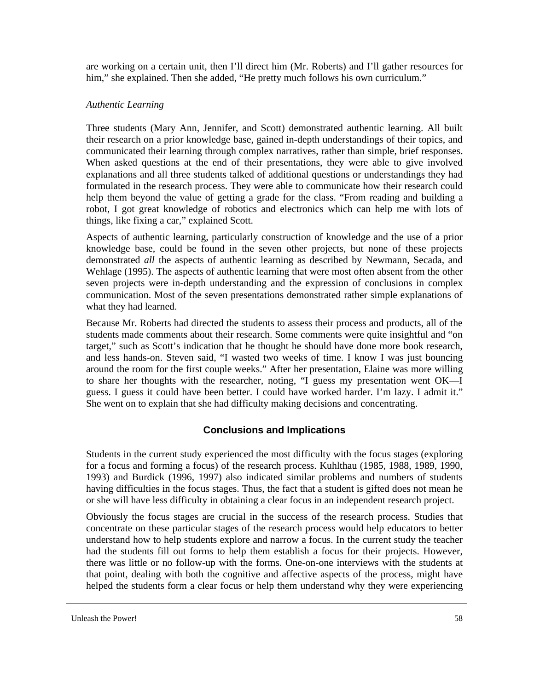are working on a certain unit, then I'll direct him (Mr. Roberts) and I'll gather resources for him," she explained. Then she added, "He pretty much follows his own curriculum."

## *Authentic Learning*

Three students (Mary Ann, Jennifer, and Scott) demonstrated authentic learning. All built their research on a prior knowledge base, gained in-depth understandings of their topics, and communicated their learning through complex narratives, rather than simple, brief responses. When asked questions at the end of their presentations, they were able to give involved explanations and all three students talked of additional questions or understandings they had formulated in the research process. They were able to communicate how their research could help them beyond the value of getting a grade for the class. "From reading and building a robot, I got great knowledge of robotics and electronics which can help me with lots of things, like fixing a car," explained Scott.

Aspects of authentic learning, particularly construction of knowledge and the use of a prior knowledge base, could be found in the seven other projects, but none of these projects demonstrated *all* the aspects of authentic learning as described by Newmann, Secada, and Wehlage (1995). The aspects of authentic learning that were most often absent from the other seven projects were in-depth understanding and the expression of conclusions in complex communication. Most of the seven presentations demonstrated rather simple explanations of what they had learned.

Because Mr. Roberts had directed the students to assess their process and products, all of the students made comments about their research. Some comments were quite insightful and "on target," such as Scott's indication that he thought he should have done more book research, and less hands-on. Steven said, "I wasted two weeks of time. I know I was just bouncing around the room for the first couple weeks." After her presentation, Elaine was more willing to share her thoughts with the researcher, noting, "I guess my presentation went OK—I guess. I guess it could have been better. I could have worked harder. I'm lazy. I admit it." She went on to explain that she had difficulty making decisions and concentrating.

# **Conclusions and Implications**

Students in the current study experienced the most difficulty with the focus stages (exploring for a focus and forming a focus) of the research process. Kuhlthau (1985, 1988, 1989, 1990, 1993) and Burdick (1996, 1997) also indicated similar problems and numbers of students having difficulties in the focus stages. Thus, the fact that a student is gifted does not mean he or she will have less difficulty in obtaining a clear focus in an independent research project.

Obviously the focus stages are crucial in the success of the research process. Studies that concentrate on these particular stages of the research process would help educators to better understand how to help students explore and narrow a focus. In the current study the teacher had the students fill out forms to help them establish a focus for their projects. However, there was little or no follow-up with the forms. One-on-one interviews with the students at that point, dealing with both the cognitive and affective aspects of the process, might have helped the students form a clear focus or help them understand why they were experiencing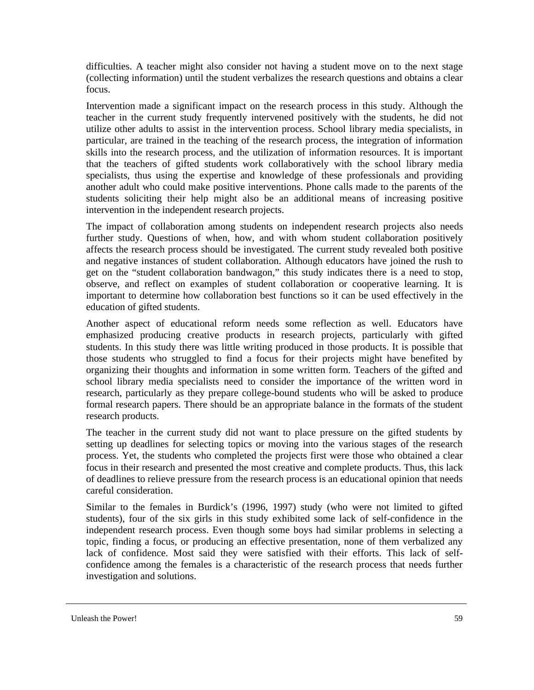difficulties. A teacher might also consider not having a student move on to the next stage (collecting information) until the student verbalizes the research questions and obtains a clear focus.

Intervention made a significant impact on the research process in this study. Although the teacher in the current study frequently intervened positively with the students, he did not utilize other adults to assist in the intervention process. School library media specialists, in particular, are trained in the teaching of the research process, the integration of information skills into the research process, and the utilization of information resources. It is important that the teachers of gifted students work collaboratively with the school library media specialists, thus using the expertise and knowledge of these professionals and providing another adult who could make positive interventions. Phone calls made to the parents of the students soliciting their help might also be an additional means of increasing positive intervention in the independent research projects.

The impact of collaboration among students on independent research projects also needs further study. Questions of when, how, and with whom student collaboration positively affects the research process should be investigated. The current study revealed both positive and negative instances of student collaboration. Although educators have joined the rush to get on the "student collaboration bandwagon," this study indicates there is a need to stop, observe, and reflect on examples of student collaboration or cooperative learning. It is important to determine how collaboration best functions so it can be used effectively in the education of gifted students.

Another aspect of educational reform needs some reflection as well. Educators have emphasized producing creative products in research projects, particularly with gifted students. In this study there was little writing produced in those products. It is possible that those students who struggled to find a focus for their projects might have benefited by organizing their thoughts and information in some written form. Teachers of the gifted and school library media specialists need to consider the importance of the written word in research, particularly as they prepare college-bound students who will be asked to produce formal research papers. There should be an appropriate balance in the formats of the student research products.

The teacher in the current study did not want to place pressure on the gifted students by setting up deadlines for selecting topics or moving into the various stages of the research process. Yet, the students who completed the projects first were those who obtained a clear focus in their research and presented the most creative and complete products. Thus, this lack of deadlines to relieve pressure from the research process is an educational opinion that needs careful consideration.

Similar to the females in Burdick's (1996, 1997) study (who were not limited to gifted students), four of the six girls in this study exhibited some lack of self-confidence in the independent research process. Even though some boys had similar problems in selecting a topic, finding a focus, or producing an effective presentation, none of them verbalized any lack of confidence. Most said they were satisfied with their efforts. This lack of selfconfidence among the females is a characteristic of the research process that needs further investigation and solutions.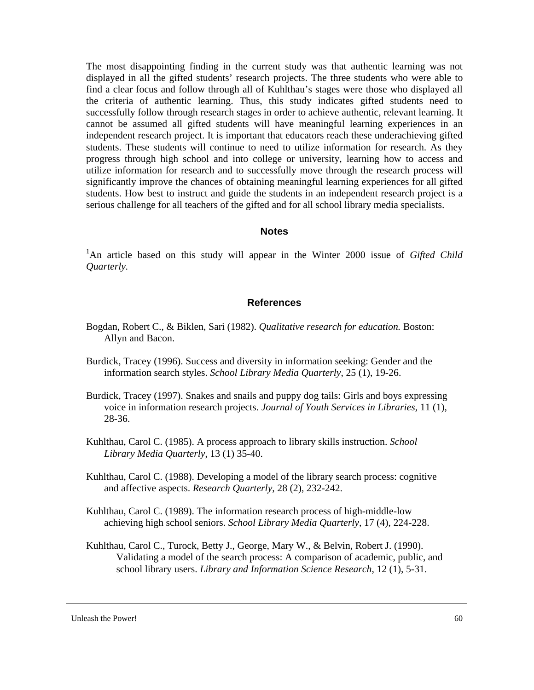The most disappointing finding in the current study was that authentic learning was not displayed in all the gifted students' research projects. The three students who were able to find a clear focus and follow through all of Kuhlthau's stages were those who displayed all the criteria of authentic learning. Thus, this study indicates gifted students need to successfully follow through research stages in order to achieve authentic, relevant learning. It cannot be assumed all gifted students will have meaningful learning experiences in an independent research project. It is important that educators reach these underachieving gifted students. These students will continue to need to utilize information for research. As they progress through high school and into college or university, learning how to access and utilize information for research and to successfully move through the research process will significantly improve the chances of obtaining meaningful learning experiences for all gifted students. How best to instruct and guide the students in an independent research project is a serious challenge for all teachers of the gifted and for all school library media specialists.

#### **Notes**

<sup>1</sup>An article based on this study will appear in the Winter 2000 issue of *Gifted Child Quarterly.*

#### **References**

- Bogdan, Robert C., & Biklen, Sari (1982). *Qualitative research for education.* Boston: Allyn and Bacon.
- Burdick, Tracey (1996). Success and diversity in information seeking: Gender and the information search styles. *School Library Media Quarterly*, 25 (1), 19-26.
- Burdick, Tracey (1997). Snakes and snails and puppy dog tails: Girls and boys expressing voice in information research projects. *Journal of Youth Services in Libraries,* 11 (1), 28-36.
- Kuhlthau, Carol C. (1985). A process approach to library skills instruction. *School Library Media Quarterly*, 13 (1) 35-40.
- Kuhlthau, Carol C. (1988). Developing a model of the library search process: cognitive and affective aspects. *Research Quarterly*, 28 (2), 232-242.
- Kuhlthau, Carol C. (1989). The information research process of high-middle-low achieving high school seniors. *School Library Media Quarterly,* 17 (4), 224-228.
- Kuhlthau, Carol C., Turock, Betty J., George, Mary W., & Belvin, Robert J. (1990). Validating a model of the search process: A comparison of academic, public, and school library users. *Library and Information Science Research*, 12 (1), 5-31.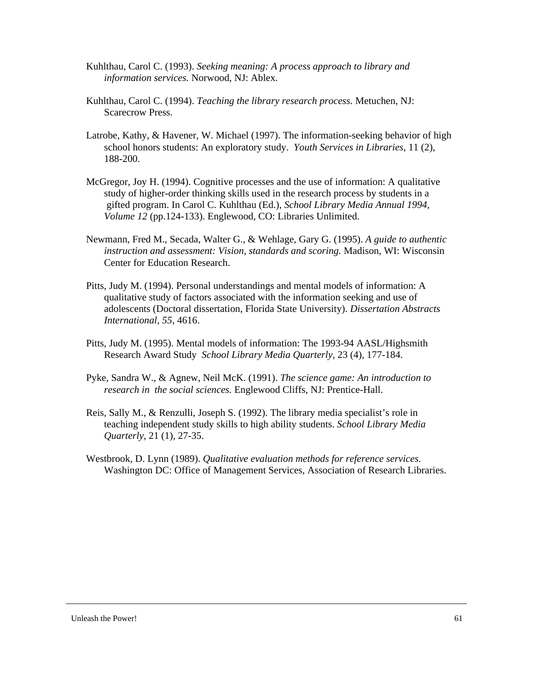- Kuhlthau, Carol C. (1993). *Seeking meaning: A process approach to library and information services.* Norwood, NJ: Ablex.
- Kuhlthau, Carol C. (1994). *Teaching the library research process.* Metuchen, NJ: Scarecrow Press.
- Latrobe, Kathy, & Havener, W. Michael (1997). The information-seeking behavior of high school honors students: An exploratory study. *Youth Services in Libraries*, 11 (2), 188-200.
- McGregor, Joy H. (1994). Cognitive processes and the use of information: A qualitative study of higher-order thinking skills used in the research process by students in a gifted program. In Carol C. Kuhlthau (Ed.), *School Library Media Annual 1994, Volume 12* (pp.124-133). Englewood, CO: Libraries Unlimited.
- Newmann, Fred M., Secada, Walter G., & Wehlage, Gary G. (1995). *A guide to authentic instruction and assessment: Vision, standards and scoring.* Madison, WI: Wisconsin Center for Education Research.
- Pitts, Judy M. (1994). Personal understandings and mental models of information: A qualitative study of factors associated with the information seeking and use of adolescents (Doctoral dissertation, Florida State University). *Dissertation Abstracts International, 55,* 4616.
- Pitts, Judy M. (1995). Mental models of information: The 1993-94 AASL/Highsmith Research Award Study *School Library Media Quarterly*, 23 (4), 177-184.
- Pyke, Sandra W., & Agnew, Neil McK. (1991). *The science game: An introduction to research in the social sciences.* Englewood Cliffs, NJ: Prentice-Hall.
- Reis, Sally M., & Renzulli, Joseph S. (1992). The library media specialist's role in teaching independent study skills to high ability students. *School Library Media Quarterly,* 21 (1)*,* 27-35.
- Westbrook, D. Lynn (1989). *Qualitative evaluation methods for reference services.* Washington DC: Office of Management Services, Association of Research Libraries.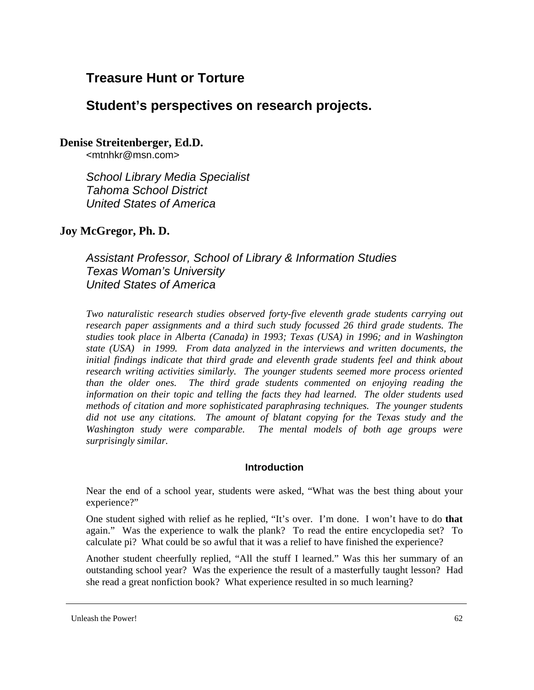# **Treasure Hunt or Torture**

# **Student's perspectives on research projects.**

# **Denise Streitenberger, Ed.D.**

<mtnhkr@msn.com>

*School Library Media Specialist Tahoma School District United States of America*

# **Joy McGregor, Ph. D.**

*Assistant Professor, School of Library & Information Studies Texas Woman's University United States of America*

*Two naturalistic research studies observed forty-five eleventh grade students carrying out research paper assignments and a third such study focussed 26 third grade students. The studies took place in Alberta (Canada) in 1993; Texas (USA) in 1996; and in Washington state (USA) in 1999. From data analyzed in the interviews and written documents, the initial findings indicate that third grade and eleventh grade students feel and think about research writing activities similarly. The younger students seemed more process oriented than the older ones. The third grade students commented on enjoying reading the information on their topic and telling the facts they had learned. The older students used methods of citation and more sophisticated paraphrasing techniques. The younger students did not use any citations. The amount of blatant copying for the Texas study and the Washington study were comparable. The mental models of both age groups were surprisingly similar.*

## **Introduction**

Near the end of a school year, students were asked, "What was the best thing about your experience?"

One student sighed with relief as he replied, "It's over. I'm done. I won't have to do **that** again." Was the experience to walk the plank? To read the entire encyclopedia set? To calculate pi? What could be so awful that it was a relief to have finished the experience?

Another student cheerfully replied, "All the stuff I learned." Was this her summary of an outstanding school year? Was the experience the result of a masterfully taught lesson? Had she read a great nonfiction book? What experience resulted in so much learning?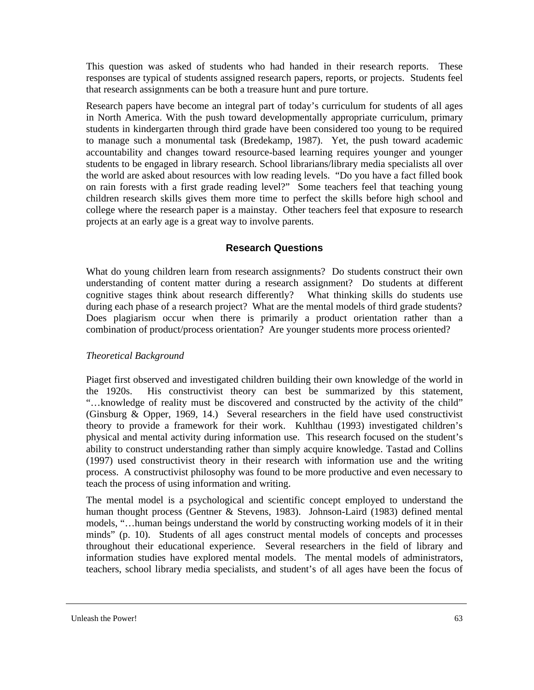This question was asked of students who had handed in their research reports. These responses are typical of students assigned research papers, reports, or projects. Students feel that research assignments can be both a treasure hunt and pure torture.

Research papers have become an integral part of today's curriculum for students of all ages in North America. With the push toward developmentally appropriate curriculum, primary students in kindergarten through third grade have been considered too young to be required to manage such a monumental task (Bredekamp, 1987). Yet, the push toward academic accountability and changes toward resource-based learning requires younger and younger students to be engaged in library research. School librarians/library media specialists all over the world are asked about resources with low reading levels. "Do you have a fact filled book on rain forests with a first grade reading level?" Some teachers feel that teaching young children research skills gives them more time to perfect the skills before high school and college where the research paper is a mainstay. Other teachers feel that exposure to research projects at an early age is a great way to involve parents.

#### **Research Questions**

What do young children learn from research assignments? Do students construct their own understanding of content matter during a research assignment? Do students at different cognitive stages think about research differently? What thinking skills do students use during each phase of a research project? What are the mental models of third grade students? Does plagiarism occur when there is primarily a product orientation rather than a combination of product/process orientation? Are younger students more process oriented?

## *Theoretical Background*

Piaget first observed and investigated children building their own knowledge of the world in the 1920s. His constructivist theory can best be summarized by this statement, "…knowledge of reality must be discovered and constructed by the activity of the child" (Ginsburg & Opper, 1969, 14.) Several researchers in the field have used constructivist theory to provide a framework for their work. Kuhlthau (1993) investigated children's physical and mental activity during information use. This research focused on the student's ability to construct understanding rather than simply acquire knowledge. Tastad and Collins (1997) used constructivist theory in their research with information use and the writing process. A constructivist philosophy was found to be more productive and even necessary to teach the process of using information and writing.

The mental model is a psychological and scientific concept employed to understand the human thought process (Gentner & Stevens, 1983). Johnson-Laird (1983) defined mental models, "…human beings understand the world by constructing working models of it in their minds" (p. 10). Students of all ages construct mental models of concepts and processes throughout their educational experience. Several researchers in the field of library and information studies have explored mental models. The mental models of administrators, teachers, school library media specialists, and student's of all ages have been the focus of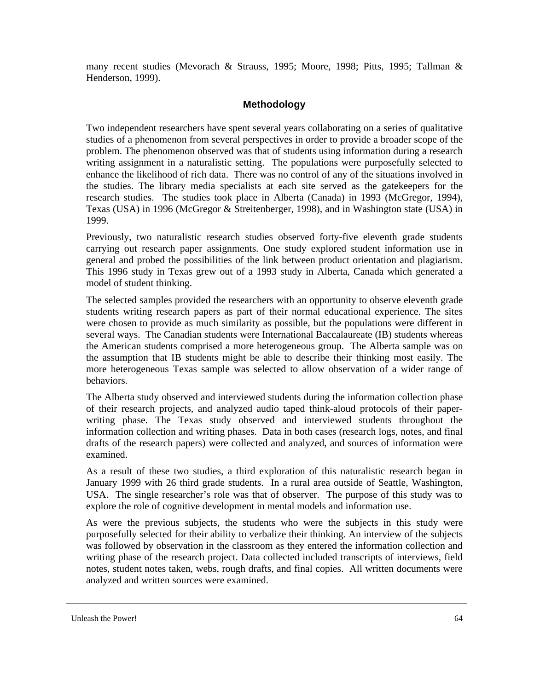many recent studies (Mevorach & Strauss, 1995; Moore, 1998; Pitts, 1995; Tallman & Henderson, 1999).

# **Methodology**

Two independent researchers have spent several years collaborating on a series of qualitative studies of a phenomenon from several perspectives in order to provide a broader scope of the problem. The phenomenon observed was that of students using information during a research writing assignment in a naturalistic setting. The populations were purposefully selected to enhance the likelihood of rich data. There was no control of any of the situations involved in the studies. The library media specialists at each site served as the gatekeepers for the research studies. The studies took place in Alberta (Canada) in 1993 (McGregor, 1994), Texas (USA) in 1996 (McGregor & Streitenberger, 1998), and in Washington state (USA) in 1999.

Previously, two naturalistic research studies observed forty-five eleventh grade students carrying out research paper assignments. One study explored student information use in general and probed the possibilities of the link between product orientation and plagiarism. This 1996 study in Texas grew out of a 1993 study in Alberta, Canada which generated a model of student thinking.

The selected samples provided the researchers with an opportunity to observe eleventh grade students writing research papers as part of their normal educational experience. The sites were chosen to provide as much similarity as possible, but the populations were different in several ways. The Canadian students were International Baccalaureate (IB) students whereas the American students comprised a more heterogeneous group. The Alberta sample was on the assumption that IB students might be able to describe their thinking most easily. The more heterogeneous Texas sample was selected to allow observation of a wider range of behaviors.

The Alberta study observed and interviewed students during the information collection phase of their research projects, and analyzed audio taped think-aloud protocols of their paperwriting phase. The Texas study observed and interviewed students throughout the information collection and writing phases. Data in both cases (research logs, notes, and final drafts of the research papers) were collected and analyzed, and sources of information were examined.

As a result of these two studies, a third exploration of this naturalistic research began in January 1999 with 26 third grade students. In a rural area outside of Seattle, Washington, USA. The single researcher's role was that of observer. The purpose of this study was to explore the role of cognitive development in mental models and information use.

As were the previous subjects, the students who were the subjects in this study were purposefully selected for their ability to verbalize their thinking. An interview of the subjects was followed by observation in the classroom as they entered the information collection and writing phase of the research project. Data collected included transcripts of interviews, field notes, student notes taken, webs, rough drafts, and final copies. All written documents were analyzed and written sources were examined.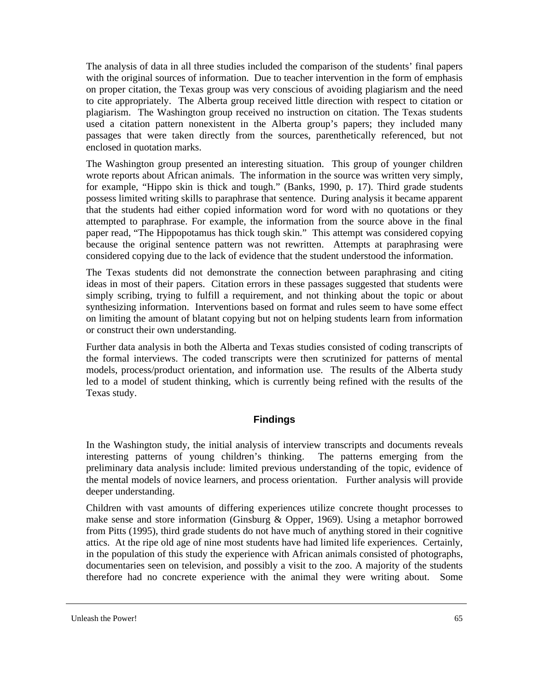The analysis of data in all three studies included the comparison of the students' final papers with the original sources of information. Due to teacher intervention in the form of emphasis on proper citation, the Texas group was very conscious of avoiding plagiarism and the need to cite appropriately. The Alberta group received little direction with respect to citation or plagiarism. The Washington group received no instruction on citation. The Texas students used a citation pattern nonexistent in the Alberta group's papers; they included many passages that were taken directly from the sources, parenthetically referenced, but not enclosed in quotation marks.

The Washington group presented an interesting situation. This group of younger children wrote reports about African animals. The information in the source was written very simply, for example, "Hippo skin is thick and tough." (Banks, 1990, p. 17). Third grade students possess limited writing skills to paraphrase that sentence. During analysis it became apparent that the students had either copied information word for word with no quotations or they attempted to paraphrase. For example, the information from the source above in the final paper read, "The Hippopotamus has thick tough skin." This attempt was considered copying because the original sentence pattern was not rewritten. Attempts at paraphrasing were considered copying due to the lack of evidence that the student understood the information.

The Texas students did not demonstrate the connection between paraphrasing and citing ideas in most of their papers. Citation errors in these passages suggested that students were simply scribing, trying to fulfill a requirement, and not thinking about the topic or about synthesizing information. Interventions based on format and rules seem to have some effect on limiting the amount of blatant copying but not on helping students learn from information or construct their own understanding.

Further data analysis in both the Alberta and Texas studies consisted of coding transcripts of the formal interviews. The coded transcripts were then scrutinized for patterns of mental models, process/product orientation, and information use. The results of the Alberta study led to a model of student thinking, which is currently being refined with the results of the Texas study.

## **Findings**

In the Washington study, the initial analysis of interview transcripts and documents reveals interesting patterns of young children's thinking. The patterns emerging from the preliminary data analysis include: limited previous understanding of the topic, evidence of the mental models of novice learners, and process orientation. Further analysis will provide deeper understanding.

Children with vast amounts of differing experiences utilize concrete thought processes to make sense and store information (Ginsburg & Opper, 1969). Using a metaphor borrowed from Pitts (1995), third grade students do not have much of anything stored in their cognitive attics. At the ripe old age of nine most students have had limited life experiences. Certainly, in the population of this study the experience with African animals consisted of photographs, documentaries seen on television, and possibly a visit to the zoo. A majority of the students therefore had no concrete experience with the animal they were writing about. Some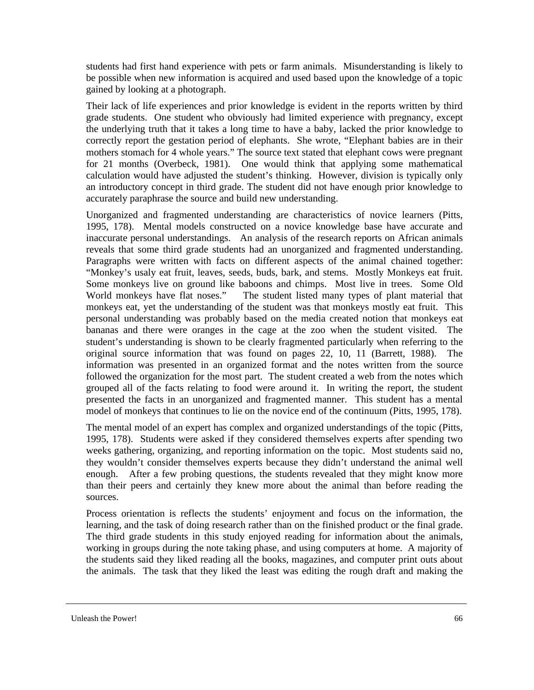students had first hand experience with pets or farm animals. Misunderstanding is likely to be possible when new information is acquired and used based upon the knowledge of a topic gained by looking at a photograph.

Their lack of life experiences and prior knowledge is evident in the reports written by third grade students. One student who obviously had limited experience with pregnancy, except the underlying truth that it takes a long time to have a baby, lacked the prior knowledge to correctly report the gestation period of elephants. She wrote, "Elephant babies are in their mothers stomach for 4 whole years." The source text stated that elephant cows were pregnant for 21 months (Overbeck, 1981). One would think that applying some mathematical calculation would have adjusted the student's thinking. However, division is typically only an introductory concept in third grade. The student did not have enough prior knowledge to accurately paraphrase the source and build new understanding.

Unorganized and fragmented understanding are characteristics of novice learners (Pitts, 1995, 178). Mental models constructed on a novice knowledge base have accurate and inaccurate personal understandings. An analysis of the research reports on African animals reveals that some third grade students had an unorganized and fragmented understanding. Paragraphs were written with facts on different aspects of the animal chained together: "Monkey's usaly eat fruit, leaves, seeds, buds, bark, and stems. Mostly Monkeys eat fruit. Some monkeys live on ground like baboons and chimps. Most live in trees. Some Old World monkeys have flat noses." The student listed many types of plant material that monkeys eat, yet the understanding of the student was that monkeys mostly eat fruit. This personal understanding was probably based on the media created notion that monkeys eat bananas and there were oranges in the cage at the zoo when the student visited. The student's understanding is shown to be clearly fragmented particularly when referring to the original source information that was found on pages 22, 10, 11 (Barrett, 1988). The information was presented in an organized format and the notes written from the source followed the organization for the most part. The student created a web from the notes which grouped all of the facts relating to food were around it. In writing the report, the student presented the facts in an unorganized and fragmented manner. This student has a mental model of monkeys that continues to lie on the novice end of the continuum (Pitts, 1995, 178).

The mental model of an expert has complex and organized understandings of the topic (Pitts, 1995, 178). Students were asked if they considered themselves experts after spending two weeks gathering, organizing, and reporting information on the topic. Most students said no, they wouldn't consider themselves experts because they didn't understand the animal well enough. After a few probing questions, the students revealed that they might know more than their peers and certainly they knew more about the animal than before reading the sources.

Process orientation is reflects the students' enjoyment and focus on the information, the learning, and the task of doing research rather than on the finished product or the final grade. The third grade students in this study enjoyed reading for information about the animals, working in groups during the note taking phase, and using computers at home. A majority of the students said they liked reading all the books, magazines, and computer print outs about the animals. The task that they liked the least was editing the rough draft and making the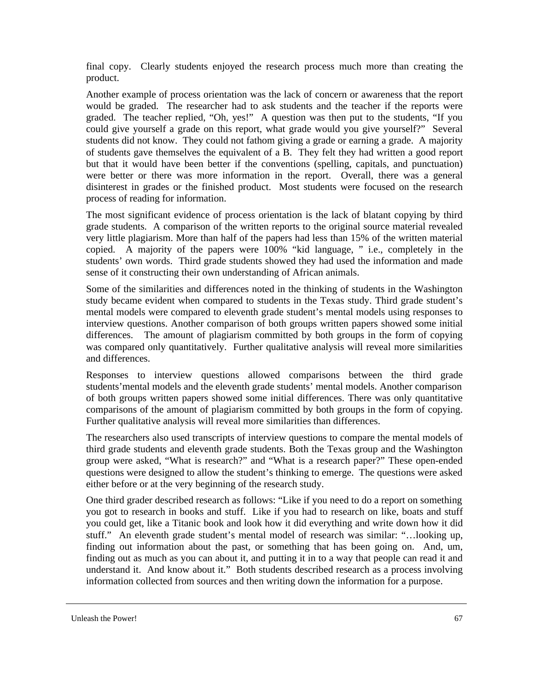final copy. Clearly students enjoyed the research process much more than creating the product.

Another example of process orientation was the lack of concern or awareness that the report would be graded. The researcher had to ask students and the teacher if the reports were graded. The teacher replied, "Oh, yes!" A question was then put to the students, "If you could give yourself a grade on this report, what grade would you give yourself?" Several students did not know. They could not fathom giving a grade or earning a grade. A majority of students gave themselves the equivalent of a B. They felt they had written a good report but that it would have been better if the conventions (spelling, capitals, and punctuation) were better or there was more information in the report. Overall, there was a general disinterest in grades or the finished product. Most students were focused on the research process of reading for information.

The most significant evidence of process orientation is the lack of blatant copying by third grade students. A comparison of the written reports to the original source material revealed very little plagiarism. More than half of the papers had less than 15% of the written material copied. A majority of the papers were 100% "kid language, " i.e., completely in the students' own words. Third grade students showed they had used the information and made sense of it constructing their own understanding of African animals.

Some of the similarities and differences noted in the thinking of students in the Washington study became evident when compared to students in the Texas study. Third grade student's mental models were compared to eleventh grade student's mental models using responses to interview questions. Another comparison of both groups written papers showed some initial differences. The amount of plagiarism committed by both groups in the form of copying was compared only quantitatively. Further qualitative analysis will reveal more similarities and differences.

Responses to interview questions allowed comparisons between the third grade students'mental models and the eleventh grade students' mental models. Another comparison of both groups written papers showed some initial differences. There was only quantitative comparisons of the amount of plagiarism committed by both groups in the form of copying. Further qualitative analysis will reveal more similarities than differences.

The researchers also used transcripts of interview questions to compare the mental models of third grade students and eleventh grade students. Both the Texas group and the Washington group were asked, "What is research?" and "What is a research paper?" These open-ended questions were designed to allow the student's thinking to emerge. The questions were asked either before or at the very beginning of the research study.

One third grader described research as follows: "Like if you need to do a report on something you got to research in books and stuff. Like if you had to research on like, boats and stuff you could get, like a Titanic book and look how it did everything and write down how it did stuff." An eleventh grade student's mental model of research was similar: "…looking up, finding out information about the past, or something that has been going on. And, um, finding out as much as you can about it, and putting it in to a way that people can read it and understand it. And know about it." Both students described research as a process involving information collected from sources and then writing down the information for a purpose.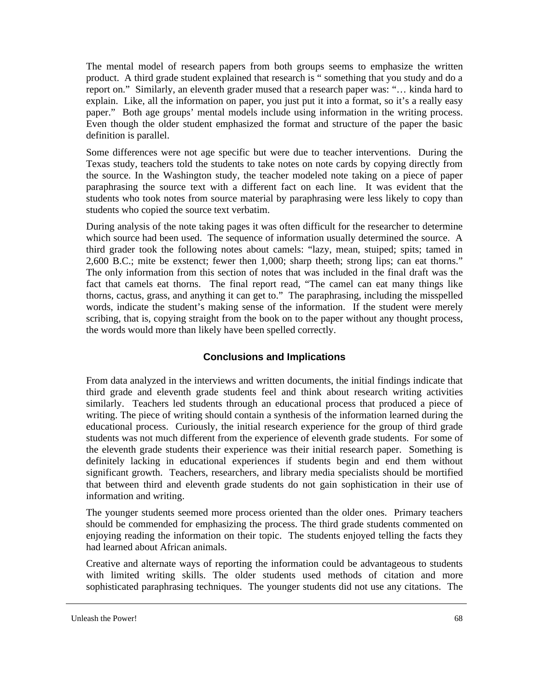The mental model of research papers from both groups seems to emphasize the written product. A third grade student explained that research is " something that you study and do a report on." Similarly, an eleventh grader mused that a research paper was: "… kinda hard to explain. Like, all the information on paper, you just put it into a format, so it's a really easy paper." Both age groups' mental models include using information in the writing process. Even though the older student emphasized the format and structure of the paper the basic definition is parallel.

Some differences were not age specific but were due to teacher interventions. During the Texas study, teachers told the students to take notes on note cards by copying directly from the source. In the Washington study, the teacher modeled note taking on a piece of paper paraphrasing the source text with a different fact on each line. It was evident that the students who took notes from source material by paraphrasing were less likely to copy than students who copied the source text verbatim.

During analysis of the note taking pages it was often difficult for the researcher to determine which source had been used. The sequence of information usually determined the source. A third grader took the following notes about camels: "lazy, mean, stuiped; spits; tamed in 2,600 B.C.; mite be exstenct; fewer then 1,000; sharp theeth; strong lips; can eat thorns." The only information from this section of notes that was included in the final draft was the fact that camels eat thorns. The final report read, "The camel can eat many things like thorns, cactus, grass, and anything it can get to." The paraphrasing, including the misspelled words, indicate the student's making sense of the information. If the student were merely scribing, that is, copying straight from the book on to the paper without any thought process, the words would more than likely have been spelled correctly.

## **Conclusions and Implications**

From data analyzed in the interviews and written documents, the initial findings indicate that third grade and eleventh grade students feel and think about research writing activities similarly. Teachers led students through an educational process that produced a piece of writing. The piece of writing should contain a synthesis of the information learned during the educational process. Curiously, the initial research experience for the group of third grade students was not much different from the experience of eleventh grade students. For some of the eleventh grade students their experience was their initial research paper. Something is definitely lacking in educational experiences if students begin and end them without significant growth. Teachers, researchers, and library media specialists should be mortified that between third and eleventh grade students do not gain sophistication in their use of information and writing.

The younger students seemed more process oriented than the older ones. Primary teachers should be commended for emphasizing the process. The third grade students commented on enjoying reading the information on their topic. The students enjoyed telling the facts they had learned about African animals.

Creative and alternate ways of reporting the information could be advantageous to students with limited writing skills. The older students used methods of citation and more sophisticated paraphrasing techniques. The younger students did not use any citations. The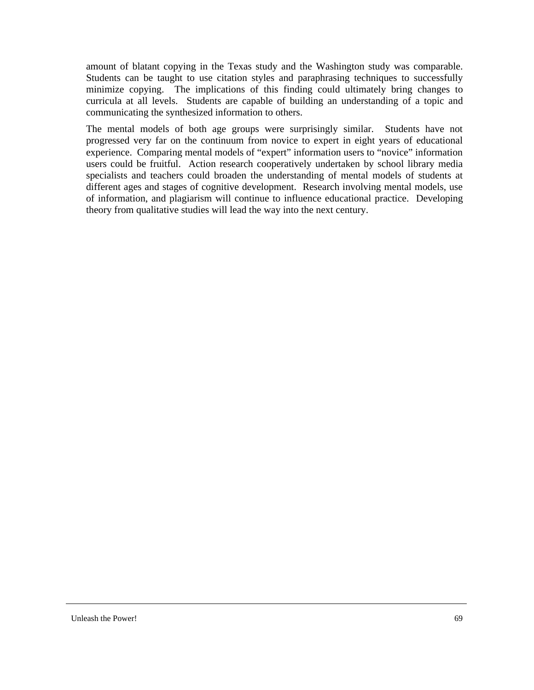amount of blatant copying in the Texas study and the Washington study was comparable. Students can be taught to use citation styles and paraphrasing techniques to successfully minimize copying. The implications of this finding could ultimately bring changes to curricula at all levels. Students are capable of building an understanding of a topic and communicating the synthesized information to others.

The mental models of both age groups were surprisingly similar. Students have not progressed very far on the continuum from novice to expert in eight years of educational experience. Comparing mental models of "expert" information users to "novice" information users could be fruitful. Action research cooperatively undertaken by school library media specialists and teachers could broaden the understanding of mental models of students at different ages and stages of cognitive development. Research involving mental models, use of information, and plagiarism will continue to influence educational practice. Developing theory from qualitative studies will lead the way into the next century.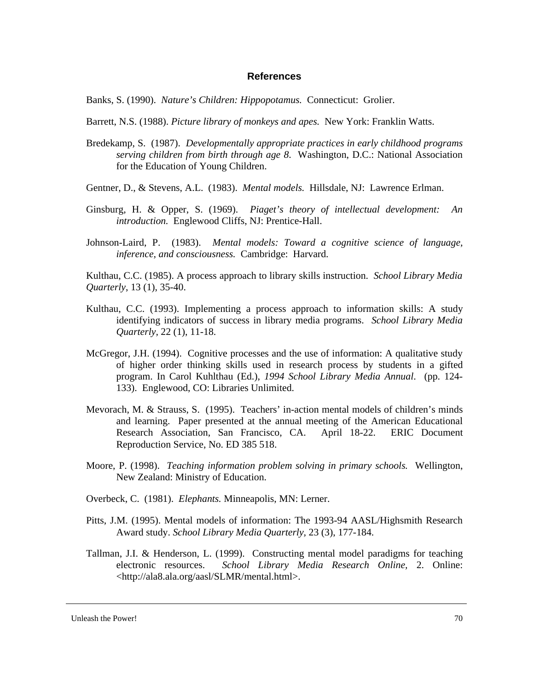#### **References**

Banks, S. (1990). *Nature's Children: Hippopotamus.* Connecticut: Grolier.

- Barrett, N.S. (1988). *Picture library of monkeys and apes.* New York: Franklin Watts.
- Bredekamp, S. (1987). *Developmentally appropriate practices in early childhood programs serving children from birth through age 8*. Washington, D.C.: National Association for the Education of Young Children.
- Gentner, D., & Stevens, A.L. (1983). *Mental models.* Hillsdale, NJ: Lawrence Erlman.
- Ginsburg, H. & Opper, S. (1969). *Piaget's theory of intellectual development: An introduction.* Englewood Cliffs, NJ: Prentice-Hall.
- Johnson-Laird, P. (1983). *Mental models: Toward a cognitive science of language, inference, and consciousness.* Cambridge: Harvard.

Kulthau, C.C. (1985). A process approach to library skills instruction. *School Library Media Quarterly*, 13 (1), 35-40.

- Kulthau, C.C. (1993). Implementing a process approach to information skills: A study identifying indicators of success in library media programs. *School Library Media Quarterly,* 22 (1), 11-18.
- McGregor, J.H. (1994). Cognitive processes and the use of information: A qualitative study of higher order thinking skills used in research process by students in a gifted program. In Carol Kuhlthau (Ed.), *1994 School Library Media Annual*. (pp. 124- 133). Englewood, CO: Libraries Unlimited.
- Mevorach, M. & Strauss, S. (1995). Teachers' in-action mental models of children's minds and learning. Paper presented at the annual meeting of the American Educational Research Association, San Francisco, CA. April 18-22. ERIC Document Reproduction Service, No. ED 385 518.
- Moore, P. (1998). *Teaching information problem solving in primary schools.* Wellington, New Zealand: Ministry of Education.
- Overbeck, C. (1981). *Elephants.* Minneapolis, MN: Lerner.
- Pitts, J.M. (1995). Mental models of information: The 1993-94 AASL/Highsmith Research Award study. *School Library Media Quarterly,* 23 (3), 177-184.
- Tallman, J.I. & Henderson, L. (1999). Constructing mental model paradigms for teaching electronic resources. *School Library Media Research Online,* 2. Online: <http://ala8.ala.org/aasl/SLMR/mental.html>.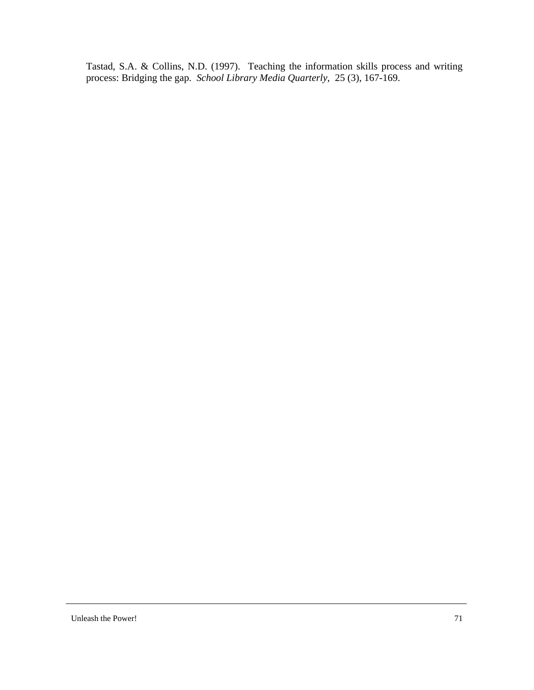Tastad, S.A. & Collins, N.D. (1997). Teaching the information skills process and writing process: Bridging the gap. *School Library Media Quarterly,* 25 (3), 167-169.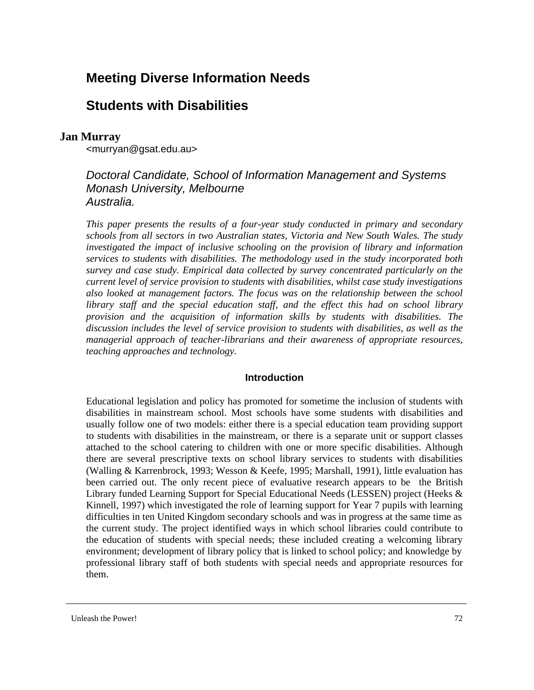# **Meeting Diverse Information Needs**

## **Students with Disabilities**

## **Jan Murray**

<murryan@gsat.edu.au>

## *Doctoral Candidate, School of Information Management and Systems Monash University, Melbourne Australia.*

*This paper presents the results of a four-year study conducted in primary and secondary schools from all sectors in two Australian states, Victoria and New South Wales. The study investigated the impact of inclusive schooling on the provision of library and information services to students with disabilities. The methodology used in the study incorporated both survey and case study. Empirical data collected by survey concentrated particularly on the current level of service provision to students with disabilities, whilst case study investigations also looked at management factors. The focus was on the relationship between the school library staff and the special education staff, and the effect this had on school library provision and the acquisition of information skills by students with disabilities. The discussion includes the level of service provision to students with disabilities, as well as the managerial approach of teacher-librarians and their awareness of appropriate resources, teaching approaches and technology.*

## **Introduction**

Educational legislation and policy has promoted for sometime the inclusion of students with disabilities in mainstream school. Most schools have some students with disabilities and usually follow one of two models: either there is a special education team providing support to students with disabilities in the mainstream, or there is a separate unit or support classes attached to the school catering to children with one or more specific disabilities. Although there are several prescriptive texts on school library services to students with disabilities (Walling & Karrenbrock, 1993; Wesson & Keefe, 1995; Marshall, 1991), little evaluation has been carried out. The only recent piece of evaluative research appears to be the British Library funded Learning Support for Special Educational Needs (LESSEN) project (Heeks & Kinnell, 1997) which investigated the role of learning support for Year 7 pupils with learning difficulties in ten United Kingdom secondary schools and was in progress at the same time as the current study. The project identified ways in which school libraries could contribute to the education of students with special needs; these included creating a welcoming library environment; development of library policy that is linked to school policy; and knowledge by professional library staff of both students with special needs and appropriate resources for them.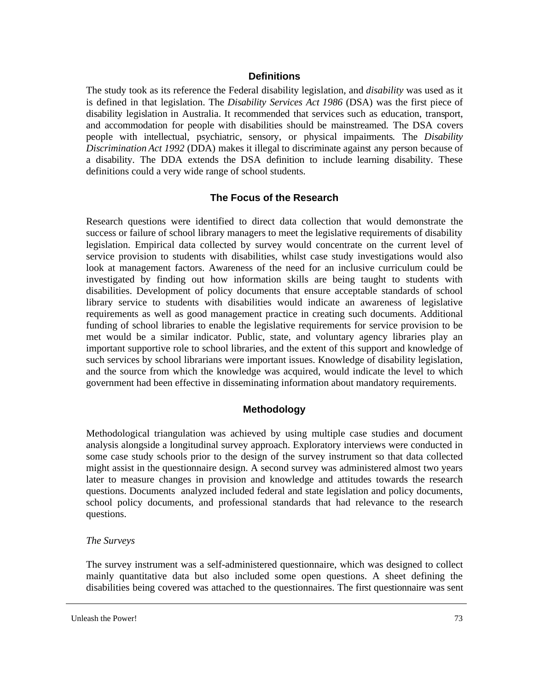#### **Definitions**

The study took as its reference the Federal disability legislation, and *disability* was used as it is defined in that legislation. The *Disability Services Act* 1986 (DSA) was the first piece of disability legislation in Australia. It recommended that services such as education, transport, and accommodation for people with disabilities should be mainstreamed. The DSA covers people with intellectual, psychiatric, sensory, or physical impairments. The *Disability Discrimination Act 1992* (DDA) makes it illegal to discriminate against any person because of a disability. The DDA extends the DSA definition to include learning disability. These definitions could a very wide range of school students.

## **The Focus of the Research**

Research questions were identified to direct data collection that would demonstrate the success or failure of school library managers to meet the legislative requirements of disability legislation. Empirical data collected by survey would concentrate on the current level of service provision to students with disabilities, whilst case study investigations would also look at management factors. Awareness of the need for an inclusive curriculum could be investigated by finding out how information skills are being taught to students with disabilities. Development of policy documents that ensure acceptable standards of school library service to students with disabilities would indicate an awareness of legislative requirements as well as good management practice in creating such documents. Additional funding of school libraries to enable the legislative requirements for service provision to be met would be a similar indicator. Public, state, and voluntary agency libraries play an important supportive role to school libraries, and the extent of this support and knowledge of such services by school librarians were important issues. Knowledge of disability legislation, and the source from which the knowledge was acquired, would indicate the level to which government had been effective in disseminating information about mandatory requirements.

## **Methodology**

Methodological triangulation was achieved by using multiple case studies and document analysis alongside a longitudinal survey approach. Exploratory interviews were conducted in some case study schools prior to the design of the survey instrument so that data collected might assist in the questionnaire design. A second survey was administered almost two years later to measure changes in provision and knowledge and attitudes towards the research questions. Documents analyzed included federal and state legislation and policy documents, school policy documents, and professional standards that had relevance to the research questions.

## *The Surveys*

The survey instrument was a self-administered questionnaire, which was designed to collect mainly quantitative data but also included some open questions. A sheet defining the disabilities being covered was attached to the questionnaires. The first questionnaire was sent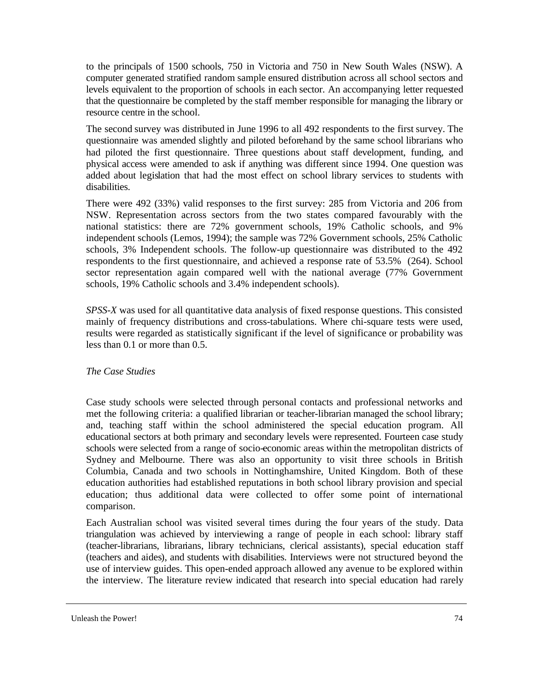to the principals of 1500 schools, 750 in Victoria and 750 in New South Wales (NSW). A computer generated stratified random sample ensured distribution across all school sectors and levels equivalent to the proportion of schools in each sector. An accompanying letter requested that the questionnaire be completed by the staff member responsible for managing the library or resource centre in the school.

The second survey was distributed in June 1996 to all 492 respondents to the first survey. The questionnaire was amended slightly and piloted beforehand by the same school librarians who had piloted the first questionnaire. Three questions about staff development, funding, and physical access were amended to ask if anything was different since 1994. One question was added about legislation that had the most effect on school library services to students with disabilities .

There were 492 (33%) valid responses to the first survey: 285 from Victoria and 206 from NSW. Representation across sectors from the two states compared favourably with the national statistics: there are 72% government schools, 19% Catholic schools, and 9% independent schools (Lemos, 1994); the sample was 72% Government schools, 25% Catholic schools, 3% Independent schools. The follow-up questionnaire was distributed to the 492 respondents to the first questionnaire, and achieved a response rate of 53.5% (264). School sector representation again compared well with the national average (77% Government schools, 19% Catholic schools and 3.4% independent schools).

*SPSS-X* was used for all quantitative data analysis of fixed response questions. This consisted mainly of frequency distributions and cross-tabulations. Where chi-square tests were used, results were regarded as statistically significant if the level of significance or probability was less than 0.1 or more than 0.5.

## *The Case Studies*

Case study schools were selected through personal contacts and professional networks and met the following criteria: a qualified librarian or teacher-librarian managed the school library; and, teaching staff within the school administered the special education program. All educational sectors at both primary and secondary levels were represented. Fourteen case study schools were selected from a range of socio-economic areas within the metropolitan districts of Sydney and Melbourne. There was also an opportunity to visit three schools in British Columbia, Canada and two schools in Nottinghamshire, United Kingdom. Both of these education authorities had established reputations in both school library provision and special education; thus additional data were collected to offer some point of international comparison.

Each Australian school was visited several times during the four years of the study. Data triangulation was achieved by interviewing a range of people in each school: library staff (teacher-librarians, librarians, library technicians, clerical assistants), special education staff (teachers and aides), and students with disabilities. Interviews were not structured beyond the use of interview guides. This open-ended approach allowed any avenue to be explored within the interview. The literature review indicated that research into special education had rarely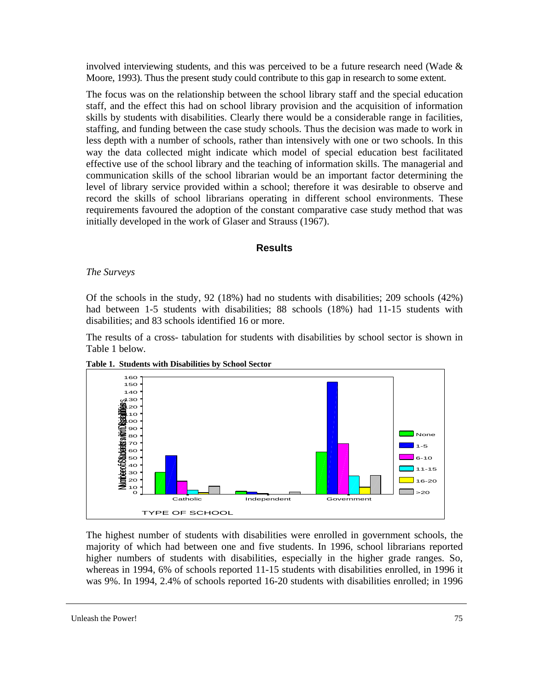involved interviewing students, and this was perceived to be a future research need (Wade  $\&$ Moore, 1993). Thus the present study could contribute to this gap in research to some extent.

The focus was on the relationship between the school library staff and the special education staff, and the effect this had on school library provision and the acquisition of information skills by students with disabilities. Clearly there would be a considerable range in facilities, staffing, and funding between the case study schools. Thus the decision was made to work in less depth with a number of schools, rather than intensively with one or two schools. In this way the data collected might indicate which model of special education best facilitated effective use of the school library and the teaching of information skills. The managerial and communication skills of the school librarian would be an important factor determining the level of library service provided within a school; therefore it was desirable to observe and record the skills of school librarians operating in different school environments. These requirements favoured the adoption of the constant comparative case study method that was initially developed in the work of Glaser and Strauss (1967).

#### **Results**

#### *The Surveys*

Of the schools in the study, 92 (18%) had no students with disabilities; 209 schools (42%) had between 1-5 students with disabilities; 88 schools (18%) had 11-15 students with disabilities; and 83 schools identified 16 or more.

The results of a cross- tabulation for students with disabilities by school sector is shown in Table 1 below*.*



**Table 1. Students with Disabilities by School Sector**

The highest number of students with disabilities were enrolled in government schools, the majority of which had between one and five students. In 1996, school librarians reported higher numbers of students with disabilities, especially in the higher grade ranges. So, whereas in 1994, 6% of schools reported 11-15 students with disabilities enrolled, in 1996 it was 9%. In 1994, 2.4% of schools reported 16-20 students with disabilities enrolled; in 1996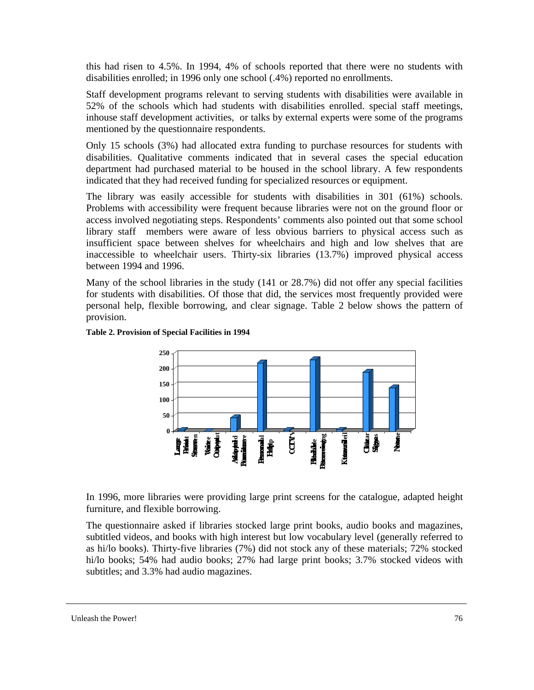this had risen to 4.5%. In 1994, 4% of schools reported that there were no students with disabilities enrolled; in 1996 only one school (.4%) reported no enrollments.

Staff development programs relevant to serving students with disabilities were available in 52% of the schools which had students with disabilities enrolled. special staff meetings, inhouse staff development activities, or talks by external experts were some of the programs mentioned by the questionnaire respondents.

Only 15 schools (3%) had allocated extra funding to purchase resources for students with disabilities. Qualitative comments indicated that in several cases the special education department had purchased material to be housed in the school library. A few respondents indicated that they had received funding for specialized resources or equipment.

The library was easily accessible for students with disabilities in 301 (61%) schools. Problems with accessibility were frequent because libraries were not on the ground floor or access involved negotiating steps. Respondents' comments also pointed out that some school library staff members were aware of less obvious barriers to physical access such as insufficient space between shelves for wheelchairs and high and low shelves that are inaccessible to wheelchair users. Thirty-six libraries (13.7%) improved physical access between 1994 and 1996.

Many of the school libraries in the study (141 or 28.7%) did not offer any special facilities for students with disabilities. Of those that did, the services most frequently provided were personal help, flexible borrowing, and clear signage. Table 2 below shows the pattern of provision.





In 1996, more libraries were providing large print screens for the catalogue, adapted height furniture, and flexible borrowing.

The questionnaire asked if libraries stocked large print books, audio books and magazines, subtitled videos, and books with high interest but low vocabulary level (generally referred to as hi/lo books). Thirty-five libraries (7%) did not stock any of these materials; 72% stocked hi/lo books; 54% had audio books; 27% had large print books; 3.7% stocked videos with subtitles; and 3.3% had audio magazines.

Unleash the Power! 76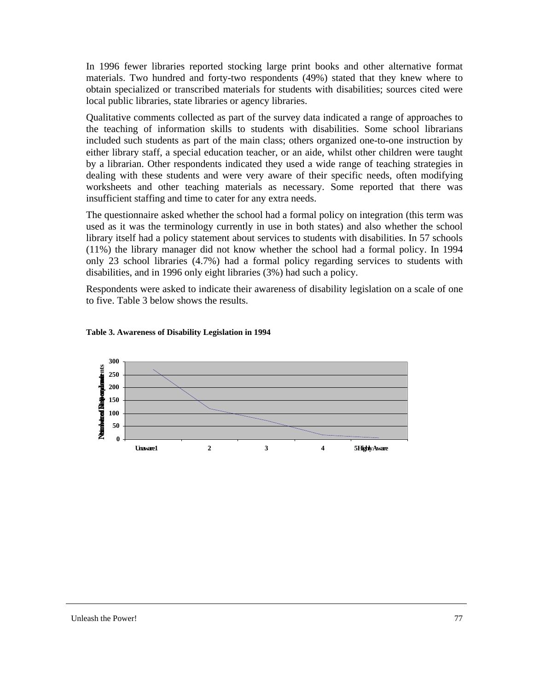In 1996 fewer libraries reported stocking large print books and other alternative format materials. Two hundred and forty-two respondents (49%) stated that they knew where to obtain specialized or transcribed materials for students with disabilities; sources cited were local public libraries, state libraries or agency libraries.

Qualitative comments collected as part of the survey data indicated a range of approaches to the teaching of information skills to students with disabilities. Some school librarians included such students as part of the main class; others organized one-to-one instruction by either library staff, a special education teacher, or an aide, whilst other children were taught by a librarian. Other respondents indicated they used a wide range of teaching strategies in dealing with these students and were very aware of their specific needs, often modifying worksheets and other teaching materials as necessary. Some reported that there was insufficient staffing and time to cater for any extra needs.

The questionnaire asked whether the school had a formal policy on integration (this term was used as it was the terminology currently in use in both states) and also whether the school library itself had a policy statement about services to students with disabilities. In 57 schools (11%) the library manager did not know whether the school had a formal policy. In 1994 only 23 school libraries (4.7%) had a formal policy regarding services to students with disabilities, and in 1996 only eight libraries (3%) had such a policy.

Respondents were asked to indicate their awareness of disability legislation on a scale of one to five. Table 3 below shows the results.



#### **Table 3. Awareness of Disability Legislation in 1994**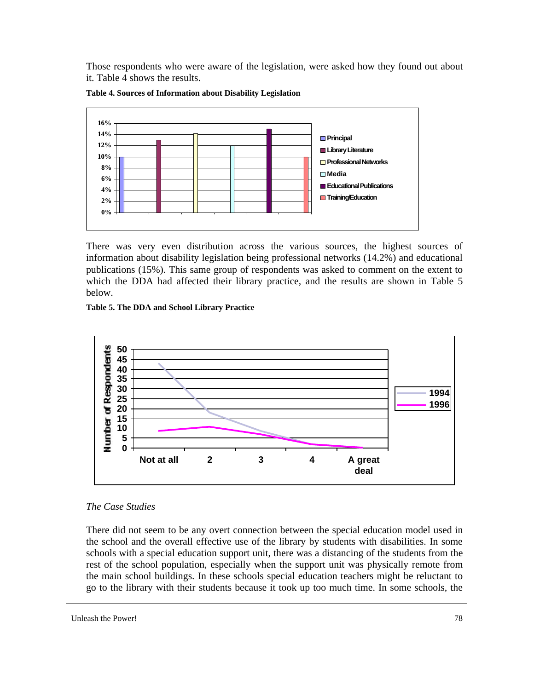Those respondents who were aware of the legislation, were asked how they found out about it. Table 4 shows the results.





There was very even distribution across the various sources, the highest sources of information about disability legislation being professional networks (14.2%) and educational publications (15%). This same group of respondents was asked to comment on the extent to which the DDA had affected their library practice, and the results are shown in Table 5 below.





#### *The Case Studies*

There did not seem to be any overt connection between the special education model used in the school and the overall effective use of the library by students with disabilities. In some schools with a special education support unit, there was a distancing of the students from the rest of the school population, especially when the support unit was physically remote from the main school buildings. In these schools special education teachers might be reluctant to go to the library with their students because it took up too much time. In some schools, the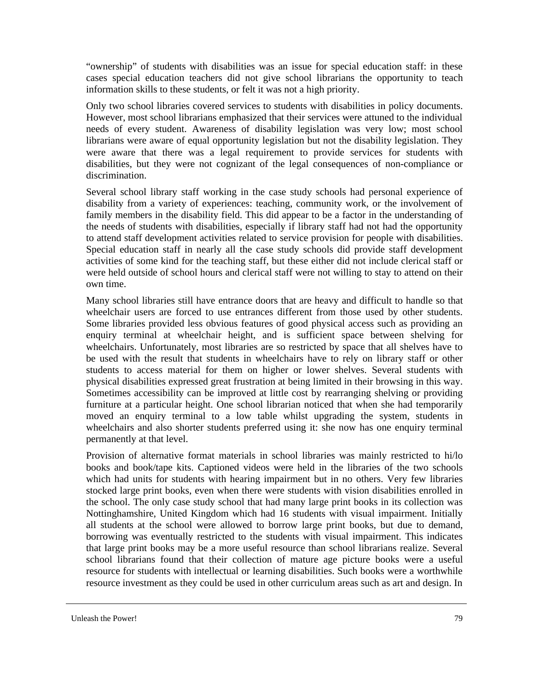"ownership" of students with disabilities was an issue for special education staff: in these cases special education teachers did not give school librarians the opportunity to teach information skills to these students, or felt it was not a high priority.

Only two school libraries covered services to students with disabilities in policy documents. However, most school librarians emphasized that their services were attuned to the individual needs of every student. Awareness of disability legislation was very low; most school librarians were aware of equal opportunity legislation but not the disability legislation. They were aware that there was a legal requirement to provide services for students with disabilities, but they were not cognizant of the legal consequences of non-compliance or discrimination.

Several school library staff working in the case study schools had personal experience of disability from a variety of experiences: teaching, community work, or the involvement of family members in the disability field. This did appear to be a factor in the understanding of the needs of students with disabilities, especially if library staff had not had the opportunity to attend staff development activities related to service provision for people with disabilities. Special education staff in nearly all the case study schools did provide staff development activities of some kind for the teaching staff, but these either did not include clerical staff or were held outside of school hours and clerical staff were not willing to stay to attend on their own time.

Many school libraries still have entrance doors that are heavy and difficult to handle so that wheelchair users are forced to use entrances different from those used by other students. Some libraries provided less obvious features of good physical access such as providing an enquiry terminal at wheelchair height, and is sufficient space between shelving for wheelchairs. Unfortunately, most libraries are so restricted by space that all shelves have to be used with the result that students in wheelchairs have to rely on library staff or other students to access material for them on higher or lower shelves. Several students with physical disabilities expressed great frustration at being limited in their browsing in this way. Sometimes accessibility can be improved at little cost by rearranging shelving or providing furniture at a particular height. One school librarian noticed that when she had temporarily moved an enquiry terminal to a low table whilst upgrading the system, students in wheelchairs and also shorter students preferred using it: she now has one enquiry terminal permanently at that level.

Provision of alternative format materials in school libraries was mainly restricted to hi/lo books and book/tape kits. Captioned videos were held in the libraries of the two schools which had units for students with hearing impairment but in no others. Very few libraries stocked large print books, even when there were students with vision disabilities enrolled in the school. The only case study school that had many large print books in its collection was Nottinghamshire, United Kingdom which had 16 students with visual impairment. Initially all students at the school were allowed to borrow large print books, but due to demand, borrowing was eventually restricted to the students with visual impairment. This indicates that large print books may be a more useful resource than school librarians realize. Several school librarians found that their collection of mature age picture books were a useful resource for students with intellectual or learning disabilities. Such books were a worthwhile resource investment as they could be used in other curriculum areas such as art and design. In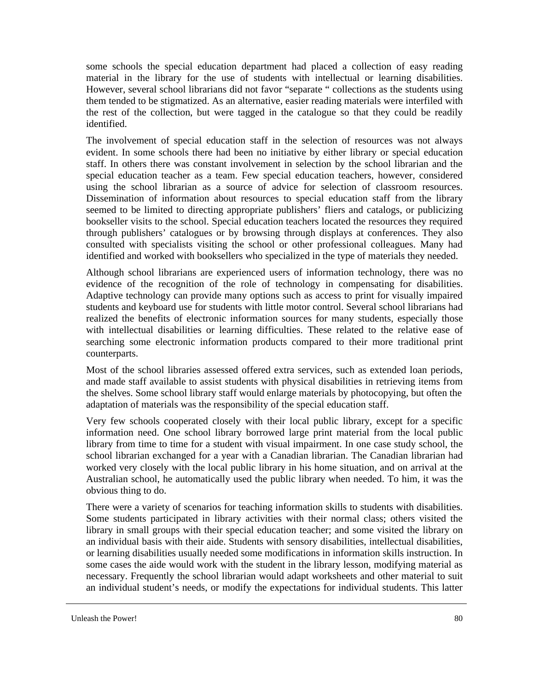some schools the special education department had placed a collection of easy reading material in the library for the use of students with intellectual or learning disabilities. However, several school librarians did not favor "separate " collections as the students using them tended to be stigmatized. As an alternative, easier reading materials were interfiled with the rest of the collection, but were tagged in the catalogue so that they could be readily identified.

The involvement of special education staff in the selection of resources was not always evident. In some schools there had been no initiative by either library or special education staff. In others there was constant involvement in selection by the school librarian and the special education teacher as a team. Few special education teachers, however, considered using the school librarian as a source of advice for selection of classroom resources. Dissemination of information about resources to special education staff from the library seemed to be limited to directing appropriate publishers' fliers and catalogs, or publicizing bookseller visits to the school. Special education teachers located the resources they required through publishers' catalogues or by browsing through displays at conferences. They also consulted with specialists visiting the school or other professional colleagues. Many had identified and worked with booksellers who specialized in the type of materials they needed.

Although school librarians are experienced users of information technology, there was no evidence of the recognition of the role of technology in compensating for disabilities. Adaptive technology can provide many options such as access to print for visually impaired students and keyboard use for students with little motor control. Several school librarians had realized the benefits of electronic information sources for many students, especially those with intellectual disabilities or learning difficulties. These related to the relative ease of searching some electronic information products compared to their more traditional print counterparts.

Most of the school libraries assessed offered extra services, such as extended loan periods, and made staff available to assist students with physical disabilities in retrieving items from the shelves. Some school library staff would enlarge materials by photocopying, but often the adaptation of materials was the responsibility of the special education staff.

Very few schools cooperated closely with their local public library, except for a specific information need. One school library borrowed large print material from the local public library from time to time for a student with visual impairment. In one case study school, the school librarian exchanged for a year with a Canadian librarian. The Canadian librarian had worked very closely with the local public library in his home situation, and on arrival at the Australian school, he automatically used the public library when needed. To him, it was the obvious thing to do.

There were a variety of scenarios for teaching information skills to students with disabilities. Some students participated in library activities with their normal class; others visited the library in small groups with their special education teacher; and some visited the library on an individual basis with their aide. Students with sensory disabilities, intellectual disabilities, or learning disabilities usually needed some modifications in information skills instruction. In some cases the aide would work with the student in the library lesson, modifying material as necessary. Frequently the school librarian would adapt worksheets and other material to suit an individual student's needs, or modify the expectations for individual students. This latter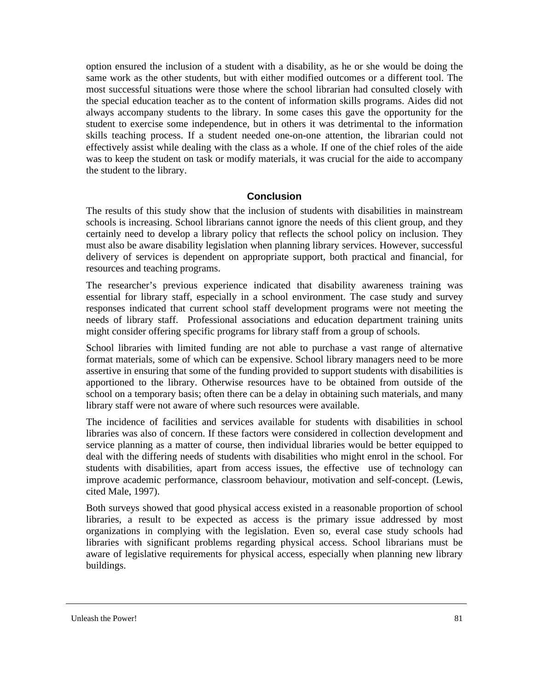option ensured the inclusion of a student with a disability, as he or she would be doing the same work as the other students, but with either modified outcomes or a different tool. The most successful situations were those where the school librarian had consulted closely with the special education teacher as to the content of information skills programs. Aides did not always accompany students to the library. In some cases this gave the opportunity for the student to exercise some independence, but in others it was detrimental to the information skills teaching process. If a student needed one-on-one attention, the librarian could not effectively assist while dealing with the class as a whole. If one of the chief roles of the aide was to keep the student on task or modify materials, it was crucial for the aide to accompany the student to the library.

## **Conclusion**

The results of this study show that the inclusion of students with disabilities in mainstream schools is increasing. School librarians cannot ignore the needs of this client group, and they certainly need to develop a library policy that reflects the school policy on inclusion. They must also be aware disability legislation when planning library services. However, successful delivery of services is dependent on appropriate support, both practical and financial, for resources and teaching programs.

The researcher's previous experience indicated that disability awareness training was essential for library staff, especially in a school environment. The case study and survey responses indicated that current school staff development programs were not meeting the needs of library staff. Professional associations and education department training units might consider offering specific programs for library staff from a group of schools.

School libraries with limited funding are not able to purchase a vast range of alternative format materials, some of which can be expensive. School library managers need to be more assertive in ensuring that some of the funding provided to support students with disabilities is apportioned to the library. Otherwise resources have to be obtained from outside of the school on a temporary basis; often there can be a delay in obtaining such materials, and many library staff were not aware of where such resources were available.

The incidence of facilities and services available for students with disabilities in school libraries was also of concern. If these factors were considered in collection development and service planning as a matter of course, then individual libraries would be better equipped to deal with the differing needs of students with disabilities who might enrol in the school. For students with disabilities, apart from access issues, the effective use of technology can improve academic performance, classroom behaviour, motivation and self-concept. (Lewis, cited Male, 1997).

Both surveys showed that good physical access existed in a reasonable proportion of school libraries, a result to be expected as access is the primary issue addressed by most organizations in complying with the legislation. Even so, everal case study schools had libraries with significant problems regarding physical access. School librarians must be aware of legislative requirements for physical access, especially when planning new library buildings.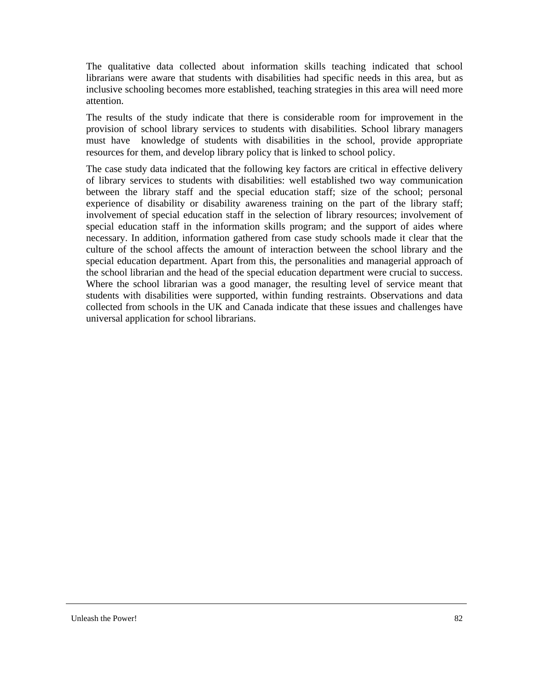The qualitative data collected about information skills teaching indicated that school librarians were aware that students with disabilities had specific needs in this area, but as inclusive schooling becomes more established, teaching strategies in this area will need more attention.

The results of the study indicate that there is considerable room for improvement in the provision of school library services to students with disabilities. School library managers must have knowledge of students with disabilities in the school, provide appropriate resources for them, and develop library policy that is linked to school policy.

The case study data indicated that the following key factors are critical in effective delivery of library services to students with disabilities: well established two way communication between the library staff and the special education staff; size of the school; personal experience of disability or disability awareness training on the part of the library staff; involvement of special education staff in the selection of library resources; involvement of special education staff in the information skills program; and the support of aides where necessary. In addition, information gathered from case study schools made it clear that the culture of the school affects the amount of interaction between the school library and the special education department. Apart from this, the personalities and managerial approach of the school librarian and the head of the special education department were crucial to success. Where the school librarian was a good manager, the resulting level of service meant that students with disabilities were supported, within funding restraints. Observations and data collected from schools in the UK and Canada indicate that these issues and challenges have universal application for school librarians.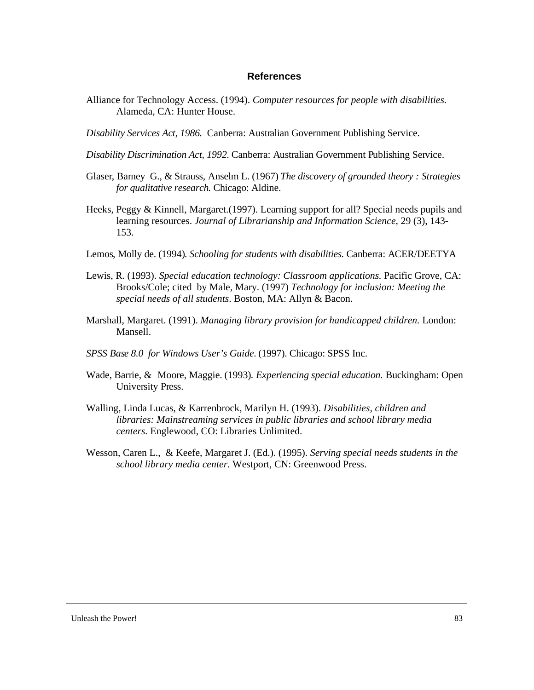#### **References**

- Alliance for Technology Access. (1994). *Computer resources for people with disabilities.* Alameda, CA: Hunter House.
- *Disability Services Act, 1986.* Canberra: Australian Government Publishing Service.
- *Disability Discrimination Act, 1992.* Canberra: Australian Government Publishing Service.
- Glaser, Barney G., & Strauss, Anselm L. (1967) *The discovery of grounded theory : Strategies for qualitative research.* Chicago: Aldine.
- Heeks, Peggy & Kinnell, Margaret.(1997). Learning support for all? Special needs pupils and learning resources. *Journal of Librarianship and Information Science*, 29 (3), 143- 153.
- Lemos, Molly de. (1994). *Schooling for students with disabilities*. Canberra: ACER/DEETYA
- Lewis, R. (1993). *Special education technology: Classroom applications.* Pacific Grove, CA: Brooks/Cole; cited by Male, Mary. (1997) *Technology for inclusion: Meeting the special needs of all students*. Boston, MA: Allyn & Bacon.
- Marshall, Margaret. (1991). *Managing library provision for handicapped children.* London: Mansell.
- *SPSS Base 8.0 for Windows User's Guide.* (1997). Chicago: SPSS Inc.
- Wade, Barrie, & Moore, Maggie. (1993). *Experiencing special education*. Buckingham: Open University Press.
- Walling, Linda Lucas, & Karrenbrock, Marilyn H. (1993). *Disabilities, children and libraries: Mainstreaming services in public libraries and school library media centers.* Englewood, CO: Libraries Unlimited.
- Wesson, Caren L., & Keefe, Margaret J. (Ed.). (1995). *Serving special needs students in the school library media center.* Westport, CN: Greenwood Press.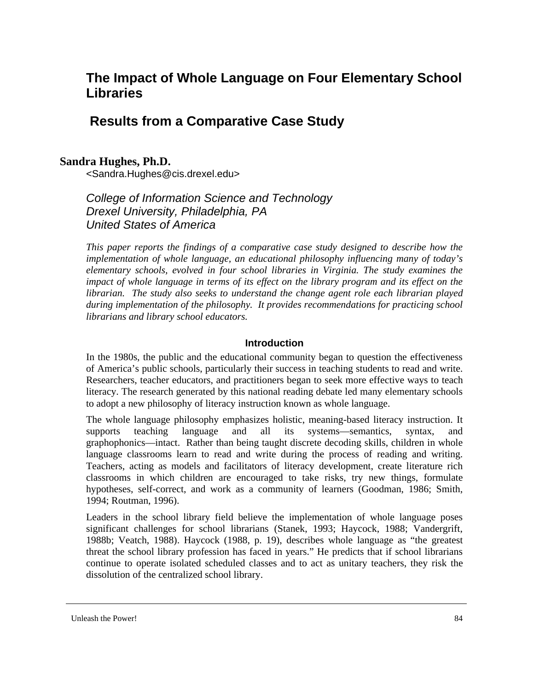# **The Impact of Whole Language on Four Elementary School Libraries**

# **Results from a Comparative Case Study**

## **Sandra Hughes, Ph.D.**

<Sandra.Hughes@cis.drexel.edu>

*College of Information Science and Technology Drexel University, Philadelphia, PA United States of America*

*This paper reports the findings of a comparative case study designed to describe how the implementation of whole language, an educational philosophy influencing many of today's elementary schools, evolved in four school libraries in Virginia. The study examines the impact of whole language in terms of its effect on the library program and its effect on the librarian. The study also seeks to understand the change agent role each librarian played during implementation of the philosophy. It provides recommendations for practicing school librarians and library school educators.*

#### **Introduction**

In the 1980s, the public and the educational community began to question the effectiveness of America's public schools, particularly their success in teaching students to read and write. Researchers, teacher educators, and practitioners began to seek more effective ways to teach literacy. The research generated by this national reading debate led many elementary schools to adopt a new philosophy of literacy instruction known as whole language.

The whole language philosophy emphasizes holistic, meaning-based literacy instruction. It supports teaching language and all its systems—semantics, syntax, and graphophonics—intact. Rather than being taught discrete decoding skills, children in whole language classrooms learn to read and write during the process of reading and writing. Teachers, acting as models and facilitators of literacy development, create literature rich classrooms in which children are encouraged to take risks, try new things, formulate hypotheses, self-correct, and work as a community of learners (Goodman, 1986; Smith, 1994; Routman, 1996).

Leaders in the school library field believe the implementation of whole language poses significant challenges for school librarians (Stanek, 1993; Haycock, 1988; Vandergrift, 1988b; Veatch, 1988). Haycock (1988, p. 19), describes whole language as "the greatest threat the school library profession has faced in years." He predicts that if school librarians continue to operate isolated scheduled classes and to act as unitary teachers, they risk the dissolution of the centralized school library.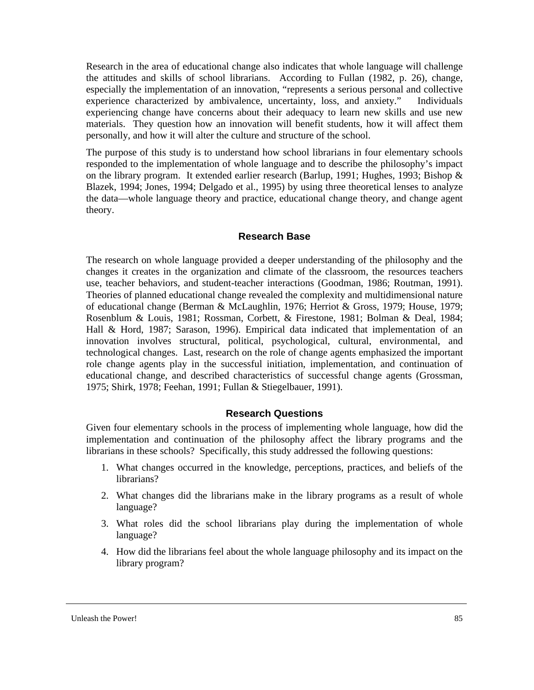Research in the area of educational change also indicates that whole language will challenge the attitudes and skills of school librarians. According to Fullan (1982, p. 26), change, especially the implementation of an innovation, "represents a serious personal and collective experience characterized by ambivalence, uncertainty, loss, and anxiety." Individuals experiencing change have concerns about their adequacy to learn new skills and use new materials. They question how an innovation will benefit students, how it will affect them personally, and how it will alter the culture and structure of the school.

The purpose of this study is to understand how school librarians in four elementary schools responded to the implementation of whole language and to describe the philosophy's impact on the library program. It extended earlier research (Barlup, 1991; Hughes, 1993; Bishop & Blazek, 1994; Jones, 1994; Delgado et al., 1995) by using three theoretical lenses to analyze the data—whole language theory and practice, educational change theory, and change agent theory.

## **Research Base**

The research on whole language provided a deeper understanding of the philosophy and the changes it creates in the organization and climate of the classroom, the resources teachers use, teacher behaviors, and student-teacher interactions (Goodman, 1986; Routman, 1991). Theories of planned educational change revealed the complexity and multidimensional nature of educational change (Berman & McLaughlin, 1976; Herriot & Gross, 1979; House, 1979; Rosenblum & Louis, 1981; Rossman, Corbett, & Firestone, 1981; Bolman & Deal, 1984; Hall & Hord, 1987; Sarason, 1996). Empirical data indicated that implementation of an innovation involves structural, political, psychological, cultural, environmental, and technological changes. Last, research on the role of change agents emphasized the important role change agents play in the successful initiation, implementation, and continuation of educational change, and described characteristics of successful change agents (Grossman, 1975; Shirk, 1978; Feehan, 1991; Fullan & Stiegelbauer, 1991).

## **Research Questions**

Given four elementary schools in the process of implementing whole language, how did the implementation and continuation of the philosophy affect the library programs and the librarians in these schools? Specifically, this study addressed the following questions:

- 1. What changes occurred in the knowledge, perceptions, practices, and beliefs of the librarians?
- 2. What changes did the librarians make in the library programs as a result of whole language?
- 3. What roles did the school librarians play during the implementation of whole language?
- 4. How did the librarians feel about the whole language philosophy and its impact on the library program?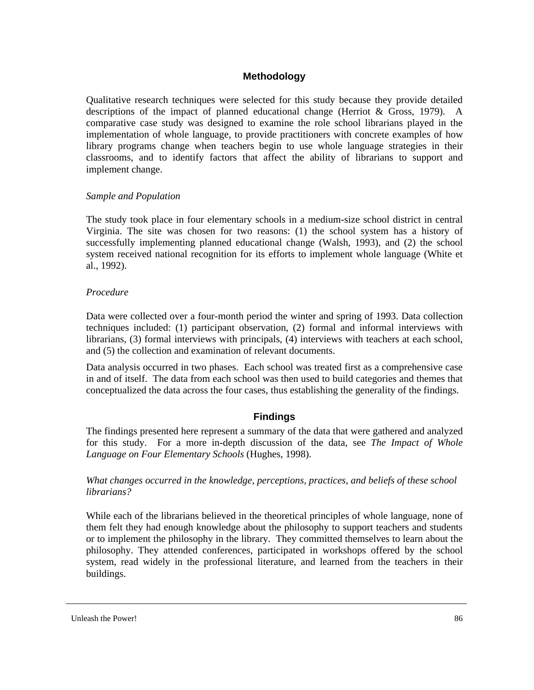## **Methodology**

Qualitative research techniques were selected for this study because they provide detailed descriptions of the impact of planned educational change (Herriot & Gross, 1979). A comparative case study was designed to examine the role school librarians played in the implementation of whole language, to provide practitioners with concrete examples of how library programs change when teachers begin to use whole language strategies in their classrooms, and to identify factors that affect the ability of librarians to support and implement change.

#### *Sample and Population*

The study took place in four elementary schools in a medium-size school district in central Virginia. The site was chosen for two reasons: (1) the school system has a history of successfully implementing planned educational change (Walsh, 1993), and (2) the school system received national recognition for its efforts to implement whole language (White et al., 1992).

## *Procedure*

Data were collected over a four-month period the winter and spring of 1993. Data collection techniques included: (1) participant observation, (2) formal and informal interviews with librarians, (3) formal interviews with principals, (4) interviews with teachers at each school, and (5) the collection and examination of relevant documents.

Data analysis occurred in two phases. Each school was treated first as a comprehensive case in and of itself. The data from each school was then used to build categories and themes that conceptualized the data across the four cases, thus establishing the generality of the findings.

## **Findings**

The findings presented here represent a summary of the data that were gathered and analyzed for this study. For a more in-depth discussion of the data, see *The Impact of Whole Language on Four Elementary Schools* (Hughes, 1998).

*What changes occurred in the knowledge, perceptions, practices, and beliefs of these school librarians?*

While each of the librarians believed in the theoretical principles of whole language, none of them felt they had enough knowledge about the philosophy to support teachers and students or to implement the philosophy in the library. They committed themselves to learn about the philosophy. They attended conferences, participated in workshops offered by the school system, read widely in the professional literature, and learned from the teachers in their buildings.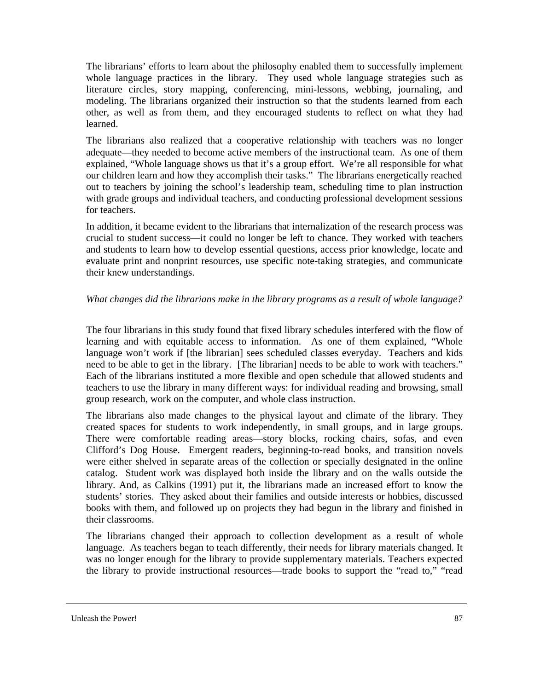The librarians' efforts to learn about the philosophy enabled them to successfully implement whole language practices in the library. They used whole language strategies such as literature circles, story mapping, conferencing, mini-lessons, webbing, journaling, and modeling. The librarians organized their instruction so that the students learned from each other, as well as from them, and they encouraged students to reflect on what they had learned.

The librarians also realized that a cooperative relationship with teachers was no longer adequate—they needed to become active members of the instructional team. As one of them explained, "Whole language shows us that it's a group effort. We're all responsible for what our children learn and how they accomplish their tasks." The librarians energetically reached out to teachers by joining the school's leadership team, scheduling time to plan instruction with grade groups and individual teachers, and conducting professional development sessions for teachers.

In addition, it became evident to the librarians that internalization of the research process was crucial to student success—it could no longer be left to chance. They worked with teachers and students to learn how to develop essential questions, access prior knowledge, locate and evaluate print and nonprint resources, use specific note-taking strategies, and communicate their knew understandings.

## *What changes did the librarians make in the library programs as a result of whole language?*

The four librarians in this study found that fixed library schedules interfered with the flow of learning and with equitable access to information. As one of them explained, "Whole language won't work if [the librarian] sees scheduled classes everyday. Teachers and kids need to be able to get in the library. [The librarian] needs to be able to work with teachers." Each of the librarians instituted a more flexible and open schedule that allowed students and teachers to use the library in many different ways: for individual reading and browsing, small group research, work on the computer, and whole class instruction.

The librarians also made changes to the physical layout and climate of the library. They created spaces for students to work independently, in small groups, and in large groups. There were comfortable reading areas—story blocks, rocking chairs, sofas, and even Clifford's Dog House. Emergent readers, beginning-to-read books, and transition novels were either shelved in separate areas of the collection or specially designated in the online catalog. Student work was displayed both inside the library and on the walls outside the library. And, as Calkins (1991) put it, the librarians made an increased effort to know the students' stories. They asked about their families and outside interests or hobbies, discussed books with them, and followed up on projects they had begun in the library and finished in their classrooms.

The librarians changed their approach to collection development as a result of whole language. As teachers began to teach differently, their needs for library materials changed. It was no longer enough for the library to provide supplementary materials. Teachers expected the library to provide instructional resources—trade books to support the "read to," "read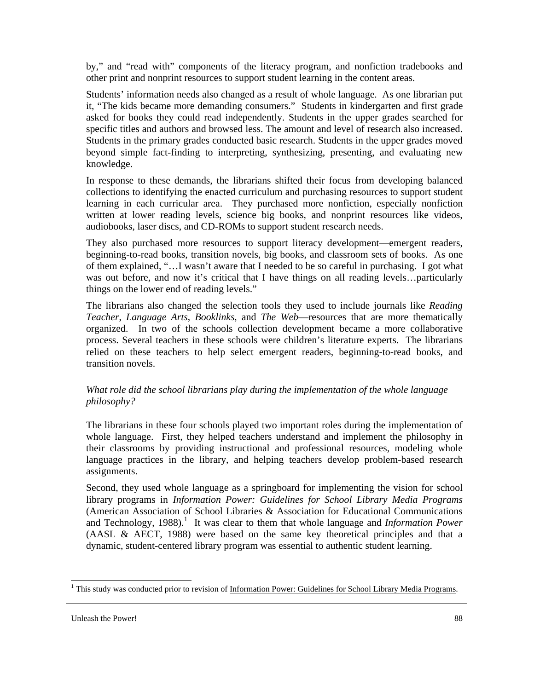by," and "read with" components of the literacy program, and nonfiction tradebooks and other print and nonprint resources to support student learning in the content areas.

Students' information needs also changed as a result of whole language. As one librarian put it, "The kids became more demanding consumers." Students in kindergarten and first grade asked for books they could read independently. Students in the upper grades searched for specific titles and authors and browsed less. The amount and level of research also increased. Students in the primary grades conducted basic research. Students in the upper grades moved beyond simple fact-finding to interpreting, synthesizing, presenting, and evaluating new knowledge.

In response to these demands, the librarians shifted their focus from developing balanced collections to identifying the enacted curriculum and purchasing resources to support student learning in each curricular area. They purchased more nonfiction, especially nonfiction written at lower reading levels, science big books, and nonprint resources like videos, audiobooks, laser discs, and CD-ROMs to support student research needs.

They also purchased more resources to support literacy development—emergent readers, beginning-to-read books, transition novels, big books, and classroom sets of books. As one of them explained, "…I wasn't aware that I needed to be so careful in purchasing. I got what was out before, and now it's critical that I have things on all reading levels...particularly things on the lower end of reading levels."

The librarians also changed the selection tools they used to include journals like *Reading Teacher*, *Language Arts*, *Booklinks*, and *The Web*—resources that are more thematically organized. In two of the schools collection development became a more collaborative process. Several teachers in these schools were children's literature experts. The librarians relied on these teachers to help select emergent readers, beginning-to-read books, and transition novels.

## *What role did the school librarians play during the implementation of the whole language philosophy?*

The librarians in these four schools played two important roles during the implementation of whole language. First, they helped teachers understand and implement the philosophy in their classrooms by providing instructional and professional resources, modeling whole language practices in the library, and helping teachers develop problem-based research assignments.

Second, they used whole language as a springboard for implementing the vision for school library programs in *Information Power: Guidelines for School Library Media Programs* (American Association of School Libraries & Association for Educational Communications and Technology, 1988).<sup>1</sup> It was clear to them that whole language and *Information Power* (AASL & AECT, 1988) were based on the same key theoretical principles and that a dynamic, student-centered library program was essential to authentic student learning.

<sup>&</sup>lt;sup>1</sup> This study was conducted prior to revision of <u>Information Power: Guidelines for School Library Media Programs</u>.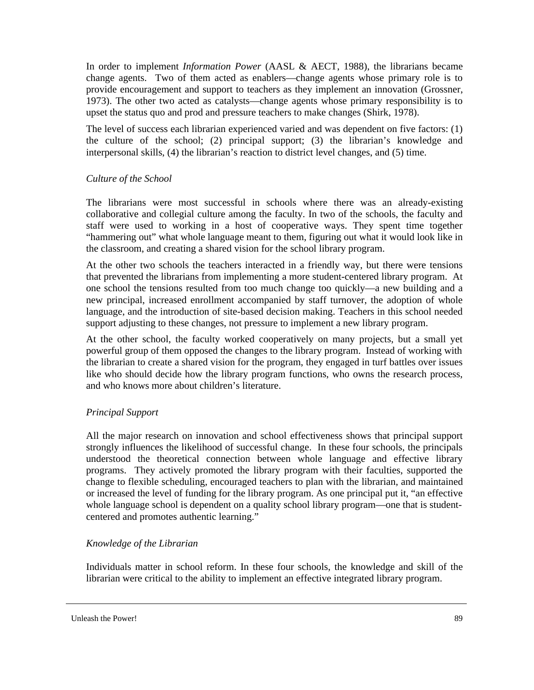In order to implement *Information Power* (AASL & AECT, 1988), the librarians became change agents. Two of them acted as enablers—change agents whose primary role is to provide encouragement and support to teachers as they implement an innovation (Grossner, 1973). The other two acted as catalysts—change agents whose primary responsibility is to upset the status quo and prod and pressure teachers to make changes (Shirk, 1978).

The level of success each librarian experienced varied and was dependent on five factors: (1) the culture of the school; (2) principal support; (3) the librarian's knowledge and interpersonal skills, (4) the librarian's reaction to district level changes, and (5) time.

## *Culture of the School*

The librarians were most successful in schools where there was an already-existing collaborative and collegial culture among the faculty. In two of the schools, the faculty and staff were used to working in a host of cooperative ways. They spent time together "hammering out" what whole language meant to them, figuring out what it would look like in the classroom, and creating a shared vision for the school library program.

At the other two schools the teachers interacted in a friendly way, but there were tensions that prevented the librarians from implementing a more student-centered library program. At one school the tensions resulted from too much change too quickly—a new building and a new principal, increased enrollment accompanied by staff turnover, the adoption of whole language, and the introduction of site-based decision making. Teachers in this school needed support adjusting to these changes, not pressure to implement a new library program.

At the other school, the faculty worked cooperatively on many projects, but a small yet powerful group of them opposed the changes to the library program. Instead of working with the librarian to create a shared vision for the program, they engaged in turf battles over issues like who should decide how the library program functions, who owns the research process, and who knows more about children's literature.

## *Principal Support*

All the major research on innovation and school effectiveness shows that principal support strongly influences the likelihood of successful change. In these four schools, the principals understood the theoretical connection between whole language and effective library programs. They actively promoted the library program with their faculties, supported the change to flexible scheduling, encouraged teachers to plan with the librarian, and maintained or increased the level of funding for the library program. As one principal put it, "an effective whole language school is dependent on a quality school library program—one that is studentcentered and promotes authentic learning."

## *Knowledge of the Librarian*

Individuals matter in school reform. In these four schools, the knowledge and skill of the librarian were critical to the ability to implement an effective integrated library program.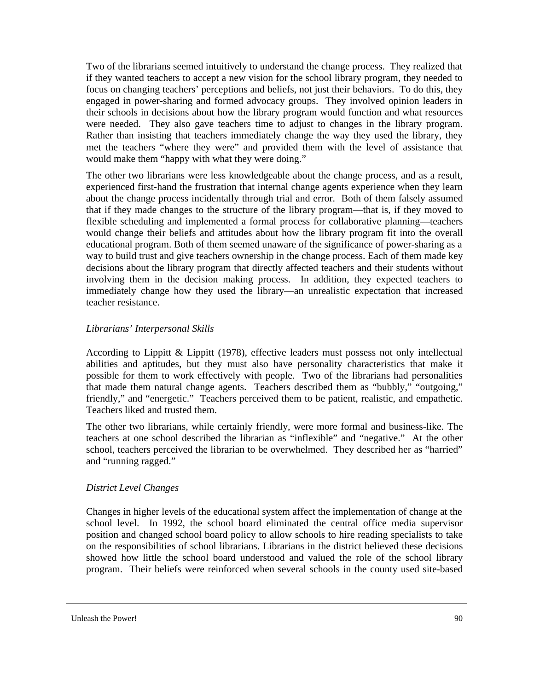Two of the librarians seemed intuitively to understand the change process. They realized that if they wanted teachers to accept a new vision for the school library program, they needed to focus on changing teachers' perceptions and beliefs, not just their behaviors. To do this, they engaged in power-sharing and formed advocacy groups. They involved opinion leaders in their schools in decisions about how the library program would function and what resources were needed. They also gave teachers time to adjust to changes in the library program. Rather than insisting that teachers immediately change the way they used the library, they met the teachers "where they were" and provided them with the level of assistance that would make them "happy with what they were doing."

The other two librarians were less knowledgeable about the change process, and as a result, experienced first-hand the frustration that internal change agents experience when they learn about the change process incidentally through trial and error. Both of them falsely assumed that if they made changes to the structure of the library program—that is, if they moved to flexible scheduling and implemented a formal process for collaborative planning—teachers would change their beliefs and attitudes about how the library program fit into the overall educational program. Both of them seemed unaware of the significance of power-sharing as a way to build trust and give teachers ownership in the change process. Each of them made key decisions about the library program that directly affected teachers and their students without involving them in the decision making process. In addition, they expected teachers to immediately change how they used the library—an unrealistic expectation that increased teacher resistance.

## *Librarians' Interpersonal Skills*

According to Lippitt & Lippitt (1978), effective leaders must possess not only intellectual abilities and aptitudes, but they must also have personality characteristics that make it possible for them to work effectively with people. Two of the librarians had personalities that made them natural change agents. Teachers described them as "bubbly," "outgoing," friendly," and "energetic." Teachers perceived them to be patient, realistic, and empathetic. Teachers liked and trusted them.

The other two librarians, while certainly friendly, were more formal and business-like. The teachers at one school described the librarian as "inflexible" and "negative." At the other school, teachers perceived the librarian to be overwhelmed. They described her as "harried" and "running ragged."

## *District Level Changes*

Changes in higher levels of the educational system affect the implementation of change at the school level. In 1992, the school board eliminated the central office media supervisor position and changed school board policy to allow schools to hire reading specialists to take on the responsibilities of school librarians. Librarians in the district believed these decisions showed how little the school board understood and valued the role of the school library program. Their beliefs were reinforced when several schools in the county used site-based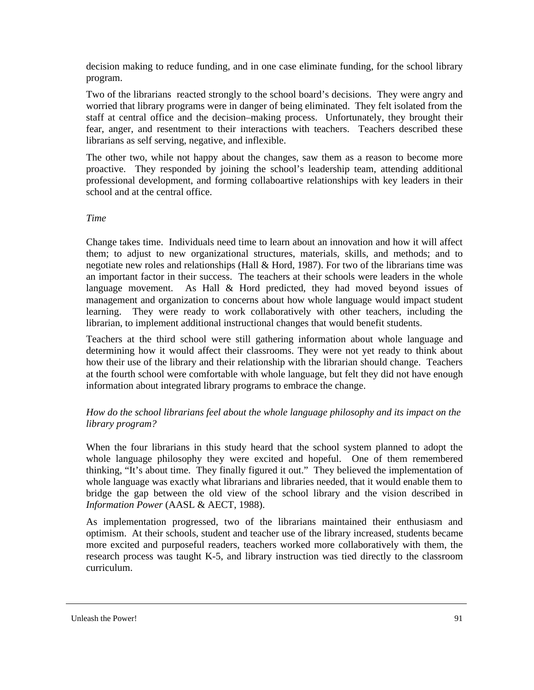decision making to reduce funding, and in one case eliminate funding, for the school library program.

Two of the librarians reacted strongly to the school board's decisions. They were angry and worried that library programs were in danger of being eliminated. They felt isolated from the staff at central office and the decision–making process. Unfortunately, they brought their fear, anger, and resentment to their interactions with teachers. Teachers described these librarians as self serving, negative, and inflexible.

The other two, while not happy about the changes, saw them as a reason to become more proactive. They responded by joining the school's leadership team, attending additional professional development, and forming collaboartive relationships with key leaders in their school and at the central office.

#### *Time*

Change takes time. Individuals need time to learn about an innovation and how it will affect them; to adjust to new organizational structures, materials, skills, and methods; and to negotiate new roles and relationships (Hall & Hord, 1987). For two of the librarians time was an important factor in their success. The teachers at their schools were leaders in the whole language movement. As Hall & Hord predicted, they had moved beyond issues of management and organization to concerns about how whole language would impact student learning. They were ready to work collaboratively with other teachers, including the librarian, to implement additional instructional changes that would benefit students.

Teachers at the third school were still gathering information about whole language and determining how it would affect their classrooms. They were not yet ready to think about how their use of the library and their relationship with the librarian should change. Teachers at the fourth school were comfortable with whole language, but felt they did not have enough information about integrated library programs to embrace the change.

## *How do the school librarians feel about the whole language philosophy and its impact on the library program?*

When the four librarians in this study heard that the school system planned to adopt the whole language philosophy they were excited and hopeful. One of them remembered thinking, "It's about time. They finally figured it out." They believed the implementation of whole language was exactly what librarians and libraries needed, that it would enable them to bridge the gap between the old view of the school library and the vision described in *Information Power* (AASL & AECT, 1988).

As implementation progressed, two of the librarians maintained their enthusiasm and optimism. At their schools, student and teacher use of the library increased, students became more excited and purposeful readers, teachers worked more collaboratively with them, the research process was taught K-5, and library instruction was tied directly to the classroom curriculum.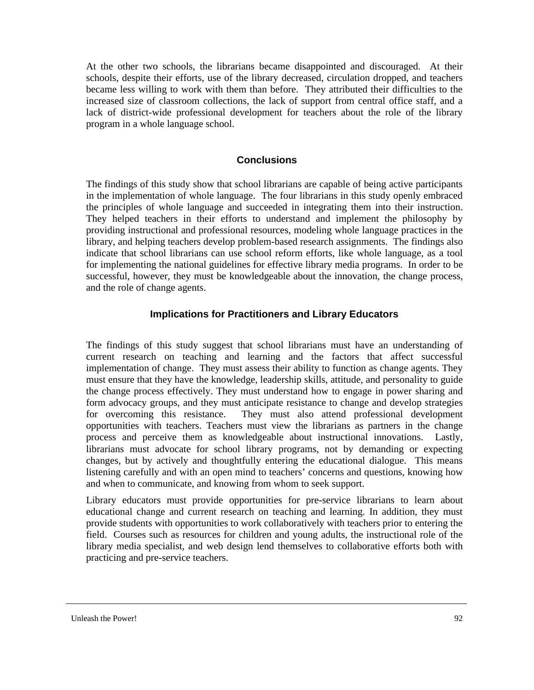At the other two schools, the librarians became disappointed and discouraged. At their schools, despite their efforts, use of the library decreased, circulation dropped, and teachers became less willing to work with them than before. They attributed their difficulties to the increased size of classroom collections, the lack of support from central office staff, and a lack of district-wide professional development for teachers about the role of the library program in a whole language school.

## **Conclusions**

The findings of this study show that school librarians are capable of being active participants in the implementation of whole language. The four librarians in this study openly embraced the principles of whole language and succeeded in integrating them into their instruction. They helped teachers in their efforts to understand and implement the philosophy by providing instructional and professional resources, modeling whole language practices in the library, and helping teachers develop problem-based research assignments. The findings also indicate that school librarians can use school reform efforts, like whole language, as a tool for implementing the national guidelines for effective library media programs. In order to be successful, however, they must be knowledgeable about the innovation, the change process, and the role of change agents.

## **Implications for Practitioners and Library Educators**

The findings of this study suggest that school librarians must have an understanding of current research on teaching and learning and the factors that affect successful implementation of change. They must assess their ability to function as change agents. They must ensure that they have the knowledge, leadership skills, attitude, and personality to guide the change process effectively. They must understand how to engage in power sharing and form advocacy groups, and they must anticipate resistance to change and develop strategies for overcoming this resistance. They must also attend professional development opportunities with teachers. Teachers must view the librarians as partners in the change process and perceive them as knowledgeable about instructional innovations. Lastly, librarians must advocate for school library programs, not by demanding or expecting changes, but by actively and thoughtfully entering the educational dialogue. This means listening carefully and with an open mind to teachers' concerns and questions, knowing how and when to communicate, and knowing from whom to seek support.

Library educators must provide opportunities for pre-service librarians to learn about educational change and current research on teaching and learning. In addition, they must provide students with opportunities to work collaboratively with teachers prior to entering the field. Courses such as resources for children and young adults, the instructional role of the library media specialist, and web design lend themselves to collaborative efforts both with practicing and pre-service teachers.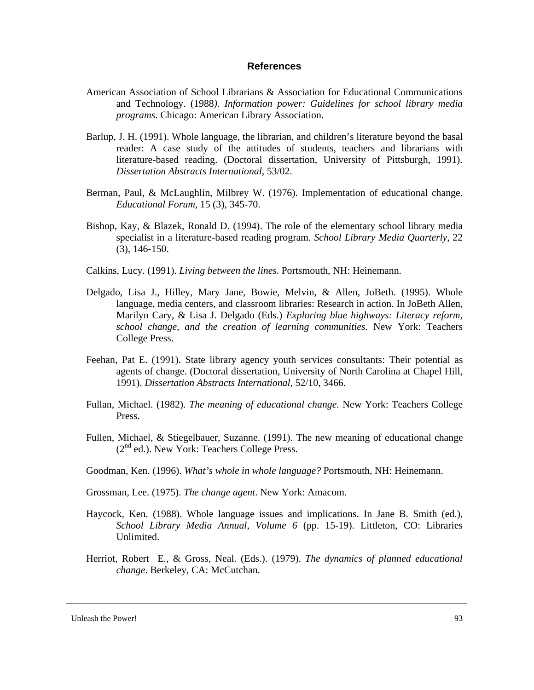#### **References**

- American Association of School Librarians & Association for Educational Communications and Technology. (1988*). Information power: Guidelines for school library media programs*. Chicago: American Library Association.
- Barlup, J. H. (1991). Whole language, the librarian, and children's literature beyond the basal reader: A case study of the attitudes of students, teachers and librarians with literature-based reading. (Doctoral dissertation, University of Pittsburgh, 1991). *Dissertation Abstracts International*, 53/02.
- Berman, Paul, & McLaughlin, Milbrey W. (1976). Implementation of educational change. *Educational Forum,* 15 (3), 345-70.
- Bishop, Kay, & Blazek, Ronald D. (1994). The role of the elementary school library media specialist in a literature-based reading program. *School Library Media Quarterly,* 22 (3), 146-150.
- Calkins, Lucy. (1991). *Living between the lines.* Portsmouth, NH: Heinemann.
- Delgado, Lisa J., Hilley, Mary Jane, Bowie, Melvin, & Allen, JoBeth. (1995). Whole language, media centers, and classroom libraries: Research in action. In JoBeth Allen, Marilyn Cary, & Lisa J. Delgado (Eds.) *Exploring blue highways: Literacy reform, school change, and the creation of learning communities.* New York: Teachers College Press.
- Feehan, Pat E. (1991). State library agency youth services consultants: Their potential as agents of change. (Doctoral dissertation, University of North Carolina at Chapel Hill, 1991). *Dissertation Abstracts International*, 52/10, 3466.
- Fullan, Michael. (1982). *The meaning of educational change.* New York: Teachers College Press.
- Fullen, Michael, & Stiegelbauer, Suzanne. (1991). The new meaning of educational change  $(2^{nd}$  ed.). New York: Teachers College Press.
- Goodman, Ken. (1996). *What's whole in whole language?* Portsmouth, NH: Heinemann.
- Grossman, Lee. (1975). *The change agent*. New York: Amacom.
- Haycock, Ken. (1988). Whole language issues and implications. In Jane B. Smith (ed.), *School Library Media Annual, Volume 6* (pp. 15-19). Littleton, CO: Libraries Unlimited.
- Herriot, Robert E., & Gross, Neal. (Eds.). (1979). *The dynamics of planned educational change*. Berkeley, CA: McCutchan.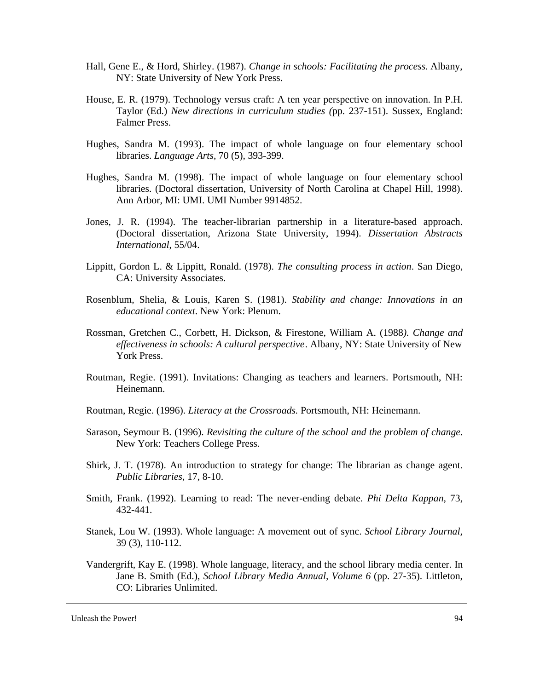- Hall, Gene E., & Hord, Shirley. (1987). *Change in schools: Facilitating the process*. Albany, NY: State University of New York Press.
- House, E. R. (1979). Technology versus craft: A ten year perspective on innovation. In P.H. Taylor (Ed.) *New directions in curriculum studies (*pp. 237-151). Sussex, England: Falmer Press.
- Hughes, Sandra M. (1993). The impact of whole language on four elementary school libraries. *Language Arts*, 70 (5), 393-399.
- Hughes, Sandra M. (1998). The impact of whole language on four elementary school libraries. (Doctoral dissertation, University of North Carolina at Chapel Hill, 1998). Ann Arbor, MI: UMI. UMI Number 9914852.
- Jones, J. R. (1994). The teacher-librarian partnership in a literature-based approach. (Doctoral dissertation, Arizona State University, 1994). *Dissertation Abstracts International*, 55/04.
- Lippitt, Gordon L. & Lippitt, Ronald. (1978). *The consulting process in action*. San Diego, CA: University Associates.
- Rosenblum, Shelia, & Louis, Karen S. (1981). *Stability and change: Innovations in an educational context*. New York: Plenum.
- Rossman, Gretchen C., Corbett, H. Dickson, & Firestone, William A. (1988*). Change and effectiveness in schools: A cultural perspective*. Albany, NY: State University of New York Press.
- Routman, Regie. (1991). Invitations: Changing as teachers and learners. Portsmouth, NH: Heinemann.
- Routman, Regie. (1996). *Literacy at the Crossroads.* Portsmouth, NH: Heinemann.
- Sarason, Seymour B. (1996). *Revisiting the culture of the school and the problem of change*. New York: Teachers College Press.
- Shirk, J. T. (1978). An introduction to strategy for change: The librarian as change agent. *Public Libraries*, 17, 8-10.
- Smith, Frank. (1992). Learning to read: The never-ending debate. *Phi Delta Kappan,* 73, 432-441.
- Stanek, Lou W. (1993). Whole language: A movement out of sync. *School Library Journal,* 39 (3), 110-112.
- Vandergrift, Kay E. (1998). Whole language, literacy, and the school library media center. In Jane B. Smith (Ed.), *School Library Media Annual, Volume 6* (pp. 27-35). Littleton, CO: Libraries Unlimited.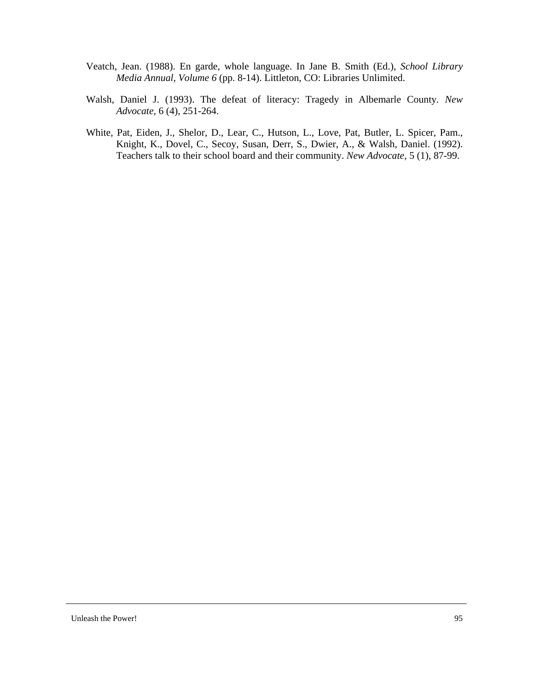- Veatch, Jean. (1988). En garde, whole language. In Jane B. Smith (Ed.), *School Library Media Annual, Volume 6* (pp. 8-14). Littleton, CO: Libraries Unlimited.
- Walsh, Daniel J. (1993). The defeat of literacy: Tragedy in Albemarle County*. New Advocate*, 6 (4), 251-264.
- White, Pat, Eiden, J., Shelor, D., Lear, C., Hutson, L., Love, Pat, Butler, L. Spicer, Pam., Knight, K., Dovel, C., Secoy, Susan, Derr, S., Dwier, A., & Walsh, Daniel. (1992). Teachers talk to their school board and their community. *New Advocate*, 5 (1), 87-99.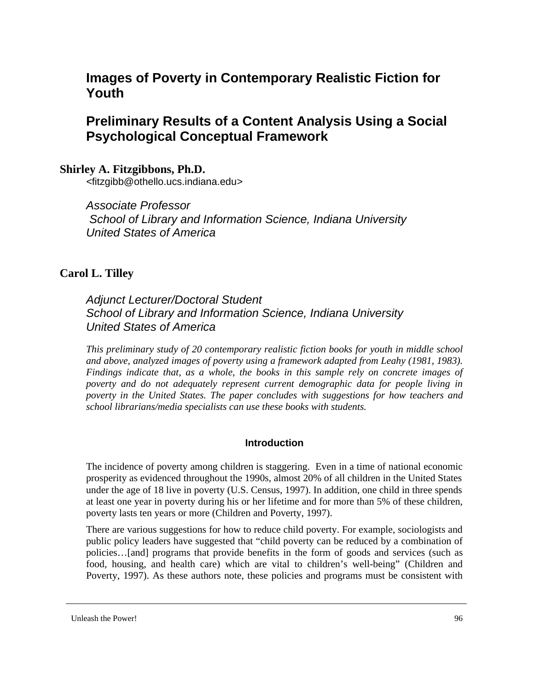# **Images of Poverty in Contemporary Realistic Fiction for Youth**

# **Preliminary Results of a Content Analysis Using a Social Psychological Conceptual Framework**

## **Shirley A. Fitzgibbons, Ph.D.**

*<*fitzgibb@othello.ucs.indiana.edu*>*

*Associate Professor School of Library and Information Science, Indiana University United States of America*

## **Carol L. Tilley**

## *Adjunct Lecturer/Doctoral Student School of Library and Information Science, Indiana University United States of America*

*This preliminary study of 20 contemporary realistic fiction books for youth in middle school and above, analyzed images of poverty using a framework adapted from Leahy (1981, 1983). Findings indicate that, as a whole, the books in this sample rely on concrete images of poverty and do not adequately represent current demographic data for people living in poverty in the United States. The paper concludes with suggestions for how teachers and school librarians/media specialists can use these books with students.*

## **Introduction**

The incidence of poverty among children is staggering. Even in a time of national economic prosperity as evidenced throughout the 1990s, almost 20% of all children in the United States under the age of 18 live in poverty (U.S. Census, 1997). In addition, one child in three spends at least one year in poverty during his or her lifetime and for more than 5% of these children, poverty lasts ten years or more (Children and Poverty, 1997).

There are various suggestions for how to reduce child poverty. For example, sociologists and public policy leaders have suggested that "child poverty can be reduced by a combination of policies…[and] programs that provide benefits in the form of goods and services (such as food, housing, and health care) which are vital to children's well-being" (Children and Poverty, 1997). As these authors note, these policies and programs must be consistent with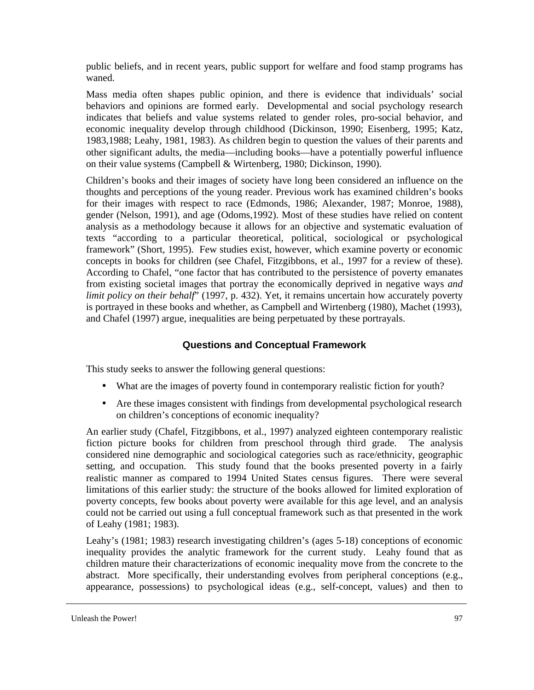public beliefs, and in recent years, public support for welfare and food stamp programs has waned.

Mass media often shapes public opinion, and there is evidence that individuals' social behaviors and opinions are formed early. Developmental and social psychology research indicates that beliefs and value systems related to gender roles, pro-social behavior, and economic inequality develop through childhood (Dickinson, 1990; Eisenberg, 1995; Katz, 1983,1988; Leahy, 1981, 1983). As children begin to question the values of their parents and other significant adults, the media—including books—have a potentially powerful influence on their value systems (Campbell & Wirtenberg, 1980; Dickinson, 1990).

Children's books and their images of society have long been considered an influence on the thoughts and perceptions of the young reader. Previous work has examined children's books for their images with respect to race (Edmonds, 1986; Alexander, 1987; Monroe, 1988), gender (Nelson, 1991), and age (Odoms,1992). Most of these studies have relied on content analysis as a methodology because it allows for an objective and systematic evaluation of texts "according to a particular theoretical, political, sociological or psychological framework" (Short, 1995). Few studies exist, however, which examine poverty or economic concepts in books for children (see Chafel, Fitzgibbons, et al., 1997 for a review of these). According to Chafel, "one factor that has contributed to the persistence of poverty emanates from existing societal images that portray the economically deprived in negative ways *and limit policy on their behalf*" (1997, p. 432). Yet, it remains uncertain how accurately poverty is portrayed in these books and whether, as Campbell and Wirtenberg (1980), Machet (1993), and Chafel (1997) argue, inequalities are being perpetuated by these portrayals.

## **Questions and Conceptual Framework**

This study seeks to answer the following general questions:

- What are the images of poverty found in contemporary realistic fiction for youth?
- Are these images consistent with findings from developmental psychological research on children's conceptions of economic inequality?

An earlier study (Chafel, Fitzgibbons, et al., 1997) analyzed eighteen contemporary realistic fiction picture books for children from preschool through third grade. The analysis considered nine demographic and sociological categories such as race/ethnicity, geographic setting, and occupation. This study found that the books presented poverty in a fairly realistic manner as compared to 1994 United States census figures. There were several limitations of this earlier study: the structure of the books allowed for limited exploration of poverty concepts, few books about poverty were available for this age level, and an analysis could not be carried out using a full conceptual framework such as that presented in the work of Leahy (1981; 1983).

Leahy's (1981; 1983) research investigating children's (ages 5-18) conceptions of economic inequality provides the analytic framework for the current study. Leahy found that as children mature their characterizations of economic inequality move from the concrete to the abstract. More specifically, their understanding evolves from peripheral conceptions (e.g., appearance, possessions) to psychological ideas (e.g., self-concept, values) and then to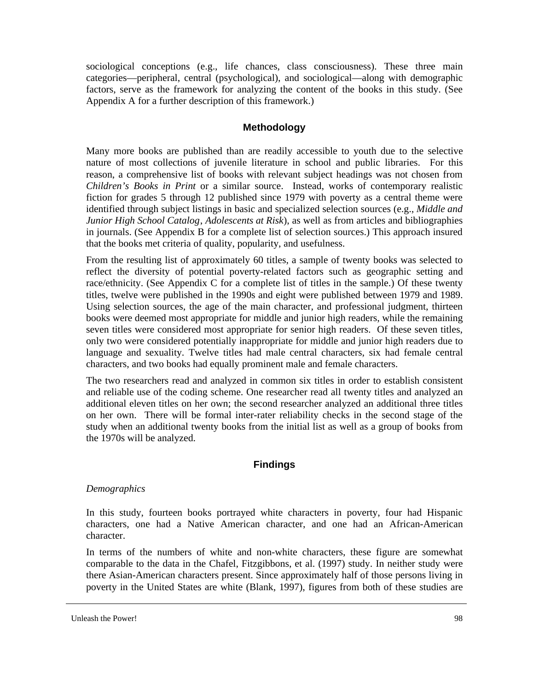sociological conceptions (e.g., life chances, class consciousness). These three main categories—peripheral, central (psychological), and sociological—along with demographic factors, serve as the framework for analyzing the content of the books in this study. (See Appendix A for a further description of this framework.)

## **Methodology**

Many more books are published than are readily accessible to youth due to the selective nature of most collections of juvenile literature in school and public libraries. For this reason, a comprehensive list of books with relevant subject headings was not chosen from *Children's Books in Print* or a similar source. Instead, works of contemporary realistic fiction for grades 5 through 12 published since 1979 with poverty as a central theme were identified through subject listings in basic and specialized selection sources (e.g., *Middle and Junior High School Catalog*, *Adolescents at Risk*), as well as from articles and bibliographies in journals. (See Appendix B for a complete list of selection sources.) This approach insured that the books met criteria of quality, popularity, and usefulness.

From the resulting list of approximately 60 titles, a sample of twenty books was selected to reflect the diversity of potential poverty-related factors such as geographic setting and race/ethnicity. (See Appendix C for a complete list of titles in the sample.) Of these twenty titles, twelve were published in the 1990s and eight were published between 1979 and 1989. Using selection sources, the age of the main character, and professional judgment, thirteen books were deemed most appropriate for middle and junior high readers, while the remaining seven titles were considered most appropriate for senior high readers. Of these seven titles, only two were considered potentially inappropriate for middle and junior high readers due to language and sexuality. Twelve titles had male central characters, six had female central characters, and two books had equally prominent male and female characters.

The two researchers read and analyzed in common six titles in order to establish consistent and reliable use of the coding scheme. One researcher read all twenty titles and analyzed an additional eleven titles on her own; the second researcher analyzed an additional three titles on her own. There will be formal inter-rater reliability checks in the second stage of the study when an additional twenty books from the initial list as well as a group of books from the 1970s will be analyzed.

## **Findings**

## *Demographics*

In this study, fourteen books portrayed white characters in poverty, four had Hispanic characters, one had a Native American character, and one had an African-American character.

In terms of the numbers of white and non-white characters, these figure are somewhat comparable to the data in the Chafel, Fitzgibbons, et al. (1997) study. In neither study were there Asian-American characters present. Since approximately half of those persons living in poverty in the United States are white (Blank, 1997), figures from both of these studies are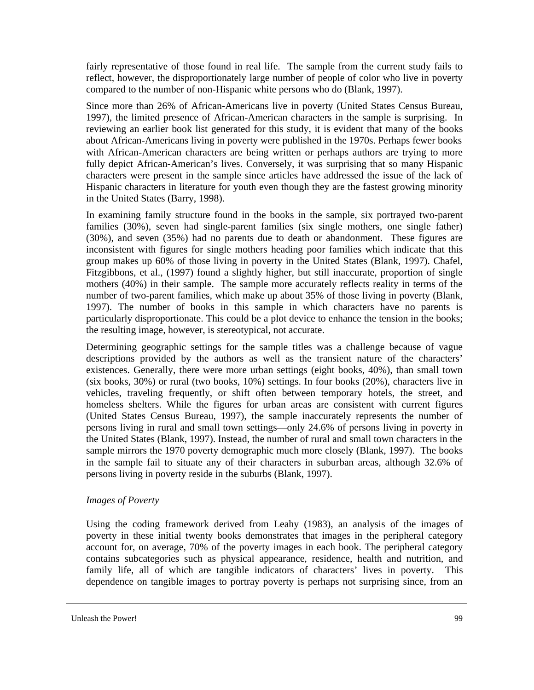fairly representative of those found in real life. The sample from the current study fails to reflect, however, the disproportionately large number of people of color who live in poverty compared to the number of non-Hispanic white persons who do (Blank, 1997).

Since more than 26% of African-Americans live in poverty (United States Census Bureau, 1997), the limited presence of African-American characters in the sample is surprising. In reviewing an earlier book list generated for this study, it is evident that many of the books about African-Americans living in poverty were published in the 1970s. Perhaps fewer books with African-American characters are being written or perhaps authors are trying to more fully depict African-American's lives. Conversely, it was surprising that so many Hispanic characters were present in the sample since articles have addressed the issue of the lack of Hispanic characters in literature for youth even though they are the fastest growing minority in the United States (Barry, 1998).

In examining family structure found in the books in the sample, six portrayed two-parent families (30%), seven had single-parent families (six single mothers, one single father) (30%), and seven (35%) had no parents due to death or abandonment. These figures are inconsistent with figures for single mothers heading poor families which indicate that this group makes up 60% of those living in poverty in the United States (Blank, 1997). Chafel, Fitzgibbons, et al., (1997) found a slightly higher, but still inaccurate, proportion of single mothers (40%) in their sample. The sample more accurately reflects reality in terms of the number of two-parent families, which make up about 35% of those living in poverty (Blank, 1997). The number of books in this sample in which characters have no parents is particularly disproportionate. This could be a plot device to enhance the tension in the books; the resulting image, however, is stereotypical, not accurate.

Determining geographic settings for the sample titles was a challenge because of vague descriptions provided by the authors as well as the transient nature of the characters' existences. Generally, there were more urban settings (eight books, 40%), than small town (six books, 30%) or rural (two books, 10%) settings. In four books (20%), characters live in vehicles, traveling frequently, or shift often between temporary hotels, the street, and homeless shelters. While the figures for urban areas are consistent with current figures (United States Census Bureau, 1997), the sample inaccurately represents the number of persons living in rural and small town settings—only 24.6% of persons living in poverty in the United States (Blank, 1997). Instead, the number of rural and small town characters in the sample mirrors the 1970 poverty demographic much more closely (Blank, 1997). The books in the sample fail to situate any of their characters in suburban areas, although 32.6% of persons living in poverty reside in the suburbs (Blank, 1997).

## *Images of Poverty*

Using the coding framework derived from Leahy (1983), an analysis of the images of poverty in these initial twenty books demonstrates that images in the peripheral category account for, on average, 70% of the poverty images in each book. The peripheral category contains subcategories such as physical appearance, residence, health and nutrition, and family life, all of which are tangible indicators of characters' lives in poverty. This dependence on tangible images to portray poverty is perhaps not surprising since, from an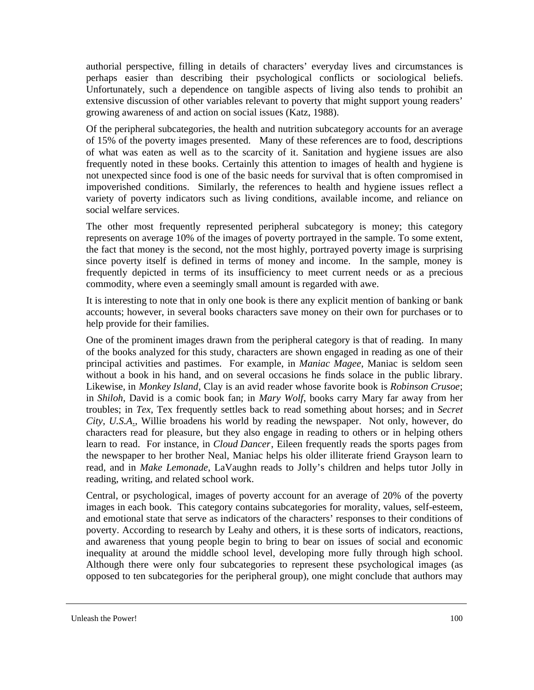authorial perspective, filling in details of characters' everyday lives and circumstances is perhaps easier than describing their psychological conflicts or sociological beliefs. Unfortunately, such a dependence on tangible aspects of living also tends to prohibit an extensive discussion of other variables relevant to poverty that might support young readers' growing awareness of and action on social issues (Katz, 1988).

Of the peripheral subcategories, the health and nutrition subcategory accounts for an average of 15% of the poverty images presented. Many of these references are to food, descriptions of what was eaten as well as to the scarcity of it. Sanitation and hygiene issues are also frequently noted in these books. Certainly this attention to images of health and hygiene is not unexpected since food is one of the basic needs for survival that is often compromised in impoverished conditions. Similarly, the references to health and hygiene issues reflect a variety of poverty indicators such as living conditions, available income, and reliance on social welfare services.

The other most frequently represented peripheral subcategory is money; this category represents on average 10% of the images of poverty portrayed in the sample. To some extent, the fact that money is the second, not the most highly, portrayed poverty image is surprising since poverty itself is defined in terms of money and income. In the sample, money is frequently depicted in terms of its insufficiency to meet current needs or as a precious commodity, where even a seemingly small amount is regarded with awe.

It is interesting to note that in only one book is there any explicit mention of banking or bank accounts; however, in several books characters save money on their own for purchases or to help provide for their families.

One of the prominent images drawn from the peripheral category is that of reading. In many of the books analyzed for this study, characters are shown engaged in reading as one of their principal activities and pastimes. For example, in *Maniac Magee*, Maniac is seldom seen without a book in his hand, and on several occasions he finds solace in the public library. Likewise, in *Monkey Island*, Clay is an avid reader whose favorite book is *Robinson Crusoe*; in *Shiloh*, David is a comic book fan; in *Mary Wolf*, books carry Mary far away from her troubles; in *Tex*, Tex frequently settles back to read something about horses; and in *Secret City, U.S.A*., Willie broadens his world by reading the newspaper. Not only, however, do characters read for pleasure, but they also engage in reading to others or in helping others learn to read. For instance, in *Cloud Dancer*, Eileen frequently reads the sports pages from the newspaper to her brother Neal, Maniac helps his older illiterate friend Grayson learn to read, and in *Make Lemonade*, LaVaughn reads to Jolly's children and helps tutor Jolly in reading, writing, and related school work.

Central, or psychological, images of poverty account for an average of 20% of the poverty images in each book. This category contains subcategories for morality, values, self-esteem, and emotional state that serve as indicators of the characters' responses to their conditions of poverty. According to research by Leahy and others, it is these sorts of indicators, reactions, and awareness that young people begin to bring to bear on issues of social and economic inequality at around the middle school level, developing more fully through high school. Although there were only four subcategories to represent these psychological images (as opposed to ten subcategories for the peripheral group), one might conclude that authors may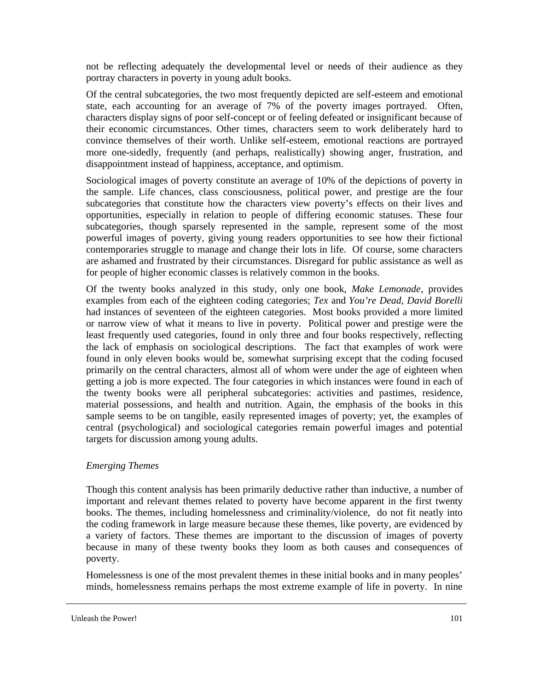not be reflecting adequately the developmental level or needs of their audience as they portray characters in poverty in young adult books.

Of the central subcategories, the two most frequently depicted are self-esteem and emotional state, each accounting for an average of 7% of the poverty images portrayed. Often, characters display signs of poor self-concept or of feeling defeated or insignificant because of their economic circumstances. Other times, characters seem to work deliberately hard to convince themselves of their worth. Unlike self-esteem, emotional reactions are portrayed more one-sidedly, frequently (and perhaps, realistically) showing anger, frustration, and disappointment instead of happiness, acceptance, and optimism.

Sociological images of poverty constitute an average of 10% of the depictions of poverty in the sample. Life chances, class consciousness, political power, and prestige are the four subcategories that constitute how the characters view poverty's effects on their lives and opportunities, especially in relation to people of differing economic statuses. These four subcategories, though sparsely represented in the sample, represent some of the most powerful images of poverty, giving young readers opportunities to see how their fictional contemporaries struggle to manage and change their lots in life. Of course, some characters are ashamed and frustrated by their circumstances. Disregard for public assistance as well as for people of higher economic classes is relatively common in the books.

Of the twenty books analyzed in this study, only one book, *Make Lemonade*, provides examples from each of the eighteen coding categories; *Tex* and *You're Dead, David Borelli* had instances of seventeen of the eighteen categories. Most books provided a more limited or narrow view of what it means to live in poverty. Political power and prestige were the least frequently used categories, found in only three and four books respectively, reflecting the lack of emphasis on sociological descriptions. The fact that examples of work were found in only eleven books would be, somewhat surprising except that the coding focused primarily on the central characters, almost all of whom were under the age of eighteen when getting a job is more expected. The four categories in which instances were found in each of the twenty books were all peripheral subcategories: activities and pastimes, residence, material possessions, and health and nutrition. Again, the emphasis of the books in this sample seems to be on tangible, easily represented images of poverty; yet, the examples of central (psychological) and sociological categories remain powerful images and potential targets for discussion among young adults.

## *Emerging Themes*

Though this content analysis has been primarily deductive rather than inductive, a number of important and relevant themes related to poverty have become apparent in the first twenty books. The themes, including homelessness and criminality/violence, do not fit neatly into the coding framework in large measure because these themes, like poverty, are evidenced by a variety of factors. These themes are important to the discussion of images of poverty because in many of these twenty books they loom as both causes and consequences of poverty.

Homelessness is one of the most prevalent themes in these initial books and in many peoples' minds, homelessness remains perhaps the most extreme example of life in poverty. In nine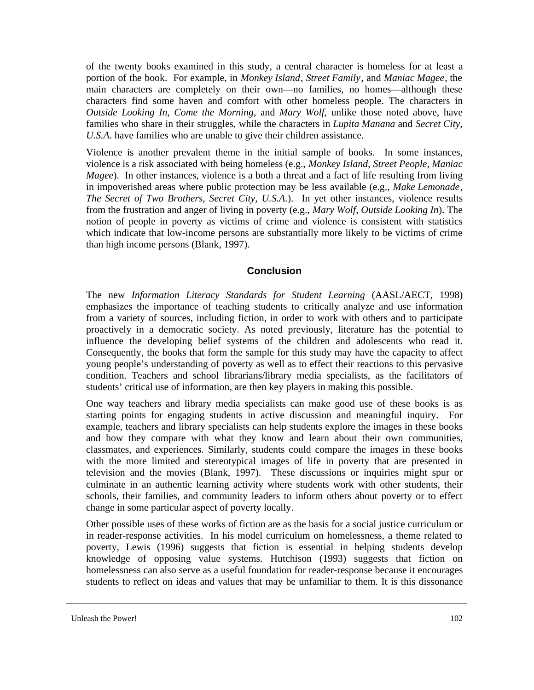of the twenty books examined in this study, a central character is homeless for at least a portion of the book. For example, in *Monkey Island*, *Street Family*, and *Maniac Magee*, the main characters are completely on their own—no families, no homes—although these characters find some haven and comfort with other homeless people. The characters in *Outside Looking In*, *Come the Morning*, and *Mary Wolf*, unlike those noted above, have families who share in their struggles, while the characters in *Lupita Manana* and *Secret City, U.S.A.* have families who are unable to give their children assistance.

Violence is another prevalent theme in the initial sample of books. In some instances, violence is a risk associated with being homeless (e.g., *Monkey Island*, *Street People*, *Maniac Magee*). In other instances, violence is a both a threat and a fact of life resulting from living in impoverished areas where public protection may be less available (e.g., *Make Lemonade*, *The Secret of Two Brothers*, *Secret City, U.S.A.*). In yet other instances, violence results from the frustration and anger of living in poverty (e.g., *Mary Wolf*, *Outside Looking In*). The notion of people in poverty as victims of crime and violence is consistent with statistics which indicate that low-income persons are substantially more likely to be victims of crime than high income persons (Blank, 1997).

## **Conclusion**

The new *Information Literacy Standards for Student Learning* (AASL/AECT, 1998) emphasizes the importance of teaching students to critically analyze and use information from a variety of sources, including fiction, in order to work with others and to participate proactively in a democratic society. As noted previously, literature has the potential to influence the developing belief systems of the children and adolescents who read it. Consequently, the books that form the sample for this study may have the capacity to affect young people's understanding of poverty as well as to effect their reactions to this pervasive condition. Teachers and school librarians/library media specialists, as the facilitators of students' critical use of information, are then key players in making this possible.

One way teachers and library media specialists can make good use of these books is as starting points for engaging students in active discussion and meaningful inquiry. For example, teachers and library specialists can help students explore the images in these books and how they compare with what they know and learn about their own communities, classmates, and experiences. Similarly, students could compare the images in these books with the more limited and stereotypical images of life in poverty that are presented in television and the movies (Blank, 1997). These discussions or inquiries might spur or culminate in an authentic learning activity where students work with other students, their schools, their families, and community leaders to inform others about poverty or to effect change in some particular aspect of poverty locally.

Other possible uses of these works of fiction are as the basis for a social justice curriculum or in reader-response activities. In his model curriculum on homelessness, a theme related to poverty, Lewis (1996) suggests that fiction is essential in helping students develop knowledge of opposing value systems. Hutchison (1993) suggests that fiction on homelessness can also serve as a useful foundation for reader-response because it encourages students to reflect on ideas and values that may be unfamiliar to them. It is this dissonance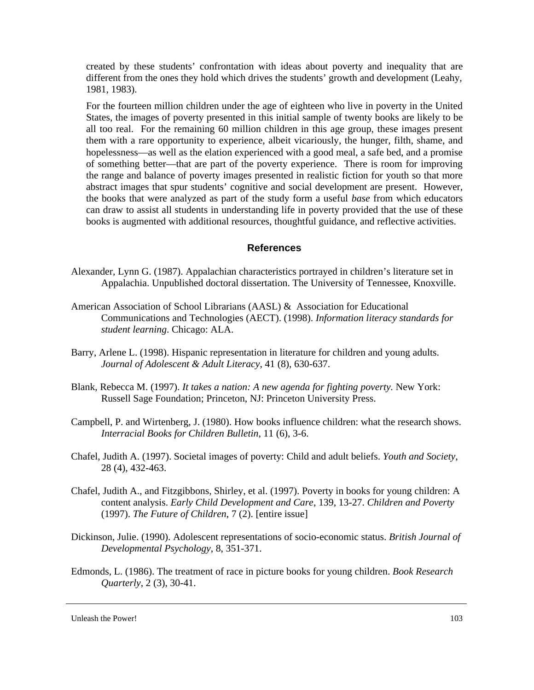created by these students' confrontation with ideas about poverty and inequality that are different from the ones they hold which drives the students' growth and development (Leahy, 1981, 1983).

For the fourteen million children under the age of eighteen who live in poverty in the United States, the images of poverty presented in this initial sample of twenty books are likely to be all too real. For the remaining 60 million children in this age group, these images present them with a rare opportunity to experience, albeit vicariously, the hunger, filth, shame, and hopelessness—as well as the elation experienced with a good meal, a safe bed, and a promise of something better—that are part of the poverty experience. There is room for improving the range and balance of poverty images presented in realistic fiction for youth so that more abstract images that spur students' cognitive and social development are present. However, the books that were analyzed as part of the study form a useful *base* from which educators can draw to assist all students in understanding life in poverty provided that the use of these books is augmented with additional resources, thoughtful guidance, and reflective activities.

#### **References**

- Alexander, Lynn G. (1987). Appalachian characteristics portrayed in children's literature set in Appalachia. Unpublished doctoral dissertation. The University of Tennessee, Knoxville.
- American Association of School Librarians (AASL) & Association for Educational Communications and Technologies (AECT). (1998). *Information literacy standards for student learning*. Chicago: ALA.
- Barry, Arlene L. (1998). Hispanic representation in literature for children and young adults. *Journal of Adolescent & Adult Literacy*, 41 (8), 630-637.
- Blank, Rebecca M. (1997). *It takes a nation: A new agenda for fighting poverty.* New York: Russell Sage Foundation; Princeton, NJ: Princeton University Press.
- Campbell, P. and Wirtenberg, J. (1980). How books influence children: what the research shows. *Interracial Books for Children Bulletin*, 11 (6), 3-6.
- Chafel, Judith A. (1997). Societal images of poverty: Child and adult beliefs. *Youth and Society*, 28 (4), 432-463.
- Chafel, Judith A., and Fitzgibbons, Shirley, et al. (1997). Poverty in books for young children: A content analysis. *Early Child Development and Care*, 139, 13-27. *Children and Poverty* (1997). *The Future of Children*, 7 (2). [entire issue]
- Dickinson, Julie. (1990). Adolescent representations of socio-economic status. *British Journal of Developmental Psychology*, 8, 351-371.
- Edmonds, L. (1986). The treatment of race in picture books for young children. *Book Research Quarterly*, 2 (3), 30-41.

Unleash the Power! 103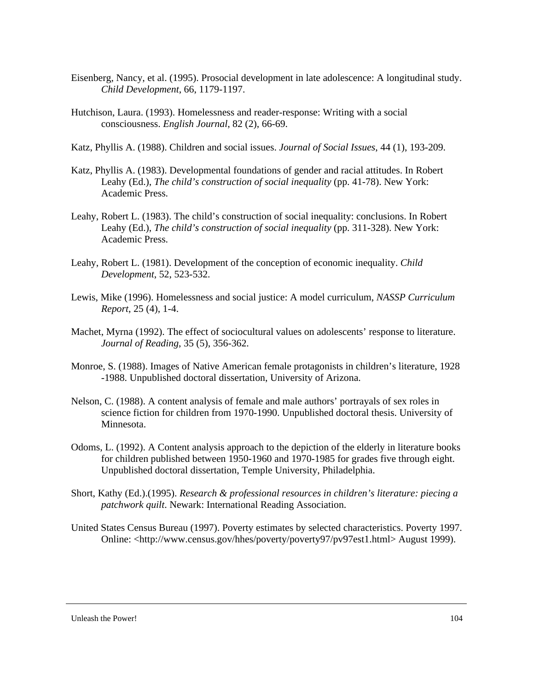- Eisenberg, Nancy, et al. (1995). Prosocial development in late adolescence: A longitudinal study. *Child Development*, 66, 1179-1197.
- Hutchison, Laura. (1993). Homelessness and reader-response: Writing with a social consciousness. *English Journal*, 82 (2), 66-69.
- Katz, Phyllis A. (1988). Children and social issues. *Journal of Social Issues*, 44 (1), 193-209.
- Katz, Phyllis A. (1983). Developmental foundations of gender and racial attitudes. In Robert Leahy (Ed.), *The child's construction of social inequality* (pp. 41-78). New York: Academic Press.
- Leahy, Robert L. (1983). The child's construction of social inequality: conclusions. In Robert Leahy (Ed.), *The child's construction of social inequality* (pp. 311-328). New York: Academic Press.
- Leahy, Robert L. (1981). Development of the conception of economic inequality. *Child Development*, 52, 523-532.
- Lewis, Mike (1996). Homelessness and social justice: A model curriculum, *NASSP Curriculum Report*, 25 (4), 1-4.
- Machet, Myrna (1992). The effect of sociocultural values on adolescents' response to literature. *Journal of Reading*, 35 (5), 356-362.
- Monroe, S. (1988). Images of Native American female protagonists in children's literature, 1928 -1988. Unpublished doctoral dissertation, University of Arizona.
- Nelson, C. (1988). A content analysis of female and male authors' portrayals of sex roles in science fiction for children from 1970-1990. Unpublished doctoral thesis. University of Minnesota.
- Odoms, L. (1992). A Content analysis approach to the depiction of the elderly in literature books for children published between 1950-1960 and 1970-1985 for grades five through eight. Unpublished doctoral dissertation, Temple University, Philadelphia.
- Short, Kathy (Ed.).(1995). *Research & professional resources in children's literature: piecing a patchwork quilt*. Newark: International Reading Association.
- United States Census Bureau (1997). Poverty estimates by selected characteristics. Poverty 1997. Online: <http://www.census.gov/hhes/poverty/poverty97/pv97est1.html> August 1999).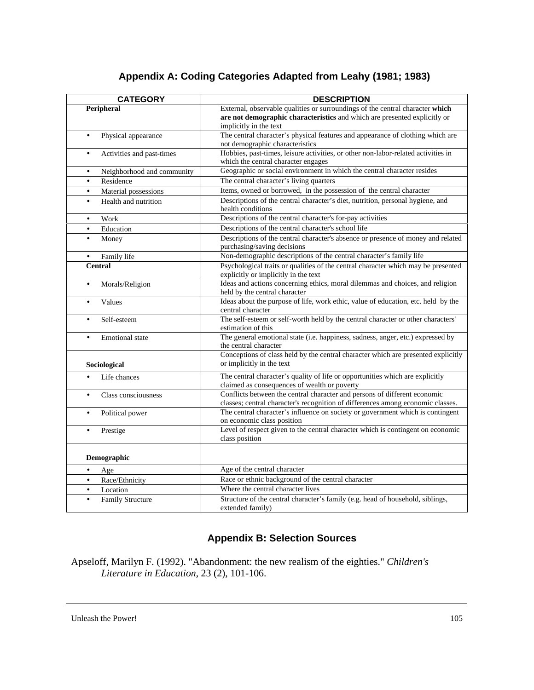## **Appendix A: Coding Categories Adapted from Leahy (1981; 1983)**

| <b>CATEGORY</b>                         | <b>DESCRIPTION</b>                                                                                                                                           |  |  |
|-----------------------------------------|--------------------------------------------------------------------------------------------------------------------------------------------------------------|--|--|
| Peripheral                              | External, observable qualities or surroundings of the central character which                                                                                |  |  |
|                                         | are not demographic characteristics and which are presented explicitly or                                                                                    |  |  |
|                                         | implicitly in the text                                                                                                                                       |  |  |
| Physical appearance<br>$\bullet$        | The central character's physical features and appearance of clothing which are                                                                               |  |  |
|                                         | not demographic characteristics                                                                                                                              |  |  |
| Activities and past-times<br>$\bullet$  | Hobbies, past-times, leisure activities, or other non-labor-related activities in<br>which the central character engages                                     |  |  |
| Neighborhood and community<br>$\bullet$ | Geographic or social environment in which the central character resides                                                                                      |  |  |
| Residence<br>$\bullet$                  | The central character's living quarters                                                                                                                      |  |  |
| Material possessions<br>$\bullet$       | Items, owned or borrowed, in the possession of the central character                                                                                         |  |  |
| Health and nutrition<br>$\bullet$       | Descriptions of the central character's diet, nutrition, personal hygiene, and<br>health conditions                                                          |  |  |
| Work<br>$\bullet$                       | Descriptions of the central character's for-pay activities                                                                                                   |  |  |
| Education<br>$\bullet$                  | Descriptions of the central character's school life                                                                                                          |  |  |
| Money<br>$\bullet$                      | Descriptions of the central character's absence or presence of money and related<br>purchasing/saving decisions                                              |  |  |
| Family life<br>$\bullet$                | Non-demographic descriptions of the central character's family life                                                                                          |  |  |
| <b>Central</b>                          | Psychological traits or qualities of the central character which may be presented<br>explicitly or implicitly in the text                                    |  |  |
| Morals/Religion<br>$\bullet$            | Ideas and actions concerning ethics, moral dilemmas and choices, and religion<br>held by the central character                                               |  |  |
| Values<br>$\bullet$                     | Ideas about the purpose of life, work ethic, value of education, etc. held by the<br>central character                                                       |  |  |
| Self-esteem<br>$\bullet$                | The self-esteem or self-worth held by the central character or other characters'<br>estimation of this                                                       |  |  |
| <b>Emotional</b> state<br>$\bullet$     | The general emotional state (i.e. happiness, sadness, anger, etc.) expressed by<br>the central character                                                     |  |  |
| Sociological                            | Conceptions of class held by the central character which are presented explicitly<br>or implicitly in the text                                               |  |  |
| Life chances<br>$\bullet$               | The central character's quality of life or opportunities which are explicitly<br>claimed as consequences of wealth or poverty                                |  |  |
| Class consciousness<br>$\bullet$        | Conflicts between the central character and persons of different economic<br>classes; central character's recognition of differences among economic classes. |  |  |
| Political power<br>$\bullet$            | The central character's influence on society or government which is contingent<br>on economic class position                                                 |  |  |
| Prestige<br>$\bullet$                   | Level of respect given to the central character which is contingent on economic<br>class position                                                            |  |  |
| Demographic                             |                                                                                                                                                              |  |  |
| $\bullet$<br>Age                        | Age of the central character                                                                                                                                 |  |  |
| Race/Ethnicity<br>$\bullet$             | Race or ethnic background of the central character                                                                                                           |  |  |
| Location<br>$\bullet$                   | Where the central character lives                                                                                                                            |  |  |
| <b>Family Structure</b><br>$\bullet$    | Structure of the central character's family (e.g. head of household, siblings,<br>extended family)                                                           |  |  |

## **Appendix B: Selection Sources**

Apseloff, Marilyn F. (1992). "Abandonment: the new realism of the eighties." *Children's Literature in Education*, 23 (2), 101-106.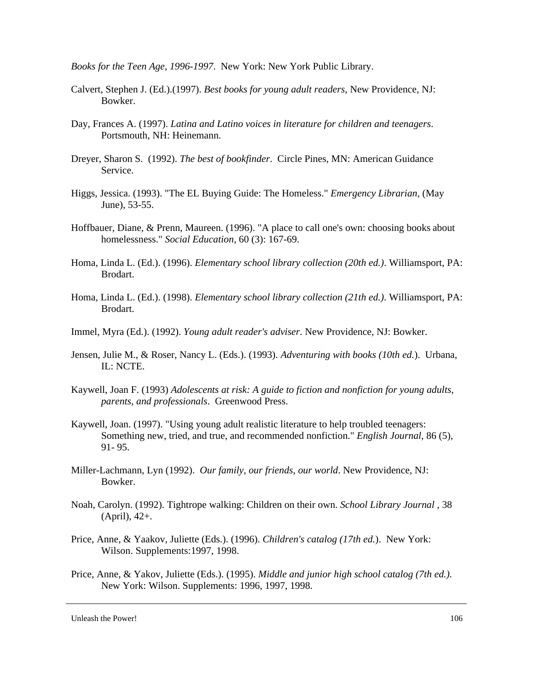*Books for the Teen Age, 1996-1997*. New York: New York Public Library.

- Calvert, Stephen J. (Ed.).(1997). *Best books for young adult readers*, New Providence, NJ: Bowker.
- Day, Frances A. (1997). *Latina and Latino voices in literature for children and teenagers*. Portsmouth, NH: Heinemann.
- Dreyer, Sharon S. (1992). *The best of bookfinder*. Circle Pines, MN: American Guidance Service.
- Higgs, Jessica. (1993). "The EL Buying Guide: The Homeless." *Emergency Librarian*, (May June), 53-55.
- Hoffbauer, Diane, & Prenn, Maureen. (1996). "A place to call one's own: choosing books about homelessness." *Social Education*, 60 (3): 167-69.
- Homa, Linda L. (Ed.). (1996). *Elementary school library collection (20th ed.)*. Williamsport, PA: Brodart.
- Homa, Linda L. (Ed.). (1998). *Elementary school library collection (21th ed.)*. Williamsport, PA: Brodart.
- Immel, Myra (Ed.). (1992). *Young adult reader's adviser*. New Providence, NJ: Bowker.
- Jensen, Julie M., & Roser, Nancy L. (Eds.). (1993). *Adventuring with books (10th ed.*). Urbana, IL: NCTE.
- Kaywell, Joan F. (1993) *Adolescents at risk: A guide to fiction and nonfiction for young adults*, *parents, and professionals*. Greenwood Press.
- Kaywell, Joan. (1997). "Using young adult realistic literature to help troubled teenagers: Something new, tried, and true, and recommended nonfiction." *English Journal*, 86 (5), 91- 95.
- Miller-Lachmann, Lyn (1992). *Our family, our friends, our world*. New Providence, NJ: Bowker.
- Noah, Carolyn. (1992). Tightrope walking: Children on their own. *School Library Journal* , 38 (April), 42+.
- Price, Anne, & Yaakov, Juliette (Eds.). (1996). *Children's catalog (17th ed.*). New York: Wilson. Supplements:1997, 1998.
- Price, Anne, & Yakov, Juliette (Eds.). (1995). *Middle and junior high school catalog (7th ed.).* New York: Wilson. Supplements: 1996, 1997, 1998.

Unleash the Power! 106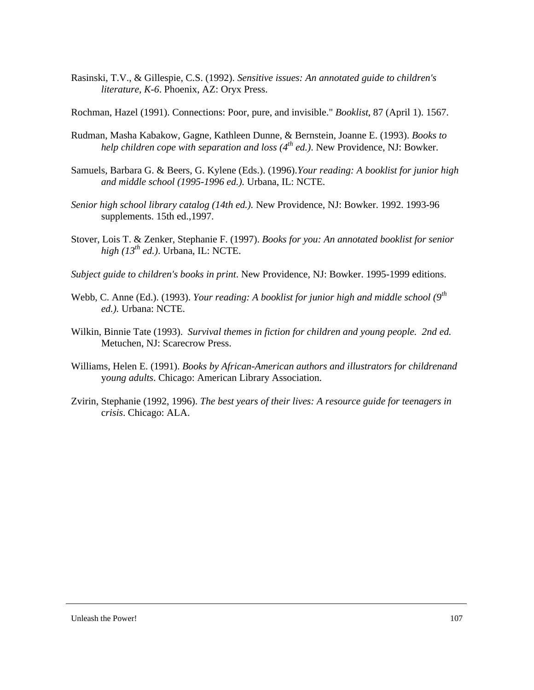Rasinski, T.V., & Gillespie, C.S. (1992). *Sensitive issues: An annotated guide to children's literature, K-6*. Phoenix, AZ: Oryx Press.

Rochman, Hazel (1991). Connections: Poor, pure, and invisible." *Booklist*, 87 (April 1). 1567.

- Rudman, Masha Kabakow, Gagne, Kathleen Dunne, & Bernstein, Joanne E. (1993). *Books to help children cope with separation and loss (4th ed.)*. New Providence, NJ: Bowker.
- Samuels, Barbara G. & Beers, G. Kylene (Eds.). (1996).*Your reading: A booklist for junior high and middle school (1995-1996 ed.).* Urbana, IL: NCTE.
- *Senior high school library catalog (14th ed.).* New Providence, NJ: Bowker. 1992. 1993-96 supplements. 15th ed.,1997.
- Stover, Lois T. & Zenker, Stephanie F. (1997). *Books for you: An annotated booklist for senior high (13<sup>th</sup> ed.)*. Urbana, IL: NCTE.
- *Subject guide to children's books in print*. New Providence, NJ: Bowker. 1995-1999 editions.
- Webb, C. Anne (Ed.). (1993). *Your reading: A booklist for junior high and middle school (9th ed.).* Urbana: NCTE.
- Wilkin, Binnie Tate (1993). *Survival themes in fiction for children and young people. 2nd ed.* Metuchen, NJ: Scarecrow Press.
- Williams, Helen E. (1991). *Books by African-American authors and illustrators for childrenand* y*oung adults*. Chicago: American Library Association.
- Zvirin, Stephanie (1992, 1996). *The best years of their lives: A resource guide for teenagers in* c*risis*. Chicago: ALA.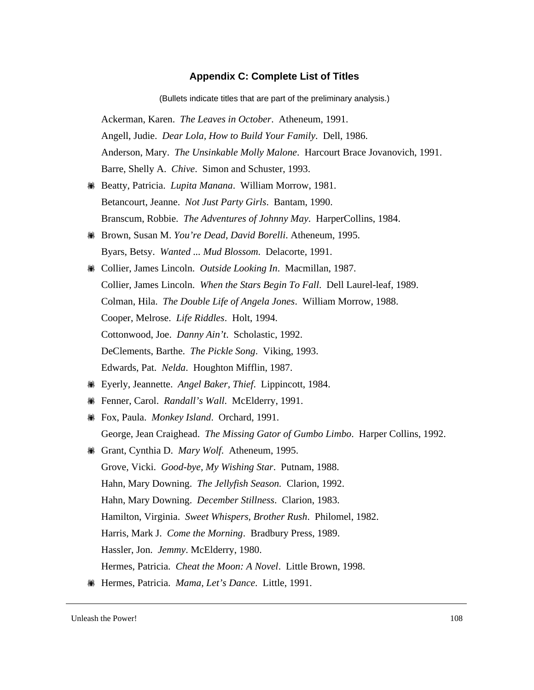#### **Appendix C: Complete List of Titles**

(Bullets indicate titles that are part of the preliminary analysis.)

Ackerman, Karen. *The Leaves in October*. Atheneum, 1991. Angell, Judie. *Dear Lola, How to Build Your Family*. Dell, 1986. Anderson, Mary. *The Unsinkable Molly Malone*. Harcourt Brace Jovanovich, 1991. Barre, Shelly A. *Chive*. Simon and Schuster, 1993.

- ! Beatty, Patricia. *Lupita Manana*. William Morrow, 1981. Betancourt, Jeanne. *Not Just Party Girls*. Bantam, 1990. Branscum, Robbie. *The Adventures of Johnny May*. HarperCollins, 1984.
- ! Brown, Susan M. *You're Dead, David Borelli*. Atheneum, 1995. Byars, Betsy. *Wanted ... Mud Blossom*. Delacorte, 1991.
- ! Collier, James Lincoln. *Outside Looking In*. Macmillan, 1987. Collier, James Lincoln. *When the Stars Begin To Fall*. Dell Laurel-leaf, 1989. Colman, Hila. *The Double Life of Angela Jones*. William Morrow, 1988. Cooper, Melrose. *Life Riddles*. Holt, 1994. Cottonwood, Joe. *Danny Ain't*. Scholastic, 1992. DeClements, Barthe. *The Pickle Song*. Viking, 1993. Edwards, Pat. *Nelda*. Houghton Mifflin, 1987.
- ! Eyerly, Jeannette. *Angel Baker, Thief*. Lippincott, 1984.
- ! Fenner, Carol. *Randall's Wall*. McElderry, 1991.
- ! Fox, Paula. *Monkey Island*. Orchard, 1991. George, Jean Craighead. *The Missing Gator of Gumbo Limbo*. Harper Collins, 1992.
- ! Grant, Cynthia D. *Mary Wolf*. Atheneum, 1995. Grove, Vicki. *Good-bye, My Wishing Star*. Putnam, 1988. Hahn, Mary Downing. *The Jellyfish Season.* Clarion, 1992. Hahn, Mary Downing. *December Stillness*. Clarion, 1983. Hamilton, Virginia. *Sweet Whispers, Brother Rush*. Philomel, 1982. Harris, Mark J. *Come the Morning*. Bradbury Press, 1989. Hassler, Jon. *Jemmy*. McElderry, 1980. Hermes, Patricia. *Cheat the Moon: A Novel*. Little Brown, 1998.
- ! Hermes, Patricia. *Mama, Let's Dance*. Little, 1991.

Unleash the Power! 108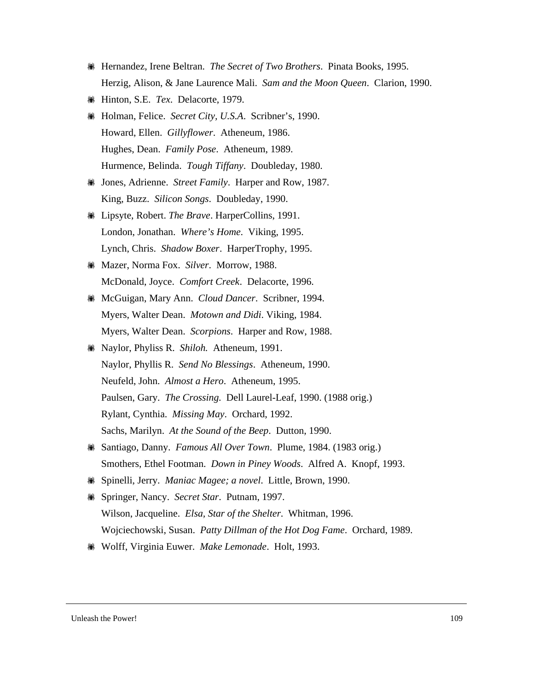- ! Hernandez, Irene Beltran. *The Secret of Two Brothers*. Pinata Books, 1995. Herzig, Alison, & Jane Laurence Mali. *Sam and the Moon Queen*. Clarion, 1990.
- **\\** Hinton, S.E. *Tex.* Delacorte, 1979.
- ! Holman, Felice. *Secret City, U.S.A*. Scribner's, 1990. Howard, Ellen. *Gillyflower*. Atheneum, 1986. Hughes, Dean. *Family Pose*. Atheneum, 1989. Hurmence, Belinda. *Tough Tiffany*. Doubleday, 1980.
- ! Jones, Adrienne. *Street Family*. Harper and Row, 1987. King, Buzz. *Silicon Songs*. Doubleday, 1990.
- ! Lipsyte, Robert. *The Brave*. HarperCollins, 1991. London, Jonathan. *Where's Home*. Viking, 1995. Lynch, Chris. *Shadow Boxer*. HarperTrophy, 1995.
- ! Mazer, Norma Fox. *Silver*. Morrow, 1988. McDonald, Joyce. *Comfort Creek*. Delacorte, 1996.
- ! McGuigan, Mary Ann. *Cloud Dancer*. Scribner, 1994. Myers, Walter Dean. *Motown and Didi*. Viking, 1984. Myers, Walter Dean. *Scorpions*. Harper and Row, 1988.
- ! Naylor, Phyliss R. *Shiloh.* Atheneum, 1991. Naylor, Phyllis R. *Send No Blessings*. Atheneum, 1990. Neufeld, John. *Almost a Hero*. Atheneum, 1995. Paulsen, Gary. *The Crossing*. Dell Laurel-Leaf, 1990. (1988 orig.) Rylant, Cynthia. *Missing May*. Orchard, 1992. Sachs, Marilyn. *At the Sound of the Beep*. Dutton, 1990.
- ! Santiago, Danny. *Famous All Over Town*. Plume, 1984. (1983 orig.) Smothers, Ethel Footman. *Down in Piney Woods*. Alfred A. Knopf, 1993.
- ! Spinelli, Jerry. *Maniac Magee; a novel*. Little, Brown, 1990.
- ! Springer, Nancy. *Secret Star*. Putnam, 1997. Wilson, Jacqueline. *Elsa, Star of the Shelter*. Whitman, 1996. Wojciechowski, Susan. *Patty Dillman of the Hot Dog Fame*. Orchard, 1989.
- ! Wolff, Virginia Euwer. *Make Lemonade*. Holt, 1993.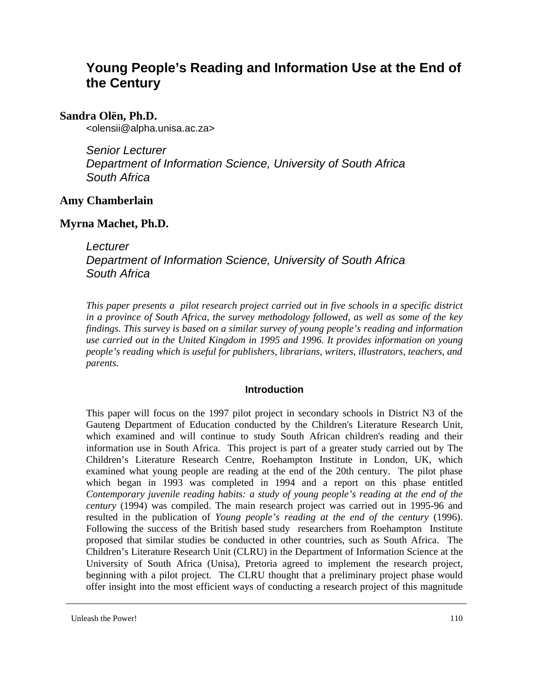# **Young People's Reading and Information Use at the End of the Century**

## **Sandra Olën, Ph.D.**

<olensii@alpha.unisa.ac.za>

*Senior Lecturer Department of Information Science, University of South Africa South Africa*

## **Amy Chamberlain**

## **Myrna Machet, Ph.D.**

*Lecturer Department of Information Science, University of South Africa South Africa*

*This paper presents a pilot research project carried out in five schools in a specific district in a province of South Africa, the survey methodology followed, as well as some of the key findings. This survey is based on a similar survey of young people's reading and information use carried out in the United Kingdom in 1995 and 1996. It provides information on young people's reading which is useful for publishers, librarians, writers, illustrators, teachers, and parents.*

## **Introduction**

This paper will focus on the 1997 pilot project in secondary schools in District N3 of the Gauteng Department of Education conducted by the Children's Literature Research Unit, which examined and will continue to study South African children's reading and their information use in South Africa. This project is part of a greater study carried out by The Children's Literature Research Centre, Roehampton Institute in London, UK, which examined what young people are reading at the end of the 20th century. The pilot phase which began in 1993 was completed in 1994 and a report on this phase entitled *Contemporary juvenile reading habits: a study of young people's reading at the end of the century* (1994) was compiled. The main research project was carried out in 1995-96 and resulted in the publication of *Young people's reading at the end of the century* (1996). Following the success of the British based study researchers from Roehampton Institute proposed that similar studies be conducted in other countries, such as South Africa. The Children's Literature Research Unit (CLRU) in the Department of Information Science at the University of South Africa (Unisa), Pretoria agreed to implement the research project, beginning with a pilot project. The CLRU thought that a preliminary project phase would offer insight into the most efficient ways of conducting a research project of this magnitude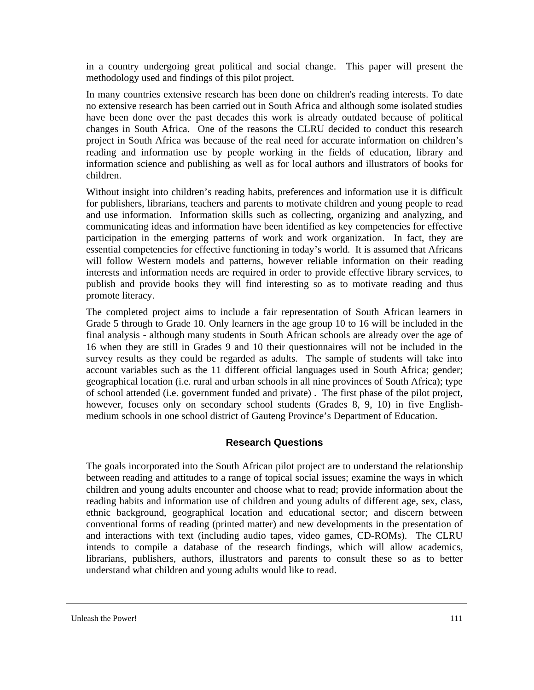in a country undergoing great political and social change. This paper will present the methodology used and findings of this pilot project.

In many countries extensive research has been done on children's reading interests. To date no extensive research has been carried out in South Africa and although some isolated studies have been done over the past decades this work is already outdated because of political changes in South Africa. One of the reasons the CLRU decided to conduct this research project in South Africa was because of the real need for accurate information on children's reading and information use by people working in the fields of education, library and information science and publishing as well as for local authors and illustrators of books for children.

Without insight into children's reading habits, preferences and information use it is difficult for publishers, librarians, teachers and parents to motivate children and young people to read and use information. Information skills such as collecting, organizing and analyzing, and communicating ideas and information have been identified as key competencies for effective participation in the emerging patterns of work and work organization. In fact, they are essential competencies for effective functioning in today's world. It is assumed that Africans will follow Western models and patterns, however reliable information on their reading interests and information needs are required in order to provide effective library services, to publish and provide books they will find interesting so as to motivate reading and thus promote literacy.

The completed project aims to include a fair representation of South African learners in Grade 5 through to Grade 10. Only learners in the age group 10 to 16 will be included in the final analysis - although many students in South African schools are already over the age of 16 when they are still in Grades 9 and 10 their questionnaires will not be included in the survey results as they could be regarded as adults. The sample of students will take into account variables such as the 11 different official languages used in South Africa; gender; geographical location (i.e. rural and urban schools in all nine provinces of South Africa); type of school attended (i.e. government funded and private) . The first phase of the pilot project, however, focuses only on secondary school students (Grades 8, 9, 10) in five Englishmedium schools in one school district of Gauteng Province's Department of Education.

## **Research Questions**

The goals incorporated into the South African pilot project are to understand the relationship between reading and attitudes to a range of topical social issues; examine the ways in which children and young adults encounter and choose what to read; provide information about the reading habits and information use of children and young adults of different age, sex, class, ethnic background, geographical location and educational sector; and discern between conventional forms of reading (printed matter) and new developments in the presentation of and interactions with text (including audio tapes, video games, CD-ROMs). The CLRU intends to compile a database of the research findings, which will allow academics, librarians, publishers, authors, illustrators and parents to consult these so as to better understand what children and young adults would like to read.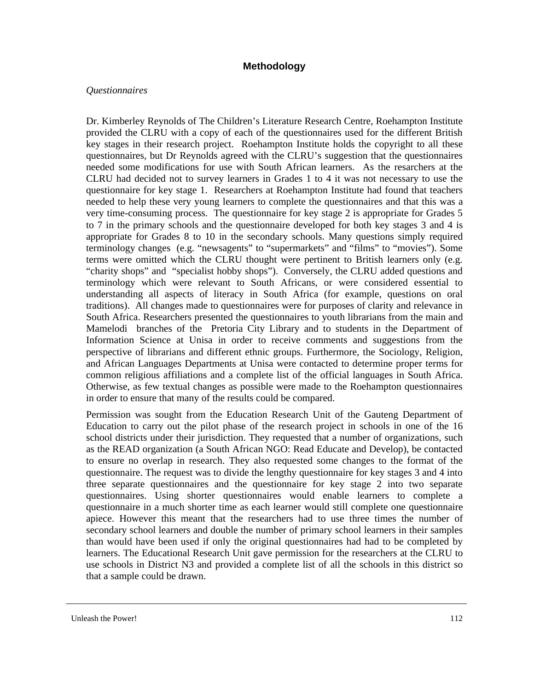## **Methodology**

#### *Questionnaires*

Dr. Kimberley Reynolds of The Children's Literature Research Centre, Roehampton Institute provided the CLRU with a copy of each of the questionnaires used for the different British key stages in their research project. Roehampton Institute holds the copyright to all these questionnaires, but Dr Reynolds agreed with the CLRU's suggestion that the questionnaires needed some modifications for use with South African learners. As the resarchers at the CLRU had decided not to survey learners in Grades 1 to 4 it was not necessary to use the questionnaire for key stage 1. Researchers at Roehampton Institute had found that teachers needed to help these very young learners to complete the questionnaires and that this was a very time-consuming process. The questionnaire for key stage 2 is appropriate for Grades 5 to 7 in the primary schools and the questionnaire developed for both key stages 3 and 4 is appropriate for Grades 8 to 10 in the secondary schools. Many questions simply required terminology changes (e.g. "newsagents" to "supermarkets" and "films" to "movies"). Some terms were omitted which the CLRU thought were pertinent to British learners only (e.g. "charity shops" and "specialist hobby shops"). Conversely, the CLRU added questions and terminology which were relevant to South Africans, or were considered essential to understanding all aspects of literacy in South Africa (for example, questions on oral traditions). All changes made to questionnaires were for purposes of clarity and relevance in South Africa. Researchers presented the questionnaires to youth librarians from the main and Mamelodi branches of the Pretoria City Library and to students in the Department of Information Science at Unisa in order to receive comments and suggestions from the perspective of librarians and different ethnic groups. Furthermore, the Sociology, Religion, and African Languages Departments at Unisa were contacted to determine proper terms for common religious affiliations and a complete list of the official languages in South Africa. Otherwise, as few textual changes as possible were made to the Roehampton questionnaires in order to ensure that many of the results could be compared.

Permission was sought from the Education Research Unit of the Gauteng Department of Education to carry out the pilot phase of the research project in schools in one of the 16 school districts under their jurisdiction. They requested that a number of organizations, such as the READ organization (a South African NGO: Read Educate and Develop), be contacted to ensure no overlap in research. They also requested some changes to the format of the questionnaire. The request was to divide the lengthy questionnaire for key stages 3 and 4 into three separate questionnaires and the questionnaire for key stage 2 into two separate questionnaires. Using shorter questionnaires would enable learners to complete a questionnaire in a much shorter time as each learner would still complete one questionnaire apiece. However this meant that the researchers had to use three times the number of secondary school learners and double the number of primary school learners in their samples than would have been used if only the original questionnaires had had to be completed by learners. The Educational Research Unit gave permission for the researchers at the CLRU to use schools in District N3 and provided a complete list of all the schools in this district so that a sample could be drawn.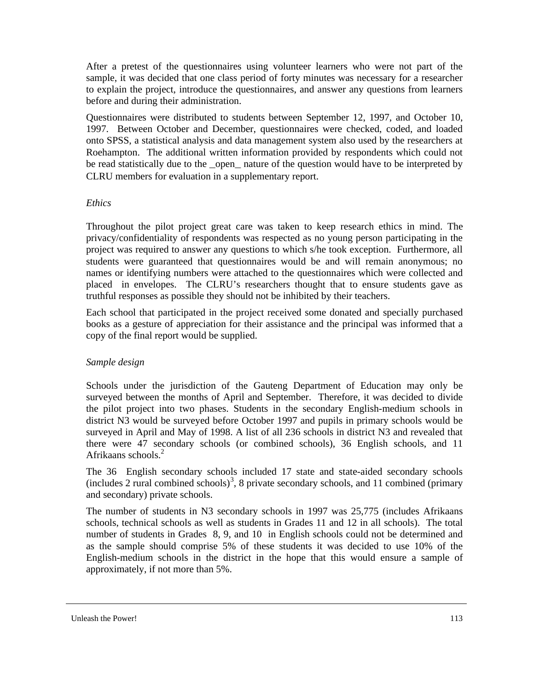After a pretest of the questionnaires using volunteer learners who were not part of the sample, it was decided that one class period of forty minutes was necessary for a researcher to explain the project, introduce the questionnaires, and answer any questions from learners before and during their administration.

Questionnaires were distributed to students between September 12, 1997, and October 10, 1997. Between October and December, questionnaires were checked, coded, and loaded onto SPSS, a statistical analysis and data management system also used by the researchers at Roehampton. The additional written information provided by respondents which could not be read statistically due to the \_open\_ nature of the question would have to be interpreted by CLRU members for evaluation in a supplementary report.

## *Ethics*

Throughout the pilot project great care was taken to keep research ethics in mind. The privacy/confidentiality of respondents was respected as no young person participating in the project was required to answer any questions to which s/he took exception. Furthermore, all students were guaranteed that questionnaires would be and will remain anonymous; no names or identifying numbers were attached to the questionnaires which were collected and placed in envelopes. The CLRU's researchers thought that to ensure students gave as truthful responses as possible they should not be inhibited by their teachers.

Each school that participated in the project received some donated and specially purchased books as a gesture of appreciation for their assistance and the principal was informed that a copy of the final report would be supplied.

## *Sample design*

Schools under the jurisdiction of the Gauteng Department of Education may only be surveyed between the months of April and September. Therefore, it was decided to divide the pilot project into two phases. Students in the secondary English-medium schools in district N3 would be surveyed before October 1997 and pupils in primary schools would be surveyed in April and May of 1998. A list of all 236 schools in district N3 and revealed that there were 47 secondary schools (or combined schools), 36 English schools, and 11 Afrikaans schools.<sup>2</sup>

The 36 English secondary schools included 17 state and state-aided secondary schools  $(includes 2 rural combined schools)<sup>3</sup>$ , 8 private secondary schools, and 11 combined (primary and secondary) private schools.

The number of students in N3 secondary schools in 1997 was 25,775 (includes Afrikaans schools, technical schools as well as students in Grades 11 and 12 in all schools). The total number of students in Grades 8, 9, and 10 in English schools could not be determined and as the sample should comprise 5% of these students it was decided to use 10% of the English-medium schools in the district in the hope that this would ensure a sample of approximately, if not more than 5%.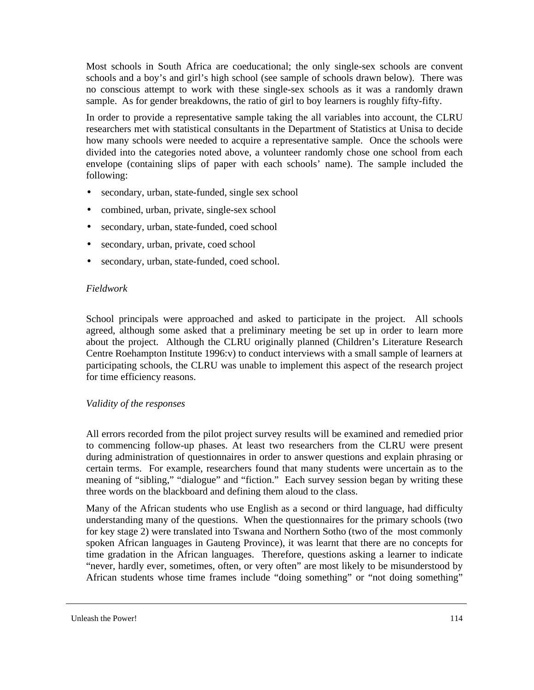Most schools in South Africa are coeducational; the only single-sex schools are convent schools and a boy's and girl's high school (see sample of schools drawn below). There was no conscious attempt to work with these single-sex schools as it was a randomly drawn sample. As for gender breakdowns, the ratio of girl to boy learners is roughly fifty-fifty.

In order to provide a representative sample taking the all variables into account, the CLRU researchers met with statistical consultants in the Department of Statistics at Unisa to decide how many schools were needed to acquire a representative sample. Once the schools were divided into the categories noted above, a volunteer randomly chose one school from each envelope (containing slips of paper with each schools' name). The sample included the following:

- secondary, urban, state-funded, single sex school
- combined, urban, private, single-sex school
- secondary, urban, state-funded, coed school
- secondary, urban, private, coed school
- secondary, urban, state-funded, coed school.

## *Fieldwork*

School principals were approached and asked to participate in the project. All schools agreed, although some asked that a preliminary meeting be set up in order to learn more about the project. Although the CLRU originally planned (Children's Literature Research Centre Roehampton Institute 1996:v) to conduct interviews with a small sample of learners at participating schools, the CLRU was unable to implement this aspect of the research project for time efficiency reasons.

## *Validity of the responses*

All errors recorded from the pilot project survey results will be examined and remedied prior to commencing follow-up phases. At least two researchers from the CLRU were present during administration of questionnaires in order to answer questions and explain phrasing or certain terms. For example, researchers found that many students were uncertain as to the meaning of "sibling," "dialogue" and "fiction." Each survey session began by writing these three words on the blackboard and defining them aloud to the class.

Many of the African students who use English as a second or third language, had difficulty understanding many of the questions. When the questionnaires for the primary schools (two for key stage 2) were translated into Tswana and Northern Sotho (two of the most commonly spoken African languages in Gauteng Province), it was learnt that there are no concepts for time gradation in the African languages. Therefore, questions asking a learner to indicate "never, hardly ever, sometimes, often, or very often" are most likely to be misunderstood by African students whose time frames include "doing something" or "not doing something"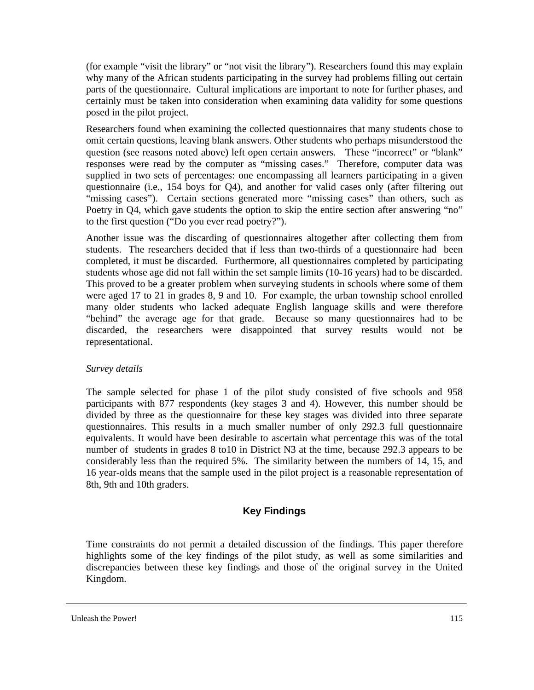(for example "visit the library" or "not visit the library"). Researchers found this may explain why many of the African students participating in the survey had problems filling out certain parts of the questionnaire. Cultural implications are important to note for further phases, and certainly must be taken into consideration when examining data validity for some questions posed in the pilot project.

Researchers found when examining the collected questionnaires that many students chose to omit certain questions, leaving blank answers. Other students who perhaps misunderstood the question (see reasons noted above) left open certain answers. These "incorrect" or "blank" responses were read by the computer as "missing cases." Therefore, computer data was supplied in two sets of percentages: one encompassing all learners participating in a given questionnaire (i.e., 154 boys for Q4), and another for valid cases only (after filtering out "missing cases"). Certain sections generated more "missing cases" than others, such as Poetry in Q4, which gave students the option to skip the entire section after answering "no" to the first question ("Do you ever read poetry?").

Another issue was the discarding of questionnaires altogether after collecting them from students. The researchers decided that if less than two-thirds of a questionnaire had been completed, it must be discarded. Furthermore, all questionnaires completed by participating students whose age did not fall within the set sample limits (10-16 years) had to be discarded. This proved to be a greater problem when surveying students in schools where some of them were aged 17 to 21 in grades 8, 9 and 10. For example, the urban township school enrolled many older students who lacked adequate English language skills and were therefore "behind" the average age for that grade. Because so many questionnaires had to be discarded, the researchers were disappointed that survey results would not be representational.

## *Survey details*

The sample selected for phase 1 of the pilot study consisted of five schools and 958 participants with 877 respondents (key stages 3 and 4). However, this number should be divided by three as the questionnaire for these key stages was divided into three separate questionnaires. This results in a much smaller number of only 292.3 full questionnaire equivalents. It would have been desirable to ascertain what percentage this was of the total number of students in grades 8 to10 in District N3 at the time, because 292.3 appears to be considerably less than the required 5%. The similarity between the numbers of 14, 15, and 16 year-olds means that the sample used in the pilot project is a reasonable representation of 8th, 9th and 10th graders.

## **Key Findings**

Time constraints do not permit a detailed discussion of the findings. This paper therefore highlights some of the key findings of the pilot study, as well as some similarities and discrepancies between these key findings and those of the original survey in the United Kingdom.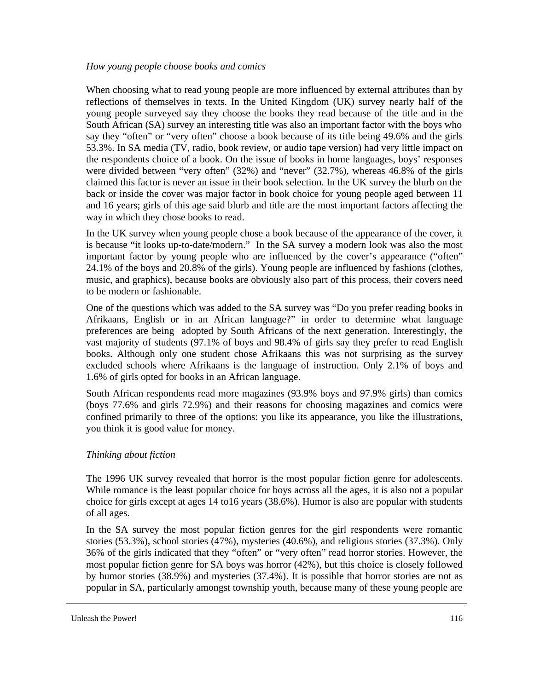#### *How young people choose books and comics*

When choosing what to read young people are more influenced by external attributes than by reflections of themselves in texts. In the United Kingdom (UK) survey nearly half of the young people surveyed say they choose the books they read because of the title and in the South African (SA) survey an interesting title was also an important factor with the boys who say they "often" or "very often" choose a book because of its title being 49.6% and the girls 53.3%. In SA media (TV, radio, book review, or audio tape version) had very little impact on the respondents choice of a book. On the issue of books in home languages, boys' responses were divided between "very often" (32%) and "never" (32.7%), whereas 46.8% of the girls claimed this factor is never an issue in their book selection. In the UK survey the blurb on the back or inside the cover was major factor in book choice for young people aged between 11 and 16 years; girls of this age said blurb and title are the most important factors affecting the way in which they chose books to read.

In the UK survey when young people chose a book because of the appearance of the cover, it is because "it looks up-to-date/modern." In the SA survey a modern look was also the most important factor by young people who are influenced by the cover's appearance ("often" 24.1% of the boys and 20.8% of the girls). Young people are influenced by fashions (clothes, music, and graphics), because books are obviously also part of this process, their covers need to be modern or fashionable.

One of the questions which was added to the SA survey was "Do you prefer reading books in Afrikaans, English or in an African language?" in order to determine what language preferences are being adopted by South Africans of the next generation. Interestingly, the vast majority of students (97.1% of boys and 98.4% of girls say they prefer to read English books. Although only one student chose Afrikaans this was not surprising as the survey excluded schools where Afrikaans is the language of instruction. Only 2.1% of boys and 1.6% of girls opted for books in an African language.

South African respondents read more magazines (93.9% boys and 97.9% girls) than comics (boys 77.6% and girls 72.9%) and their reasons for choosing magazines and comics were confined primarily to three of the options: you like its appearance, you like the illustrations, you think it is good value for money.

## *Thinking about fiction*

The 1996 UK survey revealed that horror is the most popular fiction genre for adolescents. While romance is the least popular choice for boys across all the ages, it is also not a popular choice for girls except at ages 14 to16 years (38.6%). Humor is also are popular with students of all ages.

In the SA survey the most popular fiction genres for the girl respondents were romantic stories (53.3%), school stories (47%), mysteries (40.6%), and religious stories (37.3%). Only 36% of the girls indicated that they "often" or "very often" read horror stories. However, the most popular fiction genre for SA boys was horror (42%), but this choice is closely followed by humor stories (38.9%) and mysteries (37.4%). It is possible that horror stories are not as popular in SA, particularly amongst township youth, because many of these young people are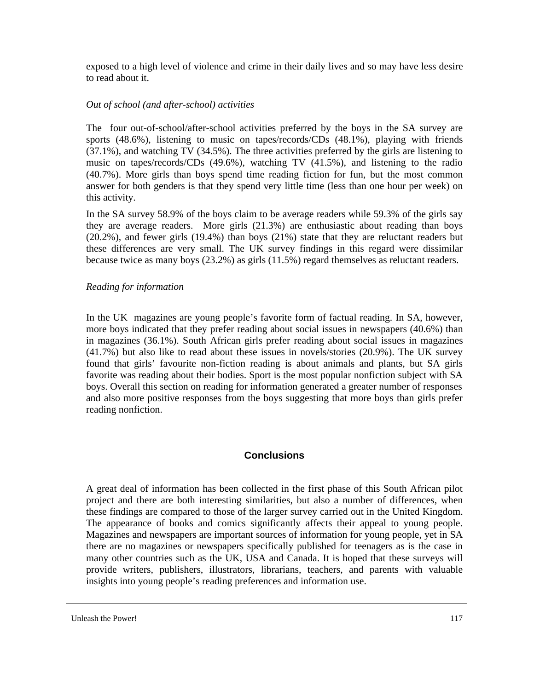exposed to a high level of violence and crime in their daily lives and so may have less desire to read about it.

## *Out of school (and after-school) activities*

The four out-of-school/after-school activities preferred by the boys in the SA survey are sports (48.6%), listening to music on tapes/records/CDs (48.1%), playing with friends (37.1%), and watching TV (34.5%). The three activities preferred by the girls are listening to music on tapes/records/CDs (49.6%), watching TV (41.5%), and listening to the radio (40.7%). More girls than boys spend time reading fiction for fun, but the most common answer for both genders is that they spend very little time (less than one hour per week) on this activity.

In the SA survey 58.9% of the boys claim to be average readers while 59.3% of the girls say they are average readers. More girls (21.3%) are enthusiastic about reading than boys (20.2%), and fewer girls (19.4%) than boys (21%) state that they are reluctant readers but these differences are very small. The UK survey findings in this regard were dissimilar because twice as many boys (23.2%) as girls (11.5%) regard themselves as reluctant readers.

## *Reading for information*

In the UK magazines are young people's favorite form of factual reading. In SA, however, more boys indicated that they prefer reading about social issues in newspapers (40.6%) than in magazines (36.1%). South African girls prefer reading about social issues in magazines (41.7%) but also like to read about these issues in novels/stories (20.9%). The UK survey found that girls' favourite non-fiction reading is about animals and plants, but SA girls favorite was reading about their bodies. Sport is the most popular nonfiction subject with SA boys. Overall this section on reading for information generated a greater number of responses and also more positive responses from the boys suggesting that more boys than girls prefer reading nonfiction.

## **Conclusions**

A great deal of information has been collected in the first phase of this South African pilot project and there are both interesting similarities, but also a number of differences, when these findings are compared to those of the larger survey carried out in the United Kingdom. The appearance of books and comics significantly affects their appeal to young people. Magazines and newspapers are important sources of information for young people, yet in SA there are no magazines or newspapers specifically published for teenagers as is the case in many other countries such as the UK, USA and Canada. It is hoped that these surveys will provide writers, publishers, illustrators, librarians, teachers, and parents with valuable insights into young people's reading preferences and information use.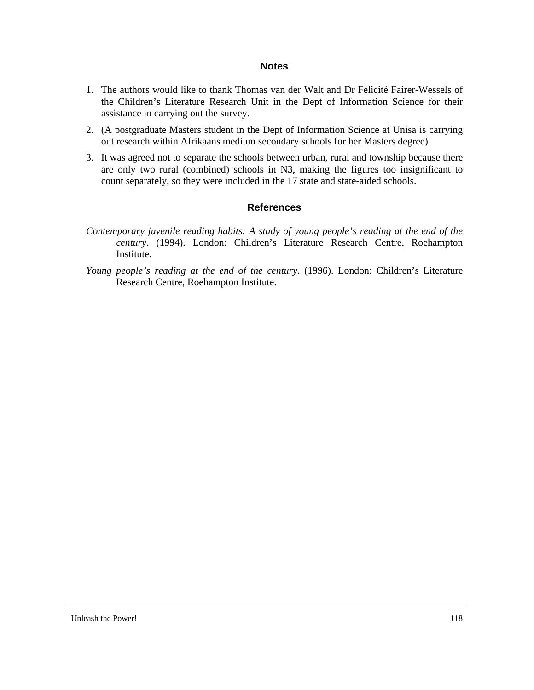#### **Notes**

- 1. The authors would like to thank Thomas van der Walt and Dr Felicité Fairer-Wessels of the Children's Literature Research Unit in the Dept of Information Science for their assistance in carrying out the survey.
- 2. (A postgraduate Masters student in the Dept of Information Science at Unisa is carrying out research within Afrikaans medium secondary schools for her Masters degree)
- 3. It was agreed not to separate the schools between urban, rural and township because there are only two rural (combined) schools in N3, making the figures too insignificant to count separately, so they were included in the 17 state and state-aided schools.

#### **References**

- *Contemporary juvenile reading habits: A study of young people's reading at the end of the century*. (1994). London: Children's Literature Research Centre, Roehampton Institute.
- *Young people's reading at the end of the century*. (1996). London: Children's Literature Research Centre, Roehampton Institute.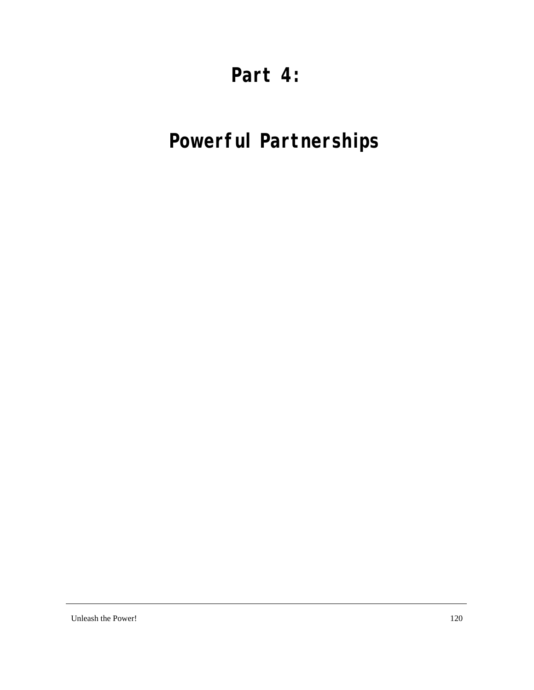# **Part 4:**

# **Powerful Partnerships**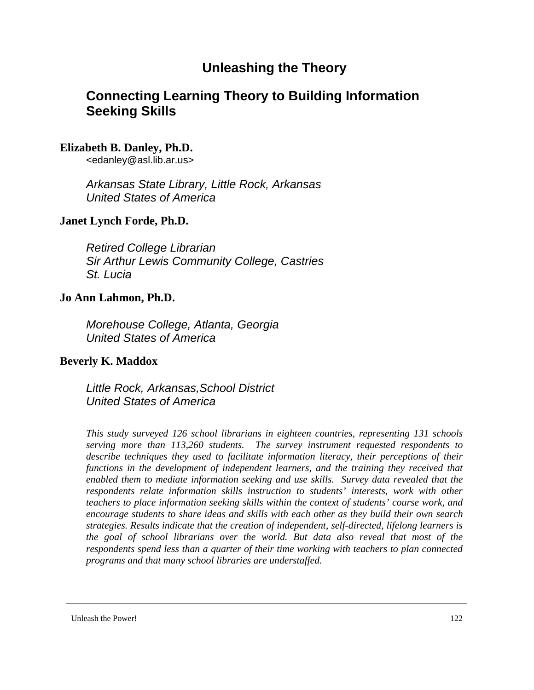# **Unleashing the Theory**

# **Connecting Learning Theory to Building Information Seeking Skills**

## **Elizabeth B. Danley, Ph.D.**

<edanley@asl.lib.ar.us>

*Arkansas State Library, Little Rock, Arkansas United States of America*

## **Janet Lynch Forde, Ph.D.**

*Retired College Librarian Sir Arthur Lewis Community College, Castries St. Lucia*

## **Jo Ann Lahmon, Ph.D.**

*Morehouse College, Atlanta, Georgia United States of America*

## **Beverly K. Maddox**

*Little Rock, Arkansas,School District United States of America*

*This study surveyed 126 school librarians in eighteen countries, representing 131 schools serving more than 113,260 students. The survey instrument requested respondents to describe techniques they used to facilitate information literacy, their perceptions of their functions in the development of independent learners, and the training they received that enabled them to mediate information seeking and use skills. Survey data revealed that the respondents relate information skills instruction to students' interests, work with other teachers to place information seeking skills within the context of students' course work, and encourage students to share ideas and skills with each other as they build their own search strategies. Results indicate that the creation of independent, self-directed, lifelong learners is the goal of school librarians over the world. But data also reveal that most of the respondents spend less than a quarter of their time working with teachers to plan connected programs and that many school libraries are understaffed.*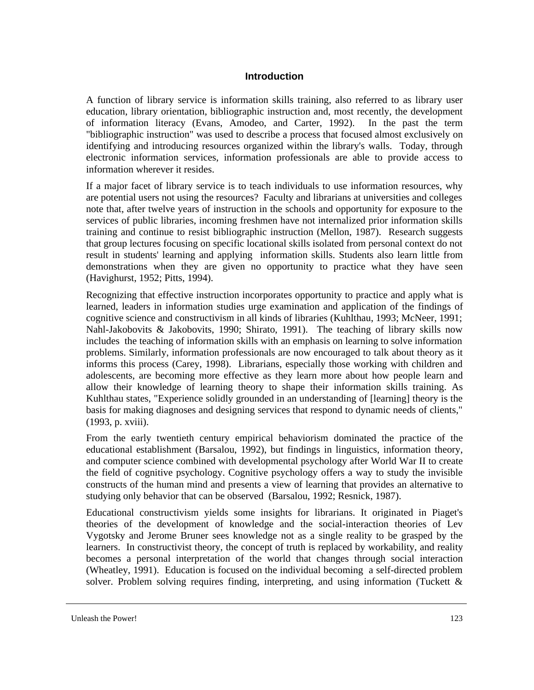#### **Introduction**

A function of library service is information skills training, also referred to as library user education, library orientation, bibliographic instruction and, most recently, the development of information literacy (Evans, Amodeo, and Carter, 1992). In the past the term "bibliographic instruction" was used to describe a process that focused almost exclusively on identifying and introducing resources organized within the library's walls. Today, through electronic information services, information professionals are able to provide access to information wherever it resides.

If a major facet of library service is to teach individuals to use information resources, why are potential users not using the resources? Faculty and librarians at universities and colleges note that, after twelve years of instruction in the schools and opportunity for exposure to the services of public libraries, incoming freshmen have not internalized prior information skills training and continue to resist bibliographic instruction (Mellon, 1987). Research suggests that group lectures focusing on specific locational skills isolated from personal context do not result in students' learning and applying information skills. Students also learn little from demonstrations when they are given no opportunity to practice what they have seen (Havighurst, 1952; Pitts, 1994).

Recognizing that effective instruction incorporates opportunity to practice and apply what is learned, leaders in information studies urge examination and application of the findings of cognitive science and constructivism in all kinds of libraries (Kuhlthau, 1993; McNeer, 1991; Nahl-Jakobovits & Jakobovits, 1990; Shirato, 1991). The teaching of library skills now includes the teaching of information skills with an emphasis on learning to solve information problems. Similarly, information professionals are now encouraged to talk about theory as it informs this process (Carey, 1998). Librarians, especially those working with children and adolescents, are becoming more effective as they learn more about how people learn and allow their knowledge of learning theory to shape their information skills training. As Kuhlthau states, "Experience solidly grounded in an understanding of [learning] theory is the basis for making diagnoses and designing services that respond to dynamic needs of clients," (1993, p. xviii).

From the early twentieth century empirical behaviorism dominated the practice of the educational establishment (Barsalou, 1992), but findings in linguistics, information theory, and computer science combined with developmental psychology after World War II to create the field of cognitive psychology. Cognitive psychology offers a way to study the invisible constructs of the human mind and presents a view of learning that provides an alternative to studying only behavior that can be observed (Barsalou, 1992; Resnick, 1987).

Educational constructivism yields some insights for librarians. It originated in Piaget's theories of the development of knowledge and the social-interaction theories of Lev Vygotsky and Jerome Bruner sees knowledge not as a single reality to be grasped by the learners. In constructivist theory, the concept of truth is replaced by workability, and reality becomes a personal interpretation of the world that changes through social interaction (Wheatley, 1991). Education is focused on the individual becoming a self-directed problem solver. Problem solving requires finding, interpreting, and using information (Tuckett &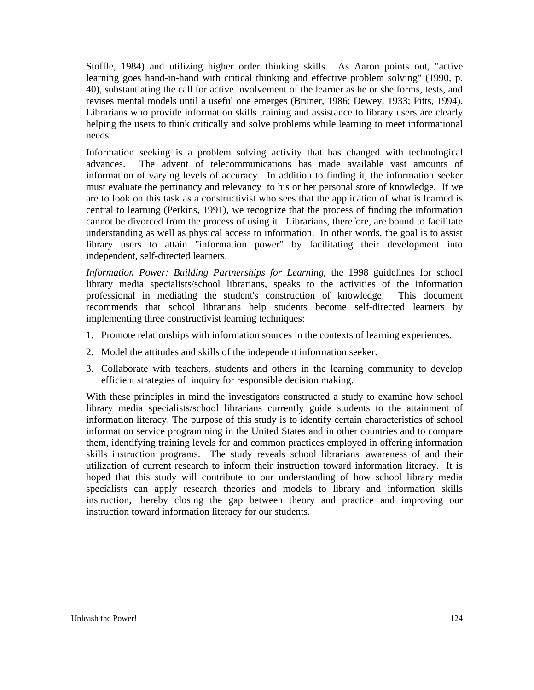Stoffle, 1984) and utilizing higher order thinking skills. As Aaron points out, "active learning goes hand-in-hand with critical thinking and effective problem solving" (1990, p. 40), substantiating the call for active involvement of the learner as he or she forms, tests, and revises mental models until a useful one emerges (Bruner, 1986; Dewey, 1933; Pitts, 1994). Librarians who provide information skills training and assistance to library users are clearly helping the users to think critically and solve problems while learning to meet informational needs.

Information seeking is a problem solving activity that has changed with technological advances. The advent of telecommunications has made available vast amounts of information of varying levels of accuracy. In addition to finding it, the information seeker must evaluate the pertinancy and relevancy to his or her personal store of knowledge. If we are to look on this task as a constructivist who sees that the application of what is learned is central to learning (Perkins, 1991), we recognize that the process of finding the information cannot be divorced from the process of using it. Librarians, therefore, are bound to facilitate understanding as well as physical access to information. In other words, the goal is to assist library users to attain "information power" by facilitating their development into independent, self-directed learners.

*Information Power: Building Partnerships for Learning*, the 1998 guidelines for school library media specialists/school librarians, speaks to the activities of the information professional in mediating the student's construction of knowledge. This document recommends that school librarians help students become self-directed learners by implementing three constructivist learning techniques:

- 1. Promote relationships with information sources in the contexts of learning experiences.
- 2. Model the attitudes and skills of the independent information seeker.
- 3. Collaborate with teachers, students and others in the learning community to develop efficient strategies of inquiry for responsible decision making.

With these principles in mind the investigators constructed a study to examine how school library media specialists/school librarians currently guide students to the attainment of information literacy. The purpose of this study is to identify certain characteristics of school information service programming in the United States and in other countries and to compare them, identifying training levels for and common practices employed in offering information skills instruction programs. The study reveals school librarians' awareness of and their utilization of current research to inform their instruction toward information literacy. It is hoped that this study will contribute to our understanding of how school library media specialists can apply research theories and models to library and information skills instruction, thereby closing the gap between theory and practice and improving our instruction toward information literacy for our students.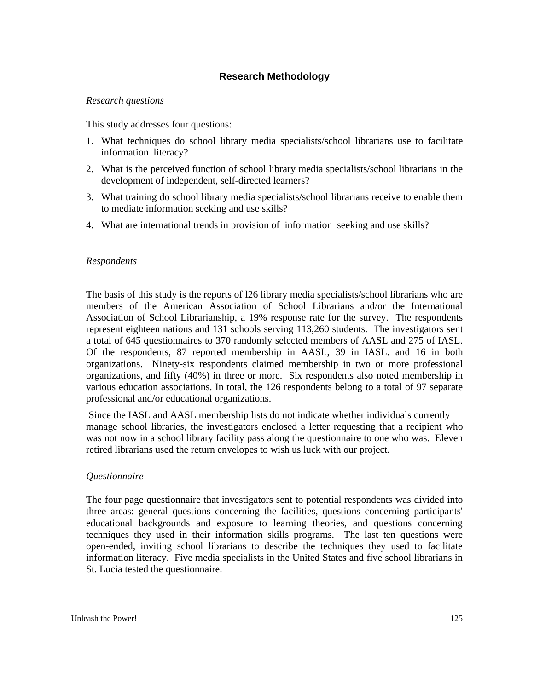## **Research Methodology**

## *Research questions*

This study addresses four questions:

- 1. What techniques do school library media specialists/school librarians use to facilitate information literacy?
- 2. What is the perceived function of school library media specialists/school librarians in the development of independent, self-directed learners?
- 3. What training do school library media specialists/school librarians receive to enable them to mediate information seeking and use skills?
- 4. What are international trends in provision of information seeking and use skills?

## *Respondents*

The basis of this study is the reports of l26 library media specialists/school librarians who are members of the American Association of School Librarians and/or the International Association of School Librarianship, a 19% response rate for the survey. The respondents represent eighteen nations and 131 schools serving 113,260 students. The investigators sent a total of 645 questionnaires to 370 randomly selected members of AASL and 275 of IASL. Of the respondents, 87 reported membership in AASL, 39 in IASL. and 16 in both organizations. Ninety-six respondents claimed membership in two or more professional organizations, and fifty (40%) in three or more. Six respondents also noted membership in various education associations. In total, the 126 respondents belong to a total of 97 separate professional and/or educational organizations.

 Since the IASL and AASL membership lists do not indicate whether individuals currently manage school libraries, the investigators enclosed a letter requesting that a recipient who was not now in a school library facility pass along the questionnaire to one who was. Eleven retired librarians used the return envelopes to wish us luck with our project.

#### *Questionnaire*

The four page questionnaire that investigators sent to potential respondents was divided into three areas: general questions concerning the facilities, questions concerning participants' educational backgrounds and exposure to learning theories, and questions concerning techniques they used in their information skills programs. The last ten questions were open-ended, inviting school librarians to describe the techniques they used to facilitate information literacy. Five media specialists in the United States and five school librarians in St. Lucia tested the questionnaire.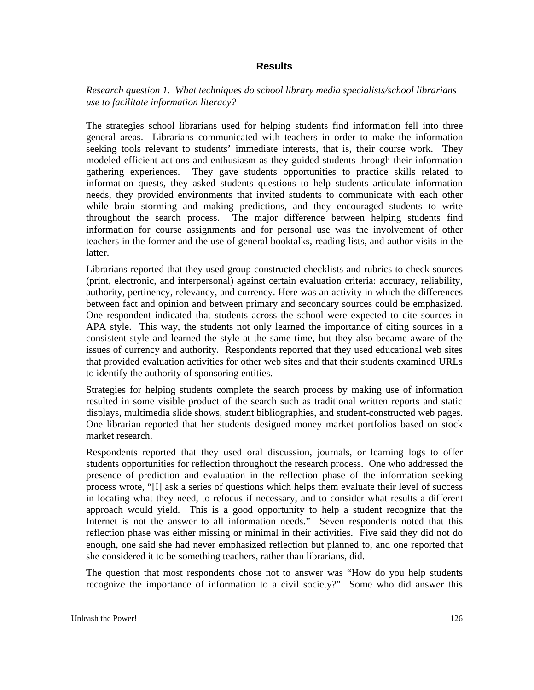## **Results**

## *Research question 1. What techniques do school library media specialists/school librarians use to facilitate information literacy?*

The strategies school librarians used for helping students find information fell into three general areas. Librarians communicated with teachers in order to make the information seeking tools relevant to students' immediate interests, that is, their course work. They modeled efficient actions and enthusiasm as they guided students through their information gathering experiences. They gave students opportunities to practice skills related to information quests, they asked students questions to help students articulate information needs, they provided environments that invited students to communicate with each other while brain storming and making predictions, and they encouraged students to write throughout the search process. The major difference between helping students find information for course assignments and for personal use was the involvement of other teachers in the former and the use of general booktalks, reading lists, and author visits in the latter.

Librarians reported that they used group-constructed checklists and rubrics to check sources (print, electronic, and interpersonal) against certain evaluation criteria: accuracy, reliability, authority, pertinency, relevancy, and currency. Here was an activity in which the differences between fact and opinion and between primary and secondary sources could be emphasized. One respondent indicated that students across the school were expected to cite sources in APA style. This way, the students not only learned the importance of citing sources in a consistent style and learned the style at the same time, but they also became aware of the issues of currency and authority. Respondents reported that they used educational web sites that provided evaluation activities for other web sites and that their students examined URLs to identify the authority of sponsoring entities.

Strategies for helping students complete the search process by making use of information resulted in some visible product of the search such as traditional written reports and static displays, multimedia slide shows, student bibliographies, and student-constructed web pages. One librarian reported that her students designed money market portfolios based on stock market research.

Respondents reported that they used oral discussion, journals, or learning logs to offer students opportunities for reflection throughout the research process. One who addressed the presence of prediction and evaluation in the reflection phase of the information seeking process wrote, "[I] ask a series of questions which helps them evaluate their level of success in locating what they need, to refocus if necessary, and to consider what results a different approach would yield. This is a good opportunity to help a student recognize that the Internet is not the answer to all information needs." Seven respondents noted that this reflection phase was either missing or minimal in their activities. Five said they did not do enough, one said she had never emphasized reflection but planned to, and one reported that she considered it to be something teachers, rather than librarians, did.

The question that most respondents chose not to answer was "How do you help students recognize the importance of information to a civil society?" Some who did answer this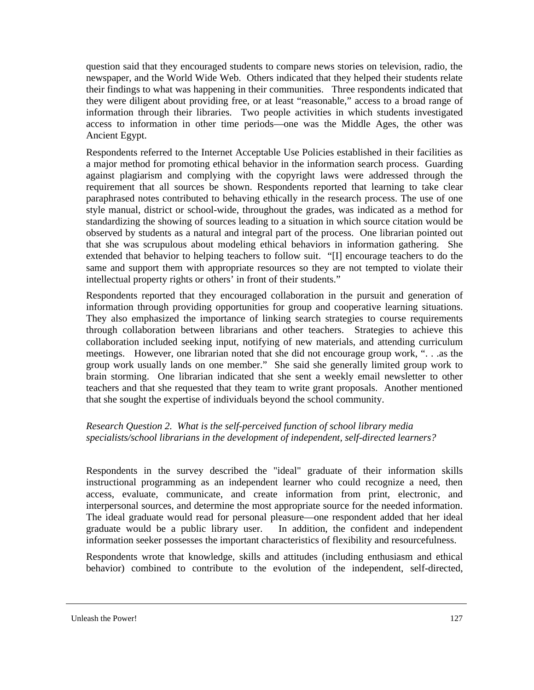question said that they encouraged students to compare news stories on television, radio, the newspaper, and the World Wide Web. Others indicated that they helped their students relate their findings to what was happening in their communities. Three respondents indicated that they were diligent about providing free, or at least "reasonable," access to a broad range of information through their libraries. Two people activities in which students investigated access to information in other time periods—one was the Middle Ages, the other was Ancient Egypt.

Respondents referred to the Internet Acceptable Use Policies established in their facilities as a major method for promoting ethical behavior in the information search process. Guarding against plagiarism and complying with the copyright laws were addressed through the requirement that all sources be shown. Respondents reported that learning to take clear paraphrased notes contributed to behaving ethically in the research process. The use of one style manual, district or school-wide, throughout the grades, was indicated as a method for standardizing the showing of sources leading to a situation in which source citation would be observed by students as a natural and integral part of the process. One librarian pointed out that she was scrupulous about modeling ethical behaviors in information gathering. She extended that behavior to helping teachers to follow suit. "[I] encourage teachers to do the same and support them with appropriate resources so they are not tempted to violate their intellectual property rights or others' in front of their students."

Respondents reported that they encouraged collaboration in the pursuit and generation of information through providing opportunities for group and cooperative learning situations. They also emphasized the importance of linking search strategies to course requirements through collaboration between librarians and other teachers. Strategies to achieve this collaboration included seeking input, notifying of new materials, and attending curriculum meetings. However, one librarian noted that she did not encourage group work, ". . .as the group work usually lands on one member." She said she generally limited group work to brain storming. One librarian indicated that she sent a weekly email newsletter to other teachers and that she requested that they team to write grant proposals. Another mentioned that she sought the expertise of individuals beyond the school community.

## *Research Question 2. What is the self-perceived function of school library media specialists/school librarians in the development of independent, self-directed learners?*

Respondents in the survey described the "ideal" graduate of their information skills instructional programming as an independent learner who could recognize a need, then access, evaluate, communicate, and create information from print, electronic, and interpersonal sources, and determine the most appropriate source for the needed information. The ideal graduate would read for personal pleasure—one respondent added that her ideal graduate would be a public library user. In addition, the confident and independent information seeker possesses the important characteristics of flexibility and resourcefulness.

Respondents wrote that knowledge, skills and attitudes (including enthusiasm and ethical behavior) combined to contribute to the evolution of the independent, self-directed,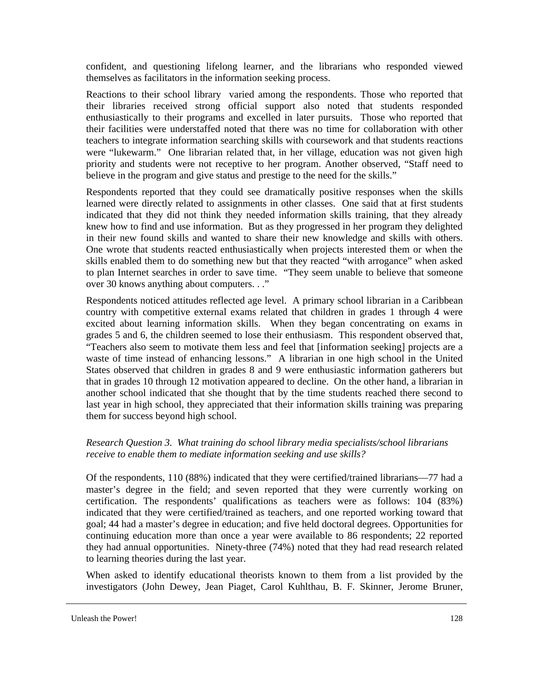confident, and questioning lifelong learner, and the librarians who responded viewed themselves as facilitators in the information seeking process.

Reactions to their school library varied among the respondents. Those who reported that their libraries received strong official support also noted that students responded enthusiastically to their programs and excelled in later pursuits. Those who reported that their facilities were understaffed noted that there was no time for collaboration with other teachers to integrate information searching skills with coursework and that students reactions were "lukewarm." One librarian related that, in her village, education was not given high priority and students were not receptive to her program. Another observed, "Staff need to believe in the program and give status and prestige to the need for the skills."

Respondents reported that they could see dramatically positive responses when the skills learned were directly related to assignments in other classes. One said that at first students indicated that they did not think they needed information skills training, that they already knew how to find and use information. But as they progressed in her program they delighted in their new found skills and wanted to share their new knowledge and skills with others. One wrote that students reacted enthusiastically when projects interested them or when the skills enabled them to do something new but that they reacted "with arrogance" when asked to plan Internet searches in order to save time. "They seem unable to believe that someone over 30 knows anything about computers. . ."

Respondents noticed attitudes reflected age level. A primary school librarian in a Caribbean country with competitive external exams related that children in grades 1 through 4 were excited about learning information skills. When they began concentrating on exams in grades 5 and 6, the children seemed to lose their enthusiasm. This respondent observed that, "Teachers also seem to motivate them less and feel that [information seeking] projects are a waste of time instead of enhancing lessons." A librarian in one high school in the United States observed that children in grades 8 and 9 were enthusiastic information gatherers but that in grades 10 through 12 motivation appeared to decline. On the other hand, a librarian in another school indicated that she thought that by the time students reached there second to last year in high school, they appreciated that their information skills training was preparing them for success beyond high school.

## *Research Question 3. What training do school library media specialists/school librarians receive to enable them to mediate information seeking and use skills?*

Of the respondents, 110 (88%) indicated that they were certified/trained librarians—77 had a master's degree in the field; and seven reported that they were currently working on certification. The respondents' qualifications as teachers were as follows: 104 (83%) indicated that they were certified/trained as teachers, and one reported working toward that goal; 44 had a master's degree in education; and five held doctoral degrees. Opportunities for continuing education more than once a year were available to 86 respondents; 22 reported they had annual opportunities. Ninety-three (74%) noted that they had read research related to learning theories during the last year.

When asked to identify educational theorists known to them from a list provided by the investigators (John Dewey, Jean Piaget, Carol Kuhlthau, B. F. Skinner, Jerome Bruner,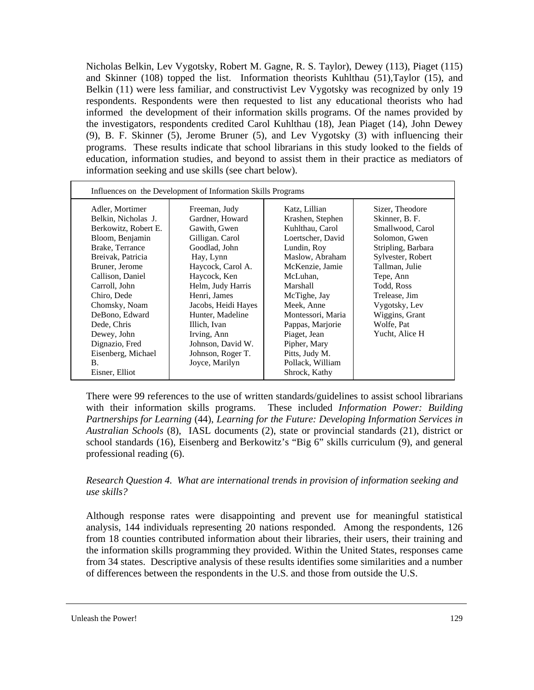Nicholas Belkin, Lev Vygotsky, Robert M. Gagne, R. S. Taylor), Dewey (113), Piaget (115) and Skinner (108) topped the list. Information theorists Kuhlthau (51),Taylor (15), and Belkin (11) were less familiar, and constructivist Lev Vygotsky was recognized by only 19 respondents. Respondents were then requested to list any educational theorists who had informed the development of their information skills programs. Of the names provided by the investigators, respondents credited Carol Kuhlthau (18), Jean Piaget (14), John Dewey (9), B. F. Skinner (5), Jerome Bruner (5), and Lev Vygotsky (3) with influencing their programs. These results indicate that school librarians in this study looked to the fields of education, information studies, and beyond to assist them in their practice as mediators of information seeking and use skills (see chart below).

| Influences on the Development of Information Skills Programs                                                                                                                                                                                                                                                          |                                                                                                                                                                                                                                                                                                                   |                                                                                                                                                                                                                                                                                                     |                                                                                                                                                                                                                                                    |
|-----------------------------------------------------------------------------------------------------------------------------------------------------------------------------------------------------------------------------------------------------------------------------------------------------------------------|-------------------------------------------------------------------------------------------------------------------------------------------------------------------------------------------------------------------------------------------------------------------------------------------------------------------|-----------------------------------------------------------------------------------------------------------------------------------------------------------------------------------------------------------------------------------------------------------------------------------------------------|----------------------------------------------------------------------------------------------------------------------------------------------------------------------------------------------------------------------------------------------------|
| Adler, Mortimer<br>Belkin, Nicholas J.<br>Berkowitz, Robert E.<br>Bloom, Benjamin<br>Brake, Terrance<br>Breivak, Patricia<br>Bruner, Jerome<br>Callison, Daniel<br>Carroll, John<br>Chiro, Dede<br>Chomsky, Noam<br>DeBono, Edward<br>Dede, Chris<br>Dewey, John<br>Dignazio, Fred<br>Eisenberg, Michael<br><b>B.</b> | Freeman, Judy<br>Gardner, Howard<br>Gawith, Gwen<br>Gilligan. Carol<br>Goodlad, John<br>Hay, Lynn<br>Haycock, Carol A.<br>Haycock, Ken<br>Helm, Judy Harris<br>Henri, James<br>Jacobs, Heidi Hayes<br>Hunter, Madeline<br>Illich, Ivan<br>Irving, Ann<br>Johnson, David W.<br>Johnson, Roger T.<br>Joyce, Marilyn | Katz, Lillian<br>Krashen, Stephen<br>Kuhlthau, Carol<br>Loertscher, David<br>Lundin, Roy<br>Maslow, Abraham<br>McKenzie, Jamie<br>McLuhan,<br>Marshall<br>McTighe, Jay<br>Meek, Anne<br>Montessori, Maria<br>Pappas, Marjorie<br>Piaget, Jean<br>Pipher, Mary<br>Pitts, Judy M.<br>Pollack, William | Sizer, Theodore<br>Skinner, B. F.<br>Smallwood, Carol<br>Solomon, Gwen<br>Stripling, Barbara<br>Sylvester, Robert<br>Tallman, Julie<br>Tepe, Ann<br>Todd, Ross<br>Trelease, Jim<br>Vygotsky, Lev<br>Wiggins, Grant<br>Wolfe, Pat<br>Yucht, Alice H |
| Eisner, Elliot                                                                                                                                                                                                                                                                                                        |                                                                                                                                                                                                                                                                                                                   | Shrock, Kathy                                                                                                                                                                                                                                                                                       |                                                                                                                                                                                                                                                    |

There were 99 references to the use of written standards/guidelines to assist school librarians with their information skills programs. These included *Information Power: Building Partnerships for Learning* (44), *Learning for the Future: Developing Information Services in Australian Schools* (8), IASL documents (2), state or provincial standards (21), district or school standards (16), Eisenberg and Berkowitz's "Big 6" skills curriculum (9), and general professional reading (6).

## *Research Question 4. What are international trends in provision of information seeking and use skills?*

Although response rates were disappointing and prevent use for meaningful statistical analysis, 144 individuals representing 20 nations responded. Among the respondents, 126 from 18 counties contributed information about their libraries, their users, their training and the information skills programming they provided. Within the United States, responses came from 34 states. Descriptive analysis of these results identifies some similarities and a number of differences between the respondents in the U.S. and those from outside the U.S.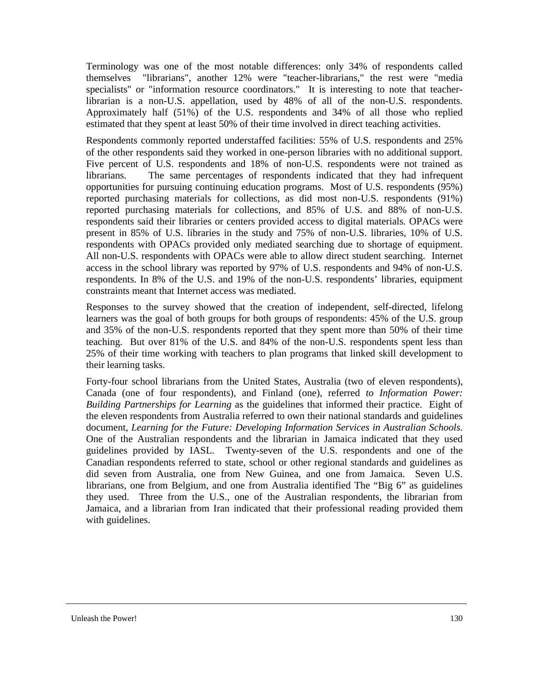Terminology was one of the most notable differences: only 34% of respondents called themselves "librarians", another 12% were "teacher-librarians," the rest were "media specialists" or "information resource coordinators." It is interesting to note that teacherlibrarian is a non-U.S. appellation, used by 48% of all of the non-U.S. respondents. Approximately half (51%) of the U.S. respondents and 34% of all those who replied estimated that they spent at least 50% of their time involved in direct teaching activities.

Respondents commonly reported understaffed facilities: 55% of U.S. respondents and 25% of the other respondents said they worked in one-person libraries with no additional support. Five percent of U.S. respondents and 18% of non-U.S. respondents were not trained as librarians. The same percentages of respondents indicated that they had infrequent opportunities for pursuing continuing education programs. Most of U.S. respondents (95%) reported purchasing materials for collections, as did most non-U.S. respondents (91%) reported purchasing materials for collections, and 85% of U.S. and 88% of non-U.S. respondents said their libraries or centers provided access to digital materials. OPACs were present in 85% of U.S. libraries in the study and 75% of non-U.S. libraries, 10% of U.S. respondents with OPACs provided only mediated searching due to shortage of equipment. All non-U.S. respondents with OPACs were able to allow direct student searching. Internet access in the school library was reported by 97% of U.S. respondents and 94% of non-U.S. respondents. In 8% of the U.S. and 19% of the non-U.S. respondents' libraries, equipment constraints meant that Internet access was mediated.

Responses to the survey showed that the creation of independent, self-directed, lifelong learners was the goal of both groups for both groups of respondents: 45% of the U.S. group and 35% of the non-U.S. respondents reported that they spent more than 50% of their time teaching. But over 81% of the U.S. and 84% of the non-U.S. respondents spent less than 25% of their time working with teachers to plan programs that linked skill development to their learning tasks.

Forty-four school librarians from the United States, Australia (two of eleven respondents), Canada (one of four respondents), and Finland (one), referred *to Information Power: Building Partnerships for Learning* as the guidelines that informed their practice. Eight of the eleven respondents from Australia referred to own their national standards and guidelines document, *Learning for the Future: Developing Information Services in Australian Schools*. One of the Australian respondents and the librarian in Jamaica indicated that they used guidelines provided by IASL. Twenty-seven of the U.S. respondents and one of the Canadian respondents referred to state, school or other regional standards and guidelines as did seven from Australia, one from New Guinea, and one from Jamaica. Seven U.S. librarians, one from Belgium, and one from Australia identified The "Big 6" as guidelines they used. Three from the U.S., one of the Australian respondents, the librarian from Jamaica, and a librarian from Iran indicated that their professional reading provided them with guidelines.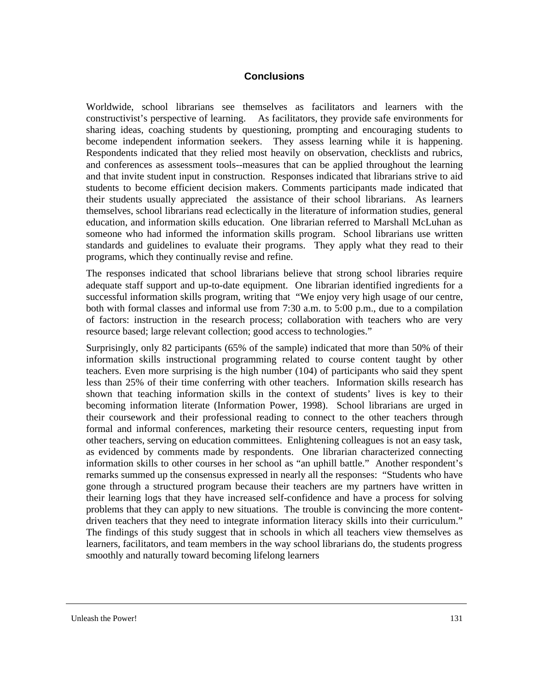## **Conclusions**

Worldwide, school librarians see themselves as facilitators and learners with the constructivist's perspective of learning. As facilitators, they provide safe environments for sharing ideas, coaching students by questioning, prompting and encouraging students to become independent information seekers. They assess learning while it is happening. Respondents indicated that they relied most heavily on observation, checklists and rubrics, and conferences as assessment tools--measures that can be applied throughout the learning and that invite student input in construction. Responses indicated that librarians strive to aid students to become efficient decision makers. Comments participants made indicated that their students usually appreciated the assistance of their school librarians. As learners themselves, school librarians read eclectically in the literature of information studies, general education, and information skills education. One librarian referred to Marshall McLuhan as someone who had informed the information skills program. School librarians use written standards and guidelines to evaluate their programs. They apply what they read to their programs, which they continually revise and refine.

The responses indicated that school librarians believe that strong school libraries require adequate staff support and up-to-date equipment. One librarian identified ingredients for a successful information skills program, writing that "We enjoy very high usage of our centre, both with formal classes and informal use from 7:30 a.m. to 5:00 p.m., due to a compilation of factors: instruction in the research process; collaboration with teachers who are very resource based; large relevant collection; good access to technologies."

Surprisingly, only 82 participants (65% of the sample) indicated that more than 50% of their information skills instructional programming related to course content taught by other teachers. Even more surprising is the high number (104) of participants who said they spent less than 25% of their time conferring with other teachers. Information skills research has shown that teaching information skills in the context of students' lives is key to their becoming information literate (Information Power, 1998). School librarians are urged in their coursework and their professional reading to connect to the other teachers through formal and informal conferences, marketing their resource centers, requesting input from other teachers, serving on education committees. Enlightening colleagues is not an easy task, as evidenced by comments made by respondents. One librarian characterized connecting information skills to other courses in her school as "an uphill battle." Another respondent's remarks summed up the consensus expressed in nearly all the responses: "Students who have gone through a structured program because their teachers are my partners have written in their learning logs that they have increased self-confidence and have a process for solving problems that they can apply to new situations. The trouble is convincing the more contentdriven teachers that they need to integrate information literacy skills into their curriculum." The findings of this study suggest that in schools in which all teachers view themselves as learners, facilitators, and team members in the way school librarians do, the students progress smoothly and naturally toward becoming lifelong learners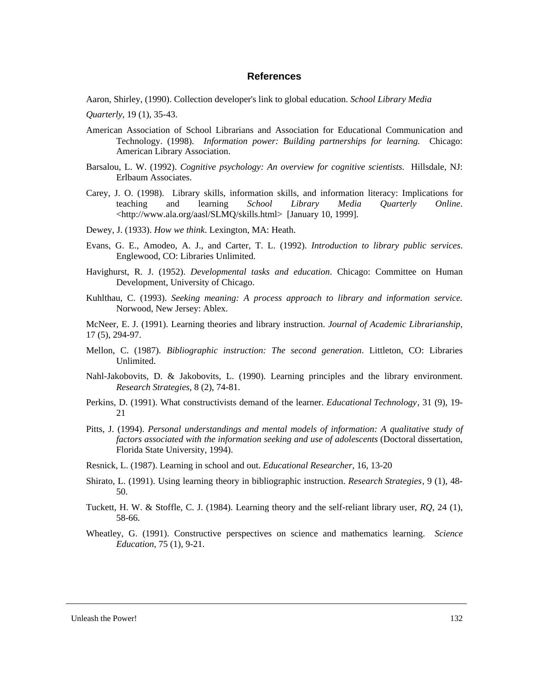#### **References**

Aaron, Shirley, (1990). Collection developer's link to global education. *School Library Media*

- *Quarterly*, 19 (1), 35-43.
- American Association of School Librarians and Association for Educational Communication and Technology. (1998). *Information power: Building partnerships for learning*. Chicago: American Library Association.
- Barsalou, L. W. (1992). *Cognitive psychology: An overview for cognitive scientists*. Hillsdale, NJ: Erlbaum Associates.
- Carey, J. O. (1998). Library skills, information skills, and information literacy: Implications for teaching and learning *School Library Media Quarterly Online*. <http://www.ala.org/aasl/SLMQ/skills.html> [January 10, 1999].
- Dewey, J. (1933). *How we think*. Lexington, MA: Heath.
- Evans, G. E., Amodeo, A. J., and Carter, T. L. (1992). *Introduction to library public services*. Englewood, CO: Libraries Unlimited.
- Havighurst, R. J. (1952). *Developmental tasks and education*. Chicago: Committee on Human Development, University of Chicago.
- Kuhlthau, C. (1993). *Seeking meaning: A process approach to library and information service.* Norwood, New Jersey: Ablex.
- McNeer, E. J. (1991). Learning theories and library instruction. *Journal of Academic Librarianship*, 17 (5), 294-97.
- Mellon, C. (1987). *Bibliographic instruction: The second generation*. Littleton, CO: Libraries Unlimited.
- Nahl-Jakobovits, D. & Jakobovits, L. (1990). Learning principles and the library environment. *Research Strategies*, 8 (2), 74-81.
- Perkins, D. (1991). What constructivists demand of the learner. *Educational Technology*, 31 (9), 19- 21
- Pitts, J. (1994). *Personal understandings and mental models of information: A qualitative study of factors associated with the information seeking and use of adolescents* (Doctoral dissertation, Florida State University, 1994).
- Resnick, L. (1987). Learning in school and out. *Educational Researcher*, 16, 13-20
- Shirato, L. (1991). Using learning theory in bibliographic instruction. *Research Strategies*, 9 (1), 48- 50.
- Tuckett, H. W. & Stoffle, C. J. (1984). Learning theory and the self-reliant library user, *RQ*, 24 (1), 58-66.
- Wheatley, G. (1991). Constructive perspectives on science and mathematics learning. *Science Education*, 75 (1), 9-21.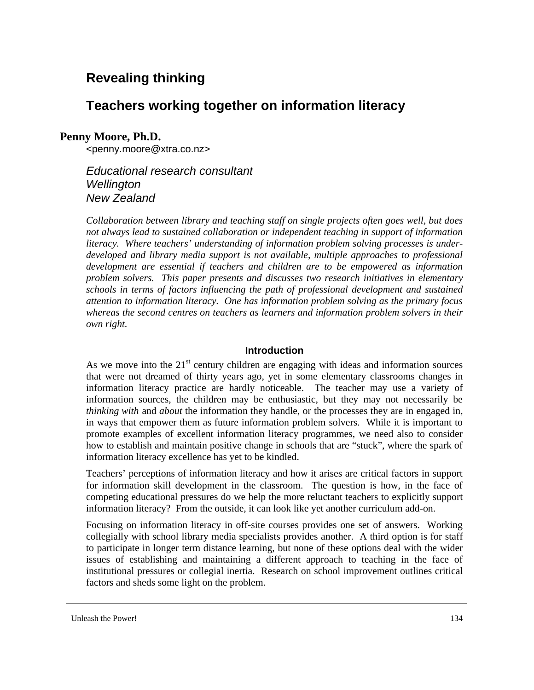# **Revealing thinking**

## **Teachers working together on information literacy**

## **Penny Moore, Ph.D.**

<penny.moore@xtra.co.nz>

## *Educational research consultant Wellington New Zealand*

*Collaboration between library and teaching staff on single projects often goes well, but does not always lead to sustained collaboration or independent teaching in support of information literacy. Where teachers' understanding of information problem solving processes is underdeveloped and library media support is not available, multiple approaches to professional development are essential if teachers and children are to be empowered as information problem solvers. This paper presents and discusses two research initiatives in elementary schools in terms of factors influencing the path of professional development and sustained attention to information literacy. One has information problem solving as the primary focus whereas the second centres on teachers as learners and information problem solvers in their own right.*

## **Introduction**

As we move into the  $21<sup>st</sup>$  century children are engaging with ideas and information sources that were not dreamed of thirty years ago, yet in some elementary classrooms changes in information literacy practice are hardly noticeable. The teacher may use a variety of information sources, the children may be enthusiastic, but they may not necessarily be *thinking with* and *about* the information they handle, or the processes they are in engaged in, in ways that empower them as future information problem solvers. While it is important to promote examples of excellent information literacy programmes, we need also to consider how to establish and maintain positive change in schools that are "stuck", where the spark of information literacy excellence has yet to be kindled.

Teachers' perceptions of information literacy and how it arises are critical factors in support for information skill development in the classroom. The question is how, in the face of competing educational pressures do we help the more reluctant teachers to explicitly support information literacy? From the outside, it can look like yet another curriculum add-on.

Focusing on information literacy in off-site courses provides one set of answers. Working collegially with school library media specialists provides another. A third option is for staff to participate in longer term distance learning, but none of these options deal with the wider issues of establishing and maintaining a different approach to teaching in the face of institutional pressures or collegial inertia. Research on school improvement outlines critical factors and sheds some light on the problem.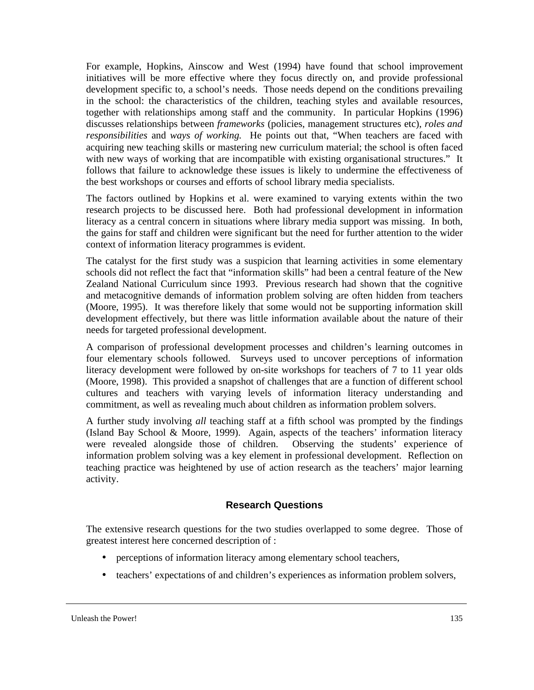For example, Hopkins, Ainscow and West (1994) have found that school improvement initiatives will be more effective where they focus directly on, and provide professional development specific to, a school's needs. Those needs depend on the conditions prevailing in the school: the characteristics of the children, teaching styles and available resources, together with relationships among staff and the community. In particular Hopkins (1996) discusses relationships between *frameworks* (policies, management structures etc), *roles and responsibilities* and *ways of working.* He points out that, "When teachers are faced with acquiring new teaching skills or mastering new curriculum material; the school is often faced with new ways of working that are incompatible with existing organisational structures." It follows that failure to acknowledge these issues is likely to undermine the effectiveness of the best workshops or courses and efforts of school library media specialists.

The factors outlined by Hopkins et al. were examined to varying extents within the two research projects to be discussed here. Both had professional development in information literacy as a central concern in situations where library media support was missing. In both, the gains for staff and children were significant but the need for further attention to the wider context of information literacy programmes is evident.

The catalyst for the first study was a suspicion that learning activities in some elementary schools did not reflect the fact that "information skills" had been a central feature of the New Zealand National Curriculum since 1993. Previous research had shown that the cognitive and metacognitive demands of information problem solving are often hidden from teachers (Moore, 1995). It was therefore likely that some would not be supporting information skill development effectively, but there was little information available about the nature of their needs for targeted professional development.

A comparison of professional development processes and children's learning outcomes in four elementary schools followed. Surveys used to uncover perceptions of information literacy development were followed by on-site workshops for teachers of 7 to 11 year olds (Moore, 1998). This provided a snapshot of challenges that are a function of different school cultures and teachers with varying levels of information literacy understanding and commitment, as well as revealing much about children as information problem solvers.

A further study involving *all* teaching staff at a fifth school was prompted by the findings (Island Bay School & Moore, 1999). Again, aspects of the teachers' information literacy were revealed alongside those of children. Observing the students' experience of information problem solving was a key element in professional development. Reflection on teaching practice was heightened by use of action research as the teachers' major learning activity.

## **Research Questions**

The extensive research questions for the two studies overlapped to some degree. Those of greatest interest here concerned description of :

- perceptions of information literacy among elementary school teachers,
- teachers' expectations of and children's experiences as information problem solvers,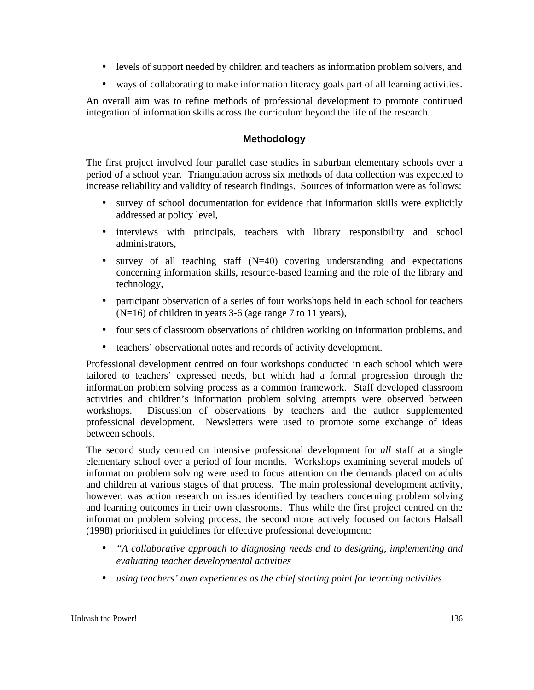- levels of support needed by children and teachers as information problem solvers, and
- ways of collaborating to make information literacy goals part of all learning activities.

An overall aim was to refine methods of professional development to promote continued integration of information skills across the curriculum beyond the life of the research.

## **Methodology**

The first project involved four parallel case studies in suburban elementary schools over a period of a school year. Triangulation across six methods of data collection was expected to increase reliability and validity of research findings. Sources of information were as follows:

- survey of school documentation for evidence that information skills were explicitly addressed at policy level,
- interviews with principals, teachers with library responsibility and school administrators,
- survey of all teaching staff (N=40) covering understanding and expectations concerning information skills, resource-based learning and the role of the library and technology,
- participant observation of a series of four workshops held in each school for teachers (N=16) of children in years 3-6 (age range 7 to 11 years),
- four sets of classroom observations of children working on information problems, and
- teachers' observational notes and records of activity development.

Professional development centred on four workshops conducted in each school which were tailored to teachers' expressed needs, but which had a formal progression through the information problem solving process as a common framework. Staff developed classroom activities and children's information problem solving attempts were observed between workshops. Discussion of observations by teachers and the author supplemented professional development. Newsletters were used to promote some exchange of ideas between schools.

The second study centred on intensive professional development for *all* staff at a single elementary school over a period of four months. Workshops examining several models of information problem solving were used to focus attention on the demands placed on adults and children at various stages of that process. The main professional development activity, however, was action research on issues identified by teachers concerning problem solving and learning outcomes in their own classrooms. Thus while the first project centred on the information problem solving process, the second more actively focused on factors Halsall (1998) prioritised in guidelines for effective professional development:

- *"A collaborative approach to diagnosing needs and to designing, implementing and evaluating teacher developmental activities*
- *using teachers' own experiences as the chief starting point for learning activities*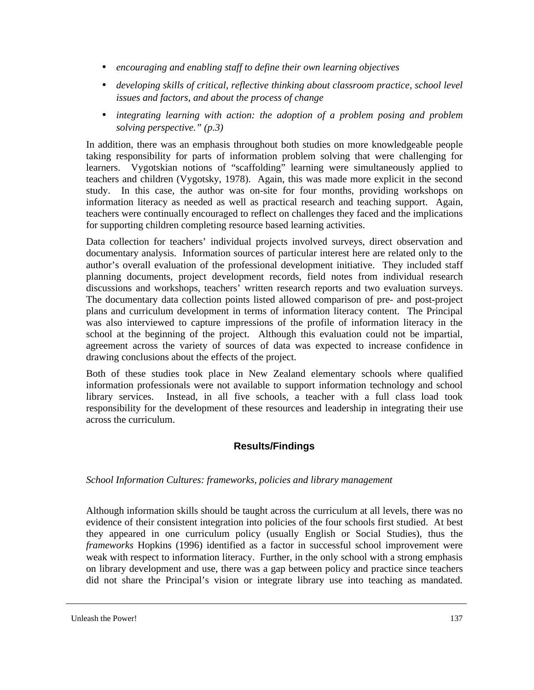- *encouraging and enabling staff to define their own learning objectives*
- *developing skills of critical, reflective thinking about classroom practice, school level issues and factors, and about the process of change*
- *integrating learning with action: the adoption of a problem posing and problem solving perspective." (p.3)*

In addition, there was an emphasis throughout both studies on more knowledgeable people taking responsibility for parts of information problem solving that were challenging for learners. Vygotskian notions of "scaffolding" learning were simultaneously applied to teachers and children (Vygotsky, 1978). Again, this was made more explicit in the second study. In this case, the author was on-site for four months, providing workshops on information literacy as needed as well as practical research and teaching support. Again, teachers were continually encouraged to reflect on challenges they faced and the implications for supporting children completing resource based learning activities.

Data collection for teachers' individual projects involved surveys, direct observation and documentary analysis. Information sources of particular interest here are related only to the author's overall evaluation of the professional development initiative. They included staff planning documents, project development records, field notes from individual research discussions and workshops, teachers' written research reports and two evaluation surveys. The documentary data collection points listed allowed comparison of pre- and post-project plans and curriculum development in terms of information literacy content. The Principal was also interviewed to capture impressions of the profile of information literacy in the school at the beginning of the project. Although this evaluation could not be impartial, agreement across the variety of sources of data was expected to increase confidence in drawing conclusions about the effects of the project.

Both of these studies took place in New Zealand elementary schools where qualified information professionals were not available to support information technology and school library services. Instead, in all five schools, a teacher with a full class load took responsibility for the development of these resources and leadership in integrating their use across the curriculum.

## **Results/Findings**

## *School Information Cultures: frameworks, policies and library management*

Although information skills should be taught across the curriculum at all levels, there was no evidence of their consistent integration into policies of the four schools first studied. At best they appeared in one curriculum policy (usually English or Social Studies), thus the *frameworks* Hopkins (1996) identified as a factor in successful school improvement were weak with respect to information literacy. Further, in the only school with a strong emphasis on library development and use, there was a gap between policy and practice since teachers did not share the Principal's vision or integrate library use into teaching as mandated.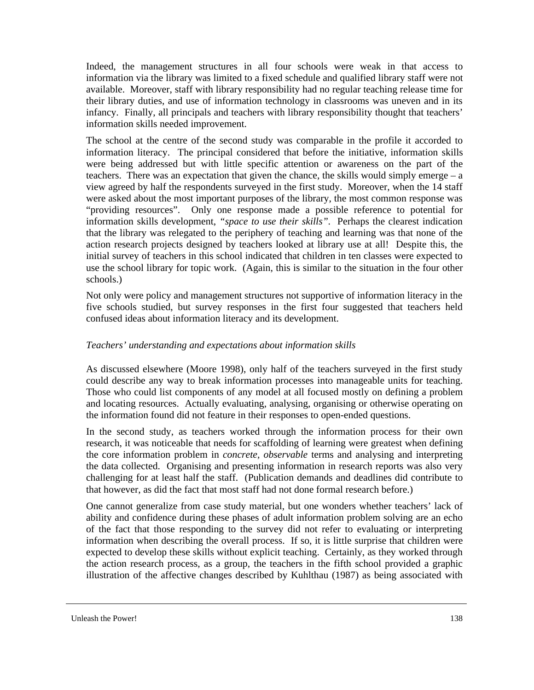Indeed, the management structures in all four schools were weak in that access to information via the library was limited to a fixed schedule and qualified library staff were not available. Moreover, staff with library responsibility had no regular teaching release time for their library duties, and use of information technology in classrooms was uneven and in its infancy. Finally, all principals and teachers with library responsibility thought that teachers' information skills needed improvement.

The school at the centre of the second study was comparable in the profile it accorded to information literacy. The principal considered that before the initiative, information skills were being addressed but with little specific attention or awareness on the part of the teachers. There was an expectation that given the chance, the skills would simply emerge  $- a$ view agreed by half the respondents surveyed in the first study. Moreover, when the 14 staff were asked about the most important purposes of the library, the most common response was "providing resources". Only one response made a possible reference to potential for information skills development, *"space to use their skills"*. Perhaps the clearest indication that the library was relegated to the periphery of teaching and learning was that none of the action research projects designed by teachers looked at library use at all! Despite this, the initial survey of teachers in this school indicated that children in ten classes were expected to use the school library for topic work. (Again, this is similar to the situation in the four other schools.)

Not only were policy and management structures not supportive of information literacy in the five schools studied, but survey responses in the first four suggested that teachers held confused ideas about information literacy and its development.

## *Teachers' understanding and expectations about information skills*

As discussed elsewhere (Moore 1998), only half of the teachers surveyed in the first study could describe any way to break information processes into manageable units for teaching. Those who could list components of any model at all focused mostly on defining a problem and locating resources. Actually evaluating, analysing, organising or otherwise operating on the information found did not feature in their responses to open-ended questions.

In the second study, as teachers worked through the information process for their own research, it was noticeable that needs for scaffolding of learning were greatest when defining the core information problem in *concrete, observable* terms and analysing and interpreting the data collected. Organising and presenting information in research reports was also very challenging for at least half the staff. (Publication demands and deadlines did contribute to that however, as did the fact that most staff had not done formal research before.)

One cannot generalize from case study material, but one wonders whether teachers' lack of ability and confidence during these phases of adult information problem solving are an echo of the fact that those responding to the survey did not refer to evaluating or interpreting information when describing the overall process. If so, it is little surprise that children were expected to develop these skills without explicit teaching. Certainly, as they worked through the action research process, as a group, the teachers in the fifth school provided a graphic illustration of the affective changes described by Kuhlthau (1987) as being associated with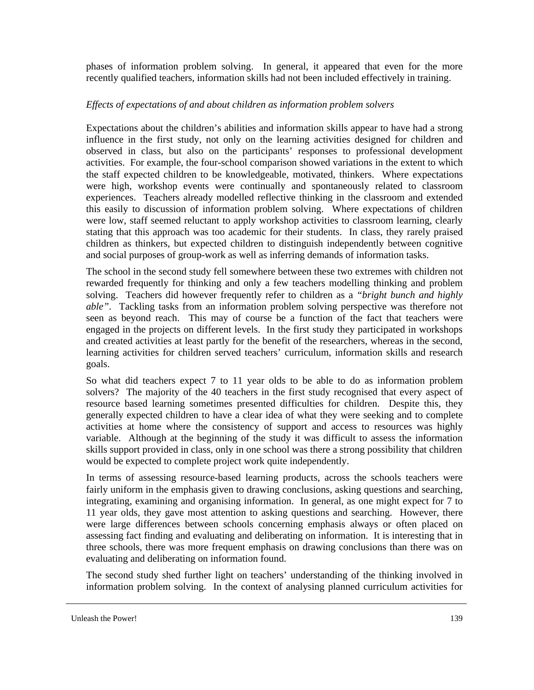phases of information problem solving. In general, it appeared that even for the more recently qualified teachers, information skills had not been included effectively in training.

### *Effects of expectations of and about children as information problem solvers*

Expectations about the children's abilities and information skills appear to have had a strong influence in the first study, not only on the learning activities designed for children and observed in class, but also on the participants' responses to professional development activities. For example, the four-school comparison showed variations in the extent to which the staff expected children to be knowledgeable, motivated, thinkers. Where expectations were high, workshop events were continually and spontaneously related to classroom experiences. Teachers already modelled reflective thinking in the classroom and extended this easily to discussion of information problem solving. Where expectations of children were low, staff seemed reluctant to apply workshop activities to classroom learning, clearly stating that this approach was too academic for their students. In class, they rarely praised children as thinkers, but expected children to distinguish independently between cognitive and social purposes of group-work as well as inferring demands of information tasks.

The school in the second study fell somewhere between these two extremes with children not rewarded frequently for thinking and only a few teachers modelling thinking and problem solving. Teachers did however frequently refer to children as a *"bright bunch and highly able"*. Tackling tasks from an information problem solving perspective was therefore not seen as beyond reach. This may of course be a function of the fact that teachers were engaged in the projects on different levels. In the first study they participated in workshops and created activities at least partly for the benefit of the researchers, whereas in the second, learning activities for children served teachers' curriculum, information skills and research goals.

So what did teachers expect 7 to 11 year olds to be able to do as information problem solvers? The majority of the 40 teachers in the first study recognised that every aspect of resource based learning sometimes presented difficulties for children. Despite this, they generally expected children to have a clear idea of what they were seeking and to complete activities at home where the consistency of support and access to resources was highly variable. Although at the beginning of the study it was difficult to assess the information skills support provided in class, only in one school was there a strong possibility that children would be expected to complete project work quite independently.

In terms of assessing resource-based learning products, across the schools teachers were fairly uniform in the emphasis given to drawing conclusions, asking questions and searching, integrating, examining and organising information. In general, as one might expect for 7 to 11 year olds, they gave most attention to asking questions and searching. However, there were large differences between schools concerning emphasis always or often placed on assessing fact finding and evaluating and deliberating on information. It is interesting that in three schools, there was more frequent emphasis on drawing conclusions than there was on evaluating and deliberating on information found.

The second study shed further light on teachers' understanding of the thinking involved in information problem solving. In the context of analysing planned curriculum activities for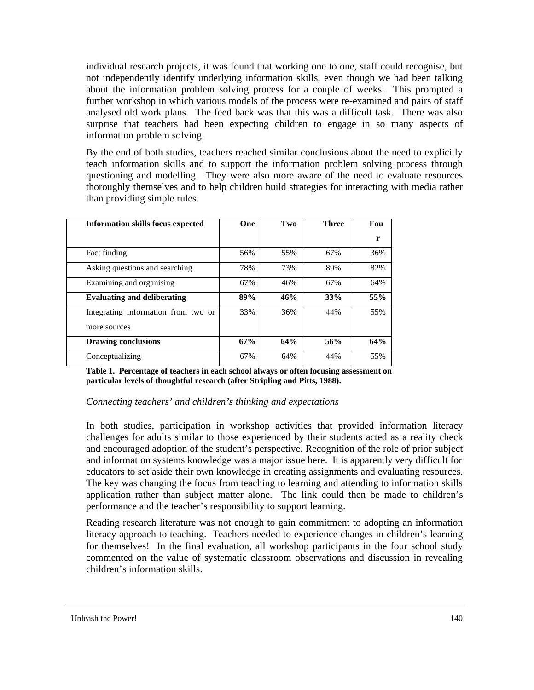individual research projects, it was found that working one to one, staff could recognise, but not independently identify underlying information skills, even though we had been talking about the information problem solving process for a couple of weeks. This prompted a further workshop in which various models of the process were re-examined and pairs of staff analysed old work plans. The feed back was that this was a difficult task. There was also surprise that teachers had been expecting children to engage in so many aspects of information problem solving.

By the end of both studies, teachers reached similar conclusions about the need to explicitly teach information skills and to support the information problem solving process through questioning and modelling. They were also more aware of the need to evaluate resources thoroughly themselves and to help children build strategies for interacting with media rather than providing simple rules.

| <b>Information skills focus expected</b> | One | Two | <b>Three</b> | Fou |
|------------------------------------------|-----|-----|--------------|-----|
|                                          |     |     |              | r   |
| Fact finding                             | 56% | 55% | 67%          | 36% |
| Asking questions and searching           | 78% | 73% | 89%          | 82% |
| Examining and organising                 | 67% | 46% | 67%          | 64% |
| <b>Evaluating and deliberating</b>       | 89% | 46% | 33%          | 55% |
| Integrating information from two or      | 33% | 36% | 44%          | 55% |
| more sources                             |     |     |              |     |
| <b>Drawing conclusions</b>               | 67% | 64% | 56%          | 64% |
| Conceptualizing                          | 67% | 64% | 44%          | 55% |

**Table 1. Percentage of teachers in each school always or often focusing assessment on particular levels of thoughtful research (after Stripling and Pitts, 1988).**

### *Connecting teachers' and children's thinking and expectations*

In both studies, participation in workshop activities that provided information literacy challenges for adults similar to those experienced by their students acted as a reality check and encouraged adoption of the student's perspective. Recognition of the role of prior subject and information systems knowledge was a major issue here. It is apparently very difficult for educators to set aside their own knowledge in creating assignments and evaluating resources. The key was changing the focus from teaching to learning and attending to information skills application rather than subject matter alone. The link could then be made to children's performance and the teacher's responsibility to support learning.

Reading research literature was not enough to gain commitment to adopting an information literacy approach to teaching. Teachers needed to experience changes in children's learning for themselves! In the final evaluation, all workshop participants in the four school study commented on the value of systematic classroom observations and discussion in revealing children's information skills.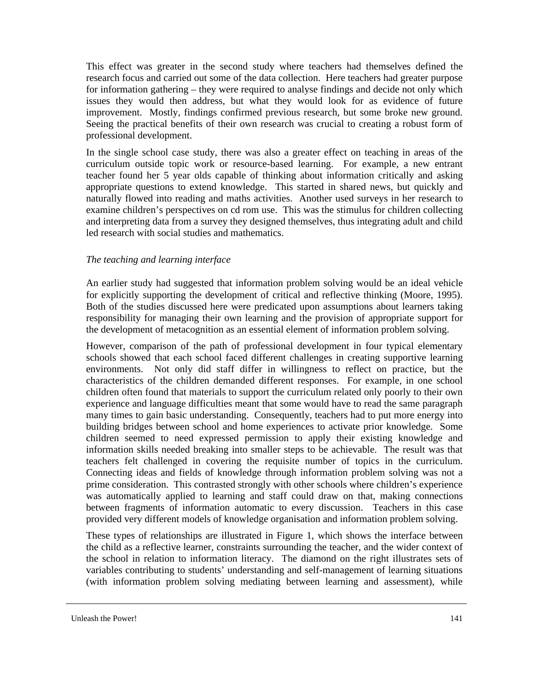This effect was greater in the second study where teachers had themselves defined the research focus and carried out some of the data collection. Here teachers had greater purpose for information gathering – they were required to analyse findings and decide not only which issues they would then address, but what they would look for as evidence of future improvement. Mostly, findings confirmed previous research, but some broke new ground. Seeing the practical benefits of their own research was crucial to creating a robust form of professional development.

In the single school case study, there was also a greater effect on teaching in areas of the curriculum outside topic work or resource-based learning. For example, a new entrant teacher found her 5 year olds capable of thinking about information critically and asking appropriate questions to extend knowledge. This started in shared news, but quickly and naturally flowed into reading and maths activities. Another used surveys in her research to examine children's perspectives on cd rom use. This was the stimulus for children collecting and interpreting data from a survey they designed themselves, thus integrating adult and child led research with social studies and mathematics.

### *The teaching and learning interface*

An earlier study had suggested that information problem solving would be an ideal vehicle for explicitly supporting the development of critical and reflective thinking (Moore, 1995). Both of the studies discussed here were predicated upon assumptions about learners taking responsibility for managing their own learning and the provision of appropriate support for the development of metacognition as an essential element of information problem solving.

However, comparison of the path of professional development in four typical elementary schools showed that each school faced different challenges in creating supportive learning environments. Not only did staff differ in willingness to reflect on practice, but the characteristics of the children demanded different responses. For example, in one school children often found that materials to support the curriculum related only poorly to their own experience and language difficulties meant that some would have to read the same paragraph many times to gain basic understanding. Consequently, teachers had to put more energy into building bridges between school and home experiences to activate prior knowledge. Some children seemed to need expressed permission to apply their existing knowledge and information skills needed breaking into smaller steps to be achievable. The result was that teachers felt challenged in covering the requisite number of topics in the curriculum. Connecting ideas and fields of knowledge through information problem solving was not a prime consideration. This contrasted strongly with other schools where children's experience was automatically applied to learning and staff could draw on that, making connections between fragments of information automatic to every discussion. Teachers in this case provided very different models of knowledge organisation and information problem solving.

These types of relationships are illustrated in Figure 1, which shows the interface between the child as a reflective learner, constraints surrounding the teacher, and the wider context of the school in relation to information literacy. The diamond on the right illustrates sets of variables contributing to students' understanding and self-management of learning situations (with information problem solving mediating between learning and assessment), while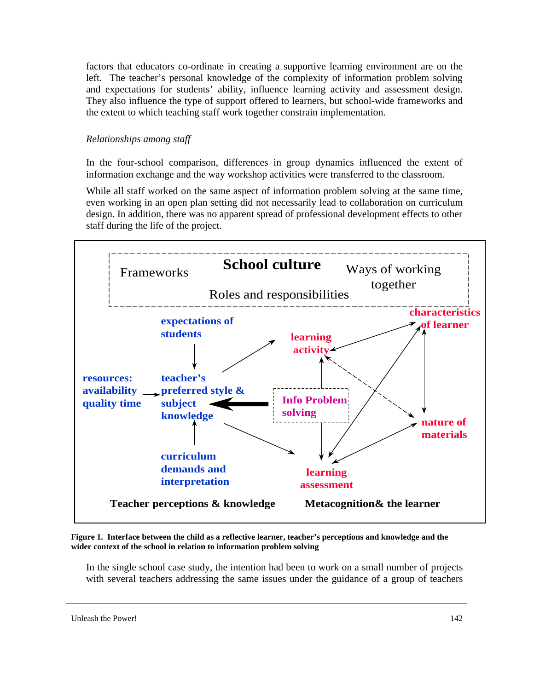factors that educators co-ordinate in creating a supportive learning environment are on the left. The teacher's personal knowledge of the complexity of information problem solving and expectations for students' ability, influence learning activity and assessment design. They also influence the type of support offered to learners, but school-wide frameworks and the extent to which teaching staff work together constrain implementation.

### *Relationships among staff*

In the four-school comparison, differences in group dynamics influenced the extent of information exchange and the way workshop activities were transferred to the classroom.

While all staff worked on the same aspect of information problem solving at the same time, even working in an open plan setting did not necessarily lead to collaboration on curriculum design. In addition, there was no apparent spread of professional development effects to other staff during the life of the project.



**Figure 1. Interface between the child as a reflective learner, teacher's perceptions and knowledge and the wider context of the school in relation to information problem solving**

In the single school case study, the intention had been to work on a small number of projects with several teachers addressing the same issues under the guidance of a group of teachers

Unleash the Power!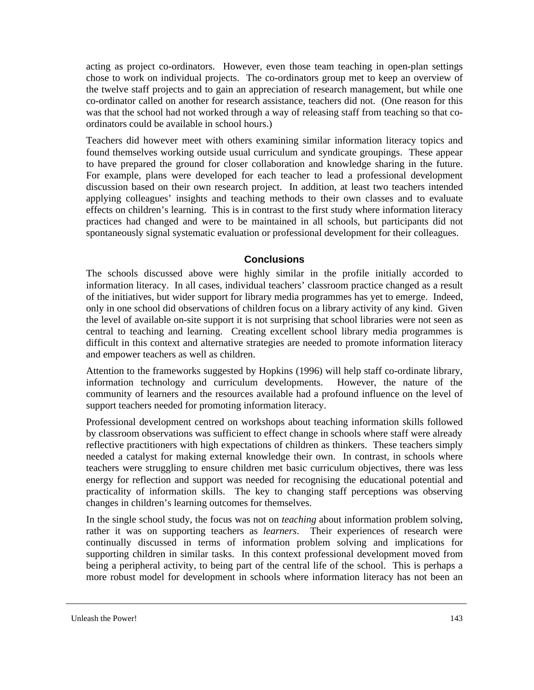acting as project co-ordinators. However, even those team teaching in open-plan settings chose to work on individual projects. The co-ordinators group met to keep an overview of the twelve staff projects and to gain an appreciation of research management, but while one co-ordinator called on another for research assistance, teachers did not. (One reason for this was that the school had not worked through a way of releasing staff from teaching so that coordinators could be available in school hours.)

Teachers did however meet with others examining similar information literacy topics and found themselves working outside usual curriculum and syndicate groupings. These appear to have prepared the ground for closer collaboration and knowledge sharing in the future. For example, plans were developed for each teacher to lead a professional development discussion based on their own research project. In addition, at least two teachers intended applying colleagues' insights and teaching methods to their own classes and to evaluate effects on children's learning. This is in contrast to the first study where information literacy practices had changed and were to be maintained in all schools, but participants did not spontaneously signal systematic evaluation or professional development for their colleagues.

## **Conclusions**

The schools discussed above were highly similar in the profile initially accorded to information literacy. In all cases, individual teachers' classroom practice changed as a result of the initiatives, but wider support for library media programmes has yet to emerge. Indeed, only in one school did observations of children focus on a library activity of any kind. Given the level of available on-site support it is not surprising that school libraries were not seen as central to teaching and learning. Creating excellent school library media programmes is difficult in this context and alternative strategies are needed to promote information literacy and empower teachers as well as children.

Attention to the frameworks suggested by Hopkins (1996) will help staff co-ordinate library, information technology and curriculum developments. However, the nature of the community of learners and the resources available had a profound influence on the level of support teachers needed for promoting information literacy.

Professional development centred on workshops about teaching information skills followed by classroom observations was sufficient to effect change in schools where staff were already reflective practitioners with high expectations of children as thinkers. These teachers simply needed a catalyst for making external knowledge their own. In contrast, in schools where teachers were struggling to ensure children met basic curriculum objectives, there was less energy for reflection and support was needed for recognising the educational potential and practicality of information skills. The key to changing staff perceptions was observing changes in children's learning outcomes for themselves.

In the single school study, the focus was not on *teaching* about information problem solving, rather it was on supporting teachers as *learners*. Their experiences of research were continually discussed in terms of information problem solving and implications for supporting children in similar tasks. In this context professional development moved from being a peripheral activity, to being part of the central life of the school. This is perhaps a more robust model for development in schools where information literacy has not been an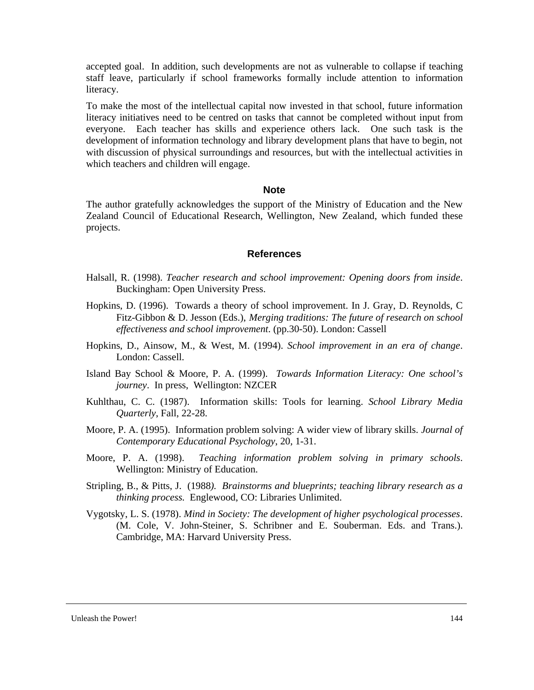accepted goal. In addition, such developments are not as vulnerable to collapse if teaching staff leave, particularly if school frameworks formally include attention to information literacy.

To make the most of the intellectual capital now invested in that school, future information literacy initiatives need to be centred on tasks that cannot be completed without input from everyone. Each teacher has skills and experience others lack. One such task is the development of information technology and library development plans that have to begin, not with discussion of physical surroundings and resources, but with the intellectual activities in which teachers and children will engage.

#### **Note**

The author gratefully acknowledges the support of the Ministry of Education and the New Zealand Council of Educational Research, Wellington, New Zealand, which funded these projects.

### **References**

- Halsall, R. (1998). *Teacher research and school improvement: Opening doors from inside*. Buckingham: Open University Press.
- Hopkins, D. (1996). Towards a theory of school improvement. In J. Gray, D. Reynolds, C Fitz-Gibbon & D. Jesson (Eds.), *Merging traditions: The future of research on school effectiveness and school improvement*. (pp.30-50). London: Cassell
- Hopkins, D., Ainsow, M., & West, M. (1994). *School improvement in an era of change*. London: Cassell.
- Island Bay School & Moore, P. A. (1999). *Towards Information Literacy: One school's journey*. In press, Wellington: NZCER
- Kuhlthau, C. C. (1987). Information skills: Tools for learning. *School Library Media Quarterly*, Fall, 22-28.
- Moore, P. A. (1995). Information problem solving: A wider view of library skills. *Journal of Contemporary Educational Psychology*, 20, 1-31.
- Moore, P. A. (1998). *Teaching information problem solving in primary schools*. Wellington: Ministry of Education.
- Stripling, B., & Pitts, J. (1988*). Brainstorms and blueprints; teaching library research as a thinking process.* Englewood, CO: Libraries Unlimited.
- Vygotsky, L. S. (1978). *Mind in Society: The development of higher psychological processes*. (M. Cole, V. John-Steiner, S. Schribner and E. Souberman. Eds. and Trans.). Cambridge, MA: Harvard University Press.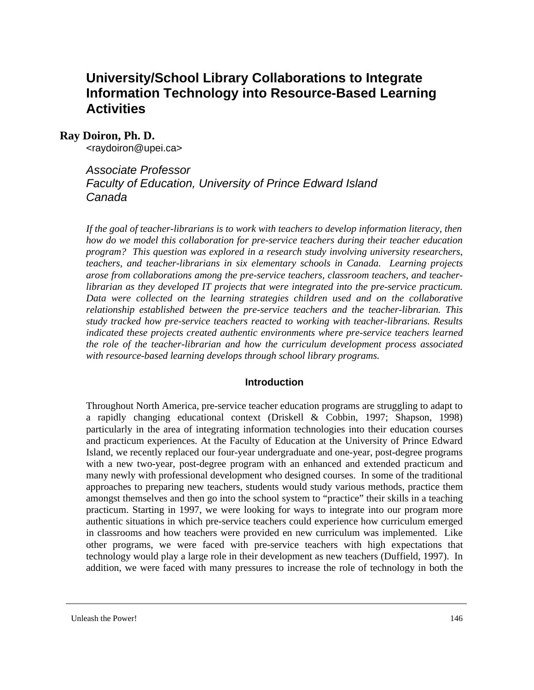# **University/School Library Collaborations to Integrate Information Technology into Resource-Based Learning Activities**

### **Ray Doiron, Ph. D.**

<raydoiron@upei.ca>

# *Associate Professor Faculty of Education, University of Prince Edward Island Canada*

*If the goal of teacher-librarians is to work with teachers to develop information literacy, then how do we model this collaboration for pre-service teachers during their teacher education program? This question was explored in a research study involving university researchers, teachers, and teacher-librarians in six elementary schools in Canada. Learning projects arose from collaborations among the pre-service teachers, classroom teachers, and teacherlibrarian as they developed IT projects that were integrated into the pre-service practicum. Data were collected on the learning strategies children used and on the collaborative relationship established between the pre-service teachers and the teacher-librarian. This study tracked how pre-service teachers reacted to working with teacher-librarians. Results indicated these projects created authentic environments where pre-service teachers learned the role of the teacher-librarian and how the curriculum development process associated with resource-based learning develops through school library programs.*

### **Introduction**

Throughout North America, pre-service teacher education programs are struggling to adapt to a rapidly changing educational context (Driskell & Cobbin, 1997; Shapson, 1998) particularly in the area of integrating information technologies into their education courses and practicum experiences. At the Faculty of Education at the University of Prince Edward Island, we recently replaced our four-year undergraduate and one-year, post-degree programs with a new two-year, post-degree program with an enhanced and extended practicum and many newly with professional development who designed courses. In some of the traditional approaches to preparing new teachers, students would study various methods, practice them amongst themselves and then go into the school system to "practice" their skills in a teaching practicum. Starting in 1997, we were looking for ways to integrate into our program more authentic situations in which pre-service teachers could experience how curriculum emerged in classrooms and how teachers were provided en new curriculum was implemented. Like other programs, we were faced with pre-service teachers with high expectations that technology would play a large role in their development as new teachers (Duffield, 1997). In addition, we were faced with many pressures to increase the role of technology in both the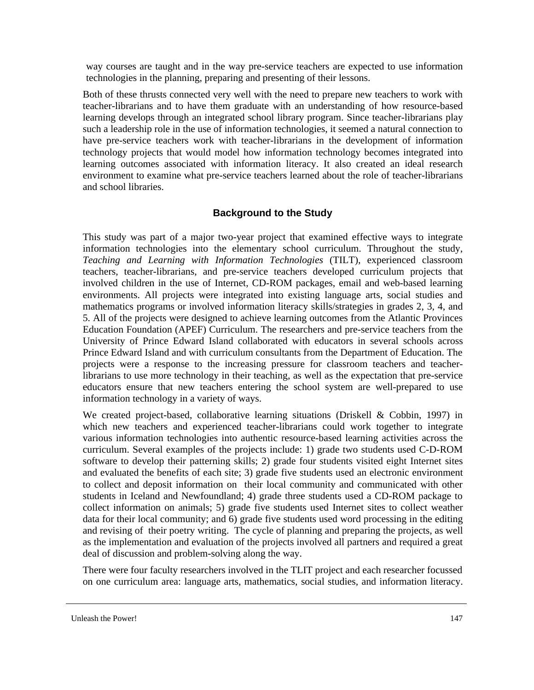way courses are taught and in the way pre-service teachers are expected to use information technologies in the planning, preparing and presenting of their lessons.

Both of these thrusts connected very well with the need to prepare new teachers to work with teacher-librarians and to have them graduate with an understanding of how resource-based learning develops through an integrated school library program. Since teacher-librarians play such a leadership role in the use of information technologies, it seemed a natural connection to have pre-service teachers work with teacher-librarians in the development of information technology projects that would model how information technology becomes integrated into learning outcomes associated with information literacy. It also created an ideal research environment to examine what pre-service teachers learned about the role of teacher-librarians and school libraries.

# **Background to the Study**

This study was part of a major two-year project that examined effective ways to integrate information technologies into the elementary school curriculum. Throughout the study, *Teaching and Learning with Information Technologies* (TILT), experienced classroom teachers, teacher-librarians, and pre-service teachers developed curriculum projects that involved children in the use of Internet, CD-ROM packages, email and web-based learning environments. All projects were integrated into existing language arts, social studies and mathematics programs or involved information literacy skills/strategies in grades 2, 3, 4, and 5. All of the projects were designed to achieve learning outcomes from the Atlantic Provinces Education Foundation (APEF) Curriculum. The researchers and pre-service teachers from the University of Prince Edward Island collaborated with educators in several schools across Prince Edward Island and with curriculum consultants from the Department of Education. The projects were a response to the increasing pressure for classroom teachers and teacherlibrarians to use more technology in their teaching, as well as the expectation that pre-service educators ensure that new teachers entering the school system are well-prepared to use information technology in a variety of ways.

We created project-based, collaborative learning situations (Driskell & Cobbin, 1997) in which new teachers and experienced teacher-librarians could work together to integrate various information technologies into authentic resource-based learning activities across the curriculum. Several examples of the projects include: 1) grade two students used C-D-ROM software to develop their patterning skills; 2) grade four students visited eight Internet sites and evaluated the benefits of each site; 3) grade five students used an electronic environment to collect and deposit information on their local community and communicated with other students in Iceland and Newfoundland; 4) grade three students used a CD-ROM package to collect information on animals; 5) grade five students used Internet sites to collect weather data for their local community; and 6) grade five students used word processing in the editing and revising of their poetry writing. The cycle of planning and preparing the projects, as well as the implementation and evaluation of the projects involved all partners and required a great deal of discussion and problem-solving along the way.

There were four faculty researchers involved in the TLIT project and each researcher focussed on one curriculum area: language arts, mathematics, social studies, and information literacy.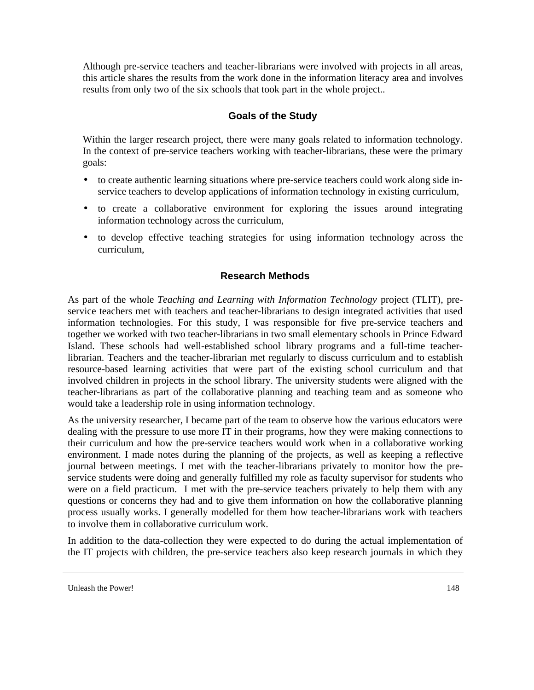Although pre-service teachers and teacher-librarians were involved with projects in all areas, this article shares the results from the work done in the information literacy area and involves results from only two of the six schools that took part in the whole project..

### **Goals of the Study**

Within the larger research project, there were many goals related to information technology. In the context of pre-service teachers working with teacher-librarians, these were the primary goals:

- to create authentic learning situations where pre-service teachers could work along side inservice teachers to develop applications of information technology in existing curriculum,
- to create a collaborative environment for exploring the issues around integrating information technology across the curriculum,
- to develop effective teaching strategies for using information technology across the curriculum,

### **Research Methods**

As part of the whole *Teaching and Learning with Information Technology* project (TLIT), preservice teachers met with teachers and teacher-librarians to design integrated activities that used information technologies. For this study, I was responsible for five pre-service teachers and together we worked with two teacher-librarians in two small elementary schools in Prince Edward Island. These schools had well-established school library programs and a full-time teacherlibrarian. Teachers and the teacher-librarian met regularly to discuss curriculum and to establish resource-based learning activities that were part of the existing school curriculum and that involved children in projects in the school library. The university students were aligned with the teacher-librarians as part of the collaborative planning and teaching team and as someone who would take a leadership role in using information technology.

As the university researcher, I became part of the team to observe how the various educators were dealing with the pressure to use more IT in their programs, how they were making connections to their curriculum and how the pre-service teachers would work when in a collaborative working environment. I made notes during the planning of the projects, as well as keeping a reflective journal between meetings. I met with the teacher-librarians privately to monitor how the preservice students were doing and generally fulfilled my role as faculty supervisor for students who were on a field practicum. I met with the pre-service teachers privately to help them with any questions or concerns they had and to give them information on how the collaborative planning process usually works. I generally modelled for them how teacher-librarians work with teachers to involve them in collaborative curriculum work.

In addition to the data-collection they were expected to do during the actual implementation of the IT projects with children, the pre-service teachers also keep research journals in which they

Unleash the Power!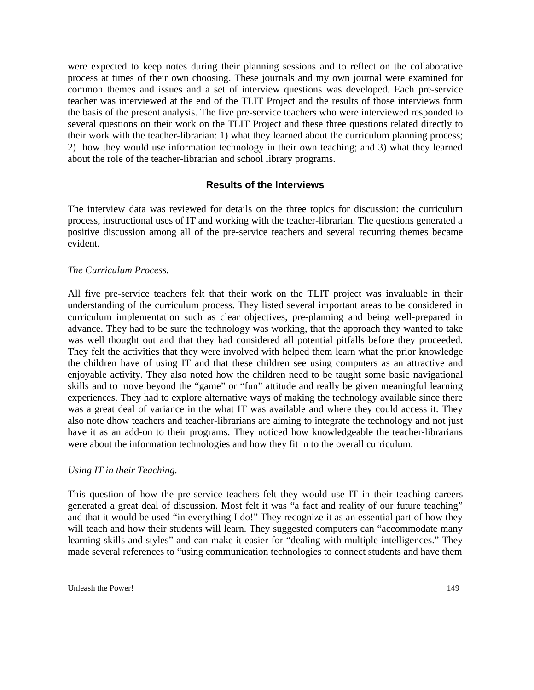were expected to keep notes during their planning sessions and to reflect on the collaborative process at times of their own choosing. These journals and my own journal were examined for common themes and issues and a set of interview questions was developed. Each pre-service teacher was interviewed at the end of the TLIT Project and the results of those interviews form the basis of the present analysis. The five pre-service teachers who were interviewed responded to several questions on their work on the TLIT Project and these three questions related directly to their work with the teacher-librarian: 1) what they learned about the curriculum planning process; 2) how they would use information technology in their own teaching; and 3) what they learned about the role of the teacher-librarian and school library programs.

### **Results of the Interviews**

The interview data was reviewed for details on the three topics for discussion: the curriculum process, instructional uses of IT and working with the teacher-librarian. The questions generated a positive discussion among all of the pre-service teachers and several recurring themes became evident.

### *The Curriculum Process.*

All five pre-service teachers felt that their work on the TLIT project was invaluable in their understanding of the curriculum process. They listed several important areas to be considered in curriculum implementation such as clear objectives, pre-planning and being well-prepared in advance. They had to be sure the technology was working, that the approach they wanted to take was well thought out and that they had considered all potential pitfalls before they proceeded. They felt the activities that they were involved with helped them learn what the prior knowledge the children have of using IT and that these children see using computers as an attractive and enjoyable activity. They also noted how the children need to be taught some basic navigational skills and to move beyond the "game" or "fun" attitude and really be given meaningful learning experiences. They had to explore alternative ways of making the technology available since there was a great deal of variance in the what IT was available and where they could access it. They also note dhow teachers and teacher-librarians are aiming to integrate the technology and not just have it as an add-on to their programs. They noticed how knowledgeable the teacher-librarians were about the information technologies and how they fit in to the overall curriculum.

### *Using IT in their Teaching.*

This question of how the pre-service teachers felt they would use IT in their teaching careers generated a great deal of discussion. Most felt it was "a fact and reality of our future teaching" and that it would be used "in everything I do!" They recognize it as an essential part of how they will teach and how their students will learn. They suggested computers can "accommodate many learning skills and styles" and can make it easier for "dealing with multiple intelligences." They made several references to "using communication technologies to connect students and have them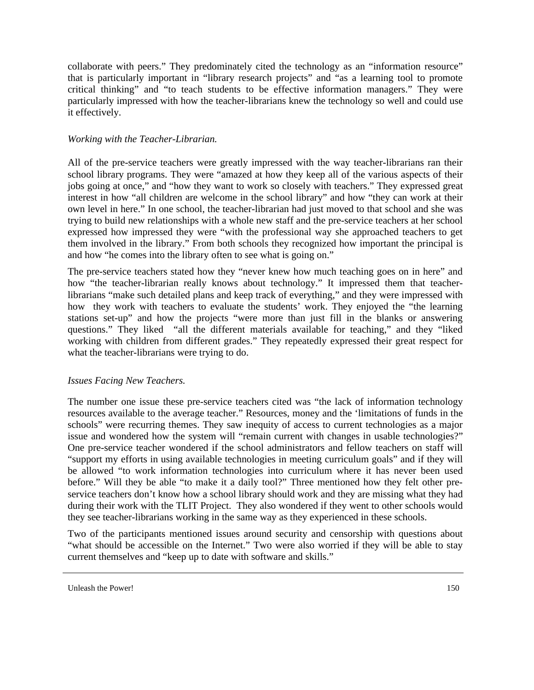collaborate with peers." They predominately cited the technology as an "information resource" that is particularly important in "library research projects" and "as a learning tool to promote critical thinking" and "to teach students to be effective information managers." They were particularly impressed with how the teacher-librarians knew the technology so well and could use it effectively.

### *Working with the Teacher-Librarian.*

All of the pre-service teachers were greatly impressed with the way teacher-librarians ran their school library programs. They were "amazed at how they keep all of the various aspects of their jobs going at once," and "how they want to work so closely with teachers." They expressed great interest in how "all children are welcome in the school library" and how "they can work at their own level in here." In one school, the teacher-librarian had just moved to that school and she was trying to build new relationships with a whole new staff and the pre-service teachers at her school expressed how impressed they were "with the professional way she approached teachers to get them involved in the library." From both schools they recognized how important the principal is and how "he comes into the library often to see what is going on."

The pre-service teachers stated how they "never knew how much teaching goes on in here" and how "the teacher-librarian really knows about technology." It impressed them that teacherlibrarians "make such detailed plans and keep track of everything," and they were impressed with how they work with teachers to evaluate the students' work. They enjoyed the "the learning stations set-up" and how the projects "were more than just fill in the blanks or answering questions." They liked "all the different materials available for teaching," and they "liked working with children from different grades." They repeatedly expressed their great respect for what the teacher-librarians were trying to do.

### *Issues Facing New Teachers.*

The number one issue these pre-service teachers cited was "the lack of information technology resources available to the average teacher." Resources, money and the 'limitations of funds in the schools" were recurring themes. They saw inequity of access to current technologies as a major issue and wondered how the system will "remain current with changes in usable technologies?" One pre-service teacher wondered if the school administrators and fellow teachers on staff will "support my efforts in using available technologies in meeting curriculum goals" and if they will be allowed "to work information technologies into curriculum where it has never been used before." Will they be able "to make it a daily tool?" Three mentioned how they felt other preservice teachers don't know how a school library should work and they are missing what they had during their work with the TLIT Project. They also wondered if they went to other schools would they see teacher-librarians working in the same way as they experienced in these schools.

Two of the participants mentioned issues around security and censorship with questions about "what should be accessible on the Internet." Two were also worried if they will be able to stay current themselves and "keep up to date with software and skills."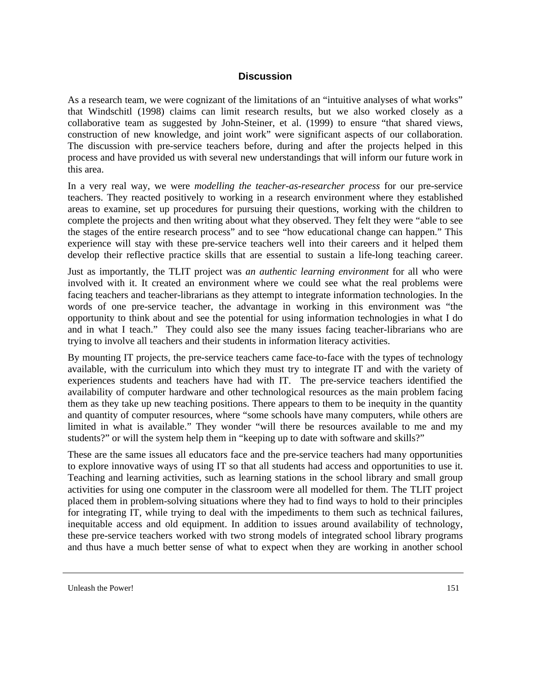### **Discussion**

As a research team, we were cognizant of the limitations of an "intuitive analyses of what works" that Windschitl (1998) claims can limit research results, but we also worked closely as a collaborative team as suggested by John-Steiner, et al. (1999) to ensure "that shared views, construction of new knowledge, and joint work" were significant aspects of our collaboration. The discussion with pre-service teachers before, during and after the projects helped in this process and have provided us with several new understandings that will inform our future work in this area.

In a very real way, we were *modelling the teacher-as-researcher process* for our pre-service teachers. They reacted positively to working in a research environment where they established areas to examine, set up procedures for pursuing their questions, working with the children to complete the projects and then writing about what they observed. They felt they were "able to see the stages of the entire research process" and to see "how educational change can happen." This experience will stay with these pre-service teachers well into their careers and it helped them develop their reflective practice skills that are essential to sustain a life-long teaching career.

Just as importantly, the TLIT project was *an authentic learning environment* for all who were involved with it. It created an environment where we could see what the real problems were facing teachers and teacher-librarians as they attempt to integrate information technologies. In the words of one pre-service teacher, the advantage in working in this environment was "the opportunity to think about and see the potential for using information technologies in what I do and in what I teach." They could also see the many issues facing teacher-librarians who are trying to involve all teachers and their students in information literacy activities.

By mounting IT projects, the pre-service teachers came face-to-face with the types of technology available, with the curriculum into which they must try to integrate IT and with the variety of experiences students and teachers have had with IT. The pre-service teachers identified the availability of computer hardware and other technological resources as the main problem facing them as they take up new teaching positions. There appears to them to be inequity in the quantity and quantity of computer resources, where "some schools have many computers, while others are limited in what is available." They wonder "will there be resources available to me and my students?" or will the system help them in "keeping up to date with software and skills?"

These are the same issues all educators face and the pre-service teachers had many opportunities to explore innovative ways of using IT so that all students had access and opportunities to use it. Teaching and learning activities, such as learning stations in the school library and small group activities for using one computer in the classroom were all modelled for them. The TLIT project placed them in problem-solving situations where they had to find ways to hold to their principles for integrating IT, while trying to deal with the impediments to them such as technical failures, inequitable access and old equipment. In addition to issues around availability of technology, these pre-service teachers worked with two strong models of integrated school library programs and thus have a much better sense of what to expect when they are working in another school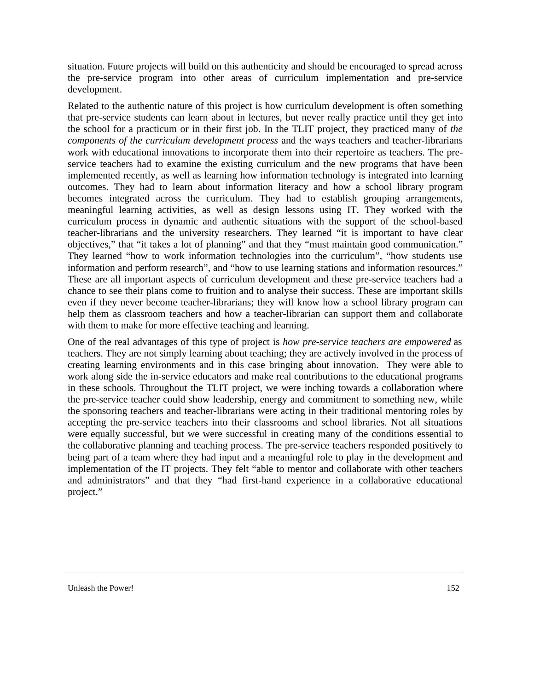situation. Future projects will build on this authenticity and should be encouraged to spread across the pre-service program into other areas of curriculum implementation and pre-service development.

Related to the authentic nature of this project is how curriculum development is often something that pre-service students can learn about in lectures, but never really practice until they get into the school for a practicum or in their first job. In the TLIT project, they practiced many of *the components of the curriculum development process* and the ways teachers and teacher-librarians work with educational innovations to incorporate them into their repertoire as teachers. The preservice teachers had to examine the existing curriculum and the new programs that have been implemented recently, as well as learning how information technology is integrated into learning outcomes. They had to learn about information literacy and how a school library program becomes integrated across the curriculum. They had to establish grouping arrangements, meaningful learning activities, as well as design lessons using IT. They worked with the curriculum process in dynamic and authentic situations with the support of the school-based teacher-librarians and the university researchers. They learned "it is important to have clear objectives," that "it takes a lot of planning" and that they "must maintain good communication." They learned "how to work information technologies into the curriculum", "how students use information and perform research", and "how to use learning stations and information resources." These are all important aspects of curriculum development and these pre-service teachers had a chance to see their plans come to fruition and to analyse their success. These are important skills even if they never become teacher-librarians; they will know how a school library program can help them as classroom teachers and how a teacher-librarian can support them and collaborate with them to make for more effective teaching and learning.

One of the real advantages of this type of project is *how pre-service teachers are empowered* as teachers. They are not simply learning about teaching; they are actively involved in the process of creating learning environments and in this case bringing about innovation. They were able to work along side the in-service educators and make real contributions to the educational programs in these schools. Throughout the TLIT project, we were inching towards a collaboration where the pre-service teacher could show leadership, energy and commitment to something new, while the sponsoring teachers and teacher-librarians were acting in their traditional mentoring roles by accepting the pre-service teachers into their classrooms and school libraries. Not all situations were equally successful, but we were successful in creating many of the conditions essential to the collaborative planning and teaching process. The pre-service teachers responded positively to being part of a team where they had input and a meaningful role to play in the development and implementation of the IT projects. They felt "able to mentor and collaborate with other teachers and administrators" and that they "had first-hand experience in a collaborative educational project."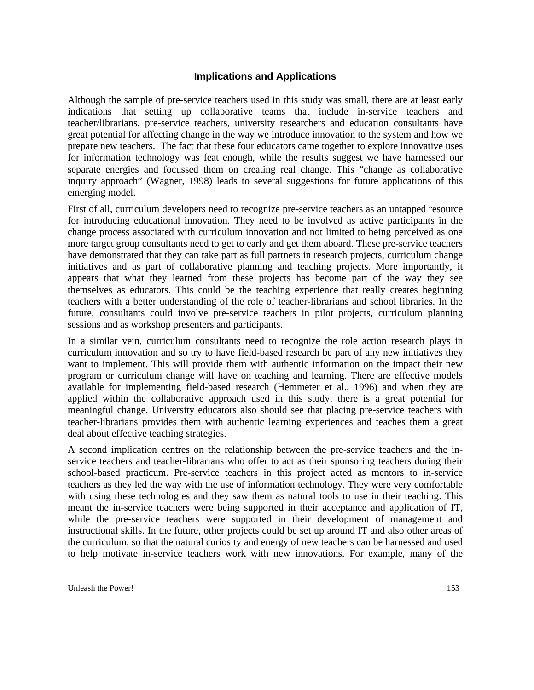### **Implications and Applications**

Although the sample of pre-service teachers used in this study was small, there are at least early indications that setting up collaborative teams that include in-service teachers and teacher/librarians, pre-service teachers, university researchers and education consultants have great potential for affecting change in the way we introduce innovation to the system and how we prepare new teachers. The fact that these four educators came together to explore innovative uses for information technology was feat enough, while the results suggest we have harnessed our separate energies and focussed them on creating real change. This "change as collaborative inquiry approach" (Wagner, 1998) leads to several suggestions for future applications of this emerging model.

First of all, curriculum developers need to recognize pre-service teachers as an untapped resource for introducing educational innovation. They need to be involved as active participants in the change process associated with curriculum innovation and not limited to being perceived as one more target group consultants need to get to early and get them aboard. These pre-service teachers have demonstrated that they can take part as full partners in research projects, curriculum change initiatives and as part of collaborative planning and teaching projects. More importantly, it appears that what they learned from these projects has become part of the way they see themselves as educators. This could be the teaching experience that really creates beginning teachers with a better understanding of the role of teacher-librarians and school libraries. In the future, consultants could involve pre-service teachers in pilot projects, curriculum planning sessions and as workshop presenters and participants.

In a similar vein, curriculum consultants need to recognize the role action research plays in curriculum innovation and so try to have field-based research be part of any new initiatives they want to implement. This will provide them with authentic information on the impact their new program or curriculum change will have on teaching and learning. There are effective models available for implementing field-based research (Hemmeter et al., 1996) and when they are applied within the collaborative approach used in this study, there is a great potential for meaningful change. University educators also should see that placing pre-service teachers with teacher-librarians provides them with authentic learning experiences and teaches them a great deal about effective teaching strategies.

A second implication centres on the relationship between the pre-service teachers and the inservice teachers and teacher-librarians who offer to act as their sponsoring teachers during their school-based practicum. Pre-service teachers in this project acted as mentors to in-service teachers as they led the way with the use of information technology. They were very comfortable with using these technologies and they saw them as natural tools to use in their teaching. This meant the in-service teachers were being supported in their acceptance and application of IT, while the pre-service teachers were supported in their development of management and instructional skills. In the future, other projects could be set up around IT and also other areas of the curriculum, so that the natural curiosity and energy of new teachers can be harnessed and used to help motivate in-service teachers work with new innovations. For example, many of the

Unleash the Power! 153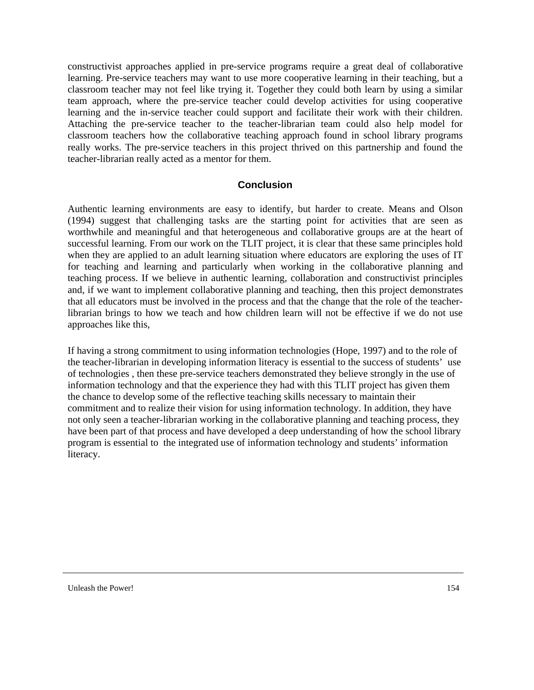constructivist approaches applied in pre-service programs require a great deal of collaborative learning. Pre-service teachers may want to use more cooperative learning in their teaching, but a classroom teacher may not feel like trying it. Together they could both learn by using a similar team approach, where the pre-service teacher could develop activities for using cooperative learning and the in-service teacher could support and facilitate their work with their children. Attaching the pre-service teacher to the teacher-librarian team could also help model for classroom teachers how the collaborative teaching approach found in school library programs really works. The pre-service teachers in this project thrived on this partnership and found the teacher-librarian really acted as a mentor for them.

#### **Conclusion**

Authentic learning environments are easy to identify, but harder to create. Means and Olson (1994) suggest that challenging tasks are the starting point for activities that are seen as worthwhile and meaningful and that heterogeneous and collaborative groups are at the heart of successful learning. From our work on the TLIT project, it is clear that these same principles hold when they are applied to an adult learning situation where educators are exploring the uses of IT for teaching and learning and particularly when working in the collaborative planning and teaching process. If we believe in authentic learning, collaboration and constructivist principles and, if we want to implement collaborative planning and teaching, then this project demonstrates that all educators must be involved in the process and that the change that the role of the teacherlibrarian brings to how we teach and how children learn will not be effective if we do not use approaches like this,

If having a strong commitment to using information technologies (Hope, 1997) and to the role of the teacher-librarian in developing information literacy is essential to the success of students' use of technologies , then these pre-service teachers demonstrated they believe strongly in the use of information technology and that the experience they had with this TLIT project has given them the chance to develop some of the reflective teaching skills necessary to maintain their commitment and to realize their vision for using information technology. In addition, they have not only seen a teacher-librarian working in the collaborative planning and teaching process, they have been part of that process and have developed a deep understanding of how the school library program is essential to the integrated use of information technology and students' information literacy.

Unleash the Power! 154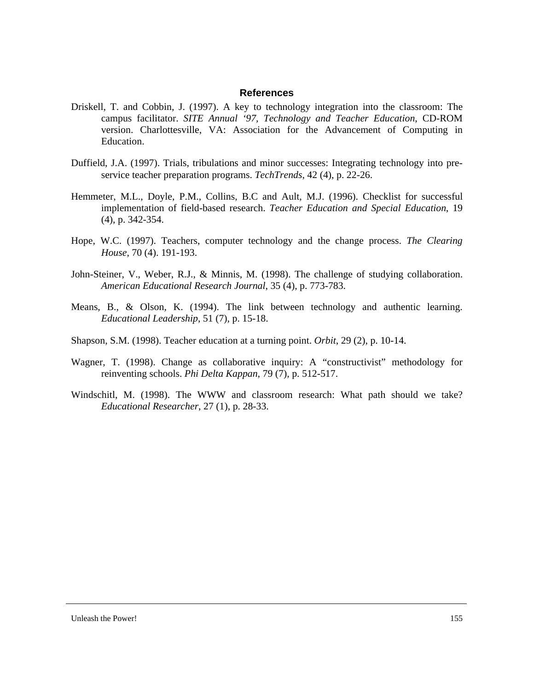#### **References**

- Driskell, T. and Cobbin, J. (1997). A key to technology integration into the classroom: The campus facilitator. *SITE Annual '97, Technology and Teacher Education*, CD-ROM version. Charlottesville, VA: Association for the Advancement of Computing in Education.
- Duffield, J.A. (1997). Trials, tribulations and minor successes: Integrating technology into preservice teacher preparation programs. *TechTrends*, 42 (4), p. 22-26.
- Hemmeter, M.L., Doyle, P.M., Collins, B.C and Ault, M.J. (1996). Checklist for successful implementation of field-based research. *Teacher Education and Special Education*, 19 (4), p. 342-354.
- Hope, W.C. (1997). Teachers, computer technology and the change process. *The Clearing House*, 70 (4). 191-193.
- John-Steiner, V., Weber, R.J., & Minnis, M. (1998). The challenge of studying collaboration. *American Educational Research Journal*, 35 (4), p. 773-783.
- Means, B., & Olson, K. (1994). The link between technology and authentic learning. *Educational Leadership*, 51 (7), p. 15-18.
- Shapson, S.M. (1998). Teacher education at a turning point. *Orbit*, 29 (2), p. 10-14.
- Wagner, T. (1998). Change as collaborative inquiry: A "constructivist" methodology for reinventing schools. *Phi Delta Kappan*, 79 (7), p. 512-517.
- Windschitl, M. (1998). The WWW and classroom research: What path should we take? *Educational Researcher*, 27 (1), p. 28-33.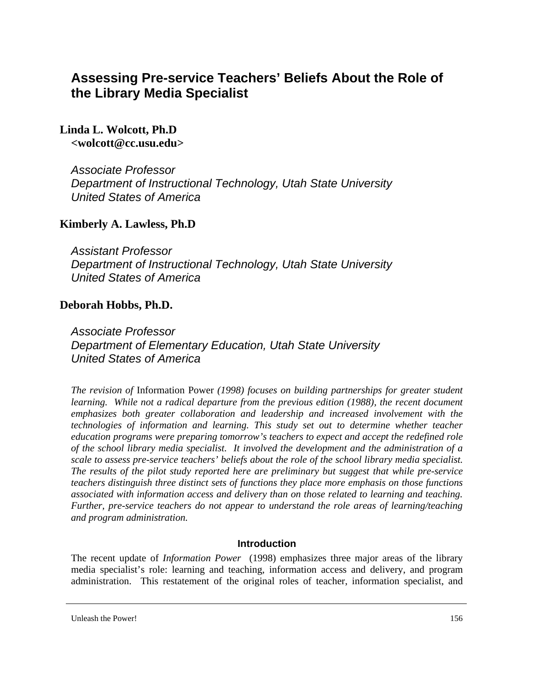# **Assessing Pre-service Teachers' Beliefs About the Role of the Library Media Specialist**

### **Linda L. Wolcott, Ph.D <wolcott@cc.usu.edu>**

*Associate Professor Department of Instructional Technology, Utah State University United States of America*

# **Kimberly A. Lawless, Ph.D**

*Assistant Professor Department of Instructional Technology, Utah State University United States of America*

# **Deborah Hobbs, Ph.D.**

# *Associate Professor Department of Elementary Education, Utah State University United States of America*

*The revision of* Information Power *(1998) focuses on building partnerships for greater student learning. While not a radical departure from the previous edition (1988), the recent document emphasizes both greater collaboration and leadership and increased involvement with the technologies of information and learning. This study set out to determine whether teacher education programs were preparing tomorrow's teachers to expect and accept the redefined role of the school library media specialist. It involved the development and the administration of a scale to assess pre-service teachers' beliefs about the role of the school library media specialist. The results of the pilot study reported here are preliminary but suggest that while pre-service teachers distinguish three distinct sets of functions they place more emphasis on those functions associated with information access and delivery than on those related to learning and teaching. Further, pre-service teachers do not appear to understand the role areas of learning/teaching and program administration.*

## **Introduction**

The recent update of *Information Power* (1998) emphasizes three major areas of the library media specialist's role: learning and teaching, information access and delivery, and program administration. This restatement of the original roles of teacher, information specialist, and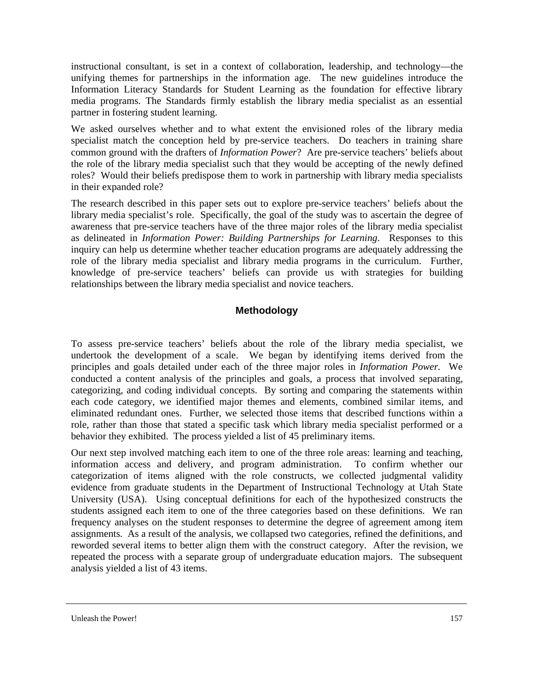instructional consultant, is set in a context of collaboration, leadership, and technology—the unifying themes for partnerships in the information age. The new guidelines introduce the Information Literacy Standards for Student Learning as the foundation for effective library media programs. The Standards firmly establish the library media specialist as an essential partner in fostering student learning.

We asked ourselves whether and to what extent the envisioned roles of the library media specialist match the conception held by pre-service teachers. Do teachers in training share common ground with the drafters of *Information Power*? Are pre-service teachers' beliefs about the role of the library media specialist such that they would be accepting of the newly defined roles? Would their beliefs predispose them to work in partnership with library media specialists in their expanded role?

The research described in this paper sets out to explore pre-service teachers' beliefs about the library media specialist's role. Specifically, the goal of the study was to ascertain the degree of awareness that pre-service teachers have of the three major roles of the library media specialist as delineated in *Information Power: Building Partnerships for Learning*. Responses to this inquiry can help us determine whether teacher education programs are adequately addressing the role of the library media specialist and library media programs in the curriculum. Further, knowledge of pre-service teachers' beliefs can provide us with strategies for building relationships between the library media specialist and novice teachers.

### **Methodology**

To assess pre-service teachers' beliefs about the role of the library media specialist, we undertook the development of a scale. We began by identifying items derived from the principles and goals detailed under each of the three major roles in *Information Power.* We conducted a content analysis of the principles and goals, a process that involved separating, categorizing, and coding individual concepts. By sorting and comparing the statements within each code category, we identified major themes and elements, combined similar items, and eliminated redundant ones. Further, we selected those items that described functions within a role, rather than those that stated a specific task which library media specialist performed or a behavior they exhibited. The process yielded a list of 45 preliminary items.

Our next step involved matching each item to one of the three role areas: learning and teaching, information access and delivery, and program administration. To confirm whether our categorization of items aligned with the role constructs, we collected judgmental validity evidence from graduate students in the Department of Instructional Technology at Utah State University (USA). Using conceptual definitions for each of the hypothesized constructs the students assigned each item to one of the three categories based on these definitions. We ran frequency analyses on the student responses to determine the degree of agreement among item assignments. As a result of the analysis, we collapsed two categories, refined the definitions, and reworded several items to better align them with the construct category. After the revision, we repeated the process with a separate group of undergraduate education majors. The subsequent analysis yielded a list of 43 items.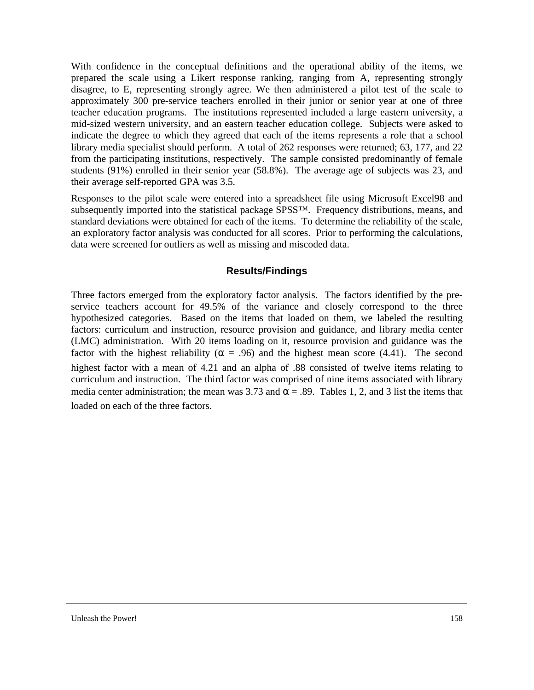With confidence in the conceptual definitions and the operational ability of the items, we prepared the scale using a Likert response ranking, ranging from A, representing strongly disagree, to E, representing strongly agree. We then administered a pilot test of the scale to approximately 300 pre-service teachers enrolled in their junior or senior year at one of three teacher education programs. The institutions represented included a large eastern university, a mid-sized western university, and an eastern teacher education college. Subjects were asked to indicate the degree to which they agreed that each of the items represents a role that a school library media specialist should perform. A total of 262 responses were returned; 63, 177, and 22 from the participating institutions, respectively. The sample consisted predominantly of female students (91%) enrolled in their senior year (58.8%). The average age of subjects was 23, and their average self-reported GPA was 3.5.

Responses to the pilot scale were entered into a spreadsheet file using Microsoft Excel98 and subsequently imported into the statistical package SPSS™. Frequency distributions, means, and standard deviations were obtained for each of the items. To determine the reliability of the scale, an exploratory factor analysis was conducted for all scores. Prior to performing the calculations, data were screened for outliers as well as missing and miscoded data.

### **Results/Findings**

Three factors emerged from the exploratory factor analysis. The factors identified by the preservice teachers account for 49.5% of the variance and closely correspond to the three hypothesized categories. Based on the items that loaded on them, we labeled the resulting factors: curriculum and instruction, resource provision and guidance, and library media center (LMC) administration. With 20 items loading on it, resource provision and guidance was the factor with the highest reliability  $( = .96)$  and the highest mean score (4.41). The second highest factor with a mean of 4.21 and an alpha of .88 consisted of twelve items relating to curriculum and instruction. The third factor was comprised of nine items associated with library media center administration; the mean was  $3.73$  and  $= .89$ . Tables 1, 2, and 3 list the items that loaded on each of the three factors.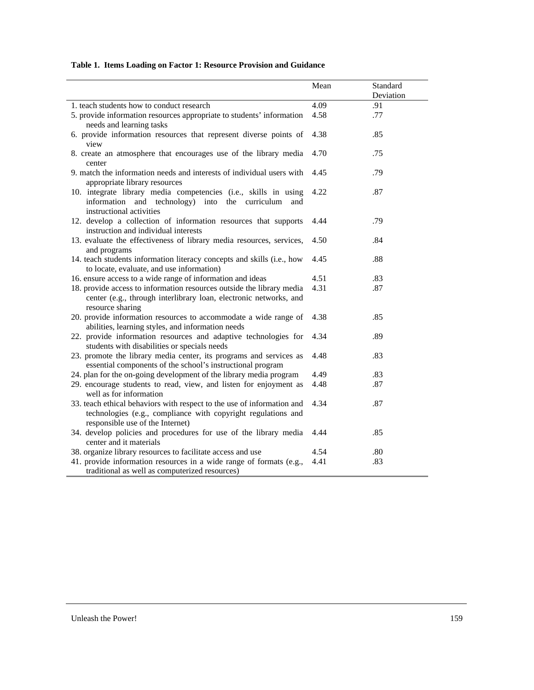### **Table 1. Items Loading on Factor 1: Resource Provision and Guidance**

|                                                                                                                                                                             | Mean | Standard<br>Deviation |
|-----------------------------------------------------------------------------------------------------------------------------------------------------------------------------|------|-----------------------|
| 1. teach students how to conduct research                                                                                                                                   | 4.09 | .91                   |
| 5. provide information resources appropriate to students' information<br>needs and learning tasks                                                                           | 4.58 | .77                   |
| 6. provide information resources that represent diverse points of<br>view                                                                                                   | 4.38 | .85                   |
| 8. create an atmosphere that encourages use of the library media<br>center                                                                                                  | 4.70 | .75                   |
| 9. match the information needs and interests of individual users with<br>appropriate library resources                                                                      | 4.45 | .79                   |
| 10. integrate library media competencies (i.e., skills in using<br>and technology) into the curriculum<br>information<br>and<br>instructional activities                    | 4.22 | .87                   |
| 12. develop a collection of information resources that supports<br>instruction and individual interests                                                                     | 4.44 | .79                   |
| 13. evaluate the effectiveness of library media resources, services,<br>and programs                                                                                        | 4.50 | .84                   |
| 14. teach students information literacy concepts and skills (i.e., how<br>to locate, evaluate, and use information)                                                         | 4.45 | .88                   |
| 16. ensure access to a wide range of information and ideas                                                                                                                  | 4.51 | .83                   |
| 18. provide access to information resources outside the library media<br>center (e.g., through interlibrary loan, electronic networks, and<br>resource sharing              | 4.31 | .87                   |
| 20. provide information resources to accommodate a wide range of<br>abilities, learning styles, and information needs                                                       | 4.38 | .85                   |
| 22. provide information resources and adaptive technologies for<br>students with disabilities or specials needs                                                             | 4.34 | .89                   |
| 23. promote the library media center, its programs and services as<br>essential components of the school's instructional program                                            | 4.48 | .83                   |
| 24. plan for the on-going development of the library media program                                                                                                          | 4.49 | .83                   |
| 29. encourage students to read, view, and listen for enjoyment as<br>well as for information                                                                                | 4.48 | .87                   |
| 33. teach ethical behaviors with respect to the use of information and<br>technologies (e.g., compliance with copyright regulations and<br>responsible use of the Internet) | 4.34 | .87                   |
| 34. develop policies and procedures for use of the library media<br>center and it materials                                                                                 | 4.44 | .85                   |
| 38. organize library resources to facilitate access and use                                                                                                                 | 4.54 | .80                   |
| 41. provide information resources in a wide range of formats (e.g.,<br>traditional as well as computerized resources)                                                       | 4.41 | .83                   |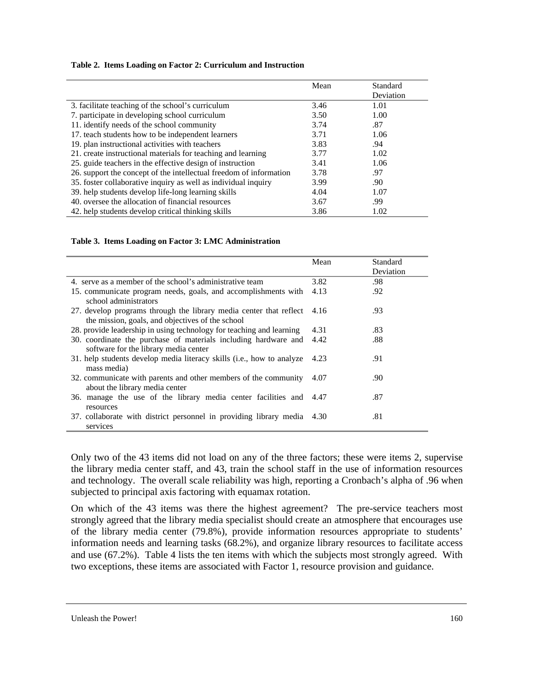#### **Table 2. Items Loading on Factor 2: Curriculum and Instruction**

|                                                                    | Mean | Standard  |
|--------------------------------------------------------------------|------|-----------|
|                                                                    |      | Deviation |
| 3. facilitate teaching of the school's curriculum                  | 3.46 | 1.01      |
| 7. participate in developing school curriculum                     | 3.50 | 1.00      |
| 11. identify needs of the school community                         | 3.74 | .87       |
| 17. teach students how to be independent learners                  | 3.71 | 1.06      |
| 19. plan instructional activities with teachers                    | 3.83 | .94       |
| 21. create instructional materials for teaching and learning       | 3.77 | 1.02      |
| 25. guide teachers in the effective design of instruction          | 3.41 | 1.06      |
| 26. support the concept of the intellectual freedom of information | 3.78 | .97       |
| 35. foster collaborative inquiry as well as individual inquiry     | 3.99 | .90       |
| 39. help students develop life-long learning skills                | 4.04 | 1.07      |
| 40. oversee the allocation of financial resources                  | 3.67 | .99       |
| 42. help students develop critical thinking skills                 | 3.86 | 1.02      |

#### **Table 3. Items Loading on Factor 3: LMC Administration**

|                                                                                                                             | Mean | Standard<br>Deviation |
|-----------------------------------------------------------------------------------------------------------------------------|------|-----------------------|
| 4. serve as a member of the school's administrative team                                                                    | 3.82 | .98                   |
| 15. communicate program needs, goals, and accomplishments with<br>school administrators                                     | 4.13 | .92                   |
| 27. develop programs through the library media center that reflect 4.16<br>the mission, goals, and objectives of the school |      | .93                   |
| 28. provide leadership in using technology for teaching and learning                                                        | 4.31 | .83                   |
| 30. coordinate the purchase of materials including hardware and<br>software for the library media center                    | 4.42 | .88                   |
| 31. help students develop media literacy skills (i.e., how to analyze<br>mass media)                                        | 4.23 | .91                   |
| 32. communicate with parents and other members of the community 4.07<br>about the library media center                      |      | .90                   |
| 36. manage the use of the library media center facilities and 4.47<br>resources                                             |      | .87                   |
| 37. collaborate with district personnel in providing library media 4.30<br>services                                         |      | .81                   |

Only two of the 43 items did not load on any of the three factors; these were items 2, supervise the library media center staff, and 43, train the school staff in the use of information resources and technology. The overall scale reliability was high, reporting a Cronbach's alpha of .96 when subjected to principal axis factoring with equamax rotation.

On which of the 43 items was there the highest agreement? The pre-service teachers most strongly agreed that the library media specialist should create an atmosphere that encourages use of the library media center (79.8%), provide information resources appropriate to students' information needs and learning tasks (68.2%), and organize library resources to facilitate access and use (67.2%). Table 4 lists the ten items with which the subjects most strongly agreed. With two exceptions, these items are associated with Factor 1, resource provision and guidance.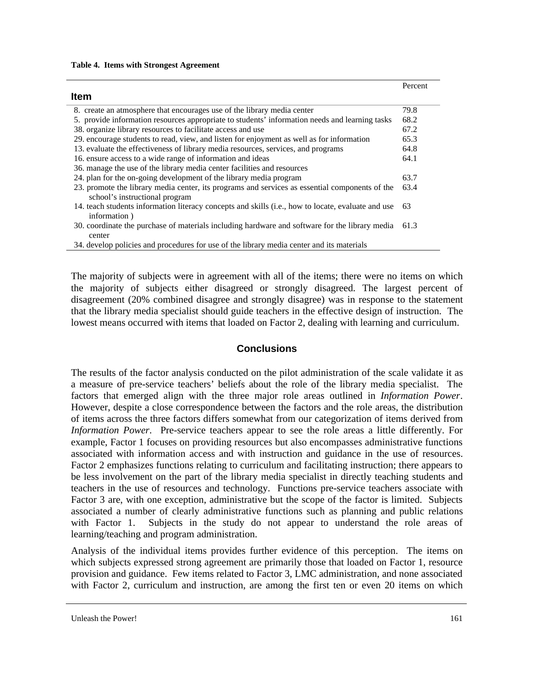|  |  |  |  | <b>Table 4. Items with Strongest Agreement</b> |
|--|--|--|--|------------------------------------------------|
|--|--|--|--|------------------------------------------------|

|                                                                                                                                  | Percent |
|----------------------------------------------------------------------------------------------------------------------------------|---------|
| <b>Item</b>                                                                                                                      |         |
| 8. create an atmosphere that encourages use of the library media center                                                          | 79.8    |
| 5. provide information resources appropriate to students' information needs and learning tasks                                   | 68.2    |
| 38. organize library resources to facilitate access and use                                                                      | 67.2    |
| 29. encourage students to read, view, and listen for enjoyment as well as for information                                        | 65.3    |
| 13. evaluate the effectiveness of library media resources, services, and programs                                                | 64.8    |
| 16. ensure access to a wide range of information and ideas                                                                       | 64.1    |
| 36. manage the use of the library media center facilities and resources                                                          |         |
| 24. plan for the on-going development of the library media program                                                               | 63.7    |
| 23. promote the library media center, its programs and services as essential components of the<br>school's instructional program | 63.4    |
| 14. teach students information literacy concepts and skills (i.e., how to locate, evaluate and use<br>information)               | 63      |
| 30. coordinate the purchase of materials including hardware and software for the library media<br>center                         | 61.3    |
| 34. develop policies and procedures for use of the library media center and its materials                                        |         |

The majority of subjects were in agreement with all of the items; there were no items on which the majority of subjects either disagreed or strongly disagreed. The largest percent of disagreement (20% combined disagree and strongly disagree) was in response to the statement that the library media specialist should guide teachers in the effective design of instruction. The lowest means occurred with items that loaded on Factor 2, dealing with learning and curriculum.

## **Conclusions**

The results of the factor analysis conducted on the pilot administration of the scale validate it as a measure of pre-service teachers' beliefs about the role of the library media specialist. The factors that emerged align with the three major role areas outlined in *Information Power*. However, despite a close correspondence between the factors and the role areas, the distribution of items across the three factors differs somewhat from our categorization of items derived from *Information Power*. Pre-service teachers appear to see the role areas a little differently. For example, Factor 1 focuses on providing resources but also encompasses administrative functions associated with information access and with instruction and guidance in the use of resources. Factor 2 emphasizes functions relating to curriculum and facilitating instruction; there appears to be less involvement on the part of the library media specialist in directly teaching students and teachers in the use of resources and technology. Functions pre-service teachers associate with Factor 3 are, with one exception, administrative but the scope of the factor is limited. Subjects associated a number of clearly administrative functions such as planning and public relations with Factor 1. Subjects in the study do not appear to understand the role areas of learning/teaching and program administration.

Analysis of the individual items provides further evidence of this perception. The items on which subjects expressed strong agreement are primarily those that loaded on Factor 1, resource provision and guidance. Few items related to Factor 3, LMC administration, and none associated with Factor 2, curriculum and instruction, are among the first ten or even 20 items on which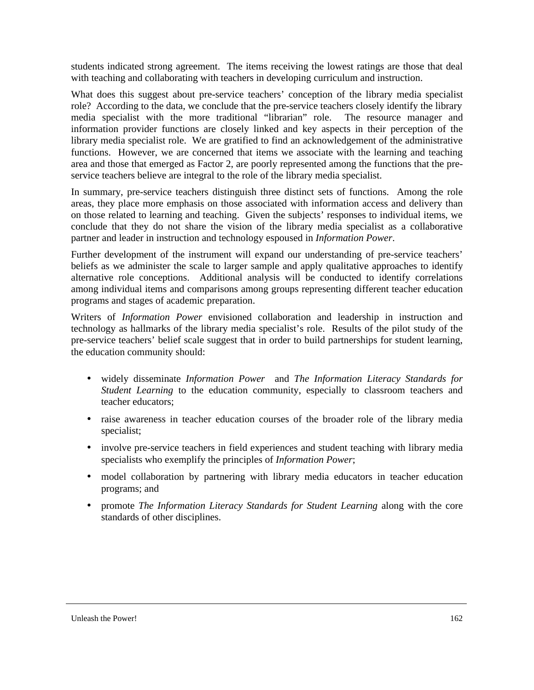students indicated strong agreement. The items receiving the lowest ratings are those that deal with teaching and collaborating with teachers in developing curriculum and instruction.

What does this suggest about pre-service teachers' conception of the library media specialist role? According to the data, we conclude that the pre-service teachers closely identify the library media specialist with the more traditional "librarian" role. The resource manager and information provider functions are closely linked and key aspects in their perception of the library media specialist role. We are gratified to find an acknowledgement of the administrative functions. However, we are concerned that items we associate with the learning and teaching area and those that emerged as Factor 2, are poorly represented among the functions that the preservice teachers believe are integral to the role of the library media specialist.

In summary, pre-service teachers distinguish three distinct sets of functions. Among the role areas, they place more emphasis on those associated with information access and delivery than on those related to learning and teaching. Given the subjects' responses to individual items, we conclude that they do not share the vision of the library media specialist as a collaborative partner and leader in instruction and technology espoused in *Information Power*.

Further development of the instrument will expand our understanding of pre-service teachers' beliefs as we administer the scale to larger sample and apply qualitative approaches to identify alternative role conceptions. Additional analysis will be conducted to identify correlations among individual items and comparisons among groups representing different teacher education programs and stages of academic preparation.

Writers of *Information Power* envisioned collaboration and leadership in instruction and technology as hallmarks of the library media specialist's role. Results of the pilot study of the pre-service teachers' belief scale suggest that in order to build partnerships for student learning, the education community should:

- widely disseminate *Information Power* and *The Information Literacy Standards for Student Learning* to the education community, especially to classroom teachers and teacher educators;
- raise awareness in teacher education courses of the broader role of the library media specialist;
- involve pre-service teachers in field experiences and student teaching with library media specialists who exemplify the principles of *Information Power*;
- model collaboration by partnering with library media educators in teacher education programs; and
- promote *The Information Literacy Standards for Student Learning* along with the core standards of other disciplines.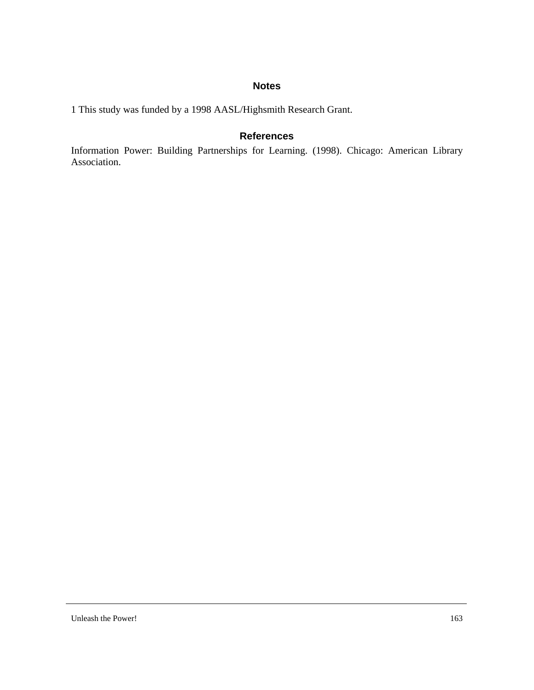### **Notes**

1 This study was funded by a 1998 AASL/Highsmith Research Grant.

### **References**

Information Power: Building Partnerships for Learning. (1998). Chicago: American Library Association.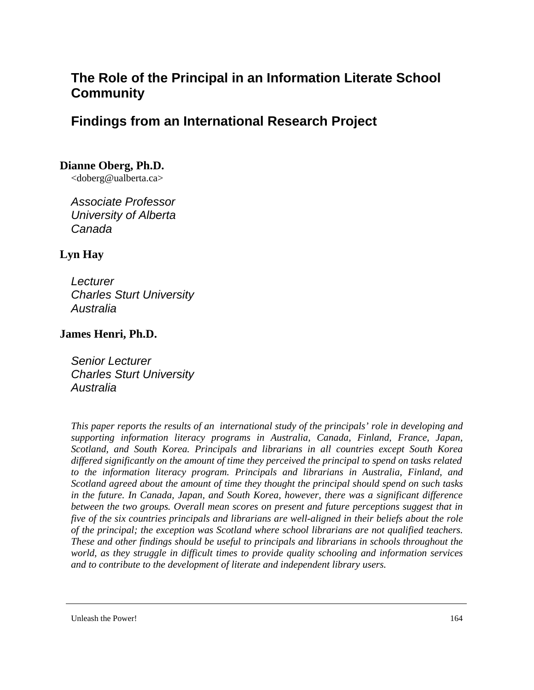# **The Role of the Principal in an Information Literate School Community**

**Findings from an International Research Project**

**Dianne Oberg, Ph.D.**

<doberg@ualberta.ca>

*Associate Professor University of Alberta Canada*

# **Lyn Hay**

*Lecturer Charles Sturt University Australia*

# **James Henri, Ph.D.**

*Senior Lecturer Charles Sturt University Australia*

*This paper reports the results of an international study of the principals' role in developing and supporting information literacy programs in Australia, Canada, Finland, France, Japan, Scotland, and South Korea. Principals and librarians in all countries except South Korea differed significantly on the amount of time they perceived the principal to spend on tasks related to the information literacy program. Principals and librarians in Australia, Finland, and Scotland agreed about the amount of time they thought the principal should spend on such tasks in the future. In Canada, Japan, and South Korea, however, there was a significant difference between the two groups. Overall mean scores on present and future perceptions suggest that in five of the six countries principals and librarians are well-aligned in their beliefs about the role of the principal; the exception was Scotland where school librarians are not qualified teachers. These and other findings should be useful to principals and librarians in schools throughout the world, as they struggle in difficult times to provide quality schooling and information services and to contribute to the development of literate and independent library users.*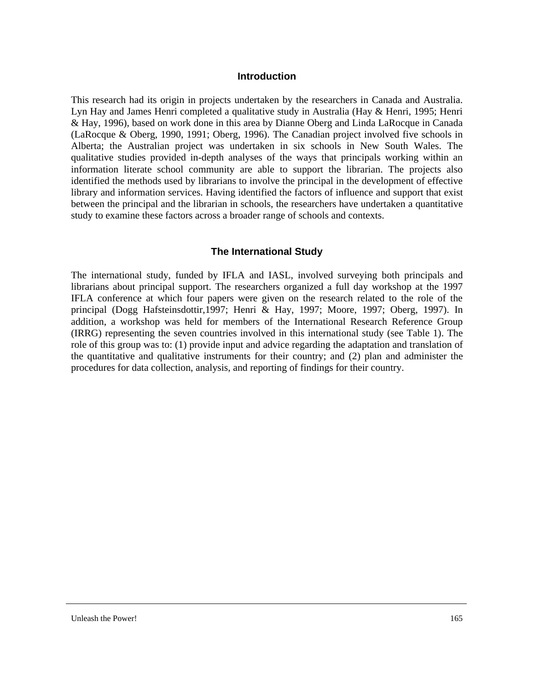### **Introduction**

This research had its origin in projects undertaken by the researchers in Canada and Australia. Lyn Hay and James Henri completed a qualitative study in Australia (Hay & Henri, 1995; Henri & Hay, 1996), based on work done in this area by Dianne Oberg and Linda LaRocque in Canada (LaRocque & Oberg, 1990, 1991; Oberg, 1996). The Canadian project involved five schools in Alberta; the Australian project was undertaken in six schools in New South Wales. The qualitative studies provided in-depth analyses of the ways that principals working within an information literate school community are able to support the librarian. The projects also identified the methods used by librarians to involve the principal in the development of effective library and information services. Having identified the factors of influence and support that exist between the principal and the librarian in schools, the researchers have undertaken a quantitative study to examine these factors across a broader range of schools and contexts.

### **The International Study**

The international study, funded by IFLA and IASL, involved surveying both principals and librarians about principal support. The researchers organized a full day workshop at the 1997 IFLA conference at which four papers were given on the research related to the role of the principal (Dogg Hafsteinsdottir,1997; Henri & Hay, 1997; Moore, 1997; Oberg, 1997). In addition, a workshop was held for members of the International Research Reference Group (IRRG) representing the seven countries involved in this international study (see Table 1). The role of this group was to: (1) provide input and advice regarding the adaptation and translation of the quantitative and qualitative instruments for their country; and (2) plan and administer the procedures for data collection, analysis, and reporting of findings for their country.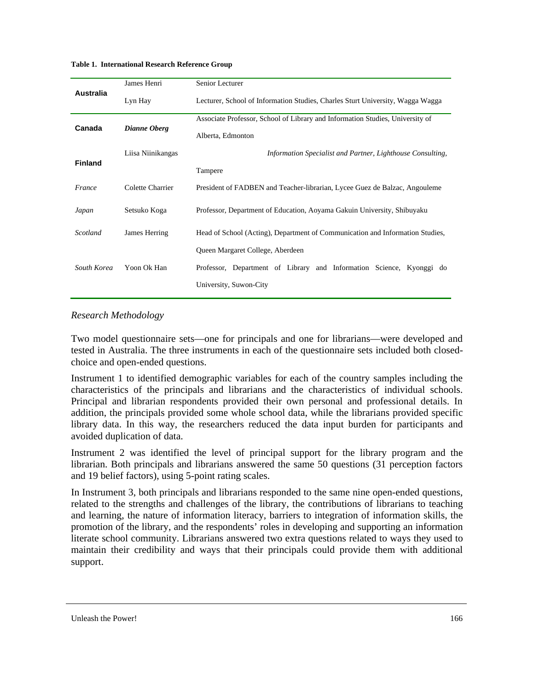| Table 1. International Research Reference Group |  |
|-------------------------------------------------|--|
|-------------------------------------------------|--|

|                  | James Henri       | Senior Lecturer                                                                |
|------------------|-------------------|--------------------------------------------------------------------------------|
| <b>Australia</b> | Lyn Hay           | Lecturer, School of Information Studies, Charles Sturt University, Wagga Wagga |
| Canada           |                   | Associate Professor, School of Library and Information Studies, University of  |
|                  | Dianne Oberg      | Alberta, Edmonton                                                              |
|                  | Liisa Niinikangas | Information Specialist and Partner, Lighthouse Consulting,                     |
| <b>Finland</b>   |                   | Tampere                                                                        |
| France           | Colette Charrier  | President of FADBEN and Teacher-librarian, Lycee Guez de Balzac, Angouleme     |
| Japan            | Setsuko Koga      | Professor, Department of Education, Aoyama Gakuin University, Shibuyaku        |
| Scotland         | James Herring     | Head of School (Acting), Department of Communication and Information Studies,  |
|                  |                   | Queen Margaret College, Aberdeen                                               |
| South Korea      | Yoon Ok Han       | Professor, Department of Library and Information Science, Kyonggi do           |
|                  |                   | University, Suwon-City                                                         |

### *Research Methodology*

Two model questionnaire sets—one for principals and one for librarians—were developed and tested in Australia. The three instruments in each of the questionnaire sets included both closedchoice and open-ended questions.

Instrument 1 to identified demographic variables for each of the country samples including the characteristics of the principals and librarians and the characteristics of individual schools. Principal and librarian respondents provided their own personal and professional details. In addition, the principals provided some whole school data, while the librarians provided specific library data. In this way, the researchers reduced the data input burden for participants and avoided duplication of data.

Instrument 2 was identified the level of principal support for the library program and the librarian. Both principals and librarians answered the same 50 questions (31 perception factors and 19 belief factors), using 5-point rating scales.

In Instrument 3, both principals and librarians responded to the same nine open-ended questions, related to the strengths and challenges of the library, the contributions of librarians to teaching and learning, the nature of information literacy, barriers to integration of information skills, the promotion of the library, and the respondents' roles in developing and supporting an information literate school community. Librarians answered two extra questions related to ways they used to maintain their credibility and ways that their principals could provide them with additional support.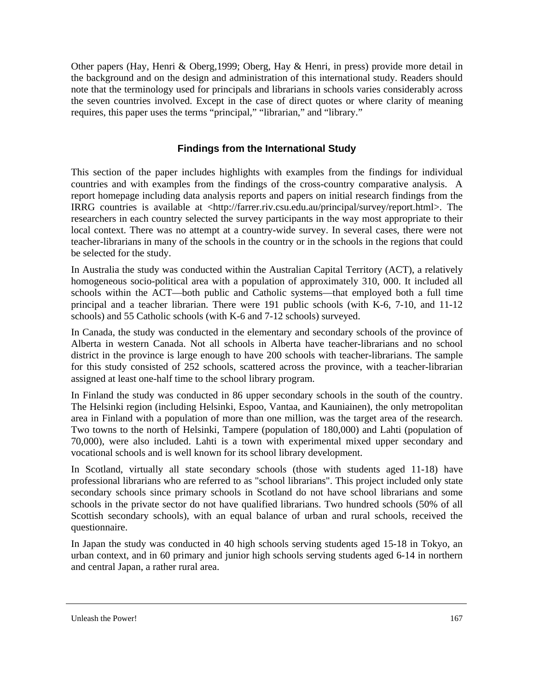Other papers (Hay, Henri & Oberg,1999; Oberg, Hay & Henri, in press) provide more detail in the background and on the design and administration of this international study. Readers should note that the terminology used for principals and librarians in schools varies considerably across the seven countries involved. Except in the case of direct quotes or where clarity of meaning requires, this paper uses the terms "principal," "librarian," and "library."

# **Findings from the International Study**

This section of the paper includes highlights with examples from the findings for individual countries and with examples from the findings of the cross-country comparative analysis. A report homepage including data analysis reports and papers on initial research findings from the IRRG countries is available at <http://farrer.riv.csu.edu.au/principal/survey/report.html>. The researchers in each country selected the survey participants in the way most appropriate to their local context. There was no attempt at a country-wide survey. In several cases, there were not teacher-librarians in many of the schools in the country or in the schools in the regions that could be selected for the study.

In Australia the study was conducted within the Australian Capital Territory (ACT), a relatively homogeneous socio-political area with a population of approximately 310, 000. It included all schools within the ACT—both public and Catholic systems—that employed both a full time principal and a teacher librarian. There were 191 public schools (with K-6, 7-10, and 11-12 schools) and 55 Catholic schools (with K-6 and 7-12 schools) surveyed.

In Canada, the study was conducted in the elementary and secondary schools of the province of Alberta in western Canada. Not all schools in Alberta have teacher-librarians and no school district in the province is large enough to have 200 schools with teacher-librarians. The sample for this study consisted of 252 schools, scattered across the province, with a teacher-librarian assigned at least one-half time to the school library program.

In Finland the study was conducted in 86 upper secondary schools in the south of the country. The Helsinki region (including Helsinki, Espoo, Vantaa, and Kauniainen), the only metropolitan area in Finland with a population of more than one million, was the target area of the research. Two towns to the north of Helsinki, Tampere (population of 180,000) and Lahti (population of 70,000), were also included. Lahti is a town with experimental mixed upper secondary and vocational schools and is well known for its school library development.

In Scotland, virtually all state secondary schools (those with students aged 11-18) have professional librarians who are referred to as "school librarians". This project included only state secondary schools since primary schools in Scotland do not have school librarians and some schools in the private sector do not have qualified librarians. Two hundred schools (50% of all Scottish secondary schools), with an equal balance of urban and rural schools, received the questionnaire.

In Japan the study was conducted in 40 high schools serving students aged 15-18 in Tokyo, an urban context, and in 60 primary and junior high schools serving students aged 6-14 in northern and central Japan, a rather rural area.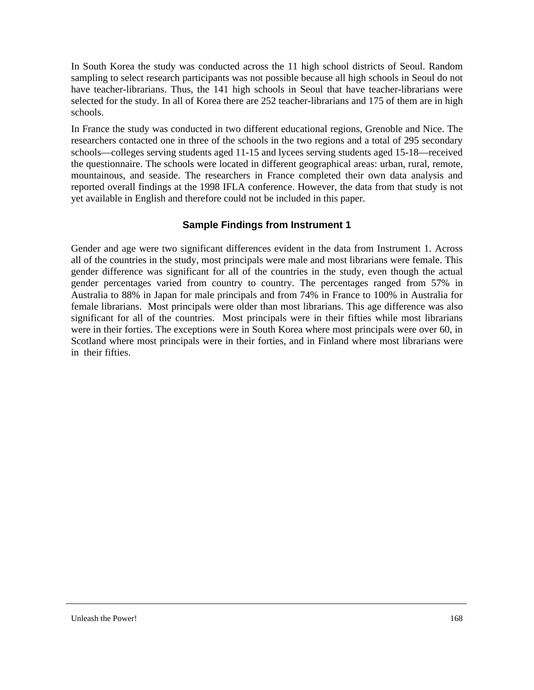In South Korea the study was conducted across the 11 high school districts of Seoul. Random sampling to select research participants was not possible because all high schools in Seoul do not have teacher-librarians. Thus, the 141 high schools in Seoul that have teacher-librarians were selected for the study. In all of Korea there are 252 teacher-librarians and 175 of them are in high schools.

In France the study was conducted in two different educational regions, Grenoble and Nice. The researchers contacted one in three of the schools in the two regions and a total of 295 secondary schools—colleges serving students aged 11-15 and lycees serving students aged 15-18—received the questionnaire. The schools were located in different geographical areas: urban, rural, remote, mountainous, and seaside. The researchers in France completed their own data analysis and reported overall findings at the 1998 IFLA conference. However, the data from that study is not yet available in English and therefore could not be included in this paper.

## **Sample Findings from Instrument 1**

Gender and age were two significant differences evident in the data from Instrument 1. Across all of the countries in the study, most principals were male and most librarians were female. This gender difference was significant for all of the countries in the study, even though the actual gender percentages varied from country to country. The percentages ranged from 57% in Australia to 88% in Japan for male principals and from 74% in France to 100% in Australia for female librarians. Most principals were older than most librarians. This age difference was also significant for all of the countries. Most principals were in their fifties while most librarians were in their forties. The exceptions were in South Korea where most principals were over 60, in Scotland where most principals were in their forties, and in Finland where most librarians were in their fifties.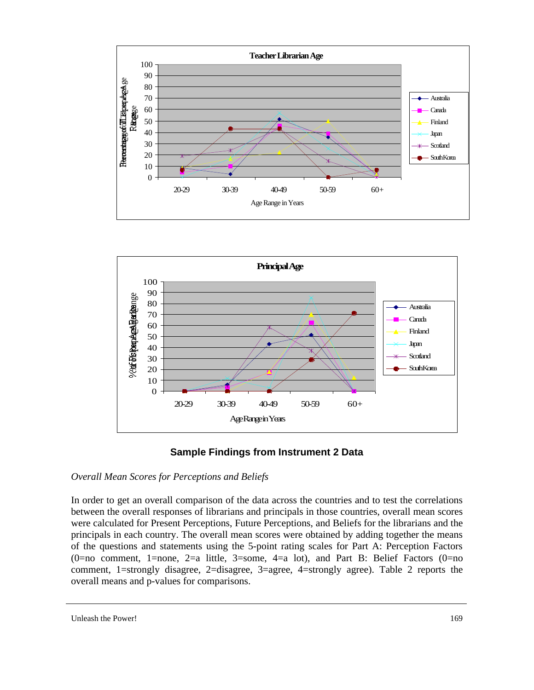



**Sample Findings from Instrument 2 Data**

### *Overall Mean Scores for Perceptions and Beliefs*

In order to get an overall comparison of the data across the countries and to test the correlations between the overall responses of librarians and principals in those countries, overall mean scores were calculated for Present Perceptions, Future Perceptions, and Beliefs for the librarians and the principals in each country. The overall mean scores were obtained by adding together the means of the questions and statements using the 5-point rating scales for Part A: Perception Factors  $(0=no$  comment,  $1=none$ ,  $2=a$  little,  $3=some$ ,  $4=a$  lot), and Part B: Belief Factors  $(0=no$ comment, 1=strongly disagree, 2=disagree, 3=agree, 4=strongly agree). Table 2 reports the overall means and p-values for comparisons.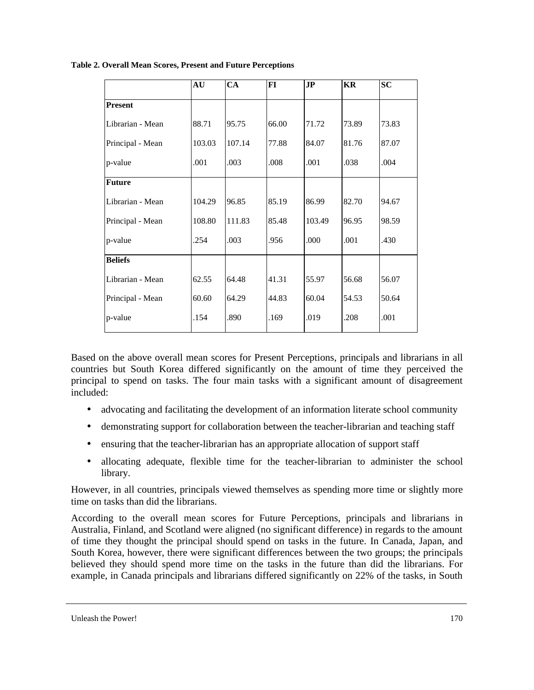|                  | AU     | CA     | <b>FI</b> | J <sub>P</sub> | <b>KR</b> | <b>SC</b> |
|------------------|--------|--------|-----------|----------------|-----------|-----------|
| <b>Present</b>   |        |        |           |                |           |           |
| Librarian - Mean | 88.71  | 95.75  | 66.00     | 71.72          | 73.89     | 73.83     |
| Principal - Mean | 103.03 | 107.14 | 77.88     | 84.07          | 81.76     | 87.07     |
| p-value          | .001   | .003   | .008      | .001           | .038      | .004      |
| <b>Future</b>    |        |        |           |                |           |           |
| Librarian - Mean | 104.29 | 96.85  | 85.19     | 86.99          | 82.70     | 94.67     |
| Principal - Mean | 108.80 | 111.83 | 85.48     | 103.49         | 96.95     | 98.59     |
| p-value          | .254   | .003   | .956      | .000           | .001      | .430      |
| <b>Beliefs</b>   |        |        |           |                |           |           |
| Librarian - Mean | 62.55  | 64.48  | 41.31     | 55.97          | 56.68     | 56.07     |
| Principal - Mean | 60.60  | 64.29  | 44.83     | 60.04          | 54.53     | 50.64     |
| p-value          | .154   | .890   | .169      | .019           | .208      | .001      |

**Table 2. Overall Mean Scores, Present and Future Perceptions**

Based on the above overall mean scores for Present Perceptions, principals and librarians in all countries but South Korea differed significantly on the amount of time they perceived the principal to spend on tasks. The four main tasks with a significant amount of disagreement included:

- advocating and facilitating the development of an information literate school community
- demonstrating support for collaboration between the teacher-librarian and teaching staff
- ensuring that the teacher-librarian has an appropriate allocation of support staff
- allocating adequate, flexible time for the teacher-librarian to administer the school library.

However, in all countries, principals viewed themselves as spending more time or slightly more time on tasks than did the librarians.

According to the overall mean scores for Future Perceptions, principals and librarians in Australia, Finland, and Scotland were aligned (no significant difference) in regards to the amount of time they thought the principal should spend on tasks in the future. In Canada, Japan, and South Korea, however, there were significant differences between the two groups; the principals believed they should spend more time on the tasks in the future than did the librarians. For example, in Canada principals and librarians differed significantly on 22% of the tasks, in South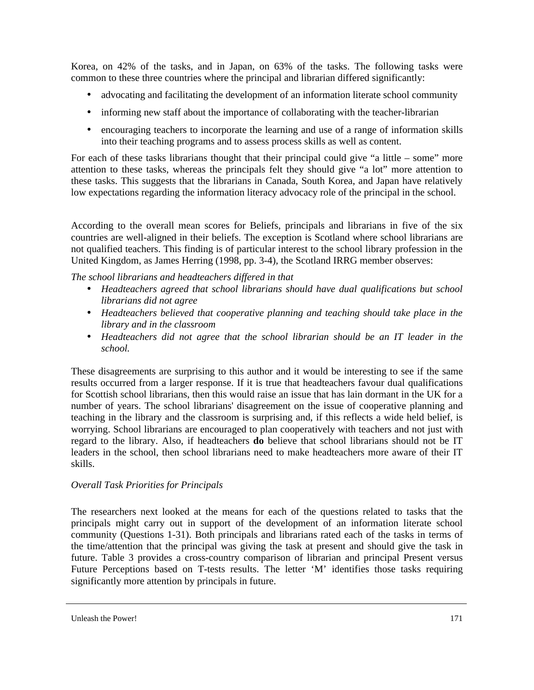Korea, on 42% of the tasks, and in Japan, on 63% of the tasks. The following tasks were common to these three countries where the principal and librarian differed significantly:

- advocating and facilitating the development of an information literate school community
- informing new staff about the importance of collaborating with the teacher-librarian
- encouraging teachers to incorporate the learning and use of a range of information skills into their teaching programs and to assess process skills as well as content.

For each of these tasks librarians thought that their principal could give "a little – some" more attention to these tasks, whereas the principals felt they should give "a lot" more attention to these tasks. This suggests that the librarians in Canada, South Korea, and Japan have relatively low expectations regarding the information literacy advocacy role of the principal in the school.

According to the overall mean scores for Beliefs, principals and librarians in five of the six countries are well-aligned in their beliefs. The exception is Scotland where school librarians are not qualified teachers. This finding is of particular interest to the school library profession in the United Kingdom, as James Herring (1998, pp. 3-4), the Scotland IRRG member observes:

*The school librarians and headteachers differed in that*

- *Headteachers agreed that school librarians should have dual qualifications but school librarians did not agree*
- *Headteachers believed that cooperative planning and teaching should take place in the library and in the classroom*
- *Headteachers did not agree that the school librarian should be an IT leader in the school.*

These disagreements are surprising to this author and it would be interesting to see if the same results occurred from a larger response. If it is true that headteachers favour dual qualifications for Scottish school librarians, then this would raise an issue that has lain dormant in the UK for a number of years. The school librarians' disagreement on the issue of cooperative planning and teaching in the library and the classroom is surprising and, if this reflects a wide held belief, is worrying. School librarians are encouraged to plan cooperatively with teachers and not just with regard to the library. Also, if headteachers **do** believe that school librarians should not be IT leaders in the school, then school librarians need to make headteachers more aware of their IT skills.

### *Overall Task Priorities for Principals*

The researchers next looked at the means for each of the questions related to tasks that the principals might carry out in support of the development of an information literate school community (Questions 1-31). Both principals and librarians rated each of the tasks in terms of the time/attention that the principal was giving the task at present and should give the task in future. Table 3 provides a cross-country comparison of librarian and principal Present versus Future Perceptions based on T-tests results. The letter 'M' identifies those tasks requiring significantly more attention by principals in future.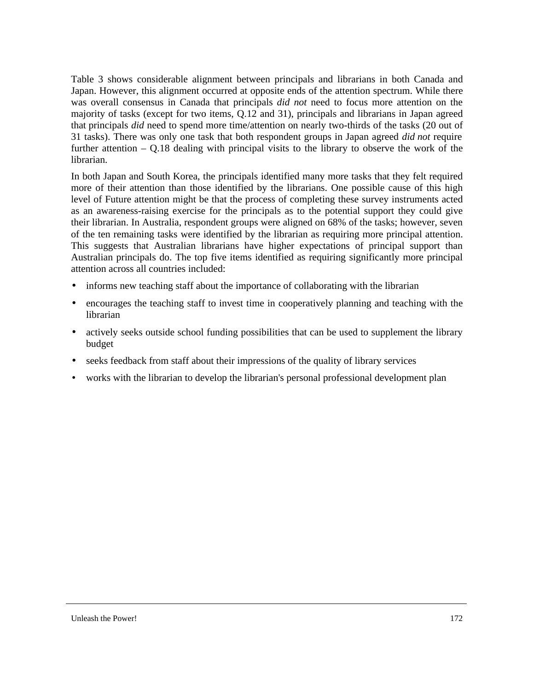Table 3 shows considerable alignment between principals and librarians in both Canada and Japan. However, this alignment occurred at opposite ends of the attention spectrum. While there was overall consensus in Canada that principals *did not* need to focus more attention on the majority of tasks (except for two items, Q.12 and 31), principals and librarians in Japan agreed that principals *did* need to spend more time/attention on nearly two-thirds of the tasks (20 out of 31 tasks). There was only one task that both respondent groups in Japan agreed *did not* require further attention – Q.18 dealing with principal visits to the library to observe the work of the librarian.

In both Japan and South Korea, the principals identified many more tasks that they felt required more of their attention than those identified by the librarians. One possible cause of this high level of Future attention might be that the process of completing these survey instruments acted as an awareness-raising exercise for the principals as to the potential support they could give their librarian. In Australia, respondent groups were aligned on 68% of the tasks; however, seven of the ten remaining tasks were identified by the librarian as requiring more principal attention. This suggests that Australian librarians have higher expectations of principal support than Australian principals do. The top five items identified as requiring significantly more principal attention across all countries included:

- informs new teaching staff about the importance of collaborating with the librarian
- encourages the teaching staff to invest time in cooperatively planning and teaching with the librarian
- actively seeks outside school funding possibilities that can be used to supplement the library budget
- seeks feedback from staff about their impressions of the quality of library services
- works with the librarian to develop the librarian's personal professional development plan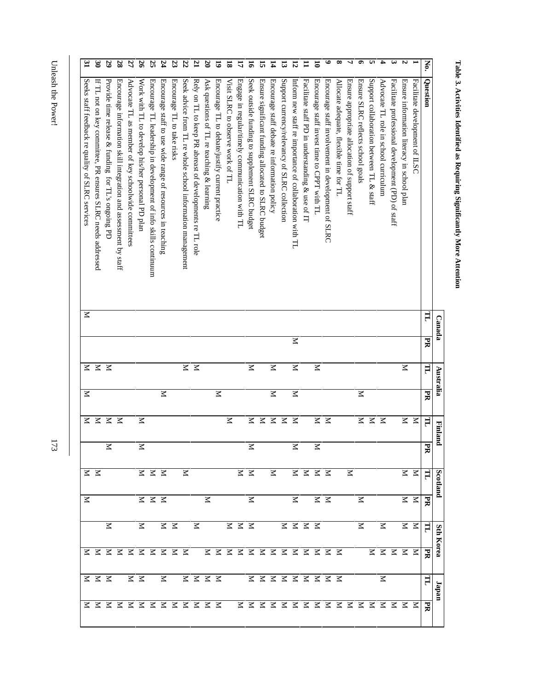Unleash the Power! Unleash the Power!

|                            |                                                                 | Canada       |        | Australia       |                         | Finland        |                     | Scotland                |                 | <b>Sth Korea</b>        |                 | ueder                     |                           |
|----------------------------|-----------------------------------------------------------------|--------------|--------|-----------------|-------------------------|----------------|---------------------|-------------------------|-----------------|-------------------------|-----------------|---------------------------|---------------------------|
| No.                        | Question                                                        | $\mathbf{H}$ | PR     | $\mathbb{H}$    | PR                      | H              | $\blacksquare$<br>₩ | Ę                       | ЯÄ              | 日                       | ER              | H                         | ЫK                        |
|                            | Facilitate development of ILSC                                  |              |        |                 |                         | $\mathbbmss{}$ |                     | $\mathbf X$             | $\mathbbmss{N}$ | $\mathbf X$             | $\mathbb{Z}$    |                           | $\mathbf X$               |
| N                          | Ensure information literacy in school plan                      |              |        | $\geq$          |                         | $\geq$         |                     | $\rm\geq$               | $\mathbf{X}$    | $\mathbbmss{N}$         | $\leq$          |                           | $\,\mathbb{\Xi}$          |
| ىيە                        | Facilitate professional development (PD) of staff               |              |        |                 |                         |                |                     |                         |                 |                         | $\leq$          |                           | $\blacksquare$            |
|                            | Advocate TL role in school curriculum                           |              |        |                 |                         | $\mathbb{Z}$   |                     |                         |                 | N                       | $\mathbbmss{N}$ | $\mathbf{z}$              | $\mathbf X$               |
| <b>UT</b>                  | Support collaboration between TL & staff                        |              |        |                 |                         | $\geq$         |                     |                         |                 |                         | $\mathbb{Z}$    |                           | $\mathbf X$               |
| $\bullet$                  | Ensure SLRC reflects school goals                               |              |        |                 | $\geq$                  | $\geq$         |                     |                         | $\mathbf{z}$    | $\mathbbmss{N}$         |                 |                           | $\mathbf X$               |
| ٦                          | Ensure appropriate allocation of support staff                  |              |        |                 |                         |                |                     | $\geq$                  |                 |                         |                 |                           | $\blacksquare$            |
| $\infty$                   | Allocate adequate, flexible time for TL                         |              |        |                 |                         |                |                     |                         |                 |                         | $\leq$          | $\geq$                    | $\mathbb{R}$              |
| $\bullet$                  | Encourage staff involvement in development of SLRC              |              |        |                 |                         | $\mathbb{X}$   |                     | $\mathbf{X}$            | $\geq$          |                         | $\leq$          | $\geq$                    | $\blacksquare$            |
| 5                          | Encourage staff invest time to CPPT with TL                     |              |        | $\mathbb{K}$    |                         | $\geq$         | $\mathbb{Z}$        | $\overline{\mathbf{N}}$ | Z               | ≍                       | $\leq$          | $\ensuremath{\mathsf{K}}$ | $\leq~\leq$               |
| □                          | Facilitate staff PD in understanding & use of IT                |              |        |                 |                         |                |                     | $\mathbbmss{N}$         |                 | $\blacksquare$          | $\blacksquare$  | $\rm{K}$                  |                           |
| 5                          | Inform new staff re importance of collaboration with TL         |              | $\leq$ | $\mathbb{Z}$    | N                       | $\mathbb{Z}$   | N                   | $\overline{\mathbf{N}}$ | $\leq$          | $\mathbf X$             | $\leq$          | $\ensuremath{\mathsf{K}}$ | $\Xi$                     |
| 5                          | Support currency/relevancy of SLRC collection                   |              |        |                 |                         | $\mathbb{Z}$   |                     |                         |                 | Σ                       | $\leq$          | $\mathbbmss{N}$           | $\Xi$                     |
| 14                         | Encourage staff debate re information policy                    |              |        | $\geq$          | $\overline{\mathbf{N}}$ | $\geq$         |                     | N                       |                 |                         | $\leq$          | $\mathbbmss{N}$           | $\leq$ $\leq$             |
| 5                          | Ensure significant funding allocated to SLRC budget             |              |        |                 |                         | $\geq$         |                     |                         |                 |                         | $\blacksquare$  | Z.                        |                           |
| 5                          | Seek outside funding to supplement SLRC budget                  |              |        | N               |                         | $\geq$         | $\mathbb{K}$        | $\leq$ $\leq$           | $\mathbb{Z}$    | $\mathbbmss{N}$         | $\leq$          | Σ                         | $\leq$ $\leq$             |
| 5                          | Engage in regular/timely communication with TL                  |              |        |                 |                         |                |                     |                         |                 | $\leq$ $\leq$           | $\geq$          |                           |                           |
| 5                          | Visit SLRC to observe work of TL                                |              |        |                 |                         | $\mathbb{Z}$   |                     |                         |                 |                         | $\leq$          |                           |                           |
| 5                          | Encourage TL to debate/justify current practice                 |              |        |                 | $\mathbb{K}$            |                |                     |                         |                 |                         | $\leq$          |                           |                           |
| $\boldsymbol{\mathcal{Z}}$ | Ask questions of $TL$ re teaching $\&$ learning                 |              |        |                 |                         |                |                     |                         | $\mathbf{z}$    |                         | Z               | $\leq$ $\leq$             | $\leq$ $\leq$             |
| 21                         | Rely on TL to keep PR abreast of developments re TL role        |              |        | $\mathbbmss{N}$ |                         |                |                     |                         |                 | $\geq$                  |                 | Σ                         | $\leq~\leq$               |
| 22                         | Seek advice from TL re whole school information management      |              |        | $\geq$          |                         |                |                     | $\geq$                  |                 |                         | $\leq$          | $\mathbbmss{}$            |                           |
| 23                         | Encourage TL to take risks                                      |              |        |                 |                         |                |                     |                         |                 | $\mathbbmss{N}$         | $\mathbb{Z}$    |                           | $\leq$ $\leq$             |
| 24                         | Encourage staff to use wide range of resources in teaching      |              |        |                 | $\mathbb{Z}$            |                |                     | N                       |                 | $\overline{\mathbf{N}}$ | $\leq$          | $\leq$                    |                           |
| 25                         | Encourage TL leadership in development of info skills continuum |              |        |                 |                         |                |                     | $\leq~\leq$             | $Z \times Z$    |                         | $\Xi$           |                           | $\ensuremath{\mathbb{X}}$ |
| 26                         | Work with TL to develop his/her personal PD plan                |              |        |                 |                         | $\mathbb{Z}$   | $\mathbb{Z}$        |                         |                 | $\geq$                  | Z               | $\geq$                    | $Z \nvert Z$              |
| 27                         | Advocate TL as member of key schoolwide committees              |              |        |                 |                         |                |                     |                         |                 |                         | $\leq$          | $\mathbbmss{N}$           |                           |
| 28                         | Encourage information skill integration and assessment by staff |              |        |                 |                         | $\mathbf{X}$   |                     |                         |                 |                         | $\geq$          |                           | $X \times \overline{X}$   |
| 29                         | Provide time release & funding for TL's ongoing PD              |              |        | $\mathbb{Z}$    |                         | $\geq$         | $\mathbbmss{N}$     |                         |                 | N                       | $\mathbbmss{}$  |                           |                           |
| E                          | If TL not on key committee, PR ensures SLRC needs addressed     |              |        | $\mathbb{Z}$    |                         | $\geq$         |                     | $\leq$ $\leq$           |                 |                         | Z               | $Z \times Z$              | $\mathbf{K}$              |
| $\mathbf{E}$               | Seeks staff feedback re quality of SLRC services                | $\mathbb{K}$ |        | N               | $\overline{\mathsf{x}}$ | $\leq$         |                     |                         | $\mathbb{Z}$    |                         | $\leq$          |                           | $\mathbf{X}$              |

**Table 3. Activities Identified as Requiring Significantly More Attention**

Table 3. Activities Identified as Requiring Significantly More Attention

173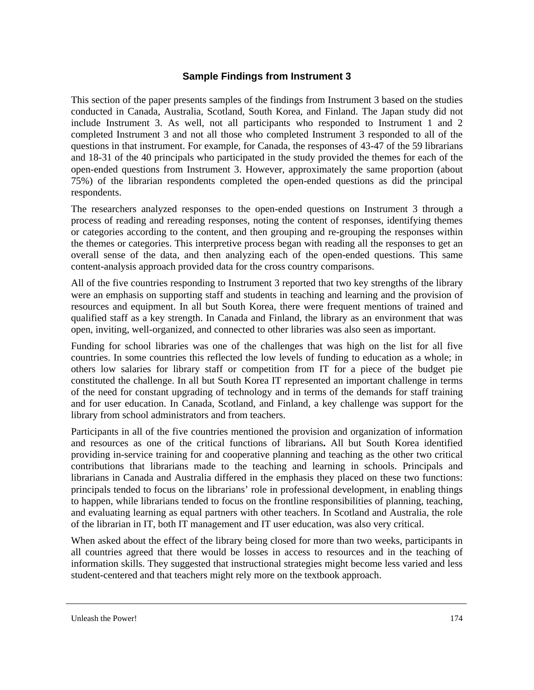# **Sample Findings from Instrument 3**

This section of the paper presents samples of the findings from Instrument 3 based on the studies conducted in Canada, Australia, Scotland, South Korea, and Finland. The Japan study did not include Instrument 3. As well, not all participants who responded to Instrument 1 and 2 completed Instrument 3 and not all those who completed Instrument 3 responded to all of the questions in that instrument. For example, for Canada, the responses of 43-47 of the 59 librarians and 18-31 of the 40 principals who participated in the study provided the themes for each of the open-ended questions from Instrument 3. However, approximately the same proportion (about 75%) of the librarian respondents completed the open-ended questions as did the principal respondents.

The researchers analyzed responses to the open-ended questions on Instrument 3 through a process of reading and rereading responses, noting the content of responses, identifying themes or categories according to the content, and then grouping and re-grouping the responses within the themes or categories. This interpretive process began with reading all the responses to get an overall sense of the data, and then analyzing each of the open-ended questions. This same content-analysis approach provided data for the cross country comparisons.

All of the five countries responding to Instrument 3 reported that two key strengths of the library were an emphasis on supporting staff and students in teaching and learning and the provision of resources and equipment. In all but South Korea, there were frequent mentions of trained and qualified staff as a key strength. In Canada and Finland, the library as an environment that was open, inviting, well-organized, and connected to other libraries was also seen as important.

Funding for school libraries was one of the challenges that was high on the list for all five countries. In some countries this reflected the low levels of funding to education as a whole; in others low salaries for library staff or competition from IT for a piece of the budget pie constituted the challenge. In all but South Korea IT represented an important challenge in terms of the need for constant upgrading of technology and in terms of the demands for staff training and for user education. In Canada, Scotland, and Finland, a key challenge was support for the library from school administrators and from teachers.

Participants in all of the five countries mentioned the provision and organization of information and resources as one of the critical functions of librarians**.** All but South Korea identified providing in-service training for and cooperative planning and teaching as the other two critical contributions that librarians made to the teaching and learning in schools. Principals and librarians in Canada and Australia differed in the emphasis they placed on these two functions: principals tended to focus on the librarians' role in professional development, in enabling things to happen, while librarians tended to focus on the frontline responsibilities of planning, teaching, and evaluating learning as equal partners with other teachers. In Scotland and Australia, the role of the librarian in IT, both IT management and IT user education, was also very critical.

When asked about the effect of the library being closed for more than two weeks, participants in all countries agreed that there would be losses in access to resources and in the teaching of information skills. They suggested that instructional strategies might become less varied and less student-centered and that teachers might rely more on the textbook approach.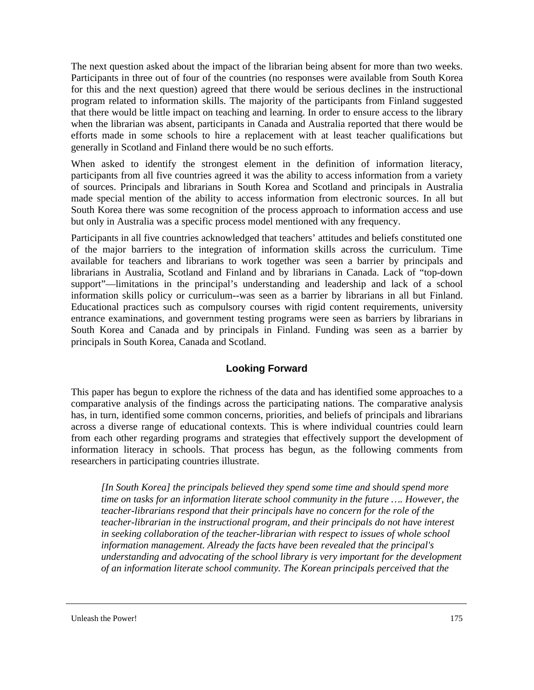The next question asked about the impact of the librarian being absent for more than two weeks. Participants in three out of four of the countries (no responses were available from South Korea for this and the next question) agreed that there would be serious declines in the instructional program related to information skills. The majority of the participants from Finland suggested that there would be little impact on teaching and learning. In order to ensure access to the library when the librarian was absent, participants in Canada and Australia reported that there would be efforts made in some schools to hire a replacement with at least teacher qualifications but generally in Scotland and Finland there would be no such efforts.

When asked to identify the strongest element in the definition of information literacy, participants from all five countries agreed it was the ability to access information from a variety of sources. Principals and librarians in South Korea and Scotland and principals in Australia made special mention of the ability to access information from electronic sources. In all but South Korea there was some recognition of the process approach to information access and use but only in Australia was a specific process model mentioned with any frequency.

Participants in all five countries acknowledged that teachers' attitudes and beliefs constituted one of the major barriers to the integration of information skills across the curriculum. Time available for teachers and librarians to work together was seen a barrier by principals and librarians in Australia, Scotland and Finland and by librarians in Canada. Lack of "top-down support"—limitations in the principal's understanding and leadership and lack of a school information skills policy or curriculum--was seen as a barrier by librarians in all but Finland. Educational practices such as compulsory courses with rigid content requirements, university entrance examinations, and government testing programs were seen as barriers by librarians in South Korea and Canada and by principals in Finland. Funding was seen as a barrier by principals in South Korea, Canada and Scotland.

# **Looking Forward**

This paper has begun to explore the richness of the data and has identified some approaches to a comparative analysis of the findings across the participating nations. The comparative analysis has, in turn, identified some common concerns, priorities, and beliefs of principals and librarians across a diverse range of educational contexts. This is where individual countries could learn from each other regarding programs and strategies that effectively support the development of information literacy in schools. That process has begun, as the following comments from researchers in participating countries illustrate.

*[In South Korea] the principals believed they spend some time and should spend more time on tasks for an information literate school community in the future …. However, the teacher-librarians respond that their principals have no concern for the role of the teacher-librarian in the instructional program, and their principals do not have interest in seeking collaboration of the teacher-librarian with respect to issues of whole school information management. Already the facts have been revealed that the principal's understanding and advocating of the school library is very important for the development of an information literate school community. The Korean principals perceived that the*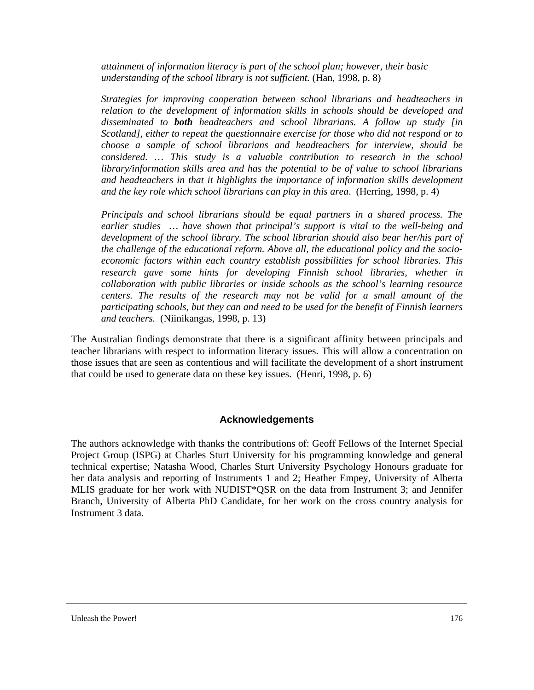*attainment of information literacy is part of the school plan; however, their basic understanding of the school library is not sufficient.* (Han, 1998, p. 8)

*Strategies for improving cooperation between school librarians and headteachers in relation to the development of information skills in schools should be developed and disseminated to both headteachers and school librarians. A follow up study [in Scotland], either to repeat the questionnaire exercise for those who did not respond or to choose a sample of school librarians and headteachers for interview, should be considered. … This study is a valuable contribution to research in the school library/information skills area and has the potential to be of value to school librarians and headteachers in that it highlights the importance of information skills development and the key role which school librarians can play in this area*. (Herring, 1998, p. 4)

*Principals and school librarians should be equal partners in a shared process. The earlier studies … have shown that principal's support is vital to the well-being and development of the school library. The school librarian should also bear her/his part of the challenge of the educational reform. Above all, the educational policy and the socioeconomic factors within each country establish possibilities for school libraries. This research gave some hints for developing Finnish school libraries, whether in collaboration with public libraries or inside schools as the school's learning resource centers. The results of the research may not be valid for a small amount of the participating schools, but they can and need to be used for the benefit of Finnish learners and teachers.* (Niinikangas, 1998, p. 13)

The Australian findings demonstrate that there is a significant affinity between principals and teacher librarians with respect to information literacy issues. This will allow a concentration on those issues that are seen as contentious and will facilitate the development of a short instrument that could be used to generate data on these key issues. (Henri, 1998, p. 6)

## **Acknowledgements**

The authors acknowledge with thanks the contributions of: Geoff Fellows of the Internet Special Project Group (ISPG) at Charles Sturt University for his programming knowledge and general technical expertise; Natasha Wood, Charles Sturt University Psychology Honours graduate for her data analysis and reporting of Instruments 1 and 2; Heather Empey, University of Alberta MLIS graduate for her work with NUDIST\*QSR on the data from Instrument 3; and Jennifer Branch, University of Alberta PhD Candidate, for her work on the cross country analysis for Instrument 3 data.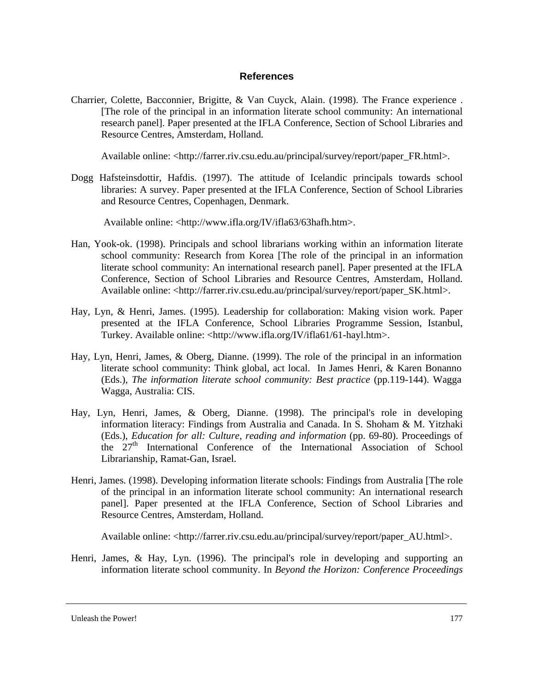#### **References**

Charrier, Colette, Bacconnier, Brigitte, & Van Cuyck, Alain. (1998). The France experience . [The role of the principal in an information literate school community: An international research panel]. Paper presented at the IFLA Conference, Section of School Libraries and Resource Centres, Amsterdam, Holland.

Available online: <http://farrer.riv.csu.edu.au/principal/survey/report/paper\_FR.html>.

Dogg Hafsteinsdottir, Hafdis. (1997). The attitude of Icelandic principals towards school libraries: A survey. Paper presented at the IFLA Conference, Section of School Libraries and Resource Centres, Copenhagen, Denmark.

Available online: <http://www.ifla.org/IV/ifla63/63hafh.htm>.

- Han, Yook-ok. (1998). Principals and school librarians working within an information literate school community: Research from Korea [The role of the principal in an information literate school community: An international research panel]. Paper presented at the IFLA Conference, Section of School Libraries and Resource Centres, Amsterdam, Holland. Available online: <http://farrer.riv.csu.edu.au/principal/survey/report/paper\_SK.html>.
- Hay, Lyn, & Henri, James. (1995). Leadership for collaboration: Making vision work. Paper presented at the IFLA Conference, School Libraries Programme Session, Istanbul, Turkey. Available online: <http://www.ifla.org/IV/ifla61/61-hayl.htm>.
- Hay, Lyn, Henri, James, & Oberg, Dianne. (1999). The role of the principal in an information literate school community: Think global, act local. In James Henri, & Karen Bonanno (Eds.), *The information literate school community: Best practice* (pp.119-144). Wagga Wagga, Australia: CIS.
- Hay, Lyn, Henri, James, & Oberg, Dianne. (1998). The principal's role in developing information literacy: Findings from Australia and Canada. In S. Shoham & M. Yitzhaki (Eds.), *Education for all: Culture, reading and information* (pp. 69-80). Proceedings of the 27th International Conference of the International Association of School Librarianship, Ramat-Gan, Israel.
- Henri, James. (1998). Developing information literate schools: Findings from Australia [The role of the principal in an information literate school community: An international research panel]. Paper presented at the IFLA Conference, Section of School Libraries and Resource Centres, Amsterdam, Holland.

Available online: <http://farrer.riv.csu.edu.au/principal/survey/report/paper\_AU.html>.

Henri, James, & Hay, Lyn. (1996). The principal's role in developing and supporting an information literate school community. In *Beyond the Horizon: Conference Proceedings*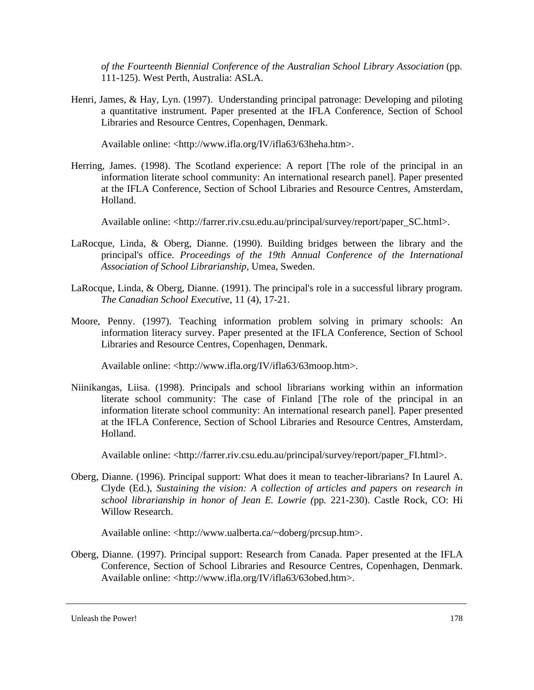*of the Fourteenth Biennial Conference of the Australian School Library Association* (pp. 111-125). West Perth, Australia: ASLA.

Henri, James, & Hay, Lyn. (1997). Understanding principal patronage: Developing and piloting a quantitative instrument. Paper presented at the IFLA Conference, Section of School Libraries and Resource Centres, Copenhagen, Denmark.

Available online: <http://www.ifla.org/IV/ifla63/63heha.htm>.

Herring, James. (1998). The Scotland experience: A report [The role of the principal in an information literate school community: An international research panel]. Paper presented at the IFLA Conference, Section of School Libraries and Resource Centres, Amsterdam, Holland.

Available online: <http://farrer.riv.csu.edu.au/principal/survey/report/paper\_SC.html>.

- LaRocque, Linda, & Oberg, Dianne. (1990). Building bridges between the library and the principal's office. *Proceedings of the 19th Annual Conference of the International Association of School Librarianship,* Umea, Sweden.
- LaRocque, Linda, & Oberg, Dianne. (1991). The principal's role in a successful library program. *The Canadian School Executive*, 11 (4), 17-21.
- Moore, Penny. (1997). Teaching information problem solving in primary schools: An information literacy survey. Paper presented at the IFLA Conference, Section of School Libraries and Resource Centres, Copenhagen, Denmark.

Available online: <http://www.ifla.org/IV/ifla63/63moop.htm>.

Niinikangas, Liisa. (1998). Principals and school librarians working within an information literate school community: The case of Finland [The role of the principal in an information literate school community: An international research panel]. Paper presented at the IFLA Conference, Section of School Libraries and Resource Centres, Amsterdam, Holland.

Available online: <http://farrer.riv.csu.edu.au/principal/survey/report/paper\_FI.html>.

Oberg, Dianne. (1996). Principal support: What does it mean to teacher-librarians? In Laurel A. Clyde (Ed.), *Sustaining the vision: A collection of articles and papers on research in school librarianship in honor of Jean E. Lowrie (*pp*.* 221-230). Castle Rock, CO: Hi Willow Research.

Available online: <http://www.ualberta.ca/~doberg/prcsup.htm>.

Oberg, Dianne. (1997). Principal support: Research from Canada. Paper presented at the IFLA Conference, Section of School Libraries and Resource Centres, Copenhagen, Denmark. Available online: <http://www.ifla.org/IV/ifla63/63obed.htm>.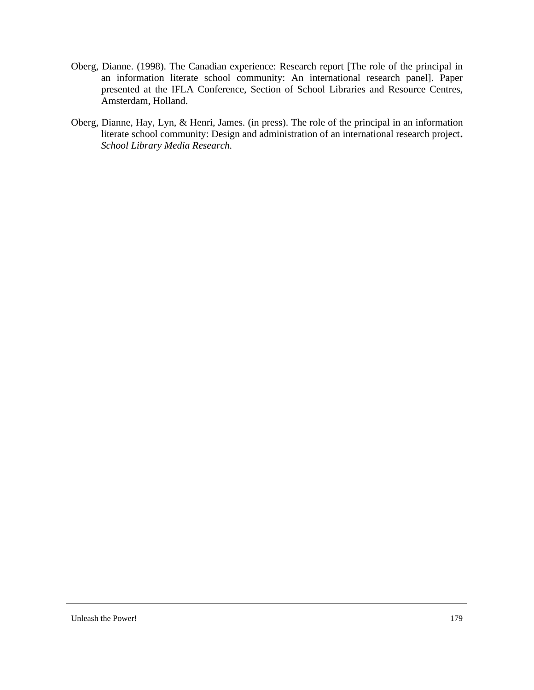- Oberg, Dianne. (1998). The Canadian experience: Research report [The role of the principal in an information literate school community: An international research panel]. Paper presented at the IFLA Conference, Section of School Libraries and Resource Centres, Amsterdam, Holland.
- Oberg, Dianne, Hay, Lyn, & Henri, James. (in press). The role of the principal in an information literate school community: Design and administration of an international research project**.** *School Library Media Research.*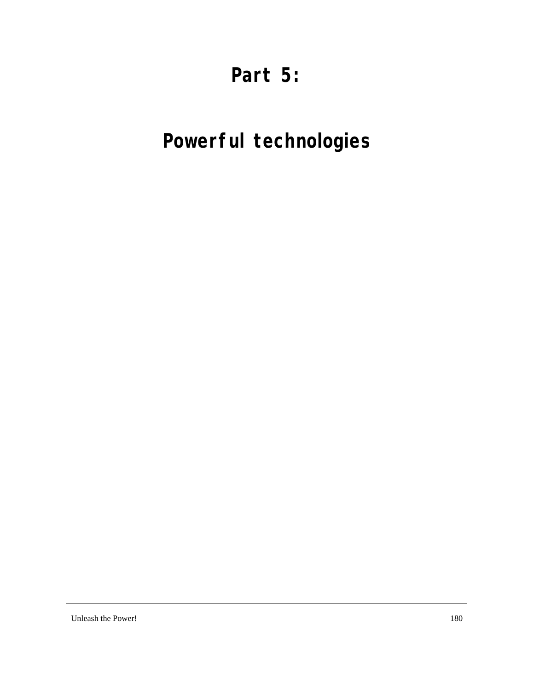# **Part 5:**

# **Powerful technologies**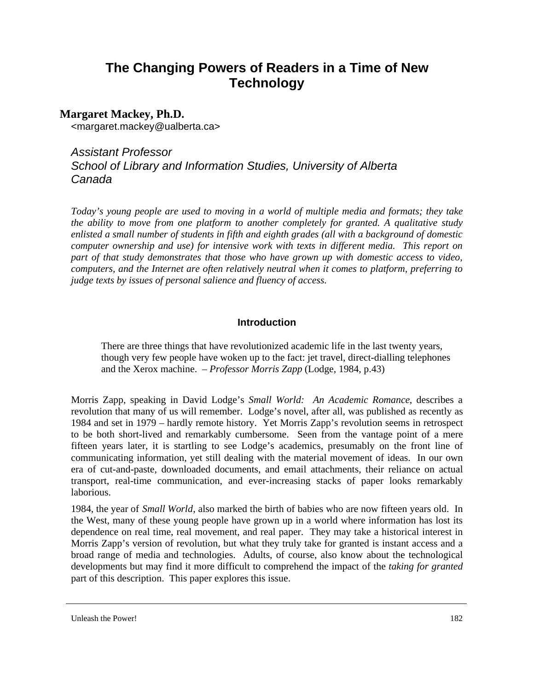# **The Changing Powers of Readers in a Time of New Technology**

# **Margaret Mackey, Ph.D.**

<margaret.mackey@ualberta.ca>

# *Assistant Professor School of Library and Information Studies, University of Alberta Canada*

*Today's young people are used to moving in a world of multiple media and formats; they take the ability to move from one platform to another completely for granted. A qualitative study enlisted a small number of students in fifth and eighth grades (all with a background of domestic computer ownership and use) for intensive work with texts in different media. This report on part of that study demonstrates that those who have grown up with domestic access to video, computers, and the Internet are often relatively neutral when it comes to platform, preferring to judge texts by issues of personal salience and fluency of access.*

## **Introduction**

There are three things that have revolutionized academic life in the last twenty years, though very few people have woken up to the fact: jet travel, direct-dialling telephones and the Xerox machine. – *Professor Morris Zapp* (Lodge, 1984, p.43)

Morris Zapp, speaking in David Lodge's *Small World: An Academic Romance*, describes a revolution that many of us will remember. Lodge's novel, after all, was published as recently as 1984 and set in 1979 – hardly remote history. Yet Morris Zapp's revolution seems in retrospect to be both short-lived and remarkably cumbersome. Seen from the vantage point of a mere fifteen years later, it is startling to see Lodge's academics, presumably on the front line of communicating information, yet still dealing with the material movement of ideas. In our own era of cut-and-paste, downloaded documents, and email attachments, their reliance on actual transport, real-time communication, and ever-increasing stacks of paper looks remarkably laborious.

1984, the year of *Small World*, also marked the birth of babies who are now fifteen years old. In the West, many of these young people have grown up in a world where information has lost its dependence on real time, real movement, and real paper. They may take a historical interest in Morris Zapp's version of revolution, but what they truly take for granted is instant access and a broad range of media and technologies. Adults, of course, also know about the technological developments but may find it more difficult to comprehend the impact of the *taking for granted* part of this description. This paper explores this issue.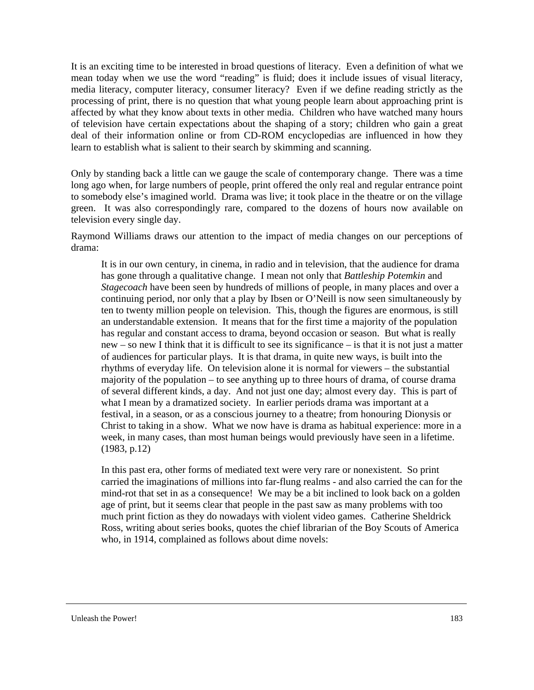It is an exciting time to be interested in broad questions of literacy. Even a definition of what we mean today when we use the word "reading" is fluid; does it include issues of visual literacy, media literacy, computer literacy, consumer literacy? Even if we define reading strictly as the processing of print, there is no question that what young people learn about approaching print is affected by what they know about texts in other media. Children who have watched many hours of television have certain expectations about the shaping of a story; children who gain a great deal of their information online or from CD-ROM encyclopedias are influenced in how they learn to establish what is salient to their search by skimming and scanning.

Only by standing back a little can we gauge the scale of contemporary change. There was a time long ago when, for large numbers of people, print offered the only real and regular entrance point to somebody else's imagined world. Drama was live; it took place in the theatre or on the village green. It was also correspondingly rare, compared to the dozens of hours now available on television every single day.

Raymond Williams draws our attention to the impact of media changes on our perceptions of drama:

It is in our own century, in cinema, in radio and in television, that the audience for drama has gone through a qualitative change. I mean not only that *Battleship Potemkin* and *Stagecoach* have been seen by hundreds of millions of people, in many places and over a continuing period, nor only that a play by Ibsen or O'Neill is now seen simultaneously by ten to twenty million people on television. This, though the figures are enormous, is still an understandable extension. It means that for the first time a majority of the population has regular and constant access to drama, beyond occasion or season. But what is really new – so new I think that it is difficult to see its significance – is that it is not just a matter of audiences for particular plays. It is that drama, in quite new ways, is built into the rhythms of everyday life. On television alone it is normal for viewers – the substantial majority of the population – to see anything up to three hours of drama, of course drama of several different kinds, a day. And not just one day; almost every day. This is part of what I mean by a dramatized society. In earlier periods drama was important at a festival, in a season, or as a conscious journey to a theatre; from honouring Dionysis or Christ to taking in a show. What we now have is drama as habitual experience: more in a week, in many cases, than most human beings would previously have seen in a lifetime. (1983, p.12)

In this past era, other forms of mediated text were very rare or nonexistent. So print carried the imaginations of millions into far-flung realms - and also carried the can for the mind-rot that set in as a consequence! We may be a bit inclined to look back on a golden age of print, but it seems clear that people in the past saw as many problems with too much print fiction as they do nowadays with violent video games. Catherine Sheldrick Ross, writing about series books, quotes the chief librarian of the Boy Scouts of America who, in 1914, complained as follows about dime novels: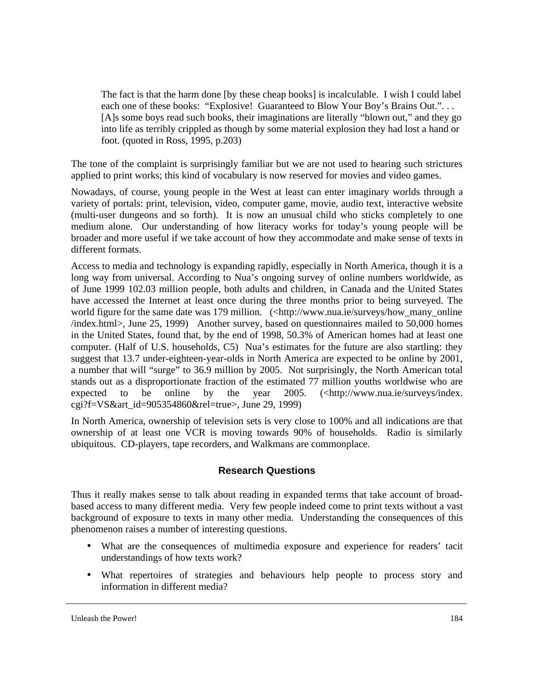The fact is that the harm done [by these cheap books] is incalculable. I wish I could label each one of these books: "Explosive! Guaranteed to Blow Your Boy's Brains Out."... [A]s some boys read such books, their imaginations are literally "blown out," and they go into life as terribly crippled as though by some material explosion they had lost a hand or foot. (quoted in Ross, 1995, p.203)

The tone of the complaint is surprisingly familiar but we are not used to hearing such strictures applied to print works; this kind of vocabulary is now reserved for movies and video games.

Nowadays, of course, young people in the West at least can enter imaginary worlds through a variety of portals: print, television, video, computer game, movie, audio text, interactive website (multi-user dungeons and so forth). It is now an unusual child who sticks completely to one medium alone. Our understanding of how literacy works for today's young people will be broader and more useful if we take account of how they accommodate and make sense of texts in different formats.

Access to media and technology is expanding rapidly, especially in North America, though it is a long way from universal. According to Nua's ongoing survey of online numbers worldwide, as of June 1999 102.03 million people, both adults and children, in Canada and the United States have accessed the Internet at least once during the three months prior to being surveyed. The world figure for the same date was 179 million. (<http://www.nua.ie/surveys/how\_many\_online /index.html>, June 25, 1999) Another survey, based on questionnaires mailed to 50,000 homes in the United States, found that, by the end of 1998, 50.3% of American homes had at least one computer. (Half of U.S. households, C5) Nua's estimates for the future are also startling: they suggest that 13.7 under-eighteen-year-olds in North America are expected to be online by 2001, a number that will "surge" to 36.9 million by 2005. Not surprisingly, the North American total stands out as a disproportionate fraction of the estimated 77 million youths worldwise who are expected to be online by the year 2005. (<http://www.nua.ie/surveys/index.  $cgi?f=VS&art\_id=905354860&rel=true>$ , June 29, 1999)

In North America, ownership of television sets is very close to 100% and all indications are that ownership of at least one VCR is moving towards 90% of households. Radio is similarly ubiquitous. CD-players, tape recorders, and Walkmans are commonplace.

# **Research Questions**

Thus it really makes sense to talk about reading in expanded terms that take account of broadbased access to many different media. Very few people indeed come to print texts without a vast background of exposure to texts in many other media. Understanding the consequences of this phenomenon raises a number of interesting questions.

- What are the consequences of multimedia exposure and experience for readers' tacit understandings of how texts work?
- What repertoires of strategies and behaviours help people to process story and information in different media?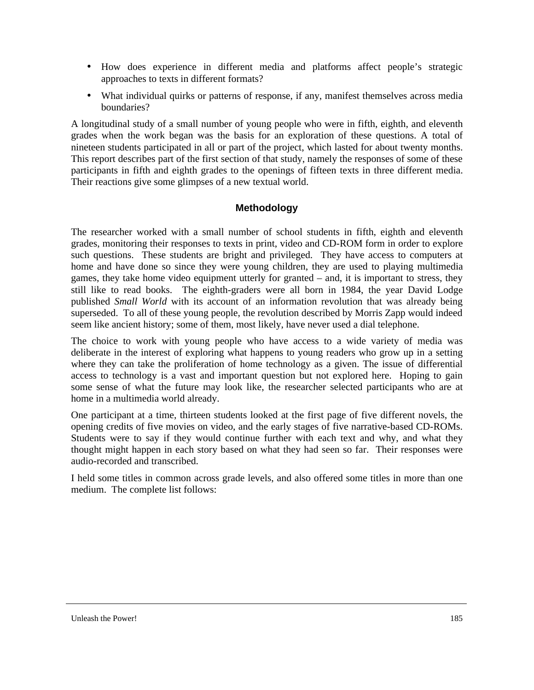- How does experience in different media and platforms affect people's strategic approaches to texts in different formats?
- What individual quirks or patterns of response, if any, manifest themselves across media boundaries?

A longitudinal study of a small number of young people who were in fifth, eighth, and eleventh grades when the work began was the basis for an exploration of these questions. A total of nineteen students participated in all or part of the project, which lasted for about twenty months. This report describes part of the first section of that study, namely the responses of some of these participants in fifth and eighth grades to the openings of fifteen texts in three different media. Their reactions give some glimpses of a new textual world.

# **Methodology**

The researcher worked with a small number of school students in fifth, eighth and eleventh grades, monitoring their responses to texts in print, video and CD-ROM form in order to explore such questions. These students are bright and privileged. They have access to computers at home and have done so since they were young children, they are used to playing multimedia games, they take home video equipment utterly for granted – and, it is important to stress, they still like to read books. The eighth-graders were all born in 1984, the year David Lodge published *Small World* with its account of an information revolution that was already being superseded. To all of these young people, the revolution described by Morris Zapp would indeed seem like ancient history; some of them, most likely, have never used a dial telephone.

The choice to work with young people who have access to a wide variety of media was deliberate in the interest of exploring what happens to young readers who grow up in a setting where they can take the proliferation of home technology as a given. The issue of differential access to technology is a vast and important question but not explored here. Hoping to gain some sense of what the future may look like, the researcher selected participants who are at home in a multimedia world already.

One participant at a time, thirteen students looked at the first page of five different novels, the opening credits of five movies on video, and the early stages of five narrative-based CD-ROMs. Students were to say if they would continue further with each text and why, and what they thought might happen in each story based on what they had seen so far. Their responses were audio-recorded and transcribed.

I held some titles in common across grade levels, and also offered some titles in more than one medium. The complete list follows: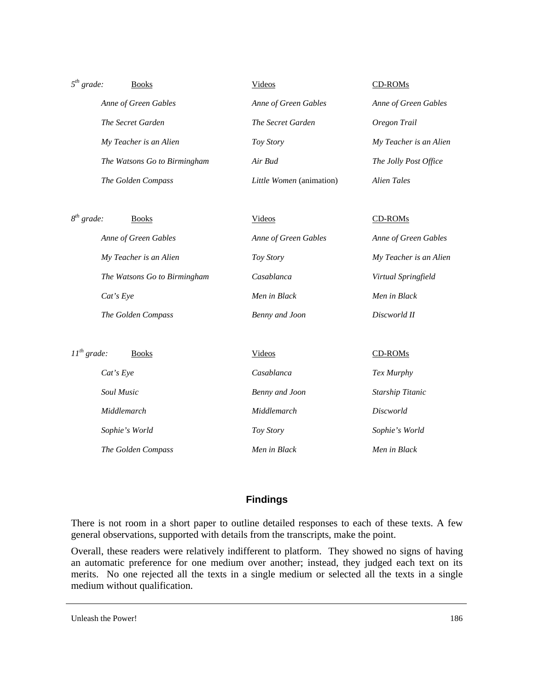| $5^{th}$ grade: | <b>Books</b>                 | Videos                          | CD-ROM <sub>s</sub>    |
|-----------------|------------------------------|---------------------------------|------------------------|
|                 | Anne of Green Gables         | Anne of Green Gables            | Anne of Green Gables   |
|                 | The Secret Garden            | The Secret Garden               | Oregon Trail           |
|                 | My Teacher is an Alien       | Toy Story                       | My Teacher is an Alien |
|                 | The Watsons Go to Birmingham | Air Bud                         | The Jolly Post Office  |
|                 | The Golden Compass           | <i>Little Women</i> (animation) | Alien Tales            |

| $8^{th}$ grade: | <b>Books</b>                 | Videos               | CD-ROM <sub>s</sub>    |
|-----------------|------------------------------|----------------------|------------------------|
|                 | Anne of Green Gables         | Anne of Green Gables | Anne of Green Gables   |
|                 | My Teacher is an Alien       | Toy Story            | My Teacher is an Alien |
|                 | The Watsons Go to Birmingham | Casablanca           | Virtual Springfield    |
| Cat's Eve       |                              | Men in Black         | Men in Black           |
|                 | The Golden Compass           | Benny and Joon       | Discworld II           |

| $11^{th}$ grade:<br><b>Books</b> | Videos         | CD-ROM <sub>s</sub>     |
|----------------------------------|----------------|-------------------------|
| Cat's Eve                        | Casablanca     | Tex Murphy              |
| <b>Soul Music</b>                | Benny and Joon | <b>Starship Titanic</b> |
| Middlemarch                      | Middlemarch    | <i>Discworld</i>        |
| Sophie's World                   | Toy Story      | Sophie's World          |
| The Golden Compass               | Men in Black   | Men in Black            |

# **Findings**

There is not room in a short paper to outline detailed responses to each of these texts. A few general observations, supported with details from the transcripts, make the point.

Overall, these readers were relatively indifferent to platform. They showed no signs of having an automatic preference for one medium over another; instead, they judged each text on its merits. No one rejected all the texts in a single medium or selected all the texts in a single medium without qualification.

#### Unleash the Power! 186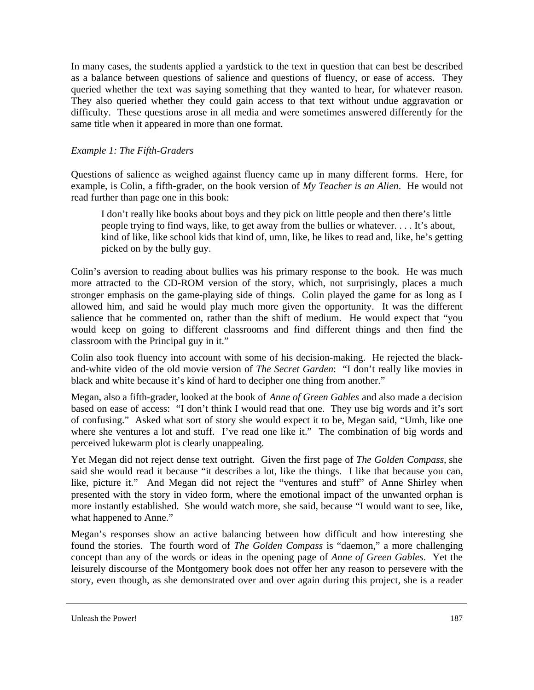In many cases, the students applied a yardstick to the text in question that can best be described as a balance between questions of salience and questions of fluency, or ease of access. They queried whether the text was saying something that they wanted to hear, for whatever reason. They also queried whether they could gain access to that text without undue aggravation or difficulty. These questions arose in all media and were sometimes answered differently for the same title when it appeared in more than one format.

# *Example 1: The Fifth-Graders*

Questions of salience as weighed against fluency came up in many different forms. Here, for example, is Colin, a fifth-grader, on the book version of *My Teacher is an Alien*. He would not read further than page one in this book:

I don't really like books about boys and they pick on little people and then there's little people trying to find ways, like, to get away from the bullies or whatever. . . . It's about, kind of like, like school kids that kind of, umn, like, he likes to read and, like, he's getting picked on by the bully guy.

Colin's aversion to reading about bullies was his primary response to the book. He was much more attracted to the CD-ROM version of the story, which, not surprisingly, places a much stronger emphasis on the game-playing side of things. Colin played the game for as long as I allowed him, and said he would play much more given the opportunity. It was the different salience that he commented on, rather than the shift of medium. He would expect that "you would keep on going to different classrooms and find different things and then find the classroom with the Principal guy in it."

Colin also took fluency into account with some of his decision-making. He rejected the blackand-white video of the old movie version of *The Secret Garden*: "I don't really like movies in black and white because it's kind of hard to decipher one thing from another."

Megan, also a fifth-grader, looked at the book of *Anne of Green Gables* and also made a decision based on ease of access: "I don't think I would read that one. They use big words and it's sort of confusing." Asked what sort of story she would expect it to be, Megan said, "Umh, like one where she ventures a lot and stuff. I've read one like it." The combination of big words and perceived lukewarm plot is clearly unappealing.

Yet Megan did not reject dense text outright. Given the first page of *The Golden Compass,* she said she would read it because "it describes a lot, like the things. I like that because you can, like, picture it." And Megan did not reject the "ventures and stuff" of Anne Shirley when presented with the story in video form, where the emotional impact of the unwanted orphan is more instantly established. She would watch more, she said, because "I would want to see, like, what happened to Anne."

Megan's responses show an active balancing between how difficult and how interesting she found the stories. The fourth word of *The Golden Compass* is "daemon," a more challenging concept than any of the words or ideas in the opening page of *Anne of Green Gables*. Yet the leisurely discourse of the Montgomery book does not offer her any reason to persevere with the story, even though, as she demonstrated over and over again during this project, she is a reader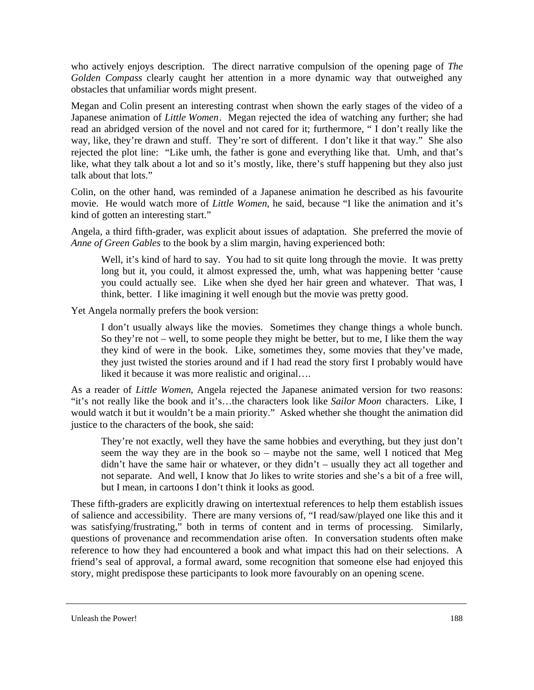who actively enjoys description. The direct narrative compulsion of the opening page of *The Golden Compass* clearly caught her attention in a more dynamic way that outweighed any obstacles that unfamiliar words might present.

Megan and Colin present an interesting contrast when shown the early stages of the video of a Japanese animation of *Little Women*. Megan rejected the idea of watching any further; she had read an abridged version of the novel and not cared for it; furthermore, " I don't really like the way, like, they're drawn and stuff. They're sort of different. I don't like it that way." She also rejected the plot line: "Like umh, the father is gone and everything like that. Umh, and that's like, what they talk about a lot and so it's mostly, like, there's stuff happening but they also just talk about that lots."

Colin, on the other hand, was reminded of a Japanese animation he described as his favourite movie. He would watch more of *Little Women*, he said, because "I like the animation and it's kind of gotten an interesting start."

Angela, a third fifth-grader, was explicit about issues of adaptation. She preferred the movie of *Anne of Green Gables* to the book by a slim margin, having experienced both:

Well, it's kind of hard to say. You had to sit quite long through the movie. It was pretty long but it, you could, it almost expressed the, umh, what was happening better 'cause you could actually see. Like when she dyed her hair green and whatever. That was, I think, better. I like imagining it well enough but the movie was pretty good.

Yet Angela normally prefers the book version:

I don't usually always like the movies. Sometimes they change things a whole bunch. So they're not – well, to some people they might be better, but to me, I like them the way they kind of were in the book. Like, sometimes they, some movies that they've made, they just twisted the stories around and if I had read the story first I probably would have liked it because it was more realistic and original….

As a reader of *Little Women*, Angela rejected the Japanese animated version for two reasons: "it's not really like the book and it's…the characters look like *Sailor Moon* characters. Like, I would watch it but it wouldn't be a main priority." Asked whether she thought the animation did justice to the characters of the book, she said:

They're not exactly, well they have the same hobbies and everything, but they just don't seem the way they are in the book so – maybe not the same, well I noticed that Meg didn't have the same hair or whatever, or they didn't – usually they act all together and not separate. And well, I know that Jo likes to write stories and she's a bit of a free will, but I mean, in cartoons I don't think it looks as good.

These fifth-graders are explicitly drawing on intertextual references to help them establish issues of salience and accessibility. There are many versions of, "I read/saw/played one like this and it was satisfying/frustrating," both in terms of content and in terms of processing. Similarly, questions of provenance and recommendation arise often. In conversation students often make reference to how they had encountered a book and what impact this had on their selections. A friend's seal of approval, a formal award, some recognition that someone else had enjoyed this story, might predispose these participants to look more favourably on an opening scene.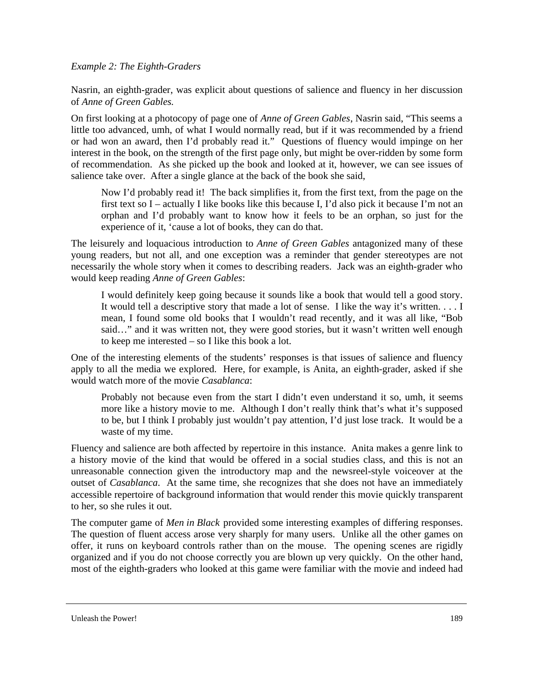*Example 2: The Eighth-Graders*

Nasrin, an eighth-grader, was explicit about questions of salience and fluency in her discussion of *Anne of Green Gables.*

On first looking at a photocopy of page one of *Anne of Green Gables*, Nasrin said, "This seems a little too advanced, umh, of what I would normally read, but if it was recommended by a friend or had won an award, then I'd probably read it." Questions of fluency would impinge on her interest in the book, on the strength of the first page only, but might be over-ridden by some form of recommendation. As she picked up the book and looked at it, however, we can see issues of salience take over. After a single glance at the back of the book she said,

Now I'd probably read it! The back simplifies it, from the first text, from the page on the first text so I – actually I like books like this because I, I'd also pick it because I'm not an orphan and I'd probably want to know how it feels to be an orphan, so just for the experience of it, 'cause a lot of books, they can do that.

The leisurely and loquacious introduction to *Anne of Green Gables* antagonized many of these young readers, but not all, and one exception was a reminder that gender stereotypes are not necessarily the whole story when it comes to describing readers. Jack was an eighth-grader who would keep reading *Anne of Green Gables*:

I would definitely keep going because it sounds like a book that would tell a good story. It would tell a descriptive story that made a lot of sense. I like the way it's written. . . . I mean, I found some old books that I wouldn't read recently, and it was all like, "Bob said…" and it was written not, they were good stories, but it wasn't written well enough to keep me interested – so I like this book a lot.

One of the interesting elements of the students' responses is that issues of salience and fluency apply to all the media we explored. Here, for example, is Anita, an eighth-grader, asked if she would watch more of the movie *Casablanca*:

Probably not because even from the start I didn't even understand it so, umh, it seems more like a history movie to me. Although I don't really think that's what it's supposed to be, but I think I probably just wouldn't pay attention, I'd just lose track. It would be a waste of my time.

Fluency and salience are both affected by repertoire in this instance. Anita makes a genre link to a history movie of the kind that would be offered in a social studies class, and this is not an unreasonable connection given the introductory map and the newsreel-style voiceover at the outset of *Casablanca*. At the same time, she recognizes that she does not have an immediately accessible repertoire of background information that would render this movie quickly transparent to her, so she rules it out.

The computer game of *Men in Black* provided some interesting examples of differing responses. The question of fluent access arose very sharply for many users. Unlike all the other games on offer, it runs on keyboard controls rather than on the mouse. The opening scenes are rigidly organized and if you do not choose correctly you are blown up very quickly. On the other hand, most of the eighth-graders who looked at this game were familiar with the movie and indeed had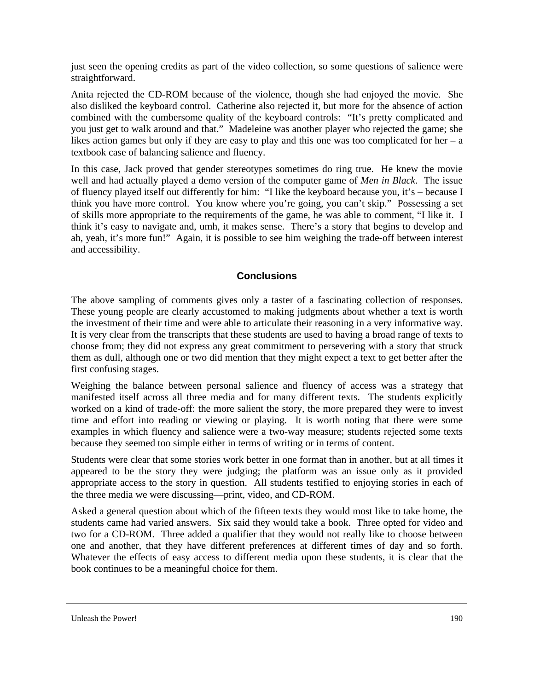just seen the opening credits as part of the video collection, so some questions of salience were straightforward.

Anita rejected the CD-ROM because of the violence, though she had enjoyed the movie. She also disliked the keyboard control. Catherine also rejected it, but more for the absence of action combined with the cumbersome quality of the keyboard controls: "It's pretty complicated and you just get to walk around and that." Madeleine was another player who rejected the game; she likes action games but only if they are easy to play and this one was too complicated for her – a textbook case of balancing salience and fluency.

In this case, Jack proved that gender stereotypes sometimes do ring true. He knew the movie well and had actually played a demo version of the computer game of *Men in Black*. The issue of fluency played itself out differently for him: "I like the keyboard because you, it's – because I think you have more control. You know where you're going, you can't skip." Possessing a set of skills more appropriate to the requirements of the game, he was able to comment, "I like it. I think it's easy to navigate and, umh, it makes sense. There's a story that begins to develop and ah, yeah, it's more fun!" Again, it is possible to see him weighing the trade-off between interest and accessibility.

# **Conclusions**

The above sampling of comments gives only a taster of a fascinating collection of responses. These young people are clearly accustomed to making judgments about whether a text is worth the investment of their time and were able to articulate their reasoning in a very informative way. It is very clear from the transcripts that these students are used to having a broad range of texts to choose from; they did not express any great commitment to persevering with a story that struck them as dull, although one or two did mention that they might expect a text to get better after the first confusing stages.

Weighing the balance between personal salience and fluency of access was a strategy that manifested itself across all three media and for many different texts. The students explicitly worked on a kind of trade-off: the more salient the story, the more prepared they were to invest time and effort into reading or viewing or playing. It is worth noting that there were some examples in which fluency and salience were a two-way measure; students rejected some texts because they seemed too simple either in terms of writing or in terms of content.

Students were clear that some stories work better in one format than in another, but at all times it appeared to be the story they were judging; the platform was an issue only as it provided appropriate access to the story in question. All students testified to enjoying stories in each of the three media we were discussing—print, video, and CD-ROM.

Asked a general question about which of the fifteen texts they would most like to take home, the students came had varied answers. Six said they would take a book. Three opted for video and two for a CD-ROM. Three added a qualifier that they would not really like to choose between one and another, that they have different preferences at different times of day and so forth. Whatever the effects of easy access to different media upon these students, it is clear that the book continues to be a meaningful choice for them.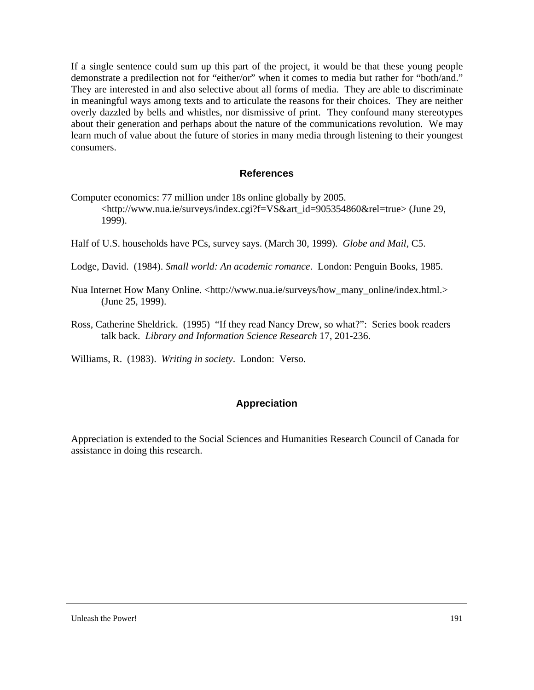If a single sentence could sum up this part of the project, it would be that these young people demonstrate a predilection not for "either/or" when it comes to media but rather for "both/and." They are interested in and also selective about all forms of media. They are able to discriminate in meaningful ways among texts and to articulate the reasons for their choices. They are neither overly dazzled by bells and whistles, nor dismissive of print. They confound many stereotypes about their generation and perhaps about the nature of the communications revolution. We may learn much of value about the future of stories in many media through listening to their youngest consumers.

## **References**

- Computer economics: 77 million under 18s online globally by 2005. <http://www.nua.ie/surveys/index.cgi?f=VS&art\_id=905354860&rel=true> (June 29, 1999).
- Half of U.S. households have PCs, survey says. (March 30, 1999). *Globe and Mail*, C5.
- Lodge, David. (1984). *Small world: An academic romance*. London: Penguin Books, 1985.
- Nua Internet How Many Online. <http://www.nua.ie/surveys/how\_many\_online/index.html.> (June 25, 1999).
- Ross, Catherine Sheldrick. (1995) "If they read Nancy Drew, so what?": Series book readers talk back. *Library and Information Science Research* 17, 201-236.

Williams, R. (1983). *Writing in society*. London: Verso.

## **Appreciation**

Appreciation is extended to the Social Sciences and Humanities Research Council of Canada for assistance in doing this research.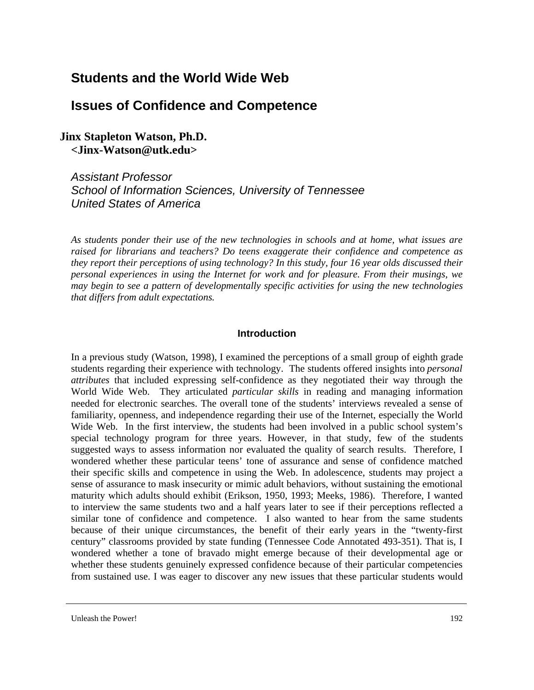# **Students and the World Wide Web**

# **Issues of Confidence and Competence**

**Jinx Stapleton Watson, Ph.D. <Jinx-Watson@utk.edu>**

*Assistant Professor School of Information Sciences, University of Tennessee United States of America*

*As students ponder their use of the new technologies in schools and at home, what issues are raised for librarians and teachers? Do teens exaggerate their confidence and competence as they report their perceptions of using technology? In this study, four 16 year olds discussed their personal experiences in using the Internet for work and for pleasure. From their musings, we may begin to see a pattern of developmentally specific activities for using the new technologies that differs from adult expectations.*

## **Introduction**

In a previous study (Watson, 1998), I examined the perceptions of a small group of eighth grade students regarding their experience with technology. The students offered insights into *personal attributes* that included expressing self-confidence as they negotiated their way through the World Wide Web. They articulated *particular skills* in reading and managing information needed for electronic searches. The overall tone of the students' interviews revealed a sense of familiarity, openness, and independence regarding their use of the Internet, especially the World Wide Web. In the first interview, the students had been involved in a public school system's special technology program for three years. However, in that study, few of the students suggested ways to assess information nor evaluated the quality of search results. Therefore, I wondered whether these particular teens' tone of assurance and sense of confidence matched their specific skills and competence in using the Web. In adolescence, students may project a sense of assurance to mask insecurity or mimic adult behaviors, without sustaining the emotional maturity which adults should exhibit (Erikson, 1950, 1993; Meeks, 1986). Therefore, I wanted to interview the same students two and a half years later to see if their perceptions reflected a similar tone of confidence and competence. I also wanted to hear from the same students because of their unique circumstances, the benefit of their early years in the "twenty-first century" classrooms provided by state funding (Tennessee Code Annotated 493-351). That is, I wondered whether a tone of bravado might emerge because of their developmental age or whether these students genuinely expressed confidence because of their particular competencies from sustained use. I was eager to discover any new issues that these particular students would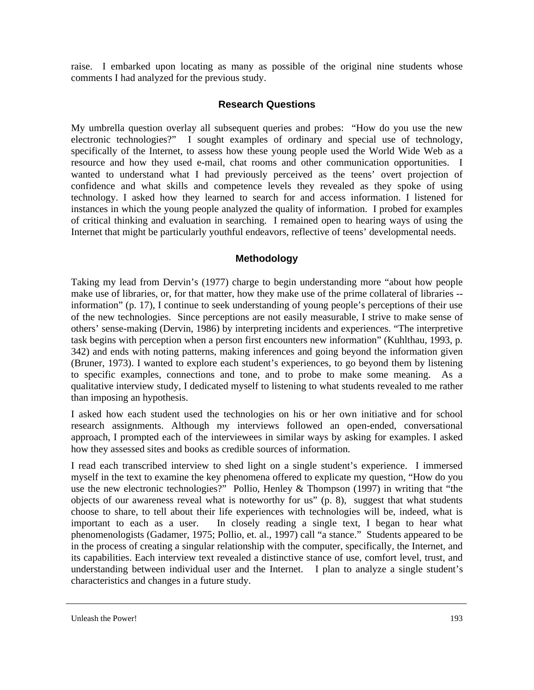raise. I embarked upon locating as many as possible of the original nine students whose comments I had analyzed for the previous study.

# **Research Questions**

My umbrella question overlay all subsequent queries and probes: "How do you use the new electronic technologies?" I sought examples of ordinary and special use of technology, specifically of the Internet, to assess how these young people used the World Wide Web as a resource and how they used e-mail, chat rooms and other communication opportunities. I wanted to understand what I had previously perceived as the teens' overt projection of confidence and what skills and competence levels they revealed as they spoke of using technology. I asked how they learned to search for and access information. I listened for instances in which the young people analyzed the quality of information. I probed for examples of critical thinking and evaluation in searching. I remained open to hearing ways of using the Internet that might be particularly youthful endeavors, reflective of teens' developmental needs.

# **Methodology**

Taking my lead from Dervin's (1977) charge to begin understanding more "about how people make use of libraries, or, for that matter, how they make use of the prime collateral of libraries - information" (p. 17), I continue to seek understanding of young people's perceptions of their use of the new technologies. Since perceptions are not easily measurable, I strive to make sense of others' sense-making (Dervin, 1986) by interpreting incidents and experiences. "The interpretive task begins with perception when a person first encounters new information" (Kuhlthau, 1993, p. 342) and ends with noting patterns, making inferences and going beyond the information given (Bruner, 1973). I wanted to explore each student's experiences, to go beyond them by listening to specific examples, connections and tone, and to probe to make some meaning. As a qualitative interview study, I dedicated myself to listening to what students revealed to me rather than imposing an hypothesis.

I asked how each student used the technologies on his or her own initiative and for school research assignments. Although my interviews followed an open-ended, conversational approach, I prompted each of the interviewees in similar ways by asking for examples. I asked how they assessed sites and books as credible sources of information.

I read each transcribed interview to shed light on a single student's experience. I immersed myself in the text to examine the key phenomena offered to explicate my question, "How do you use the new electronic technologies?" Pollio, Henley & Thompson (1997) in writing that "the objects of our awareness reveal what is noteworthy for us" (p. 8), suggest that what students choose to share, to tell about their life experiences with technologies will be, indeed, what is important to each as a user. In closely reading a single text, I began to hear what phenomenologists (Gadamer, 1975; Pollio, et. al., 1997) call "a stance." Students appeared to be in the process of creating a singular relationship with the computer, specifically, the Internet, and its capabilities. Each interview text revealed a distinctive stance of use, comfort level, trust, and understanding between individual user and the Internet. I plan to analyze a single student's characteristics and changes in a future study.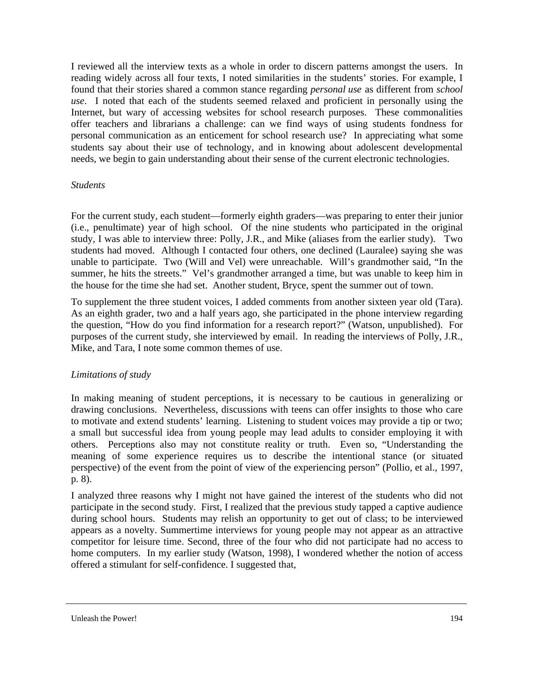I reviewed all the interview texts as a whole in order to discern patterns amongst the users. In reading widely across all four texts, I noted similarities in the students' stories. For example, I found that their stories shared a common stance regarding *personal use* as different from *school use*. I noted that each of the students seemed relaxed and proficient in personally using the Internet, but wary of accessing websites for school research purposes. These commonalities offer teachers and librarians a challenge: can we find ways of using students fondness for personal communication as an enticement for school research use? In appreciating what some students say about their use of technology, and in knowing about adolescent developmental needs, we begin to gain understanding about their sense of the current electronic technologies.

#### *Students*

For the current study, each student—formerly eighth graders—was preparing to enter their junior (i.e., penultimate) year of high school. Of the nine students who participated in the original study, I was able to interview three: Polly, J.R., and Mike (aliases from the earlier study). Two students had moved. Although I contacted four others, one declined (Lauralee) saying she was unable to participate. Two (Will and Vel) were unreachable. Will's grandmother said, "In the summer, he hits the streets." Vel's grandmother arranged a time, but was unable to keep him in the house for the time she had set. Another student, Bryce, spent the summer out of town.

To supplement the three student voices, I added comments from another sixteen year old (Tara). As an eighth grader, two and a half years ago, she participated in the phone interview regarding the question, "How do you find information for a research report?" (Watson, unpublished). For purposes of the current study, she interviewed by email. In reading the interviews of Polly, J.R., Mike, and Tara, I note some common themes of use.

## *Limitations of study*

In making meaning of student perceptions, it is necessary to be cautious in generalizing or drawing conclusions. Nevertheless, discussions with teens can offer insights to those who care to motivate and extend students' learning. Listening to student voices may provide a tip or two; a small but successful idea from young people may lead adults to consider employing it with others. Perceptions also may not constitute reality or truth. Even so, "Understanding the meaning of some experience requires us to describe the intentional stance (or situated perspective) of the event from the point of view of the experiencing person" (Pollio, et al., 1997, p. 8).

I analyzed three reasons why I might not have gained the interest of the students who did not participate in the second study. First, I realized that the previous study tapped a captive audience during school hours. Students may relish an opportunity to get out of class; to be interviewed appears as a novelty. Summertime interviews for young people may not appear as an attractive competitor for leisure time. Second, three of the four who did not participate had no access to home computers. In my earlier study (Watson, 1998), I wondered whether the notion of access offered a stimulant for self-confidence. I suggested that,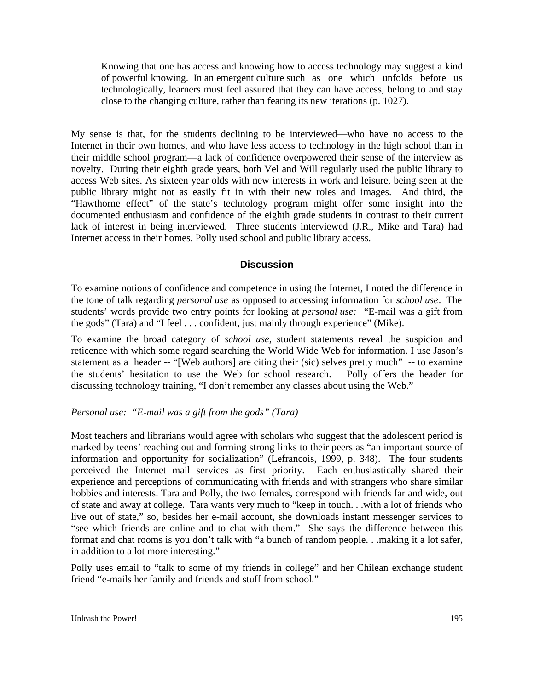Knowing that one has access and knowing how to access technology may suggest a kind of powerful knowing. In an emergent culture such as one which unfolds before us technologically, learners must feel assured that they can have access, belong to and stay close to the changing culture, rather than fearing its new iterations (p. 1027).

My sense is that, for the students declining to be interviewed—who have no access to the Internet in their own homes, and who have less access to technology in the high school than in their middle school program—a lack of confidence overpowered their sense of the interview as novelty. During their eighth grade years, both Vel and Will regularly used the public library to access Web sites. As sixteen year olds with new interests in work and leisure, being seen at the public library might not as easily fit in with their new roles and images. And third, the "Hawthorne effect" of the state's technology program might offer some insight into the documented enthusiasm and confidence of the eighth grade students in contrast to their current lack of interest in being interviewed. Three students interviewed (J.R., Mike and Tara) had Internet access in their homes. Polly used school and public library access.

# **Discussion**

To examine notions of confidence and competence in using the Internet, I noted the difference in the tone of talk regarding *personal use* as opposed to accessing information for *school use*. The students' words provide two entry points for looking at *personal use:* "E-mail was a gift from the gods" (Tara) and "I feel . . . confident, just mainly through experience" (Mike).

To examine the broad category of *school use*, student statements reveal the suspicion and reticence with which some regard searching the World Wide Web for information. I use Jason's statement as a header -- "[Web authors] are citing their (sic) selves pretty much" -- to examine the students' hesitation to use the Web for school research. Polly offers the header for discussing technology training, "I don't remember any classes about using the Web."

## *Personal use: "E-mail was a gift from the gods" (Tara)*

Most teachers and librarians would agree with scholars who suggest that the adolescent period is marked by teens' reaching out and forming strong links to their peers as "an important source of information and opportunity for socialization" (Lefrancois, 1999, p. 348). The four students perceived the Internet mail services as first priority. Each enthusiastically shared their experience and perceptions of communicating with friends and with strangers who share similar hobbies and interests. Tara and Polly, the two females, correspond with friends far and wide, out of state and away at college. Tara wants very much to "keep in touch. . .with a lot of friends who live out of state," so, besides her e-mail account, she downloads instant messenger services to "see which friends are online and to chat with them." She says the difference between this format and chat rooms is you don't talk with "a bunch of random people. . .making it a lot safer, in addition to a lot more interesting."

Polly uses email to "talk to some of my friends in college" and her Chilean exchange student friend "e-mails her family and friends and stuff from school."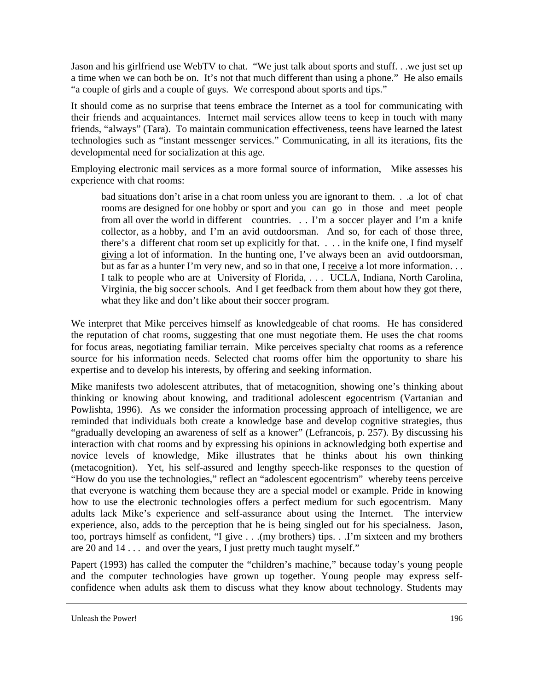Jason and his girlfriend use WebTV to chat. "We just talk about sports and stuff. . .we just set up a time when we can both be on. It's not that much different than using a phone." He also emails "a couple of girls and a couple of guys. We correspond about sports and tips."

It should come as no surprise that teens embrace the Internet as a tool for communicating with their friends and acquaintances. Internet mail services allow teens to keep in touch with many friends, "always" (Tara). To maintain communication effectiveness, teens have learned the latest technologies such as "instant messenger services." Communicating, in all its iterations, fits the developmental need for socialization at this age.

Employing electronic mail services as a more formal source of information, Mike assesses his experience with chat rooms:

bad situations don't arise in a chat room unless you are ignorant to them. . .a lot of chat rooms are designed for one hobby or sport and you can go in those and meet people from all over the world in different countries. . . I'm a soccer player and I'm a knife collector, as a hobby, and I'm an avid outdoorsman. And so, for each of those three, there's a different chat room set up explicitly for that. . . . in the knife one, I find myself giving a lot of information. In the hunting one, I've always been an avid outdoorsman, but as far as a hunter I'm very new, and so in that one, I receive a lot more information. . . I talk to people who are at University of Florida, . . . UCLA, Indiana, North Carolina, Virginia, the big soccer schools. And I get feedback from them about how they got there, what they like and don't like about their soccer program.

We interpret that Mike perceives himself as knowledgeable of chat rooms. He has considered the reputation of chat rooms, suggesting that one must negotiate them. He uses the chat rooms for focus areas, negotiating familiar terrain. Mike perceives specialty chat rooms as a reference source for his information needs. Selected chat rooms offer him the opportunity to share his expertise and to develop his interests, by offering and seeking information.

Mike manifests two adolescent attributes, that of metacognition, showing one's thinking about thinking or knowing about knowing, and traditional adolescent egocentrism (Vartanian and Powlishta, 1996). As we consider the information processing approach of intelligence, we are reminded that individuals both create a knowledge base and develop cognitive strategies, thus "gradually developing an awareness of self as a knower" (Lefrancois, p. 257). By discussing his interaction with chat rooms and by expressing his opinions in acknowledging both expertise and novice levels of knowledge, Mike illustrates that he thinks about his own thinking (metacognition). Yet, his self-assured and lengthy speech-like responses to the question of "How do you use the technologies," reflect an "adolescent egocentrism" whereby teens perceive that everyone is watching them because they are a special model or example. Pride in knowing how to use the electronic technologies offers a perfect medium for such egocentrism. Many adults lack Mike's experience and self-assurance about using the Internet. The interview experience, also, adds to the perception that he is being singled out for his specialness. Jason, too, portrays himself as confident, "I give . . .(my brothers) tips. . .I'm sixteen and my brothers are 20 and 14 . . . and over the years, I just pretty much taught myself."

Papert (1993) has called the computer the "children's machine," because today's young people and the computer technologies have grown up together. Young people may express selfconfidence when adults ask them to discuss what they know about technology. Students may

Unleash the Power!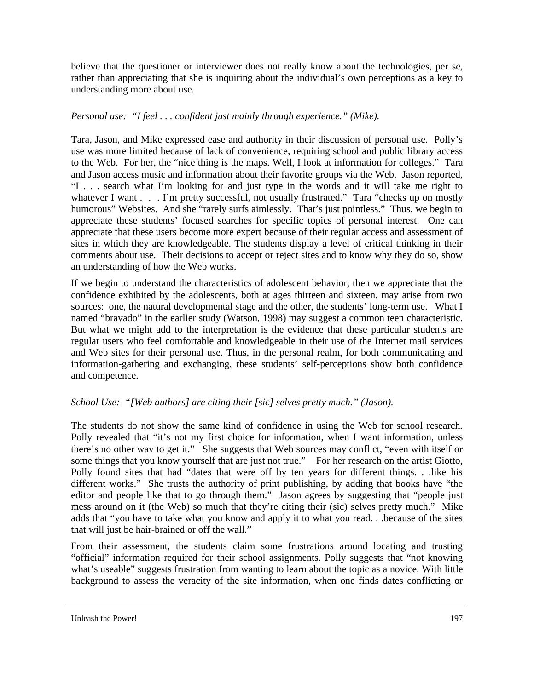believe that the questioner or interviewer does not really know about the technologies, per se, rather than appreciating that she is inquiring about the individual's own perceptions as a key to understanding more about use.

#### *Personal use: "I feel . . . confident just mainly through experience." (Mike).*

Tara, Jason, and Mike expressed ease and authority in their discussion of personal use. Polly's use was more limited because of lack of convenience, requiring school and public library access to the Web. For her, the "nice thing is the maps. Well, I look at information for colleges." Tara and Jason access music and information about their favorite groups via the Web. Jason reported, "I . . . search what I'm looking for and just type in the words and it will take me right to whatever I want . . . I'm pretty successful, not usually frustrated." Tara "checks up on mostly humorous" Websites. And she "rarely surfs aimlessly. That's just pointless." Thus, we begin to appreciate these students' focused searches for specific topics of personal interest. One can appreciate that these users become more expert because of their regular access and assessment of sites in which they are knowledgeable. The students display a level of critical thinking in their comments about use. Their decisions to accept or reject sites and to know why they do so, show an understanding of how the Web works.

If we begin to understand the characteristics of adolescent behavior, then we appreciate that the confidence exhibited by the adolescents, both at ages thirteen and sixteen, may arise from two sources: one, the natural developmental stage and the other, the students' long-term use. What I named "bravado" in the earlier study (Watson, 1998) may suggest a common teen characteristic. But what we might add to the interpretation is the evidence that these particular students are regular users who feel comfortable and knowledgeable in their use of the Internet mail services and Web sites for their personal use. Thus, in the personal realm, for both communicating and information-gathering and exchanging, these students' self-perceptions show both confidence and competence.

#### *School Use: "[Web authors] are citing their [sic] selves pretty much." (Jason).*

The students do not show the same kind of confidence in using the Web for school research. Polly revealed that "it's not my first choice for information, when I want information, unless there's no other way to get it." She suggests that Web sources may conflict, "even with itself or some things that you know yourself that are just not true." For her research on the artist Giotto, Polly found sites that had "dates that were off by ten years for different things. . .like his different works." She trusts the authority of print publishing, by adding that books have "the editor and people like that to go through them." Jason agrees by suggesting that "people just mess around on it (the Web) so much that they're citing their (sic) selves pretty much." Mike adds that "you have to take what you know and apply it to what you read. . .because of the sites that will just be hair-brained or off the wall."

From their assessment, the students claim some frustrations around locating and trusting "official" information required for their school assignments. Polly suggests that "not knowing what's useable" suggests frustration from wanting to learn about the topic as a novice. With little background to assess the veracity of the site information, when one finds dates conflicting or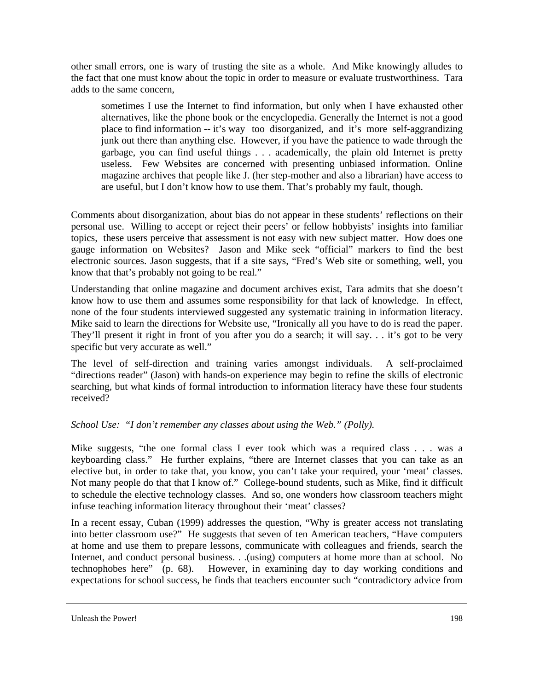other small errors, one is wary of trusting the site as a whole. And Mike knowingly alludes to the fact that one must know about the topic in order to measure or evaluate trustworthiness. Tara adds to the same concern,

sometimes I use the Internet to find information, but only when I have exhausted other alternatives, like the phone book or the encyclopedia. Generally the Internet is not a good place to find information -- it's way too disorganized, and it's more self-aggrandizing junk out there than anything else. However, if you have the patience to wade through the garbage, you can find useful things . . . academically, the plain old Internet is pretty useless. Few Websites are concerned with presenting unbiased information. Online magazine archives that people like J. (her step-mother and also a librarian) have access to are useful, but I don't know how to use them. That's probably my fault, though.

Comments about disorganization, about bias do not appear in these students' reflections on their personal use. Willing to accept or reject their peers' or fellow hobbyists' insights into familiar topics, these users perceive that assessment is not easy with new subject matter. How does one gauge information on Websites? Jason and Mike seek "official" markers to find the best electronic sources. Jason suggests, that if a site says, "Fred's Web site or something, well, you know that that's probably not going to be real."

Understanding that online magazine and document archives exist, Tara admits that she doesn't know how to use them and assumes some responsibility for that lack of knowledge. In effect, none of the four students interviewed suggested any systematic training in information literacy. Mike said to learn the directions for Website use, "Ironically all you have to do is read the paper. They'll present it right in front of you after you do a search; it will say. . . it's got to be very specific but very accurate as well."

The level of self-direction and training varies amongst individuals. A self-proclaimed "directions reader" (Jason) with hands-on experience may begin to refine the skills of electronic searching, but what kinds of formal introduction to information literacy have these four students received?

## *School Use: "I don't remember any classes about using the Web." (Polly).*

Mike suggests, "the one formal class I ever took which was a required class . . . was a keyboarding class." He further explains, "there are Internet classes that you can take as an elective but, in order to take that, you know, you can't take your required, your 'meat' classes. Not many people do that that I know of." College-bound students, such as Mike, find it difficult to schedule the elective technology classes. And so, one wonders how classroom teachers might infuse teaching information literacy throughout their 'meat' classes?

In a recent essay, Cuban (1999) addresses the question, "Why is greater access not translating into better classroom use?" He suggests that seven of ten American teachers, "Have computers at home and use them to prepare lessons, communicate with colleagues and friends, search the Internet, and conduct personal business. . . (using) computers at home more than at school. No technophobes here" (p. 68). However, in examining day to day working conditions and expectations for school success, he finds that teachers encounter such "contradictory advice from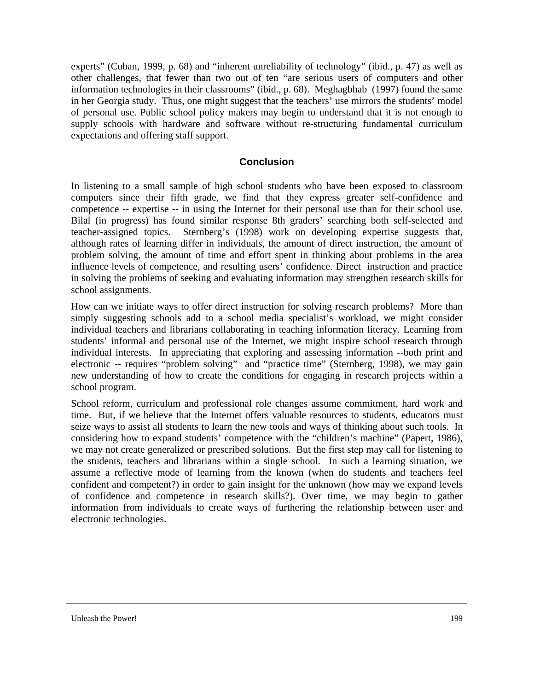experts" (Cuban, 1999, p. 68) and "inherent unreliability of technology" (ibid., p. 47) as well as other challenges, that fewer than two out of ten "are serious users of computers and other information technologies in their classrooms" (ibid., p. 68). Meghagbhab (1997) found the same in her Georgia study. Thus, one might suggest that the teachers' use mirrors the students' model of personal use. Public school policy makers may begin to understand that it is not enough to supply schools with hardware and software without re-structuring fundamental curriculum expectations and offering staff support.

## **Conclusion**

In listening to a small sample of high school students who have been exposed to classroom computers since their fifth grade, we find that they express greater self-confidence and competence -- expertise -- in using the Internet for their personal use than for their school use. Bilal (in progress) has found similar response 8th graders' searching both self-selected and teacher-assigned topics. Sternberg's (1998) work on developing expertise suggests that, although rates of learning differ in individuals, the amount of direct instruction, the amount of problem solving, the amount of time and effort spent in thinking about problems in the area influence levels of competence, and resulting users' confidence. Direct instruction and practice in solving the problems of seeking and evaluating information may strengthen research skills for school assignments.

How can we initiate ways to offer direct instruction for solving research problems? More than simply suggesting schools add to a school media specialist's workload, we might consider individual teachers and librarians collaborating in teaching information literacy. Learning from students' informal and personal use of the Internet, we might inspire school research through individual interests. In appreciating that exploring and assessing information --both print and electronic -- requires "problem solving" and "practice time" (Sternberg, 1998), we may gain new understanding of how to create the conditions for engaging in research projects within a school program.

School reform, curriculum and professional role changes assume commitment, hard work and time. But, if we believe that the Internet offers valuable resources to students, educators must seize ways to assist all students to learn the new tools and ways of thinking about such tools. In considering how to expand students' competence with the "children's machine" (Papert, 1986), we may not create generalized or prescribed solutions. But the first step may call for listening to the students, teachers and librarians within a single school. In such a learning situation, we assume a reflective mode of learning from the known (when do students and teachers feel confident and competent?) in order to gain insight for the unknown (how may we expand levels of confidence and competence in research skills?). Over time, we may begin to gather information from individuals to create ways of furthering the relationship between user and electronic technologies.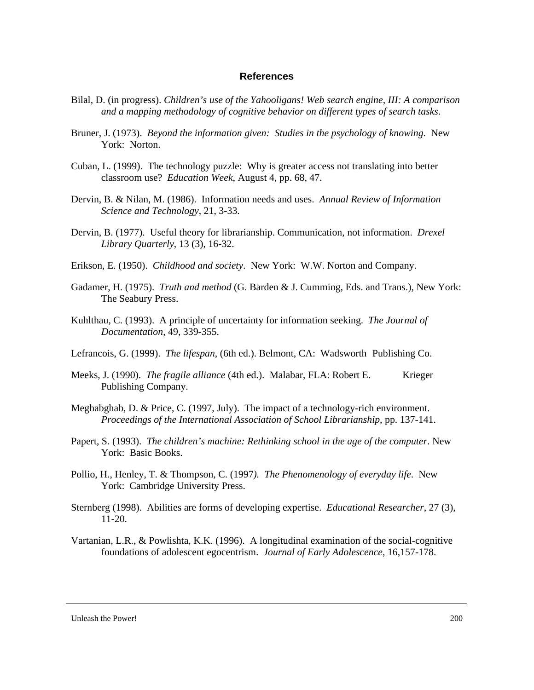#### **References**

- Bilal, D. (in progress). *Children's use of the Yahooligans! Web search engine, III: A comparison and a mapping methodology of cognitive behavior on different types of search tasks*.
- Bruner, J. (1973). *Beyond the information given: Studies in the psychology of knowing*. New York: Norton.
- Cuban, L. (1999). The technology puzzle: Why is greater access not translating into better classroom use? *Education Week*, August 4, pp. 68, 47.
- Dervin, B. & Nilan, M. (1986). Information needs and uses. *Annual Review of Information Science and Technology*, 21, 3-33.
- Dervin, B. (1977). Useful theory for librarianship. Communication, not information. *Drexel Library Quarterly*, 13 (3), 16-32.
- Erikson, E. (1950). *Childhood and society*. New York: W.W. Norton and Company.
- Gadamer, H. (1975). *Truth and method* (G. Barden & J. Cumming, Eds. and Trans.), New York: The Seabury Press.
- Kuhlthau, C. (1993). A principle of uncertainty for information seeking. *The Journal of Documentation*, 49, 339-355.
- Lefrancois, G. (1999). *The lifespan*, (6th ed.). Belmont, CA: Wadsworth Publishing Co.
- Meeks, J. (1990). *The fragile alliance* (4th ed.). Malabar, FLA: Robert E. Krieger Publishing Company.
- Meghabghab, D. & Price, C. (1997, July). The impact of a technology-rich environment. *Proceedings of the International Association of School Librarianship*, pp. 137-141.
- Papert, S. (1993). *The children's machine: Rethinking school in the age of the computer*. New York: Basic Books.
- Pollio, H., Henley, T. & Thompson, C. (1997*). The Phenomenology of everyday life*. New York: Cambridge University Press.
- Sternberg (1998). Abilities are forms of developing expertise. *Educational Researcher*, 27 (3), 11-20.
- Vartanian, L.R., & Powlishta, K.K. (1996). A longitudinal examination of the social-cognitive foundations of adolescent egocentrism. *Journal of Early Adolescence*, 16,157-178.

Unleash the Power! 200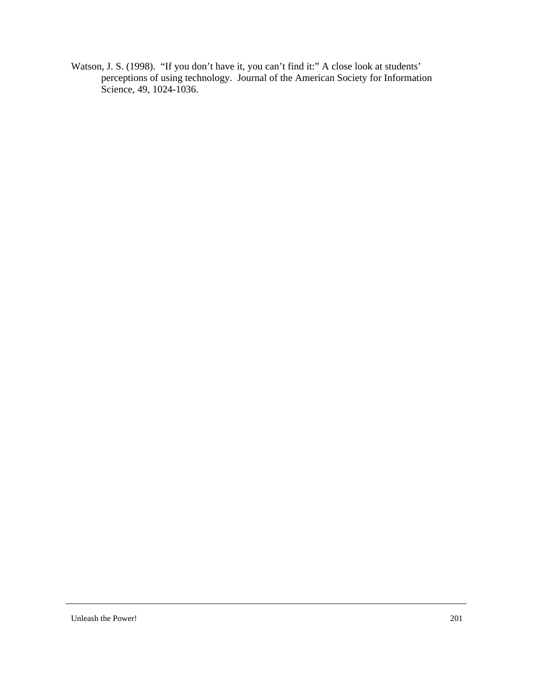Watson, J. S. (1998). "If you don't have it, you can't find it:" A close look at students' perceptions of using technology. Journal of the American Society for Information Science, 49, 1024-1036.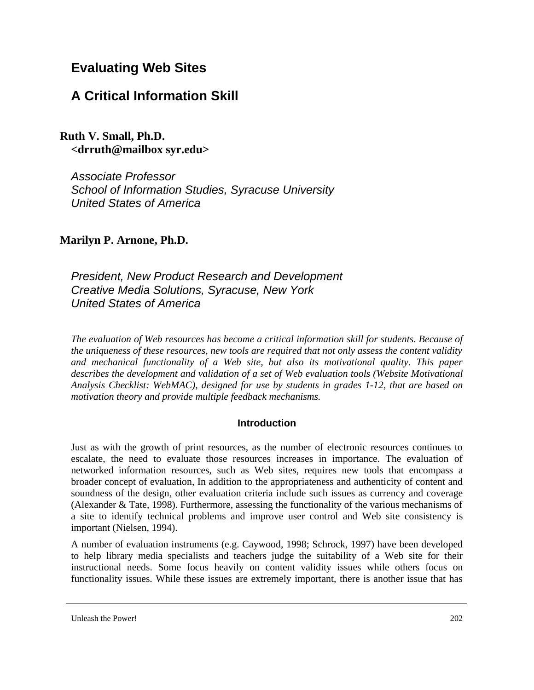# **Evaluating Web Sites**

# **A Critical Information Skill**

**Ruth V. Small, Ph.D. <drruth@mailbox syr.edu>**

*Associate Professor School of Information Studies, Syracuse University United States of America*

**Marilyn P. Arnone, Ph.D.**

*President, New Product Research and Development Creative Media Solutions, Syracuse, New York United States of America*

*The evaluation of Web resources has become a critical information skill for students. Because of the uniqueness of these resources, new tools are required that not only assess the content validity and mechanical functionality of a Web site, but also its motivational quality. This paper describes the development and validation of a set of Web evaluation tools (Website Motivational Analysis Checklist: WebMAC), designed for use by students in grades 1-12, that are based on motivation theory and provide multiple feedback mechanisms.*

# **Introduction**

Just as with the growth of print resources, as the number of electronic resources continues to escalate, the need to evaluate those resources increases in importance. The evaluation of networked information resources, such as Web sites, requires new tools that encompass a broader concept of evaluation, In addition to the appropriateness and authenticity of content and soundness of the design, other evaluation criteria include such issues as currency and coverage (Alexander & Tate, 1998). Furthermore, assessing the functionality of the various mechanisms of a site to identify technical problems and improve user control and Web site consistency is important (Nielsen, 1994).

A number of evaluation instruments (e.g. Caywood, 1998; Schrock, 1997) have been developed to help library media specialists and teachers judge the suitability of a Web site for their instructional needs. Some focus heavily on content validity issues while others focus on functionality issues. While these issues are extremely important, there is another issue that has

Unleash the Power! 202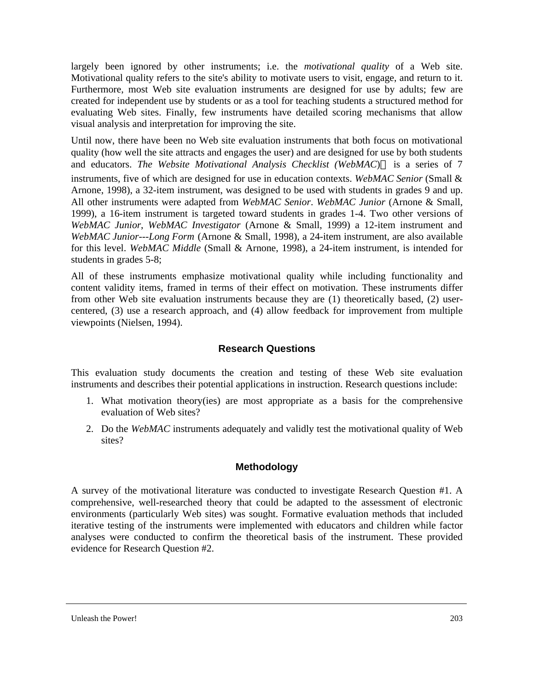largely been ignored by other instruments; i.e. the *motivational quality* of a Web site. Motivational quality refers to the site's ability to motivate users to visit, engage, and return to it. Furthermore, most Web site evaluation instruments are designed for use by adults; few are created for independent use by students or as a tool for teaching students a structured method for evaluating Web sites. Finally, few instruments have detailed scoring mechanisms that allow visual analysis and interpretation for improving the site.

Until now, there have been no Web site evaluation instruments that both focus on motivational quality (how well the site attracts and engages the user) and are designed for use by both students and educators. *The Website Motivational Analysis Checklist (WebMAC*) is a series of 7 instruments, five of which are designed for use in education contexts. *WebMAC Senior* (Small & Arnone, 1998), a 32-item instrument, was designed to be used with students in grades 9 and up. All other instruments were adapted from *WebMAC Senior*. *WebMAC Junior* (Arnone & Small, 1999), a 16-item instrument is targeted toward students in grades 1-4. Two other versions of *WebMAC Junior*, *WebMAC Investigator* (Arnone & Small, 1999) a 12-item instrument and *WebMAC Junior---Long Form* (Arnone & Small, 1998), a 24-item instrument, are also available for this level. *WebMAC Middle* (Small & Arnone, 1998), a 24-item instrument, is intended for students in grades 5-8;

All of these instruments emphasize motivational quality while including functionality and content validity items, framed in terms of their effect on motivation. These instruments differ from other Web site evaluation instruments because they are (1) theoretically based, (2) usercentered, (3) use a research approach, and (4) allow feedback for improvement from multiple viewpoints (Nielsen, 1994).

# **Research Questions**

This evaluation study documents the creation and testing of these Web site evaluation instruments and describes their potential applications in instruction. Research questions include:

- 1. What motivation theory(ies) are most appropriate as a basis for the comprehensive evaluation of Web sites?
- 2. Do the *WebMAC* instruments adequately and validly test the motivational quality of Web sites?

# **Methodology**

A survey of the motivational literature was conducted to investigate Research Question #1. A comprehensive, well-researched theory that could be adapted to the assessment of electronic environments (particularly Web sites) was sought. Formative evaluation methods that included iterative testing of the instruments were implemented with educators and children while factor analyses were conducted to confirm the theoretical basis of the instrument. These provided evidence for Research Question #2.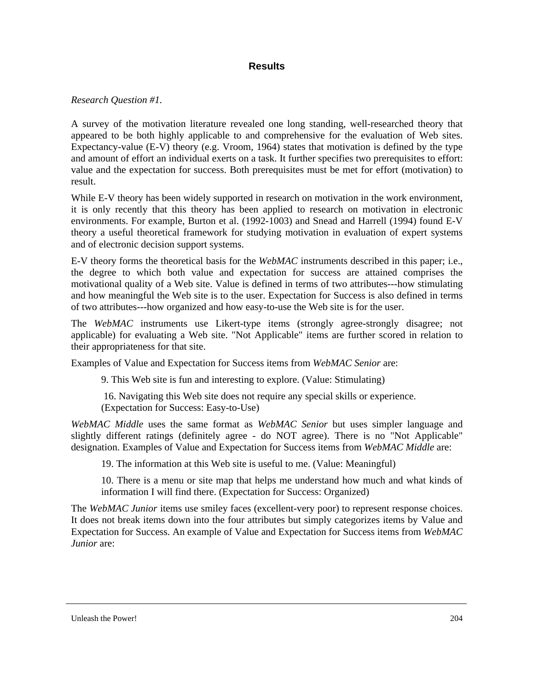# **Results**

#### *Research Question #1.*

A survey of the motivation literature revealed one long standing, well-researched theory that appeared to be both highly applicable to and comprehensive for the evaluation of Web sites. Expectancy-value (E-V) theory (e.g. Vroom, 1964) states that motivation is defined by the type and amount of effort an individual exerts on a task. It further specifies two prerequisites to effort: value and the expectation for success. Both prerequisites must be met for effort (motivation) to result.

While E-V theory has been widely supported in research on motivation in the work environment, it is only recently that this theory has been applied to research on motivation in electronic environments. For example, Burton et al. (1992-1003) and Snead and Harrell (1994) found E-V theory a useful theoretical framework for studying motivation in evaluation of expert systems and of electronic decision support systems.

E-V theory forms the theoretical basis for the *WebMAC* instruments described in this paper; i.e., the degree to which both value and expectation for success are attained comprises the motivational quality of a Web site. Value is defined in terms of two attributes---how stimulating and how meaningful the Web site is to the user. Expectation for Success is also defined in terms of two attributes---how organized and how easy-to-use the Web site is for the user.

The *WebMAC* instruments use Likert-type items (strongly agree-strongly disagree; not applicable) for evaluating a Web site. "Not Applicable" items are further scored in relation to their appropriateness for that site.

Examples of Value and Expectation for Success items from *WebMAC Senior* are:

9. This Web site is fun and interesting to explore. (Value: Stimulating)

 16. Navigating this Web site does not require any special skills or experience. (Expectation for Success: Easy-to-Use)

*WebMAC Middle* uses the same format as *WebMAC Senior* but uses simpler language and slightly different ratings (definitely agree - do NOT agree). There is no "Not Applicable" designation. Examples of Value and Expectation for Success items from *WebMAC Middle* are:

19. The information at this Web site is useful to me. (Value: Meaningful)

10. There is a menu or site map that helps me understand how much and what kinds of information I will find there. (Expectation for Success: Organized)

The *WebMAC Junior* items use smiley faces (excellent-very poor) to represent response choices. It does not break items down into the four attributes but simply categorizes items by Value and Expectation for Success. An example of Value and Expectation for Success items from *WebMAC Junior* are: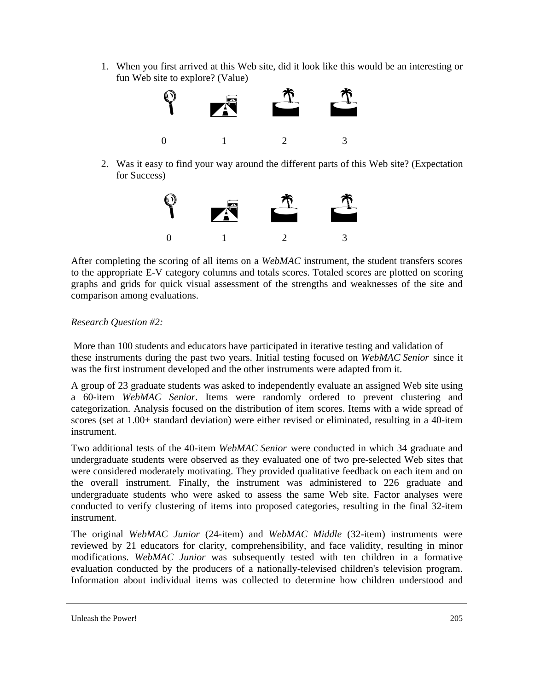1. When you first arrived at this Web site, did it look like this would be an interesting or fun Web site to explore? (Value)



2. Was it easy to find your way around the different parts of this Web site? (Expectation for Success)



After completing the scoring of all items on a *WebMAC* instrument, the student transfers scores to the appropriate E-V category columns and totals scores. Totaled scores are plotted on scoring graphs and grids for quick visual assessment of the strengths and weaknesses of the site and comparison among evaluations.

#### *Research Question #2:*

 More than 100 students and educators have participated in iterative testing and validation of these instruments during the past two years. Initial testing focused on *WebMAC Senior* since it was the first instrument developed and the other instruments were adapted from it.

A group of 23 graduate students was asked to independently evaluate an assigned Web site using a 60-item *WebMAC Senior*. Items were randomly ordered to prevent clustering and categorization. Analysis focused on the distribution of item scores. Items with a wide spread of scores (set at 1.00+ standard deviation) were either revised or eliminated, resulting in a 40-item instrument.

Two additional tests of the 40-item *WebMAC Senior* were conducted in which 34 graduate and undergraduate students were observed as they evaluated one of two pre-selected Web sites that were considered moderately motivating. They provided qualitative feedback on each item and on the overall instrument. Finally, the instrument was administered to 226 graduate and undergraduate students who were asked to assess the same Web site. Factor analyses were conducted to verify clustering of items into proposed categories, resulting in the final 32-item instrument.

The original *WebMAC Junior* (24-item) and *WebMAC Middle* (32-item) instruments were reviewed by 21 educators for clarity, comprehensibility, and face validity, resulting in minor modifications. *WebMAC Junior* was subsequently tested with ten children in a formative evaluation conducted by the producers of a nationally-televised children's television program. Information about individual items was collected to determine how children understood and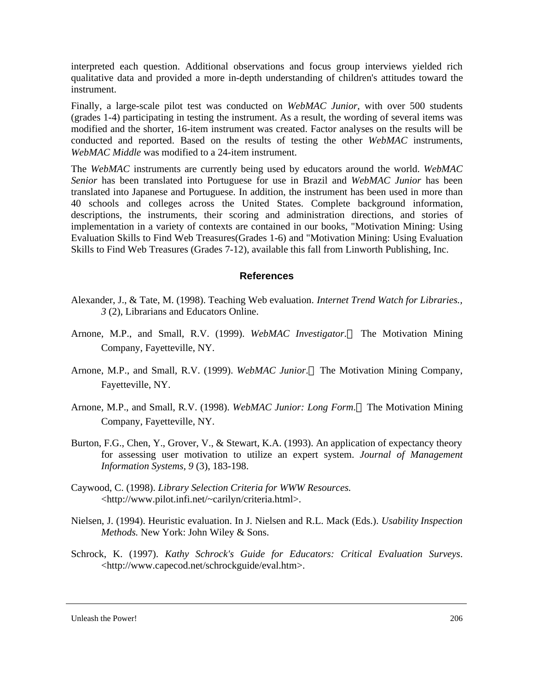interpreted each question. Additional observations and focus group interviews yielded rich qualitative data and provided a more in-depth understanding of children's attitudes toward the instrument.

Finally, a large-scale pilot test was conducted on *WebMAC Junior*, with over 500 students (grades 1-4) participating in testing the instrument. As a result, the wording of several items was modified and the shorter, 16-item instrument was created. Factor analyses on the results will be conducted and reported. Based on the results of testing the other *WebMAC* instruments, *WebMAC Middle* was modified to a 24-item instrument.

The *WebMAC* instruments are currently being used by educators around the world. *WebMAC Senior* has been translated into Portuguese for use in Brazil and *WebMAC Junior* has been translated into Japanese and Portuguese. In addition, the instrument has been used in more than 40 schools and colleges across the United States. Complete background information, descriptions, the instruments, their scoring and administration directions, and stories of implementation in a variety of contexts are contained in our books, "Motivation Mining: Using Evaluation Skills to Find Web Treasures(Grades 1-6) and "Motivation Mining: Using Evaluation Skills to Find Web Treasures (Grades 7-12), available this fall from Linworth Publishing, Inc.

#### **References**

- Alexander, J., & Tate, M. (1998). Teaching Web evaluation. *Internet Trend Watch for Libraries., 3* (2), Librarians and Educators Online.
- Arnone, M.P., and Small, R.V. (1999). *WebMAC Investigator*. The Motivation Mining Company, Fayetteville, NY.
- Arnone, M.P., and Small, R.V. (1999). *WebMAC Junior*. The Motivation Mining Company, Fayetteville, NY.
- Arnone, M.P., and Small, R.V. (1998). *WebMAC Junior: Long Form*. The Motivation Mining Company, Fayetteville, NY.
- Burton, F.G., Chen, Y., Grover, V., & Stewart, K.A. (1993). An application of expectancy theory for assessing user motivation to utilize an expert system. *Journal of Management Information Systems, 9* (3), 183-198.
- Caywood, C. (1998). *Library Selection Criteria for WWW Resources.* <http://www.pilot.infi.net/~carilyn/criteria.html>.
- Nielsen, J. (1994). Heuristic evaluation. In J. Nielsen and R.L. Mack (Eds.). *Usability Inspection Methods.* New York: John Wiley & Sons.
- Schrock, K. (1997). *Kathy Schrock's Guide for Educators: Critical Evaluation Surveys*. <http://www.capecod.net/schrockguide/eval.htm>.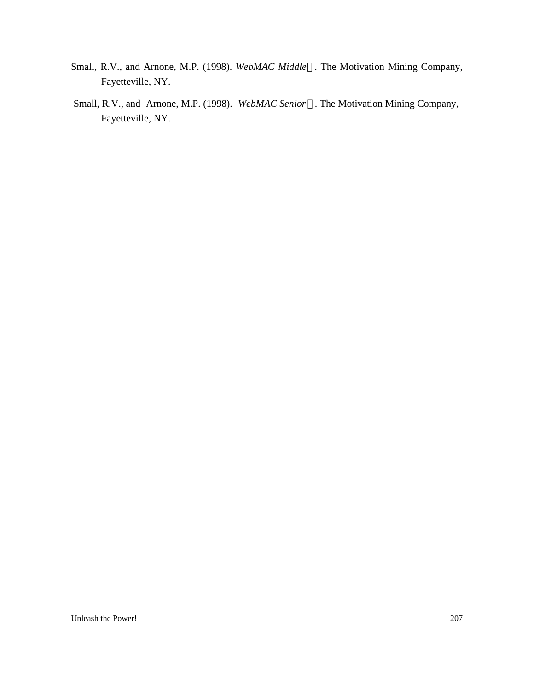- Small, R.V., and Arnone, M.P. (1998). *WebMAC Middle* . The Motivation Mining Company, Fayetteville, NY.
- Small, R.V., and Arnone, M.P. (1998). *WebMAC Senior* . The Motivation Mining Company, Fayetteville, NY.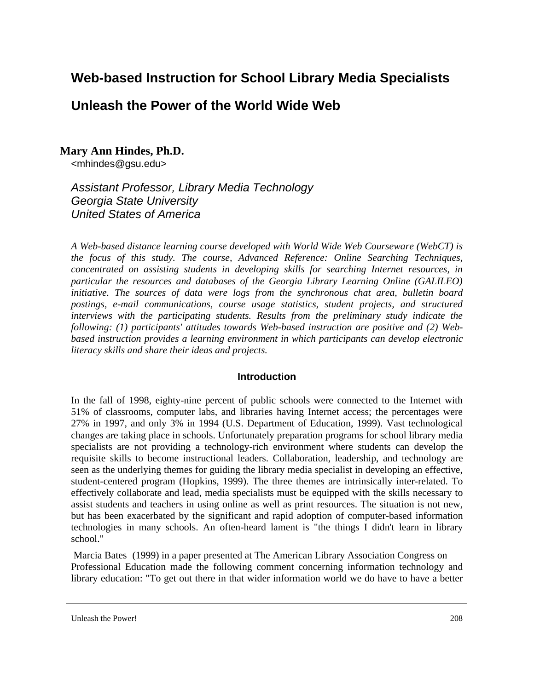# **Web-based Instruction for School Library Media Specialists**

# **Unleash the Power of the World Wide Web**

**Mary Ann Hindes, Ph.D.**

<mhindes@gsu.edu>

*Assistant Professor, Library Media Technology Georgia State University United States of America*

*A Web-based distance learning course developed with World Wide Web Courseware (WebCT) is the focus of this study. The course, Advanced Reference: Online Searching Techniques, concentrated on assisting students in developing skills for searching Internet resources, in particular the resources and databases of the Georgia Library Learning Online (GALILEO) initiative. The sources of data were logs from the synchronous chat area, bulletin board postings, e-mail communications, course usage statistics, student projects, and structured interviews with the participating students. Results from the preliminary study indicate the following: (1) participants' attitudes towards Web-based instruction are positive and (2) Webbased instruction provides a learning environment in which participants can develop electronic literacy skills and share their ideas and projects.*

## **Introduction**

In the fall of 1998, eighty-nine percent of public schools were connected to the Internet with 51% of classrooms, computer labs, and libraries having Internet access; the percentages were 27% in 1997, and only 3% in 1994 (U.S. Department of Education, 1999). Vast technological changes are taking place in schools. Unfortunately preparation programs for school library media specialists are not providing a technology-rich environment where students can develop the requisite skills to become instructional leaders. Collaboration, leadership, and technology are seen as the underlying themes for guiding the library media specialist in developing an effective, student-centered program (Hopkins, 1999). The three themes are intrinsically inter-related. To effectively collaborate and lead, media specialists must be equipped with the skills necessary to assist students and teachers in using online as well as print resources. The situation is not new, but has been exacerbated by the significant and rapid adoption of computer-based information technologies in many schools. An often-heard lament is "the things I didn't learn in library school."

 Marcia Bates (1999) in a paper presented at The American Library Association Congress on Professional Education made the following comment concerning information technology and library education: "To get out there in that wider information world we do have to have a better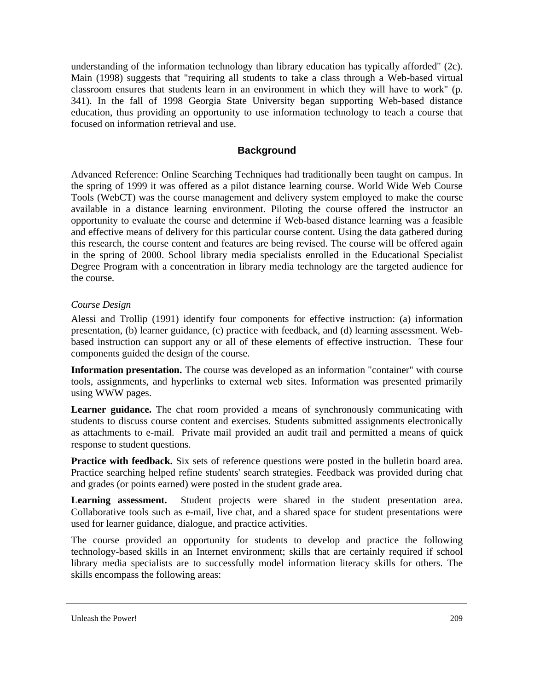understanding of the information technology than library education has typically afforded" (2c). Main (1998) suggests that "requiring all students to take a class through a Web-based virtual classroom ensures that students learn in an environment in which they will have to work" (p. 341). In the fall of 1998 Georgia State University began supporting Web-based distance education, thus providing an opportunity to use information technology to teach a course that focused on information retrieval and use.

# **Background**

Advanced Reference: Online Searching Techniques had traditionally been taught on campus. In the spring of 1999 it was offered as a pilot distance learning course. World Wide Web Course Tools (WebCT) was the course management and delivery system employed to make the course available in a distance learning environment. Piloting the course offered the instructor an opportunity to evaluate the course and determine if Web-based distance learning was a feasible and effective means of delivery for this particular course content. Using the data gathered during this research, the course content and features are being revised. The course will be offered again in the spring of 2000. School library media specialists enrolled in the Educational Specialist Degree Program with a concentration in library media technology are the targeted audience for the course*.*

#### *Course Design*

Alessi and Trollip (1991) identify four components for effective instruction: (a) information presentation, (b) learner guidance, (c) practice with feedback, and (d) learning assessment. Webbased instruction can support any or all of these elements of effective instruction. These four components guided the design of the course.

**Information presentation.** The course was developed as an information "container" with course tools, assignments, and hyperlinks to external web sites. Information was presented primarily using WWW pages.

Learner guidance. The chat room provided a means of synchronously communicating with students to discuss course content and exercises. Students submitted assignments electronically as attachments to e-mail. Private mail provided an audit trail and permitted a means of quick response to student questions.

**Practice with feedback.** Six sets of reference questions were posted in the bulletin board area. Practice searching helped refine students' search strategies. Feedback was provided during chat and grades (or points earned) were posted in the student grade area.

Learning assessment. Student projects were shared in the student presentation area. Collaborative tools such as e-mail, live chat, and a shared space for student presentations were used for learner guidance, dialogue, and practice activities.

The course provided an opportunity for students to develop and practice the following technology-based skills in an Internet environment; skills that are certainly required if school library media specialists are to successfully model information literacy skills for others. The skills encompass the following areas: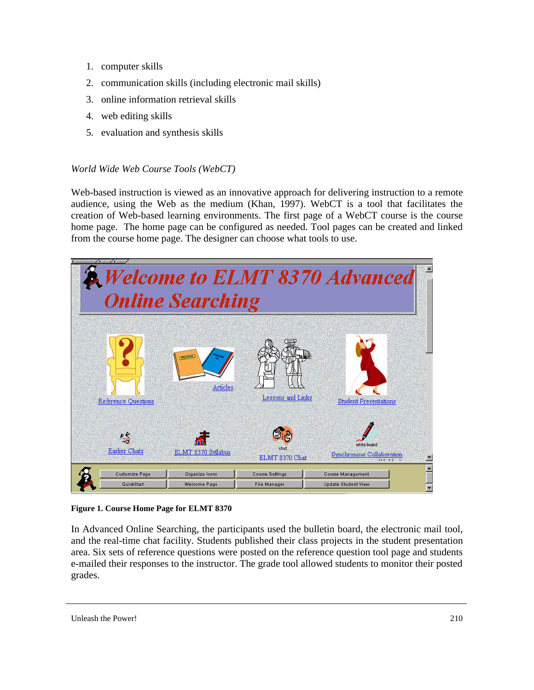- 1. computer skills
- 2. communication skills (including electronic mail skills)
- 3. online information retrieval skills
- 4. web editing skills
- 5. evaluation and synthesis skills

#### *World Wide Web Course Tools (WebCT)*

Web-based instruction is viewed as an innovative approach for delivering instruction to a remote audience, using the Web as the medium (Khan, 1997). WebCT is a tool that facilitates the creation of Web-based learning environments. The first page of a WebCT course is the course home page. The home page can be configured as needed. Tool pages can be created and linked from the course home page. The designer can choose what tools to use.



**Figure 1. Course Home Page for ELMT 8370**

In Advanced Online Searching, the participants used the bulletin board, the electronic mail tool, and the real-time chat facility. Students published their class projects in the student presentation area. Six sets of reference questions were posted on the reference question tool page and students e-mailed their responses to the instructor. The grade tool allowed students to monitor their posted grades.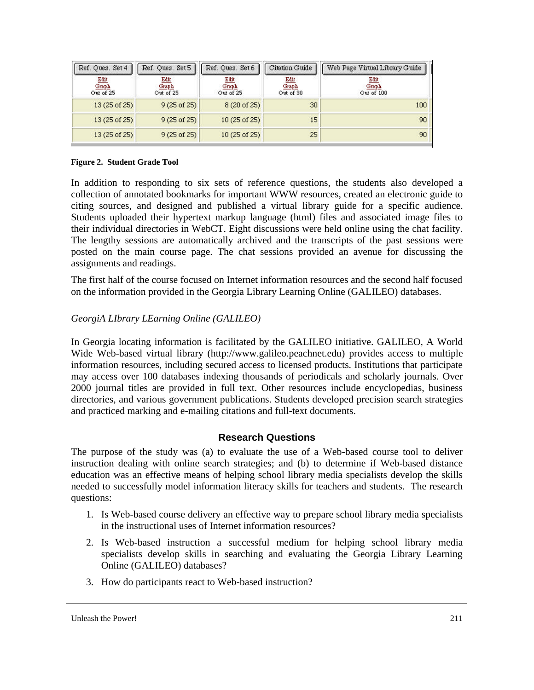| Ref. Ques. Set 4<br><u>Edit</u><br><b>Graph</b><br>Out of 25 | Ref. Ques. Set 5<br><u>Edit</u><br><u>Graph</u><br>Out of 25 | Ref. Ques. Set 6<br><u>Edit</u><br><u>Graph</u><br>Out of 25 | Citation Guide<br>Edit<br><u>Graph</u><br>Out of 30 | Web Page Virtual Library Guide<br>Edit<br>Graph<br>Out of 100 |
|--------------------------------------------------------------|--------------------------------------------------------------|--------------------------------------------------------------|-----------------------------------------------------|---------------------------------------------------------------|
| $13(25 \text{ of } 25)$                                      | $9(25 \text{ of } 25)$                                       | $8(20 \text{ of } 25)$                                       | 30                                                  | 100                                                           |
| $13(25 \text{ of } 25)$                                      | $9(25 \text{ of } 25)$                                       | $10(25 \text{ of } 25)$                                      | 15                                                  | 90                                                            |
| $13(25 \text{ of } 25)$                                      | $9(25 \text{ of } 25)$                                       | $10(25 \text{ of } 25)$                                      | 25                                                  | 90                                                            |

**Figure 2. Student Grade Tool**

In addition to responding to six sets of reference questions, the students also developed a collection of annotated bookmarks for important WWW resources, created an electronic guide to citing sources, and designed and published a virtual library guide for a specific audience. Students uploaded their hypertext markup language (html) files and associated image files to their individual directories in WebCT. Eight discussions were held online using the chat facility. The lengthy sessions are automatically archived and the transcripts of the past sessions were posted on the main course page. The chat sessions provided an avenue for discussing the assignments and readings.

The first half of the course focused on Internet information resources and the second half focused on the information provided in the Georgia Library Learning Online (GALILEO) databases.

## *GeorgiA LIbrary LEarning Online (GALILEO)*

In Georgia locating information is facilitated by the GALILEO initiative. GALILEO, A World Wide Web-based virtual library (http://www.galileo.peachnet.edu) provides access to multiple information resources, including secured access to licensed products. Institutions that participate may access over 100 databases indexing thousands of periodicals and scholarly journals. Over 2000 journal titles are provided in full text. Other resources include encyclopedias, business directories, and various government publications. Students developed precision search strategies and practiced marking and e-mailing citations and full-text documents.

## **Research Questions**

The purpose of the study was (a) to evaluate the use of a Web-based course tool to deliver instruction dealing with online search strategies; and (b) to determine if Web-based distance education was an effective means of helping school library media specialists develop the skills needed to successfully model information literacy skills for teachers and students. The research questions:

- 1. Is Web-based course delivery an effective way to prepare school library media specialists in the instructional uses of Internet information resources?
- 2. Is Web-based instruction a successful medium for helping school library media specialists develop skills in searching and evaluating the Georgia Library Learning Online (GALILEO) databases?
- 3. How do participants react to Web-based instruction?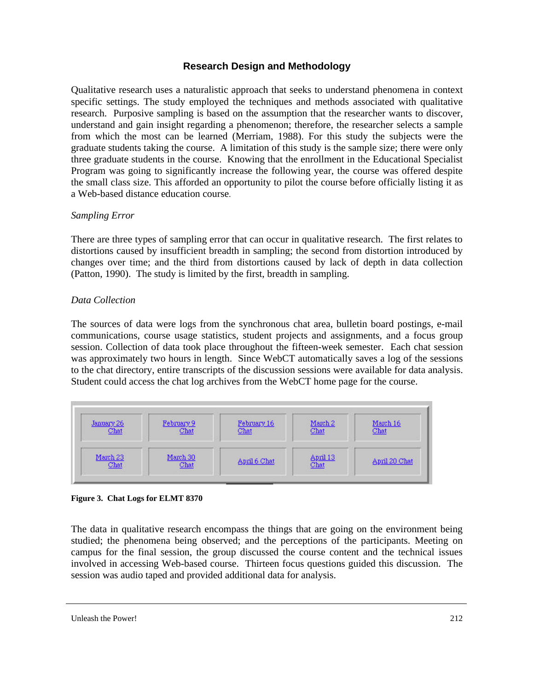## **Research Design and Methodology**

Qualitative research uses a naturalistic approach that seeks to understand phenomena in context specific settings. The study employed the techniques and methods associated with qualitative research. Purposive sampling is based on the assumption that the researcher wants to discover, understand and gain insight regarding a phenomenon; therefore, the researcher selects a sample from which the most can be learned (Merriam, 1988). For this study the subjects were the graduate students taking the course. A limitation of this study is the sample size; there were only three graduate students in the course. Knowing that the enrollment in the Educational Specialist Program was going to significantly increase the following year, the course was offered despite the small class size. This afforded an opportunity to pilot the course before officially listing it as a Web-based distance education course.

#### *Sampling Error*

There are three types of sampling error that can occur in qualitative research. The first relates to distortions caused by insufficient breadth in sampling; the second from distortion introduced by changes over time; and the third from distortions caused by lack of depth in data collection (Patton, 1990). The study is limited by the first, breadth in sampling.

#### *Data Collection*

The sources of data were logs from the synchronous chat area, bulletin board postings, e-mail communications, course usage statistics, student projects and assignments, and a focus group session. Collection of data took place throughout the fifteen-week semester. Each chat session was approximately two hours in length. Since WebCT automatically saves a log of the sessions to the chat directory, entire transcripts of the discussion sessions were available for data analysis. Student could access the chat log archives from the WebCT home page for the course.



**Figure 3. Chat Logs for ELMT 8370**

The data in qualitative research encompass the things that are going on the environment being studied; the phenomena being observed; and the perceptions of the participants. Meeting on campus for the final session, the group discussed the course content and the technical issues involved in accessing Web-based course. Thirteen focus questions guided this discussion. The session was audio taped and provided additional data for analysis.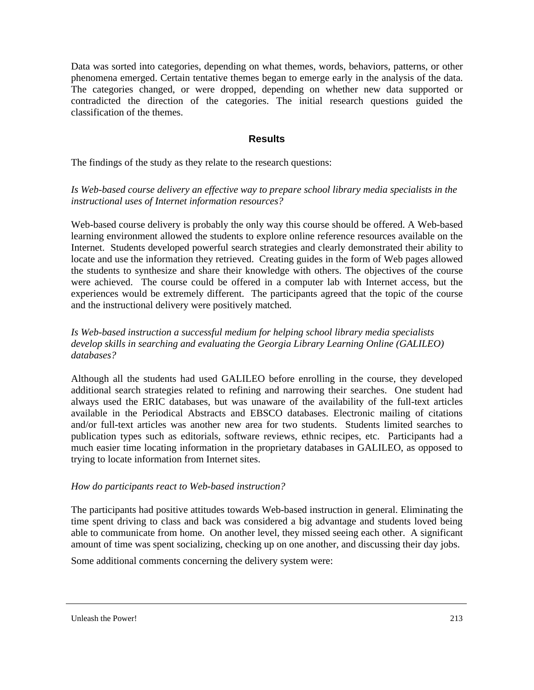Data was sorted into categories, depending on what themes, words, behaviors, patterns, or other phenomena emerged. Certain tentative themes began to emerge early in the analysis of the data. The categories changed, or were dropped, depending on whether new data supported or contradicted the direction of the categories. The initial research questions guided the classification of the themes.

#### **Results**

The findings of the study as they relate to the research questions:

#### *Is Web-based course delivery an effective way to prepare school library media specialists in the instructional uses of Internet information resources?*

Web-based course delivery is probably the only way this course should be offered. A Web-based learning environment allowed the students to explore online reference resources available on the Internet. Students developed powerful search strategies and clearly demonstrated their ability to locate and use the information they retrieved. Creating guides in the form of Web pages allowed the students to synthesize and share their knowledge with others. The objectives of the course were achieved. The course could be offered in a computer lab with Internet access, but the experiences would be extremely different. The participants agreed that the topic of the course and the instructional delivery were positively matched.

#### *Is Web-based instruction a successful medium for helping school library media specialists develop skills in searching and evaluating the Georgia Library Learning Online (GALILEO) databases?*

Although all the students had used GALILEO before enrolling in the course, they developed additional search strategies related to refining and narrowing their searches. One student had always used the ERIC databases, but was unaware of the availability of the full-text articles available in the Periodical Abstracts and EBSCO databases. Electronic mailing of citations and/or full-text articles was another new area for two students. Students limited searches to publication types such as editorials, software reviews, ethnic recipes, etc. Participants had a much easier time locating information in the proprietary databases in GALILEO, as opposed to trying to locate information from Internet sites.

#### *How do participants react to Web-based instruction?*

The participants had positive attitudes towards Web-based instruction in general. Eliminating the time spent driving to class and back was considered a big advantage and students loved being able to communicate from home. On another level, they missed seeing each other. A significant amount of time was spent socializing, checking up on one another, and discussing their day jobs.

Some additional comments concerning the delivery system were: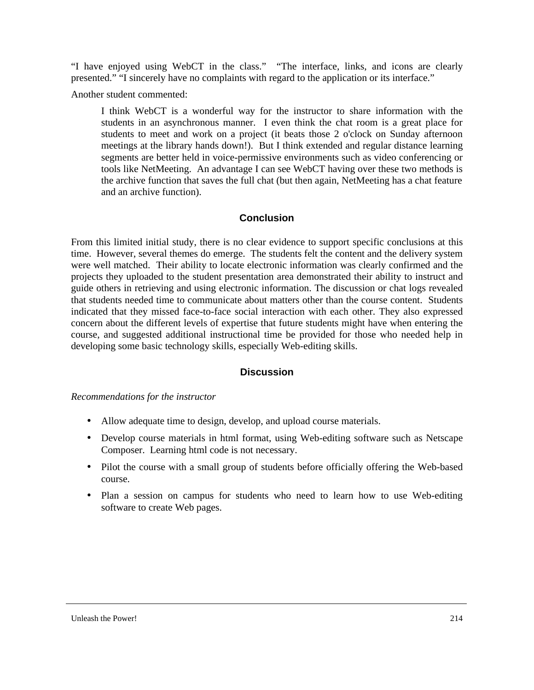"I have enjoyed using WebCT in the class." "The interface, links, and icons are clearly presented." "I sincerely have no complaints with regard to the application or its interface."

Another student commented:

I think WebCT is a wonderful way for the instructor to share information with the students in an asynchronous manner. I even think the chat room is a great place for students to meet and work on a project (it beats those 2 o'clock on Sunday afternoon meetings at the library hands down!). But I think extended and regular distance learning segments are better held in voice-permissive environments such as video conferencing or tools like NetMeeting. An advantage I can see WebCT having over these two methods is the archive function that saves the full chat (but then again, NetMeeting has a chat feature and an archive function).

## **Conclusion**

From this limited initial study, there is no clear evidence to support specific conclusions at this time. However, several themes do emerge. The students felt the content and the delivery system were well matched. Their ability to locate electronic information was clearly confirmed and the projects they uploaded to the student presentation area demonstrated their ability to instruct and guide others in retrieving and using electronic information. The discussion or chat logs revealed that students needed time to communicate about matters other than the course content. Students indicated that they missed face-to-face social interaction with each other. They also expressed concern about the different levels of expertise that future students might have when entering the course, and suggested additional instructional time be provided for those who needed help in developing some basic technology skills, especially Web-editing skills.

## **Discussion**

*Recommendations for the instructor*

- Allow adequate time to design, develop, and upload course materials.
- Develop course materials in html format, using Web-editing software such as Netscape Composer. Learning html code is not necessary.
- Pilot the course with a small group of students before officially offering the Web-based course.
- Plan a session on campus for students who need to learn how to use Web-editing software to create Web pages.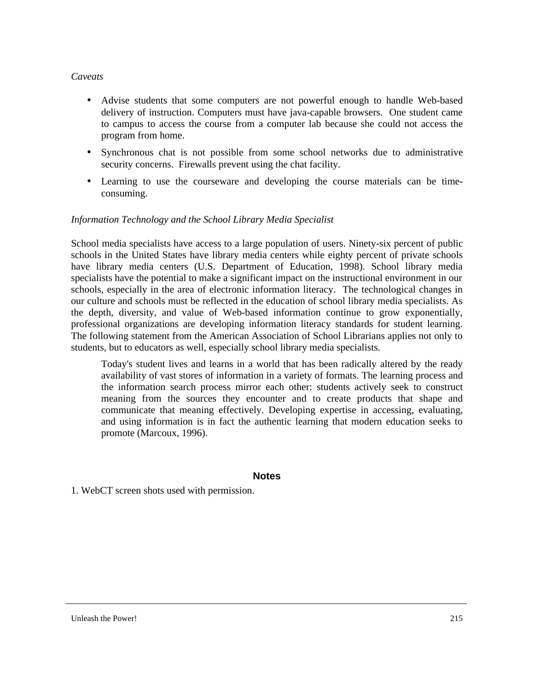#### *Caveats*

- Advise students that some computers are not powerful enough to handle Web-based delivery of instruction. Computers must have java-capable browsers. One student came to campus to access the course from a computer lab because she could not access the program from home.
- Synchronous chat is not possible from some school networks due to administrative security concerns. Firewalls prevent using the chat facility.
- Learning to use the courseware and developing the course materials can be timeconsuming.

#### *Information Technology and the School Library Media Specialist*

School media specialists have access to a large population of users. Ninety-six percent of public schools in the United States have library media centers while eighty percent of private schools have library media centers (U.S. Department of Education, 1998). School library media specialists have the potential to make a significant impact on the instructional environment in our schools, especially in the area of electronic information literacy. The technological changes in our culture and schools must be reflected in the education of school library media specialists. As the depth, diversity, and value of Web-based information continue to grow exponentially, professional organizations are developing information literacy standards for student learning. The following statement from the American Association of School Librarians applies not only to students, but to educators as well, especially school library media specialists.

Today's student lives and learns in a world that has been radically altered by the ready availability of vast stores of information in a variety of formats. The learning process and the information search process mirror each other: students actively seek to construct meaning from the sources they encounter and to create products that shape and communicate that meaning effectively. Developing expertise in accessing, evaluating, and using information is in fact the authentic learning that modern education seeks to promote (Marcoux, 1996).

#### **Notes**

1. WebCT screen shots used with permission.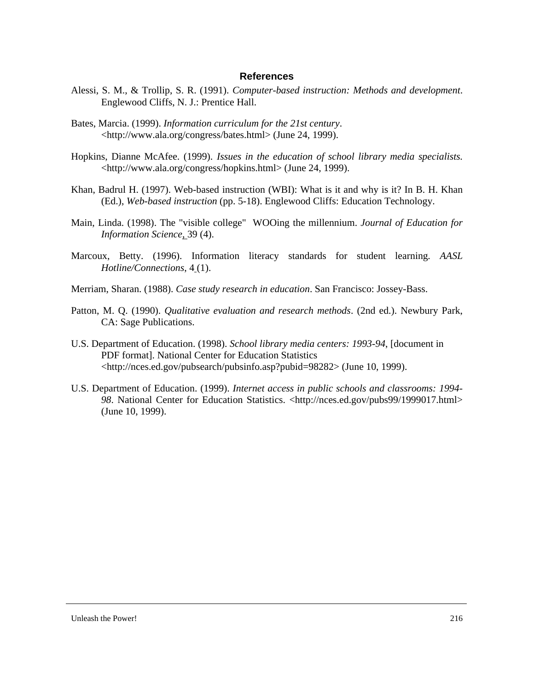#### **References**

- Alessi, S. M., & Trollip, S. R. (1991). *Computer-based instruction: Methods and development*. Englewood Cliffs, N. J.: Prentice Hall.
- Bates, Marcia. (1999). *Information curriculum for the 21st century*. <http://www.ala.org/congress/bates.html> (June 24, 1999).
- Hopkins, Dianne McAfee. (1999). *Issues in the education of school library media specialists.* <http://www.ala.org/congress/hopkins.html> (June 24, 1999).
- Khan, Badrul H. (1997). Web-based instruction (WBI): What is it and why is it? In B. H. Khan (Ed.), *Web-based instruction* (pp. 5-18). Englewood Cliffs: Education Technology.
- Main, Linda. (1998). The "visible college" WOOing the millennium. *Journal of Education for Information Science*, 39 (4).
- Marcoux, Betty. (1996). Information literacy standards for student learning*. AASL Hotline/Connections*, 4 (1).
- Merriam, Sharan. (1988). *Case study research in education*. San Francisco: Jossey-Bass.
- Patton, M. Q. (1990). *Qualitative evaluation and research methods*. (2nd ed.). Newbury Park, CA: Sage Publications.
- U.S. Department of Education. (1998). *School library media centers: 1993-94*, [document in PDF format]. National Center for Education Statistics <http://nces.ed.gov/pubsearch/pubsinfo.asp?pubid=98282> (June 10, 1999).
- U.S. Department of Education. (1999). *Internet access in public schools and classrooms: 1994-* 98. National Center for Education Statistics. <http://nces.ed.gov/pubs99/1999017.html> (June 10, 1999).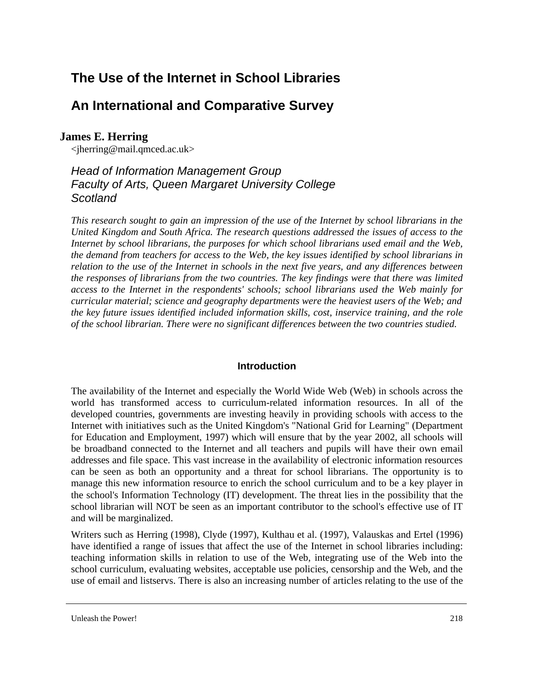# **The Use of the Internet in School Libraries**

# **An International and Comparative Survey**

# **James E. Herring**

<jherring@mail.qmced.ac.uk>

# *Head of Information Management Group Faculty of Arts, Queen Margaret University College Scotland*

*This research sought to gain an impression of the use of the Internet by school librarians in the United Kingdom and South Africa. The research questions addressed the issues of access to the Internet by school librarians, the purposes for which school librarians used email and the Web, the demand from teachers for access to the Web, the key issues identified by school librarians in relation to the use of the Internet in schools in the next five years, and any differences between the responses of librarians from the two countries. The key findings were that there was limited access to the Internet in the respondents' schools; school librarians used the Web mainly for curricular material; science and geography departments were the heaviest users of the Web; and the key future issues identified included information skills, cost, inservice training, and the role of the school librarian. There were no significant differences between the two countries studied.*

#### **Introduction**

The availability of the Internet and especially the World Wide Web (Web) in schools across the world has transformed access to curriculum-related information resources. In all of the developed countries, governments are investing heavily in providing schools with access to the Internet with initiatives such as the United Kingdom's "National Grid for Learning" (Department for Education and Employment, 1997) which will ensure that by the year 2002, all schools will be broadband connected to the Internet and all teachers and pupils will have their own email addresses and file space. This vast increase in the availability of electronic information resources can be seen as both an opportunity and a threat for school librarians. The opportunity is to manage this new information resource to enrich the school curriculum and to be a key player in the school's Information Technology (IT) development. The threat lies in the possibility that the school librarian will NOT be seen as an important contributor to the school's effective use of IT and will be marginalized.

Writers such as Herring (1998), Clyde (1997), Kulthau et al. (1997), Valauskas and Ertel (1996) have identified a range of issues that affect the use of the Internet in school libraries including: teaching information skills in relation to use of the Web, integrating use of the Web into the school curriculum, evaluating websites, acceptable use policies, censorship and the Web, and the use of email and listservs. There is also an increasing number of articles relating to the use of the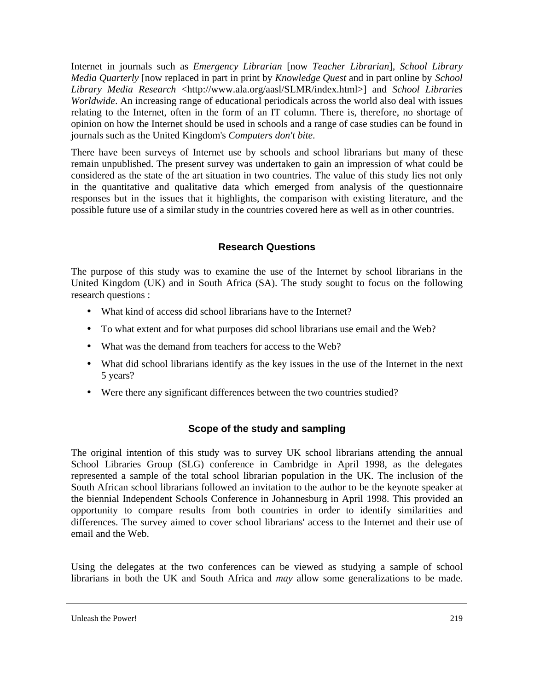Internet in journals such as *Emergency Librarian* [now *Teacher Librarian*]*, School Library Media Quarterly* [now replaced in part in print by *Knowledge Quest* and in part online by *School Library Media Research* <http://www.ala.org/aasl/SLMR/index.html>] and *School Libraries Worldwide*. An increasing range of educational periodicals across the world also deal with issues relating to the Internet, often in the form of an IT column. There is, therefore, no shortage of opinion on how the Internet should be used in schools and a range of case studies can be found in journals such as the United Kingdom's *Computers don't bite*.

There have been surveys of Internet use by schools and school librarians but many of these remain unpublished. The present survey was undertaken to gain an impression of what could be considered as the state of the art situation in two countries. The value of this study lies not only in the quantitative and qualitative data which emerged from analysis of the questionnaire responses but in the issues that it highlights, the comparison with existing literature, and the possible future use of a similar study in the countries covered here as well as in other countries.

#### **Research Questions**

The purpose of this study was to examine the use of the Internet by school librarians in the United Kingdom (UK) and in South Africa (SA). The study sought to focus on the following research questions :

- What kind of access did school librarians have to the Internet?
- To what extent and for what purposes did school librarians use email and the Web?
- What was the demand from teachers for access to the Web?
- What did school librarians identify as the key issues in the use of the Internet in the next 5 years?
- Were there any significant differences between the two countries studied?

## **Scope of the study and sampling**

The original intention of this study was to survey UK school librarians attending the annual School Libraries Group (SLG) conference in Cambridge in April 1998, as the delegates represented a sample of the total school librarian population in the UK. The inclusion of the South African school librarians followed an invitation to the author to be the keynote speaker at the biennial Independent Schools Conference in Johannesburg in April 1998. This provided an opportunity to compare results from both countries in order to identify similarities and differences. The survey aimed to cover school librarians' access to the Internet and their use of email and the Web.

Using the delegates at the two conferences can be viewed as studying a sample of school librarians in both the UK and South Africa and *may* allow some generalizations to be made.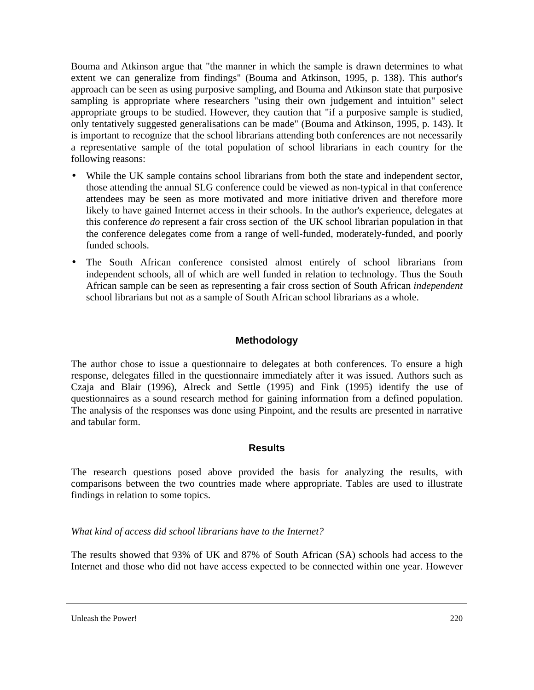Bouma and Atkinson argue that "the manner in which the sample is drawn determines to what extent we can generalize from findings" (Bouma and Atkinson, 1995, p. 138). This author's approach can be seen as using purposive sampling, and Bouma and Atkinson state that purposive sampling is appropriate where researchers "using their own judgement and intuition" select appropriate groups to be studied. However, they caution that "if a purposive sample is studied, only tentatively suggested generalisations can be made" (Bouma and Atkinson, 1995, p. 143). It is important to recognize that the school librarians attending both conferences are not necessarily a representative sample of the total population of school librarians in each country for the following reasons:

- While the UK sample contains school librarians from both the state and independent sector, those attending the annual SLG conference could be viewed as non-typical in that conference attendees may be seen as more motivated and more initiative driven and therefore more likely to have gained Internet access in their schools. In the author's experience, delegates at this conference *do* represent a fair cross section of the UK school librarian population in that the conference delegates come from a range of well-funded, moderately-funded, and poorly funded schools.
- The South African conference consisted almost entirely of school librarians from independent schools, all of which are well funded in relation to technology. Thus the South African sample can be seen as representing a fair cross section of South African *independent* school librarians but not as a sample of South African school librarians as a whole.

#### **Methodology**

The author chose to issue a questionnaire to delegates at both conferences. To ensure a high response, delegates filled in the questionnaire immediately after it was issued. Authors such as Czaja and Blair (1996), Alreck and Settle (1995) and Fink (1995) identify the use of questionnaires as a sound research method for gaining information from a defined population. The analysis of the responses was done using Pinpoint, and the results are presented in narrative and tabular form.

#### **Results**

The research questions posed above provided the basis for analyzing the results, with comparisons between the two countries made where appropriate. Tables are used to illustrate findings in relation to some topics.

*What kind of access did school librarians have to the Internet?*

The results showed that 93% of UK and 87% of South African (SA) schools had access to the Internet and those who did not have access expected to be connected within one year. However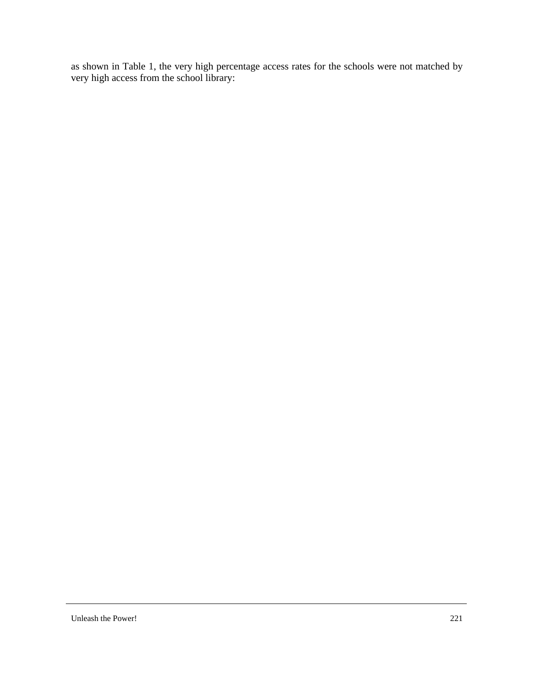as shown in Table 1, the very high percentage access rates for the schools were not matched by very high access from the school library: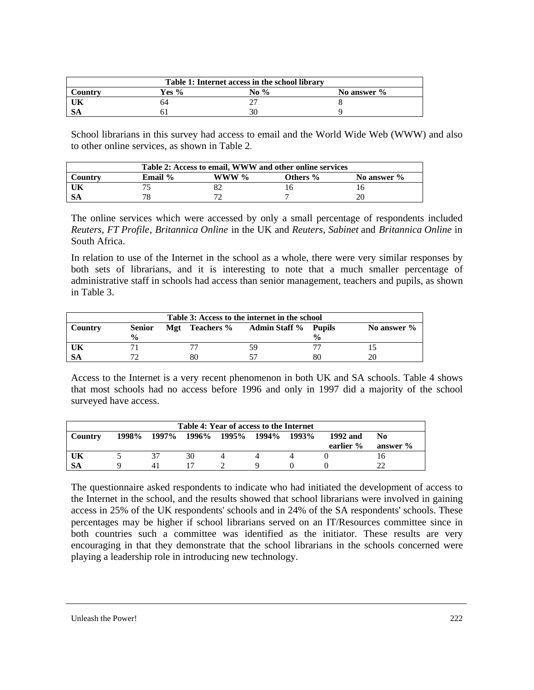| Table 1: Internet access in the school library |         |         |                |  |  |
|------------------------------------------------|---------|---------|----------------|--|--|
| Country                                        | Yes $%$ | No $\%$ | No answer $\%$ |  |  |
|                                                | D4      |         |                |  |  |
|                                                |         |         |                |  |  |

School librarians in this survey had access to email and the World Wide Web (WWW) and also to other online services, as shown in Table 2.

|         | Table 2: Access to email, WWW and other online services |       |          |             |  |  |
|---------|---------------------------------------------------------|-------|----------|-------------|--|--|
| Country | Email %                                                 | WWW % | Others % | No answer % |  |  |
|         |                                                         |       |          |             |  |  |
|         | 70                                                      |       |          |             |  |  |

The online services which were accessed by only a small percentage of respondents included *Reuters*, *FT Profile*, *Britannica Online* in the UK and *Reuters*, *Sabinet* and *Britannica Online* in South Africa.

In relation to use of the Internet in the school as a whole, there were very similar responses by both sets of librarians, and it is interesting to note that a much smaller percentage of administrative staff in schools had access than senior management, teachers and pupils, as shown in Table 3.

| Table 3: Access to the internet in the school |                                |  |    |                                     |               |                |
|-----------------------------------------------|--------------------------------|--|----|-------------------------------------|---------------|----------------|
| Country                                       | <b>Senior</b><br>$\frac{6}{9}$ |  |    | Mgt Teachers % Admin Staff % Pupils | $\frac{6}{6}$ | No answer $\%$ |
| UK                                            |                                |  |    | 54                                  |               |                |
| SА                                            |                                |  | 80 |                                     | 80            |                |

Access to the Internet is a very recent phenomenon in both UK and SA schools. Table 4 shows that most schools had no access before 1996 and only in 1997 did a majority of the school surveyed have access.

| Table 4: Year of access to the Internet |  |    |                                    |  |  |       |           |                |
|-----------------------------------------|--|----|------------------------------------|--|--|-------|-----------|----------------|
| Country                                 |  |    | 1998\% 1997\% 1996\% 1995\% 1994\% |  |  | 1993% | 1992 and  | N <sub>0</sub> |
|                                         |  |    |                                    |  |  |       | earlier % | answer %       |
| UK                                      |  |    | 30                                 |  |  |       |           | Iб             |
| SА                                      |  | 41 |                                    |  |  |       |           |                |

The questionnaire asked respondents to indicate who had initiated the development of access to the Internet in the school, and the results showed that school librarians were involved in gaining access in 25% of the UK respondents' schools and in 24% of the SA respondents' schools. These percentages may be higher if school librarians served on an IT/Resources committee since in both countries such a committee was identified as the initiator. These results are very encouraging in that they demonstrate that the school librarians in the schools concerned were playing a leadership role in introducing new technology.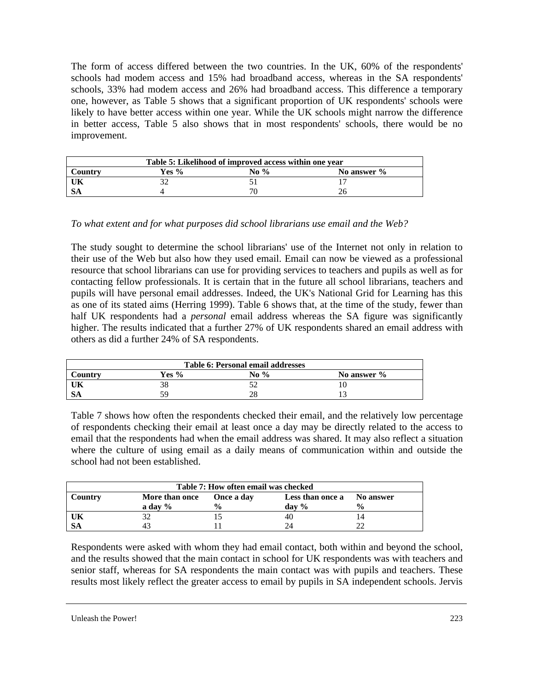The form of access differed between the two countries. In the UK, 60% of the respondents' schools had modem access and 15% had broadband access, whereas in the SA respondents' schools, 33% had modem access and 26% had broadband access. This difference a temporary one, however, as Table 5 shows that a significant proportion of UK respondents' schools were likely to have better access within one year. While the UK schools might narrow the difference in better access, Table 5 also shows that in most respondents' schools, there would be no improvement.

| Table 5: Likelihood of improved access within one year |         |       |                |  |  |
|--------------------------------------------------------|---------|-------|----------------|--|--|
| Country                                                | Yes $%$ | No %  | No answer $\%$ |  |  |
|                                                        |         |       |                |  |  |
|                                                        |         | $70-$ |                |  |  |

*To what extent and for what purposes did school librarians use email and the Web?*

The study sought to determine the school librarians' use of the Internet not only in relation to their use of the Web but also how they used email. Email can now be viewed as a professional resource that school librarians can use for providing services to teachers and pupils as well as for contacting fellow professionals. It is certain that in the future all school librarians, teachers and pupils will have personal email addresses. Indeed, the UK's National Grid for Learning has this as one of its stated aims (Herring 1999). Table 6 shows that, at the time of the study, fewer than half UK respondents had a *personal* email address whereas the SA figure was significantly higher. The results indicated that a further 27% of UK respondents shared an email address with others as did a further 24% of SA respondents.

| Table 6: Personal email addresses |         |         |             |  |  |  |
|-----------------------------------|---------|---------|-------------|--|--|--|
| Country                           | Yes $%$ | No $\%$ | No answer % |  |  |  |
|                                   |         |         |             |  |  |  |
| ЭA                                | ٢q      | ി0      |             |  |  |  |

Table 7 shows how often the respondents checked their email, and the relatively low percentage of respondents checking their email at least once a day may be directly related to the access to email that the respondents had when the email address was shared. It may also reflect a situation where the culture of using email as a daily means of communication within and outside the school had not been established.

| Table 7: How often email was checked |                             |                             |                                   |                            |  |  |
|--------------------------------------|-----------------------------|-----------------------------|-----------------------------------|----------------------------|--|--|
| Country                              | More than once<br>a day $%$ | Once a day<br>$\frac{0}{0}$ | Less than once a<br>$\bf{d}$ av % | No answer<br>$\frac{0}{0}$ |  |  |
| UK                                   |                             |                             |                                   |                            |  |  |
|                                      |                             |                             |                                   |                            |  |  |

Respondents were asked with whom they had email contact, both within and beyond the school, and the results showed that the main contact in school for UK respondents was with teachers and senior staff, whereas for SA respondents the main contact was with pupils and teachers. These results most likely reflect the greater access to email by pupils in SA independent schools. Jervis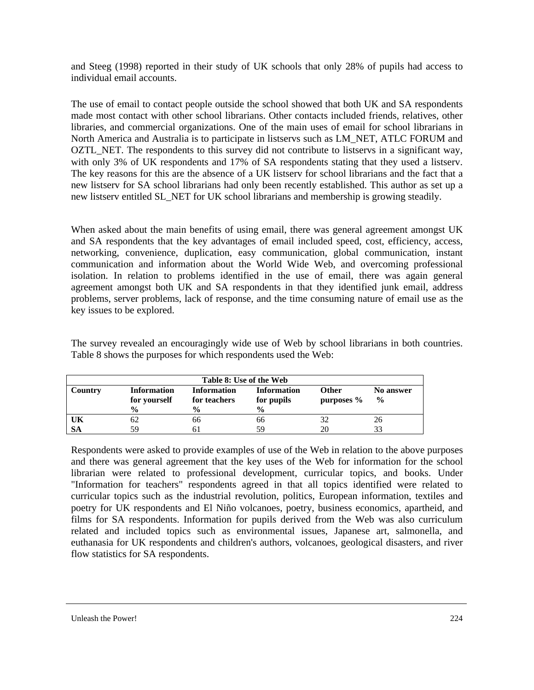and Steeg (1998) reported in their study of UK schools that only 28% of pupils had access to individual email accounts.

The use of email to contact people outside the school showed that both UK and SA respondents made most contact with other school librarians. Other contacts included friends, relatives, other libraries, and commercial organizations. One of the main uses of email for school librarians in North America and Australia is to participate in listservs such as LM\_NET, ATLC FORUM and OZTL NET. The respondents to this survey did not contribute to listservs in a significant way, with only 3% of UK respondents and 17% of SA respondents stating that they used a listserv. The key reasons for this are the absence of a UK listserv for school librarians and the fact that a new listserv for SA school librarians had only been recently established. This author as set up a new listserv entitled SL\_NET for UK school librarians and membership is growing steadily.

When asked about the main benefits of using email, there was general agreement amongst UK and SA respondents that the key advantages of email included speed, cost, efficiency, access, networking, convenience, duplication, easy communication, global communication, instant communication and information about the World Wide Web, and overcoming professional isolation. In relation to problems identified in the use of email, there was again general agreement amongst both UK and SA respondents in that they identified junk email, address problems, server problems, lack of response, and the time consuming nature of email use as the key issues to be explored.

The survey revealed an encouragingly wide use of Web by school librarians in both countries. Table 8 shows the purposes for which respondents used the Web:

| Table 8: Use of the Web |                    |               |               |               |               |  |  |
|-------------------------|--------------------|---------------|---------------|---------------|---------------|--|--|
| Country                 | <b>Information</b> | Other         | No answer     |               |               |  |  |
|                         | for yourself       | for teachers  | for pupils    | purposes $\%$ | $\frac{6}{9}$ |  |  |
|                         | $\frac{6}{9}$      | $\frac{6}{9}$ | $\frac{0}{0}$ |               |               |  |  |
| UK                      | 62                 | 66            | 66            | 32            | 26            |  |  |
| <b>SA</b>               | 59                 |               | 59            | 20            |               |  |  |

Respondents were asked to provide examples of use of the Web in relation to the above purposes and there was general agreement that the key uses of the Web for information for the school librarian were related to professional development, curricular topics, and books. Under "Information for teachers" respondents agreed in that all topics identified were related to curricular topics such as the industrial revolution, politics, European information, textiles and poetry for UK respondents and El Niño volcanoes, poetry, business economics, apartheid, and films for SA respondents. Information for pupils derived from the Web was also curriculum related and included topics such as environmental issues, Japanese art, salmonella, and euthanasia for UK respondents and children's authors, volcanoes, geological disasters, and river flow statistics for SA respondents.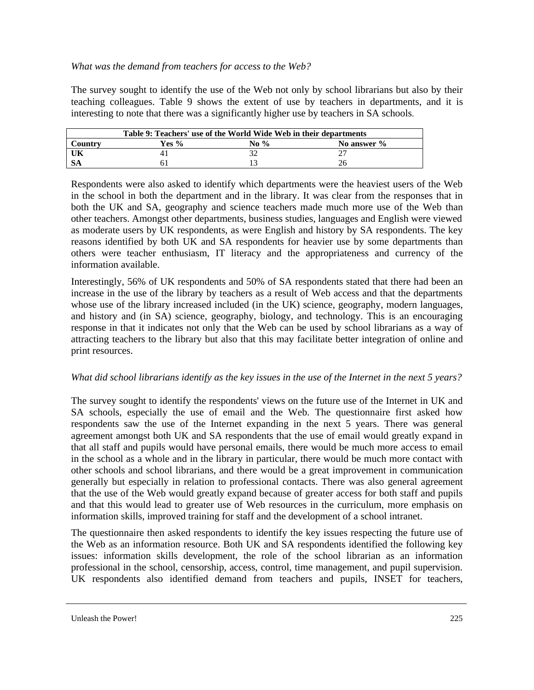#### *What was the demand from teachers for access to the Web?*

The survey sought to identify the use of the Web not only by school librarians but also by their teaching colleagues. Table 9 shows the extent of use by teachers in departments, and it is interesting to note that there was a significantly higher use by teachers in SA schools.

|         | Table 9: Teachers' use of the World Wide Web in their departments |         |                |  |  |
|---------|-------------------------------------------------------------------|---------|----------------|--|--|
| Country | Yes $%$                                                           | No $\%$ | No answer $\%$ |  |  |
|         | 4.                                                                |         |                |  |  |
|         |                                                                   |         |                |  |  |

Respondents were also asked to identify which departments were the heaviest users of the Web in the school in both the department and in the library. It was clear from the responses that in both the UK and SA, geography and science teachers made much more use of the Web than other teachers. Amongst other departments, business studies, languages and English were viewed as moderate users by UK respondents, as were English and history by SA respondents. The key reasons identified by both UK and SA respondents for heavier use by some departments than others were teacher enthusiasm, IT literacy and the appropriateness and currency of the information available.

Interestingly, 56% of UK respondents and 50% of SA respondents stated that there had been an increase in the use of the library by teachers as a result of Web access and that the departments whose use of the library increased included (in the UK) science, geography, modern languages, and history and (in SA) science, geography, biology, and technology. This is an encouraging response in that it indicates not only that the Web can be used by school librarians as a way of attracting teachers to the library but also that this may facilitate better integration of online and print resources.

#### *What did school librarians identify as the key issues in the use of the Internet in the next 5 years?*

The survey sought to identify the respondents' views on the future use of the Internet in UK and SA schools, especially the use of email and the Web. The questionnaire first asked how respondents saw the use of the Internet expanding in the next 5 years. There was general agreement amongst both UK and SA respondents that the use of email would greatly expand in that all staff and pupils would have personal emails, there would be much more access to email in the school as a whole and in the library in particular, there would be much more contact with other schools and school librarians, and there would be a great improvement in communication generally but especially in relation to professional contacts. There was also general agreement that the use of the Web would greatly expand because of greater access for both staff and pupils and that this would lead to greater use of Web resources in the curriculum, more emphasis on information skills, improved training for staff and the development of a school intranet.

The questionnaire then asked respondents to identify the key issues respecting the future use of the Web as an information resource. Both UK and SA respondents identified the following key issues: information skills development, the role of the school librarian as an information professional in the school, censorship, access, control, time management, and pupil supervision. UK respondents also identified demand from teachers and pupils, INSET for teachers,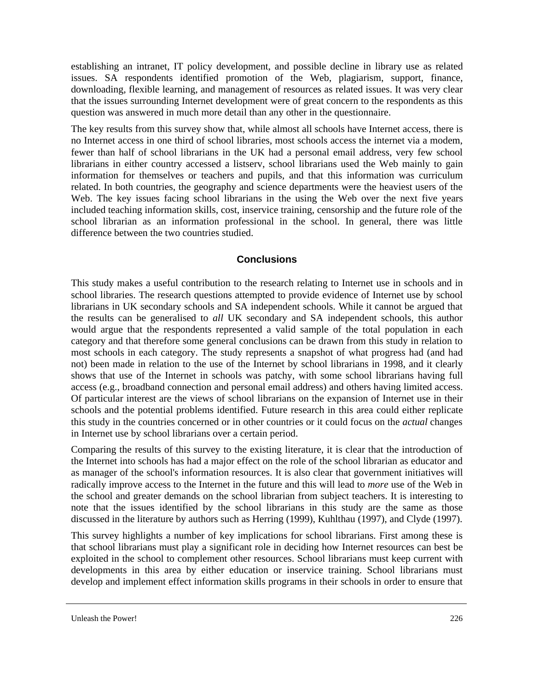establishing an intranet, IT policy development, and possible decline in library use as related issues. SA respondents identified promotion of the Web, plagiarism, support, finance, downloading, flexible learning, and management of resources as related issues. It was very clear that the issues surrounding Internet development were of great concern to the respondents as this question was answered in much more detail than any other in the questionnaire.

The key results from this survey show that, while almost all schools have Internet access, there is no Internet access in one third of school libraries, most schools access the internet via a modem, fewer than half of school librarians in the UK had a personal email address, very few school librarians in either country accessed a listserv, school librarians used the Web mainly to gain information for themselves or teachers and pupils, and that this information was curriculum related. In both countries, the geography and science departments were the heaviest users of the Web. The key issues facing school librarians in the using the Web over the next five years included teaching information skills, cost, inservice training, censorship and the future role of the school librarian as an information professional in the school. In general, there was little difference between the two countries studied.

## **Conclusions**

This study makes a useful contribution to the research relating to Internet use in schools and in school libraries. The research questions attempted to provide evidence of Internet use by school librarians in UK secondary schools and SA independent schools. While it cannot be argued that the results can be generalised to *all* UK secondary and SA independent schools, this author would argue that the respondents represented a valid sample of the total population in each category and that therefore some general conclusions can be drawn from this study in relation to most schools in each category. The study represents a snapshot of what progress had (and had not) been made in relation to the use of the Internet by school librarians in 1998, and it clearly shows that use of the Internet in schools was patchy, with some school librarians having full access (e.g., broadband connection and personal email address) and others having limited access. Of particular interest are the views of school librarians on the expansion of Internet use in their schools and the potential problems identified. Future research in this area could either replicate this study in the countries concerned or in other countries or it could focus on the *actual* changes in Internet use by school librarians over a certain period.

Comparing the results of this survey to the existing literature, it is clear that the introduction of the Internet into schools has had a major effect on the role of the school librarian as educator and as manager of the school's information resources. It is also clear that government initiatives will radically improve access to the Internet in the future and this will lead to *more* use of the Web in the school and greater demands on the school librarian from subject teachers. It is interesting to note that the issues identified by the school librarians in this study are the same as those discussed in the literature by authors such as Herring (1999), Kuhlthau (1997), and Clyde (1997).

This survey highlights a number of key implications for school librarians. First among these is that school librarians must play a significant role in deciding how Internet resources can best be exploited in the school to complement other resources. School librarians must keep current with developments in this area by either education or inservice training. School librarians must develop and implement effect information skills programs in their schools in order to ensure that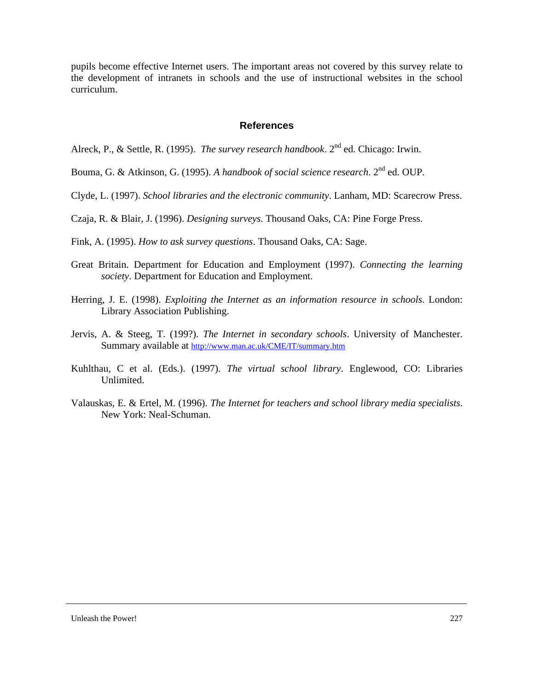pupils become effective Internet users. The important areas not covered by this survey relate to the development of intranets in schools and the use of instructional websites in the school curriculum.

#### **References**

- Alreck, P., & Settle, R. (1995). *The survey research handbook*. 2<sup>nd</sup> ed. Chicago: Irwin.
- Bouma, G. & Atkinson, G. (1995). *A handbook of social science research*. 2<sup>nd</sup> ed. OUP.
- Clyde, L. (1997). *School libraries and the electronic community*. Lanham, MD: Scarecrow Press.
- Czaja, R. & Blair, J. (1996). *Designing surveys*. Thousand Oaks, CA: Pine Forge Press.
- Fink, A. (1995). *How to ask survey questions*. Thousand Oaks, CA: Sage.
- Great Britain. Department for Education and Employment (1997). *Connecting the learning society*. Department for Education and Employment.
- Herring, J. E. (1998). *Exploiting the Internet as an information resource in schools*. London: Library Association Publishing.
- Jervis, A. & Steeg, T. (199?). *The Internet in secondary schools*. University of Manchester. Summary available at http://www.man.ac.uk/CME/IT/summary.htm
- Kuhlthau, C et al. (Eds.). (1997). *The virtual school library*. Englewood, CO: Libraries Unlimited.
- Valauskas, E. & Ertel, M. (1996). *The Internet for teachers and school library media specialists*. New York: Neal-Schuman.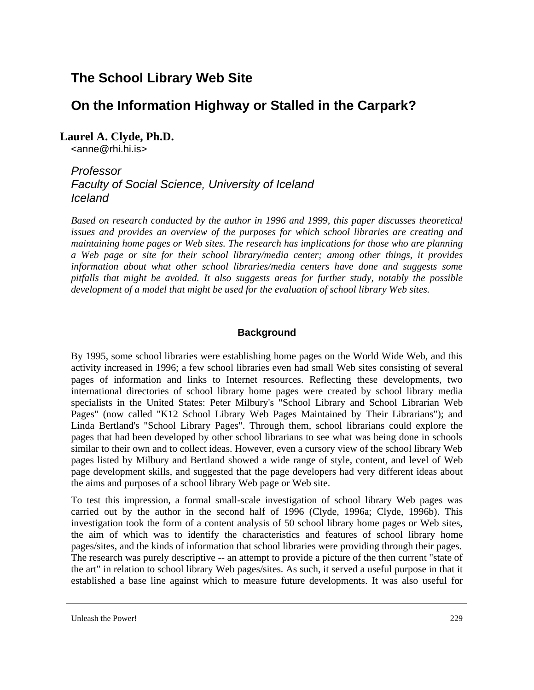# **The School Library Web Site**

# **On the Information Highway or Stalled in the Carpark?**

**Laurel A. Clyde, Ph.D.**

<anne@rhi.hi.is>

# *Professor Faculty of Social Science, University of Iceland Iceland*

*Based on research conducted by the author in 1996 and 1999, this paper discusses theoretical issues and provides an overview of the purposes for which school libraries are creating and maintaining home pages or Web sites. The research has implications for those who are planning a Web page or site for their school library/media center; among other things, it provides information about what other school libraries/media centers have done and suggests some pitfalls that might be avoided. It also suggests areas for further study, notably the possible development of a model that might be used for the evaluation of school library Web sites.*

## **Background**

By 1995, some school libraries were establishing home pages on the World Wide Web, and this activity increased in 1996; a few school libraries even had small Web sites consisting of several pages of information and links to Internet resources. Reflecting these developments, two international directories of school library home pages were created by school library media specialists in the United States: Peter Milbury's "School Library and School Librarian Web Pages" (now called "K12 School Library Web Pages Maintained by Their Librarians"); and Linda Bertland's "School Library Pages". Through them, school librarians could explore the pages that had been developed by other school librarians to see what was being done in schools similar to their own and to collect ideas. However, even a cursory view of the school library Web pages listed by Milbury and Bertland showed a wide range of style, content, and level of Web page development skills, and suggested that the page developers had very different ideas about the aims and purposes of a school library Web page or Web site.

To test this impression, a formal small-scale investigation of school library Web pages was carried out by the author in the second half of 1996 (Clyde, 1996a; Clyde, 1996b). This investigation took the form of a content analysis of 50 school library home pages or Web sites, the aim of which was to identify the characteristics and features of school library home pages/sites, and the kinds of information that school libraries were providing through their pages. The research was purely descriptive -- an attempt to provide a picture of the then current "state of the art" in relation to school library Web pages/sites. As such, it served a useful purpose in that it established a base line against which to measure future developments. It was also useful for

Unleash the Power! 229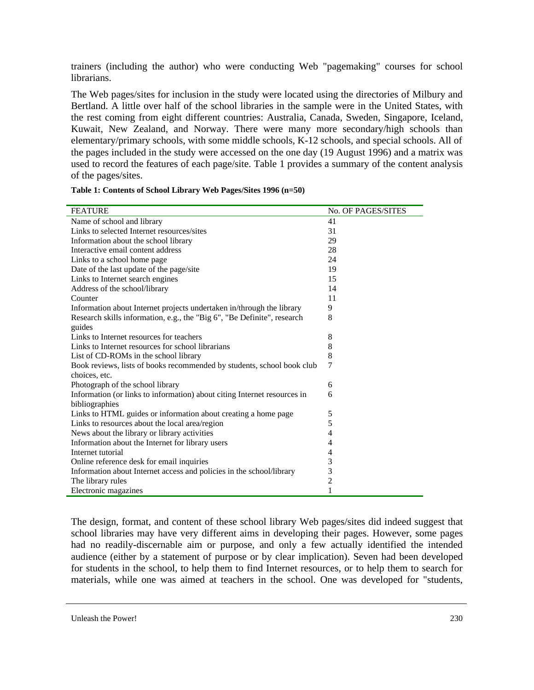trainers (including the author) who were conducting Web "pagemaking" courses for school librarians.

The Web pages/sites for inclusion in the study were located using the directories of Milbury and Bertland. A little over half of the school libraries in the sample were in the United States, with the rest coming from eight different countries: Australia, Canada, Sweden, Singapore, Iceland, Kuwait, New Zealand, and Norway. There were many more secondary/high schools than elementary/primary schools, with some middle schools, K-12 schools, and special schools. All of the pages included in the study were accessed on the one day (19 August 1996) and a matrix was used to record the features of each page/site. Table 1 provides a summary of the content analysis of the pages/sites.

| <b>FEATURE</b>                                                           | No. OF PAGES/SITES |
|--------------------------------------------------------------------------|--------------------|
| Name of school and library                                               | 41                 |
| Links to selected Internet resources/sites                               | 31                 |
| Information about the school library                                     | 29                 |
| Interactive email content address                                        | 28                 |
| Links to a school home page                                              | 24                 |
| Date of the last update of the page/site                                 | 19                 |
| Links to Internet search engines                                         | 15                 |
| Address of the school/library                                            | 14                 |
| Counter                                                                  | 11                 |
| Information about Internet projects undertaken in/through the library    | 9                  |
| Research skills information, e.g., the "Big 6", "Be Definite", research  | 8                  |
| guides                                                                   |                    |
| Links to Internet resources for teachers                                 | 8                  |
| Links to Internet resources for school librarians                        | 8                  |
| List of CD-ROMs in the school library                                    | 8                  |
| Book reviews, lists of books recommended by students, school book club   | 7                  |
| choices, etc.                                                            |                    |
| Photograph of the school library                                         | 6                  |
| Information (or links to information) about citing Internet resources in | 6                  |
| bibliographies                                                           |                    |
| Links to HTML guides or information about creating a home page           | 5                  |
| Links to resources about the local area/region                           | 5                  |
| News about the library or library activities                             | $\overline{4}$     |
| Information about the Internet for library users                         | 4                  |
| Internet tutorial                                                        | $\overline{4}$     |
| Online reference desk for email inquiries                                | 3                  |
| Information about Internet access and policies in the school/library     | 3                  |
| The library rules                                                        | $\overline{c}$     |
| Electronic magazines                                                     | 1                  |

|  |  | Table 1: Contents of School Library Web Pages/Sites 1996 (n=50) |  |
|--|--|-----------------------------------------------------------------|--|
|  |  |                                                                 |  |

The design, format, and content of these school library Web pages/sites did indeed suggest that school libraries may have very different aims in developing their pages. However, some pages had no readily-discernable aim or purpose, and only a few actually identified the intended audience (either by a statement of purpose or by clear implication). Seven had been developed for students in the school, to help them to find Internet resources, or to help them to search for materials, while one was aimed at teachers in the school. One was developed for "students,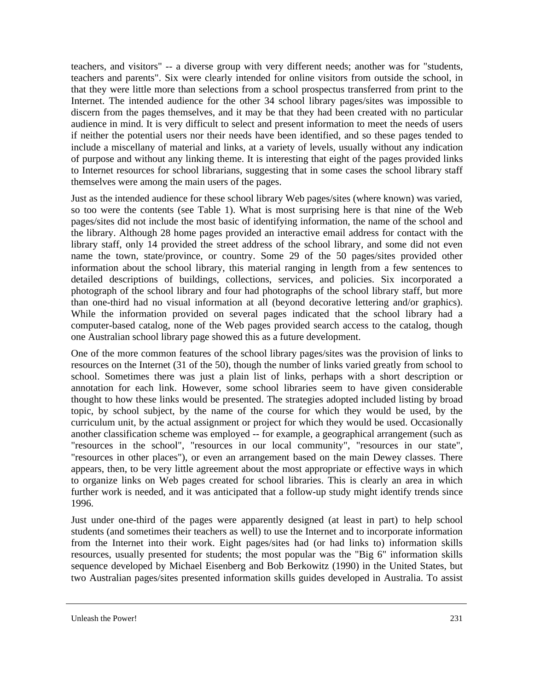teachers, and visitors" -- a diverse group with very different needs; another was for "students, teachers and parents". Six were clearly intended for online visitors from outside the school, in that they were little more than selections from a school prospectus transferred from print to the Internet. The intended audience for the other 34 school library pages/sites was impossible to discern from the pages themselves, and it may be that they had been created with no particular audience in mind. It is very difficult to select and present information to meet the needs of users if neither the potential users nor their needs have been identified, and so these pages tended to include a miscellany of material and links, at a variety of levels, usually without any indication of purpose and without any linking theme. It is interesting that eight of the pages provided links to Internet resources for school librarians, suggesting that in some cases the school library staff themselves were among the main users of the pages.

Just as the intended audience for these school library Web pages/sites (where known) was varied, so too were the contents (see Table 1). What is most surprising here is that nine of the Web pages/sites did not include the most basic of identifying information, the name of the school and the library. Although 28 home pages provided an interactive email address for contact with the library staff, only 14 provided the street address of the school library, and some did not even name the town, state/province, or country. Some 29 of the 50 pages/sites provided other information about the school library, this material ranging in length from a few sentences to detailed descriptions of buildings, collections, services, and policies. Six incorporated a photograph of the school library and four had photographs of the school library staff, but more than one-third had no visual information at all (beyond decorative lettering and/or graphics). While the information provided on several pages indicated that the school library had a computer-based catalog, none of the Web pages provided search access to the catalog, though one Australian school library page showed this as a future development.

One of the more common features of the school library pages/sites was the provision of links to resources on the Internet (31 of the 50), though the number of links varied greatly from school to school. Sometimes there was just a plain list of links, perhaps with a short description or annotation for each link. However, some school libraries seem to have given considerable thought to how these links would be presented. The strategies adopted included listing by broad topic, by school subject, by the name of the course for which they would be used, by the curriculum unit, by the actual assignment or project for which they would be used. Occasionally another classification scheme was employed -- for example, a geographical arrangement (such as "resources in the school", "resources in our local community", "resources in our state", "resources in other places"), or even an arrangement based on the main Dewey classes. There appears, then, to be very little agreement about the most appropriate or effective ways in which to organize links on Web pages created for school libraries. This is clearly an area in which further work is needed, and it was anticipated that a follow-up study might identify trends since 1996.

Just under one-third of the pages were apparently designed (at least in part) to help school students (and sometimes their teachers as well) to use the Internet and to incorporate information from the Internet into their work. Eight pages/sites had (or had links to) information skills resources, usually presented for students; the most popular was the "Big 6" information skills sequence developed by Michael Eisenberg and Bob Berkowitz (1990) in the United States, but two Australian pages/sites presented information skills guides developed in Australia. To assist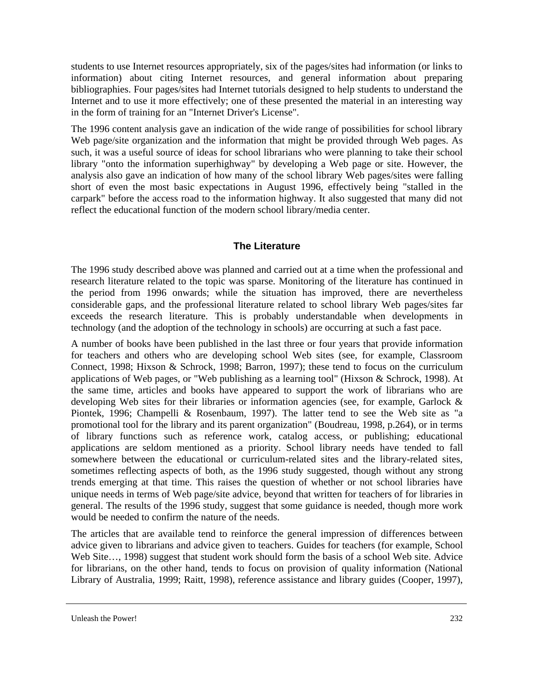students to use Internet resources appropriately, six of the pages/sites had information (or links to information) about citing Internet resources, and general information about preparing bibliographies. Four pages/sites had Internet tutorials designed to help students to understand the Internet and to use it more effectively; one of these presented the material in an interesting way in the form of training for an "Internet Driver's License".

The 1996 content analysis gave an indication of the wide range of possibilities for school library Web page/site organization and the information that might be provided through Web pages. As such, it was a useful source of ideas for school librarians who were planning to take their school library "onto the information superhighway" by developing a Web page or site. However, the analysis also gave an indication of how many of the school library Web pages/sites were falling short of even the most basic expectations in August 1996, effectively being "stalled in the carpark" before the access road to the information highway. It also suggested that many did not reflect the educational function of the modern school library/media center.

#### **The Literature**

The 1996 study described above was planned and carried out at a time when the professional and research literature related to the topic was sparse. Monitoring of the literature has continued in the period from 1996 onwards; while the situation has improved, there are nevertheless considerable gaps, and the professional literature related to school library Web pages/sites far exceeds the research literature. This is probably understandable when developments in technology (and the adoption of the technology in schools) are occurring at such a fast pace.

A number of books have been published in the last three or four years that provide information for teachers and others who are developing school Web sites (see, for example, Classroom Connect, 1998; Hixson & Schrock, 1998; Barron, 1997); these tend to focus on the curriculum applications of Web pages, or "Web publishing as a learning tool" (Hixson & Schrock, 1998). At the same time, articles and books have appeared to support the work of librarians who are developing Web sites for their libraries or information agencies (see, for example, Garlock & Piontek, 1996; Champelli & Rosenbaum, 1997). The latter tend to see the Web site as "a promotional tool for the library and its parent organization" (Boudreau, 1998, p.264), or in terms of library functions such as reference work, catalog access, or publishing; educational applications are seldom mentioned as a priority. School library needs have tended to fall somewhere between the educational or curriculum-related sites and the library-related sites, sometimes reflecting aspects of both, as the 1996 study suggested, though without any strong trends emerging at that time. This raises the question of whether or not school libraries have unique needs in terms of Web page/site advice, beyond that written for teachers of for libraries in general. The results of the 1996 study, suggest that some guidance is needed, though more work would be needed to confirm the nature of the needs.

The articles that are available tend to reinforce the general impression of differences between advice given to librarians and advice given to teachers. Guides for teachers (for example, School Web Site..., 1998) suggest that student work should form the basis of a school Web site. Advice for librarians, on the other hand, tends to focus on provision of quality information (National Library of Australia, 1999; Raitt, 1998), reference assistance and library guides (Cooper, 1997),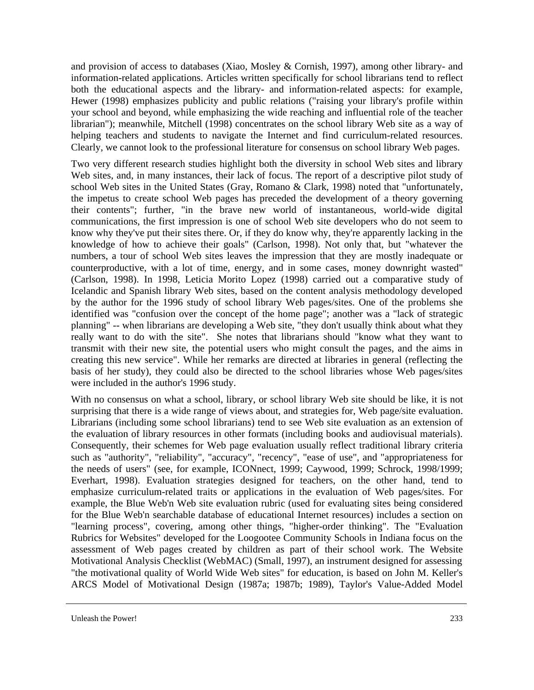and provision of access to databases (Xiao, Mosley & Cornish, 1997), among other library- and information-related applications. Articles written specifically for school librarians tend to reflect both the educational aspects and the library- and information-related aspects: for example, Hewer (1998) emphasizes publicity and public relations ("raising your library's profile within your school and beyond, while emphasizing the wide reaching and influential role of the teacher librarian"); meanwhile, Mitchell (1998) concentrates on the school library Web site as a way of helping teachers and students to navigate the Internet and find curriculum-related resources. Clearly, we cannot look to the professional literature for consensus on school library Web pages.

Two very different research studies highlight both the diversity in school Web sites and library Web sites, and, in many instances, their lack of focus. The report of a descriptive pilot study of school Web sites in the United States (Gray, Romano & Clark, 1998) noted that "unfortunately, the impetus to create school Web pages has preceded the development of a theory governing their contents"; further, "in the brave new world of instantaneous, world-wide digital communications, the first impression is one of school Web site developers who do not seem to know why they've put their sites there. Or, if they do know why, they're apparently lacking in the knowledge of how to achieve their goals" (Carlson, 1998). Not only that, but "whatever the numbers, a tour of school Web sites leaves the impression that they are mostly inadequate or counterproductive, with a lot of time, energy, and in some cases, money downright wasted" (Carlson, 1998). In 1998, Leticia Morito Lopez (1998) carried out a comparative study of Icelandic and Spanish library Web sites, based on the content analysis methodology developed by the author for the 1996 study of school library Web pages/sites. One of the problems she identified was "confusion over the concept of the home page"; another was a "lack of strategic planning" -- when librarians are developing a Web site, "they don't usually think about what they really want to do with the site". She notes that librarians should "know what they want to transmit with their new site, the potential users who might consult the pages, and the aims in creating this new service". While her remarks are directed at libraries in general (reflecting the basis of her study), they could also be directed to the school libraries whose Web pages/sites were included in the author's 1996 study.

With no consensus on what a school, library, or school library Web site should be like, it is not surprising that there is a wide range of views about, and strategies for, Web page/site evaluation. Librarians (including some school librarians) tend to see Web site evaluation as an extension of the evaluation of library resources in other formats (including books and audiovisual materials). Consequently, their schemes for Web page evaluation usually reflect traditional library criteria such as "authority", "reliability", "accuracy", "recency", "ease of use", and "appropriateness for the needs of users" (see, for example, ICONnect, 1999; Caywood, 1999; Schrock, 1998/1999; Everhart, 1998). Evaluation strategies designed for teachers, on the other hand, tend to emphasize curriculum-related traits or applications in the evaluation of Web pages/sites. For example, the Blue Web'n Web site evaluation rubric (used for evaluating sites being considered for the Blue Web'n searchable database of educational Internet resources) includes a section on "learning process", covering, among other things, "higher-order thinking". The "Evaluation Rubrics for Websites" developed for the Loogootee Community Schools in Indiana focus on the assessment of Web pages created by children as part of their school work. The Website Motivational Analysis Checklist (WebMAC) (Small, 1997), an instrument designed for assessing "the motivational quality of World Wide Web sites" for education, is based on John M. Keller's ARCS Model of Motivational Design (1987a; 1987b; 1989), Taylor's Value-Added Model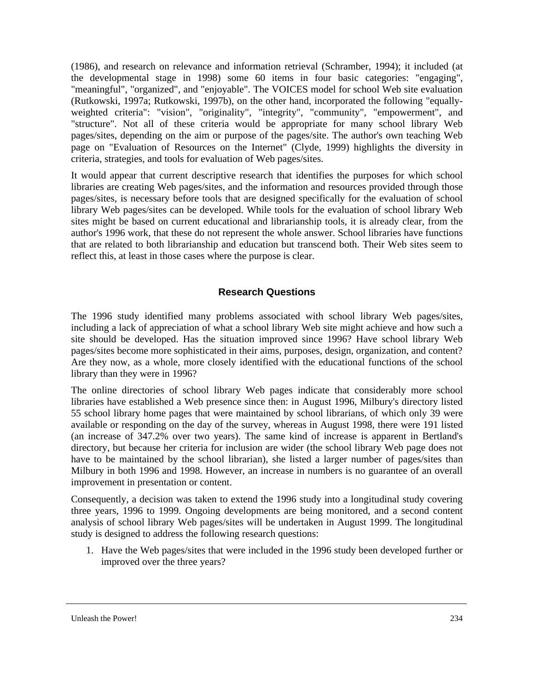(1986), and research on relevance and information retrieval (Schramber, 1994); it included (at the developmental stage in 1998) some 60 items in four basic categories: "engaging", "meaningful", "organized", and "enjoyable". The VOICES model for school Web site evaluation (Rutkowski, 1997a; Rutkowski, 1997b), on the other hand, incorporated the following "equallyweighted criteria": "vision", "originality", "integrity", "community", "empowerment", and "structure". Not all of these criteria would be appropriate for many school library Web pages/sites, depending on the aim or purpose of the pages/site. The author's own teaching Web page on "Evaluation of Resources on the Internet" (Clyde, 1999) highlights the diversity in criteria, strategies, and tools for evaluation of Web pages/sites.

It would appear that current descriptive research that identifies the purposes for which school libraries are creating Web pages/sites, and the information and resources provided through those pages/sites, is necessary before tools that are designed specifically for the evaluation of school library Web pages/sites can be developed. While tools for the evaluation of school library Web sites might be based on current educational and librarianship tools, it is already clear, from the author's 1996 work, that these do not represent the whole answer. School libraries have functions that are related to both librarianship and education but transcend both. Their Web sites seem to reflect this, at least in those cases where the purpose is clear.

#### **Research Questions**

The 1996 study identified many problems associated with school library Web pages/sites, including a lack of appreciation of what a school library Web site might achieve and how such a site should be developed. Has the situation improved since 1996? Have school library Web pages/sites become more sophisticated in their aims, purposes, design, organization, and content? Are they now, as a whole, more closely identified with the educational functions of the school library than they were in 1996?

The online directories of school library Web pages indicate that considerably more school libraries have established a Web presence since then: in August 1996, Milbury's directory listed 55 school library home pages that were maintained by school librarians, of which only 39 were available or responding on the day of the survey, whereas in August 1998, there were 191 listed (an increase of 347.2% over two years). The same kind of increase is apparent in Bertland's directory, but because her criteria for inclusion are wider (the school library Web page does not have to be maintained by the school librarian), she listed a larger number of pages/sites than Milbury in both 1996 and 1998. However, an increase in numbers is no guarantee of an overall improvement in presentation or content.

Consequently, a decision was taken to extend the 1996 study into a longitudinal study covering three years, 1996 to 1999. Ongoing developments are being monitored, and a second content analysis of school library Web pages/sites will be undertaken in August 1999. The longitudinal study is designed to address the following research questions:

1. Have the Web pages/sites that were included in the 1996 study been developed further or improved over the three years?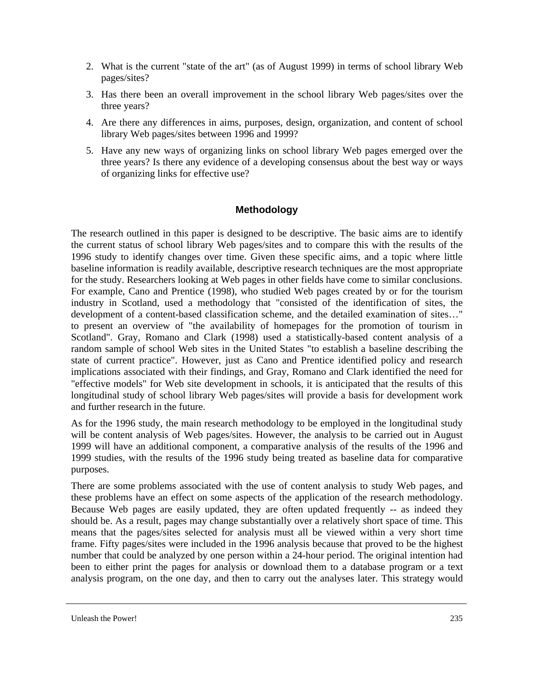- 2. What is the current "state of the art" (as of August 1999) in terms of school library Web pages/sites?
- 3. Has there been an overall improvement in the school library Web pages/sites over the three years?
- 4. Are there any differences in aims, purposes, design, organization, and content of school library Web pages/sites between 1996 and 1999?
- 5. Have any new ways of organizing links on school library Web pages emerged over the three years? Is there any evidence of a developing consensus about the best way or ways of organizing links for effective use?

#### **Methodology**

The research outlined in this paper is designed to be descriptive. The basic aims are to identify the current status of school library Web pages/sites and to compare this with the results of the 1996 study to identify changes over time. Given these specific aims, and a topic where little baseline information is readily available, descriptive research techniques are the most appropriate for the study. Researchers looking at Web pages in other fields have come to similar conclusions. For example, Cano and Prentice (1998), who studied Web pages created by or for the tourism industry in Scotland, used a methodology that "consisted of the identification of sites, the development of a content-based classification scheme, and the detailed examination of sites…" to present an overview of "the availability of homepages for the promotion of tourism in Scotland". Gray, Romano and Clark (1998) used a statistically-based content analysis of a random sample of school Web sites in the United States "to establish a baseline describing the state of current practice". However, just as Cano and Prentice identified policy and research implications associated with their findings, and Gray, Romano and Clark identified the need for "effective models" for Web site development in schools, it is anticipated that the results of this longitudinal study of school library Web pages/sites will provide a basis for development work and further research in the future.

As for the 1996 study, the main research methodology to be employed in the longitudinal study will be content analysis of Web pages/sites. However, the analysis to be carried out in August 1999 will have an additional component, a comparative analysis of the results of the 1996 and 1999 studies, with the results of the 1996 study being treated as baseline data for comparative purposes.

There are some problems associated with the use of content analysis to study Web pages, and these problems have an effect on some aspects of the application of the research methodology. Because Web pages are easily updated, they are often updated frequently -- as indeed they should be. As a result, pages may change substantially over a relatively short space of time. This means that the pages/sites selected for analysis must all be viewed within a very short time frame. Fifty pages/sites were included in the 1996 analysis because that proved to be the highest number that could be analyzed by one person within a 24-hour period. The original intention had been to either print the pages for analysis or download them to a database program or a text analysis program, on the one day, and then to carry out the analyses later. This strategy would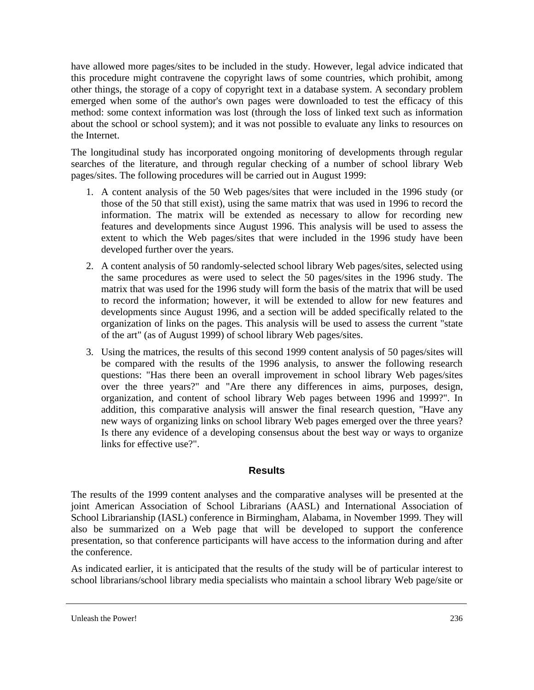have allowed more pages/sites to be included in the study. However, legal advice indicated that this procedure might contravene the copyright laws of some countries, which prohibit, among other things, the storage of a copy of copyright text in a database system. A secondary problem emerged when some of the author's own pages were downloaded to test the efficacy of this method: some context information was lost (through the loss of linked text such as information about the school or school system); and it was not possible to evaluate any links to resources on the Internet.

The longitudinal study has incorporated ongoing monitoring of developments through regular searches of the literature, and through regular checking of a number of school library Web pages/sites. The following procedures will be carried out in August 1999:

- 1. A content analysis of the 50 Web pages/sites that were included in the 1996 study (or those of the 50 that still exist), using the same matrix that was used in 1996 to record the information. The matrix will be extended as necessary to allow for recording new features and developments since August 1996. This analysis will be used to assess the extent to which the Web pages/sites that were included in the 1996 study have been developed further over the years.
- 2. A content analysis of 50 randomly-selected school library Web pages/sites, selected using the same procedures as were used to select the 50 pages/sites in the 1996 study. The matrix that was used for the 1996 study will form the basis of the matrix that will be used to record the information; however, it will be extended to allow for new features and developments since August 1996, and a section will be added specifically related to the organization of links on the pages. This analysis will be used to assess the current "state of the art" (as of August 1999) of school library Web pages/sites.
- 3. Using the matrices, the results of this second 1999 content analysis of 50 pages/sites will be compared with the results of the 1996 analysis, to answer the following research questions: "Has there been an overall improvement in school library Web pages/sites over the three years?" and "Are there any differences in aims, purposes, design, organization, and content of school library Web pages between 1996 and 1999?". In addition, this comparative analysis will answer the final research question, "Have any new ways of organizing links on school library Web pages emerged over the three years? Is there any evidence of a developing consensus about the best way or ways to organize links for effective use?".

## **Results**

The results of the 1999 content analyses and the comparative analyses will be presented at the joint American Association of School Librarians (AASL) and International Association of School Librarianship (IASL) conference in Birmingham, Alabama, in November 1999. They will also be summarized on a Web page that will be developed to support the conference presentation, so that conference participants will have access to the information during and after the conference.

As indicated earlier, it is anticipated that the results of the study will be of particular interest to school librarians/school library media specialists who maintain a school library Web page/site or

Unleash the Power! 236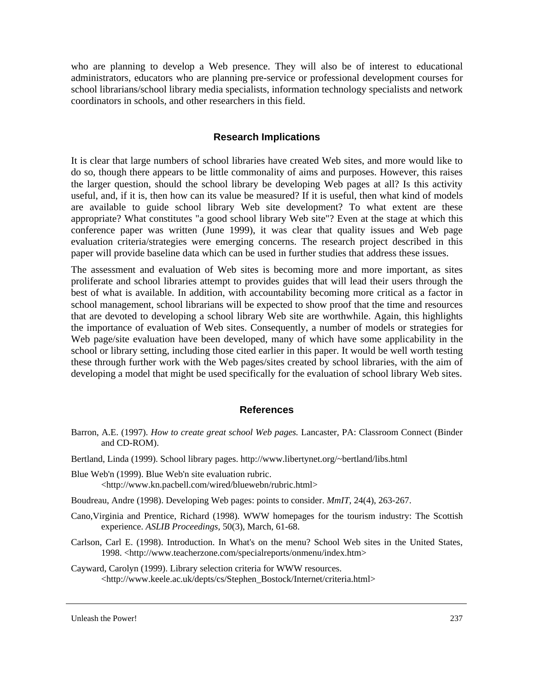who are planning to develop a Web presence. They will also be of interest to educational administrators, educators who are planning pre-service or professional development courses for school librarians/school library media specialists, information technology specialists and network coordinators in schools, and other researchers in this field.

#### **Research Implications**

It is clear that large numbers of school libraries have created Web sites, and more would like to do so, though there appears to be little commonality of aims and purposes. However, this raises the larger question, should the school library be developing Web pages at all? Is this activity useful, and, if it is, then how can its value be measured? If it is useful, then what kind of models are available to guide school library Web site development? To what extent are these appropriate? What constitutes "a good school library Web site"? Even at the stage at which this conference paper was written (June 1999), it was clear that quality issues and Web page evaluation criteria/strategies were emerging concerns. The research project described in this paper will provide baseline data which can be used in further studies that address these issues.

The assessment and evaluation of Web sites is becoming more and more important, as sites proliferate and school libraries attempt to provides guides that will lead their users through the best of what is available. In addition, with accountability becoming more critical as a factor in school management, school librarians will be expected to show proof that the time and resources that are devoted to developing a school library Web site are worthwhile. Again, this highlights the importance of evaluation of Web sites. Consequently, a number of models or strategies for Web page/site evaluation have been developed, many of which have some applicability in the school or library setting, including those cited earlier in this paper. It would be well worth testing these through further work with the Web pages/sites created by school libraries, with the aim of developing a model that might be used specifically for the evaluation of school library Web sites.

#### **References**

- Barron, A.E. (1997). *How to create great school Web pages.* Lancaster, PA: Classroom Connect (Binder and CD-ROM).
- Bertland, Linda (1999). School library pages. http://www.libertynet.org/~bertland/libs.html
- Blue Web'n (1999). Blue Web'n site evaluation rubric. <http://www.kn.pacbell.com/wired/bluewebn/rubric.html>
- Boudreau, Andre (1998). Developing Web pages: points to consider. *MmIT,* 24(4), 263-267.
- Cano,Virginia and Prentice, Richard (1998). WWW homepages for the tourism industry: The Scottish experience. *ASLIB Proceedings,* 50(3), March, 61-68.
- Carlson, Carl E. (1998). Introduction. In What's on the menu? School Web sites in the United States, 1998. <http://www.teacherzone.com/specialreports/onmenu/index.htm>

Cayward, Carolyn (1999). Library selection criteria for WWW resources. <http://www.keele.ac.uk/depts/cs/Stephen\_Bostock/Internet/criteria.html>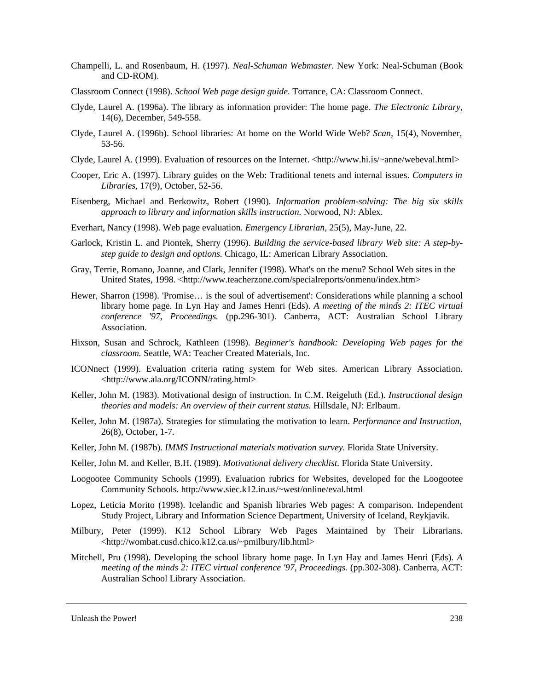- Champelli, L. and Rosenbaum, H. (1997). *Neal-Schuman Webmaster.* New York: Neal-Schuman (Book and CD-ROM).
- Classroom Connect (1998). *School Web page design guide.* Torrance, CA: Classroom Connect.
- Clyde, Laurel A. (1996a). The library as information provider: The home page. *The Electronic Library,* 14(6), December, 549-558.
- Clyde, Laurel A. (1996b). School libraries: At home on the World Wide Web? *Scan,* 15(4), November, 53-56.
- Clyde, Laurel A. (1999). Evaluation of resources on the Internet. <http://www.hi.is/~anne/webeval.html>
- Cooper, Eric A. (1997). Library guides on the Web: Traditional tenets and internal issues. *Computers in Libraries,* 17(9), October, 52-56.
- Eisenberg, Michael and Berkowitz, Robert (1990). *Information problem-solving: The big six skills approach to library and information skills instruction.* Norwood, NJ: Ablex.
- Everhart, Nancy (1998). Web page evaluation. *Emergency Librarian*, 25(5), May-June, 22.
- Garlock, Kristin L. and Piontek, Sherry (1996). *Building the service-based library Web site: A step-bystep guide to design and options.* Chicago, IL: American Library Association.
- Gray, Terrie, Romano, Joanne, and Clark, Jennifer (1998). What's on the menu? School Web sites in the United States, 1998. <http://www.teacherzone.com/specialreports/onmenu/index.htm>
- Hewer, Sharron (1998). 'Promise… is the soul of advertisement': Considerations while planning a school library home page. In Lyn Hay and James Henri (Eds). *A meeting of the minds 2: ITEC virtual conference '97, Proceedings.* (pp.296-301). Canberra, ACT: Australian School Library Association.
- Hixson, Susan and Schrock, Kathleen (1998). *Beginner's handbook: Developing Web pages for the classroom.* Seattle, WA: Teacher Created Materials, Inc.
- ICONnect (1999). Evaluation criteria rating system for Web sites. American Library Association. <http://www.ala.org/ICONN/rating.html>
- Keller, John M. (1983). Motivational design of instruction. In C.M. Reigeluth (Ed.). *Instructional design theories and models: An overview of their current status.* Hillsdale, NJ: Erlbaum.
- Keller, John M. (1987a). Strategies for stimulating the motivation to learn. *Performance and Instruction,* 26(8), October, 1-7.
- Keller, John M. (1987b). *IMMS Instructional materials motivation survey.* Florida State University.
- Keller, John M. and Keller, B.H. (1989). *Motivational delivery checklist.* Florida State University.
- Loogootee Community Schools (1999). Evaluation rubrics for Websites, developed for the Loogootee Community Schools. http://www.siec.k12.in.us/~west/online/eval.html
- Lopez, Leticia Morito (1998). Icelandic and Spanish libraries Web pages: A comparison. Independent Study Project, Library and Information Science Department, University of Iceland, Reykjavik.
- Milbury, Peter (1999). K12 School Library Web Pages Maintained by Their Librarians. <http://wombat.cusd.chico.k12.ca.us/~pmilbury/lib.html>
- Mitchell, Pru (1998). Developing the school library home page. In Lyn Hay and James Henri (Eds). *A meeting of the minds 2: ITEC virtual conference '97, Proceedings.* (pp.302-308). Canberra, ACT: Australian School Library Association.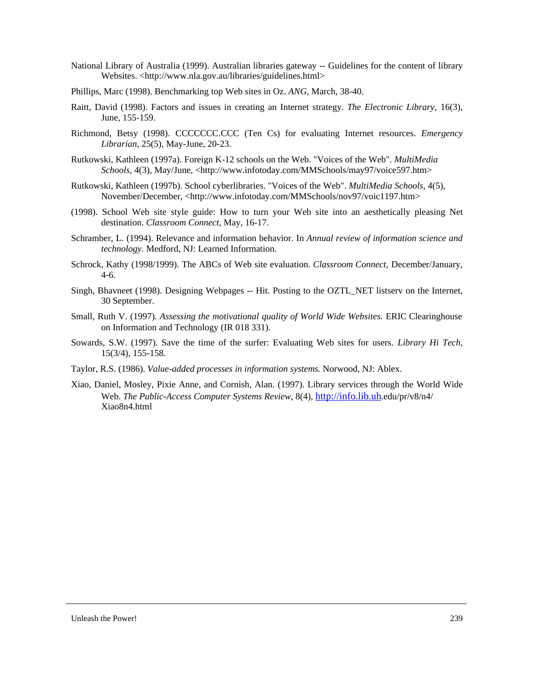- National Library of Australia (1999). Australian libraries gateway -- Guidelines for the content of library Websites. <http://www.nla.gov.au/libraries/guidelines.html>
- Phillips, Marc (1998). Benchmarking top Web sites in Oz. *ANG,* March, 38-40.
- Raitt, David (1998). Factors and issues in creating an Internet strategy. *The Electronic Library,* 16(3), June, 155-159.
- Richmond, Betsy (1998). CCCCCCC.CCC (Ten Cs) for evaluating Internet resources. *Emergency Librarian,* 25(5), May-June, 20-23.
- Rutkowski, Kathleen (1997a). Foreign K-12 schools on the Web. "Voices of the Web". *MultiMedia Schools,* 4(3), May/June, <http://www.infotoday.com/MMSchools/may97/voice597.htm>
- Rutkowski, Kathleen (1997b). School cyberlibraries. "Voices of the Web". *MultiMedia Schools,* 4(5), November/December, <http://www.infotoday.com/MMSchools/nov97/voic1197.htm>
- (1998). School Web site style guide: How to turn your Web site into an aesthetically pleasing Net destination. *Classroom Connect,* May, 16-17.
- Schramber, L. (1994). Relevance and information behavior. In *Annual review of information science and technology.* Medford, NJ: Learned Information.
- Schrock, Kathy (1998/1999). The ABCs of Web site evaluation. *Classroom Connect,* December/January, 4-6.
- Singh, Bhavneet (1998). Designing Webpages -- Hit. Posting to the OZTL\_NET listserv on the Internet, 30 September.
- Small, Ruth V. (1997). *Assessing the motivational quality of World Wide Websites.* ERIC Clearinghouse on Information and Technology (IR 018 331).
- Sowards, S.W. (1997). Save the time of the surfer: Evaluating Web sites for users. *Library Hi Tech,* 15(3/4), 155-158.
- Taylor, R.S. (1986). *Value-added processes in information systems.* Norwood, NJ: Ablex.
- Xiao, Daniel, Mosley, Pixie Anne, and Cornish, Alan. (1997). Library services through the World Wide Web. *The Public-Access Computer Systems Review,* 8(4), http://info.lib.uh.edu/pr/v8/n4/ Xiao8n4.html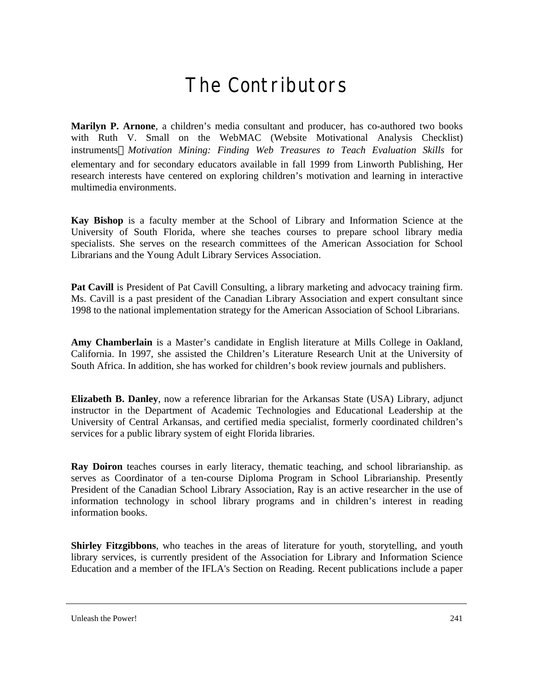# The Contributors

**Marilyn P. Arnone**, a children's media consultant and producer, has co-authored two books with Ruth V. Small on the WebMAC (Website Motivational Analysis Checklist) instruments *Motivation Mining: Finding Web Treasures to Teach Evaluation Skills* for elementary and for secondary educators available in fall 1999 from Linworth Publishing, Her research interests have centered on exploring children's motivation and learning in interactive multimedia environments.

**Kay Bishop** is a faculty member at the School of Library and Information Science at the University of South Florida, where she teaches courses to prepare school library media specialists. She serves on the research committees of the American Association for School Librarians and the Young Adult Library Services Association.

**Pat Cavill** is President of Pat Cavill Consulting, a library marketing and advocacy training firm. Ms. Cavill is a past president of the Canadian Library Association and expert consultant since 1998 to the national implementation strategy for the American Association of School Librarians.

**Amy Chamberlain** is a Master's candidate in English literature at Mills College in Oakland, California. In 1997, she assisted the Children's Literature Research Unit at the University of South Africa. In addition, she has worked for children's book review journals and publishers.

**Elizabeth B. Danley**, now a reference librarian for the Arkansas State (USA) Library, adjunct instructor in the Department of Academic Technologies and Educational Leadership at the University of Central Arkansas, and certified media specialist, formerly coordinated children's services for a public library system of eight Florida libraries.

**Ray Doiron** teaches courses in early literacy, thematic teaching, and school librarianship. as serves as Coordinator of a ten-course Diploma Program in School Librarianship. Presently President of the Canadian School Library Association, Ray is an active researcher in the use of information technology in school library programs and in children's interest in reading information books.

**Shirley Fitzgibbons**, who teaches in the areas of literature for youth, storytelling, and youth library services, is currently president of the Association for Library and Information Science Education and a member of the IFLA's Section on Reading. Recent publications include a paper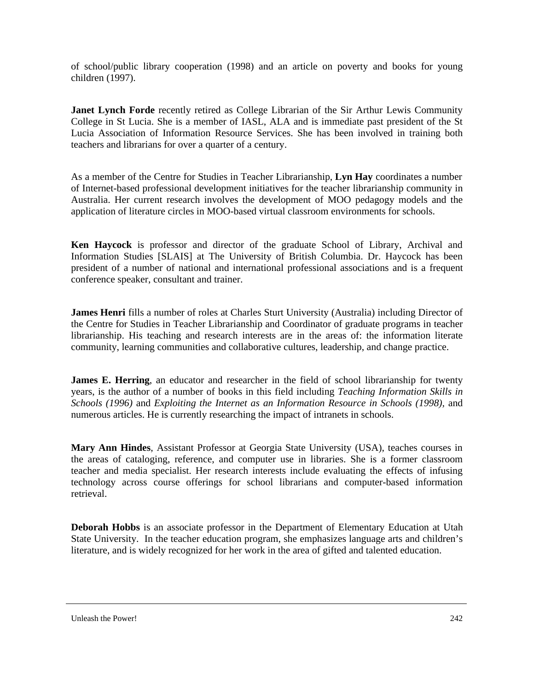of school/public library cooperation (1998) and an article on poverty and books for young children (1997).

**Janet Lynch Forde** recently retired as College Librarian of the Sir Arthur Lewis Community College in St Lucia. She is a member of IASL, ALA and is immediate past president of the St Lucia Association of Information Resource Services. She has been involved in training both teachers and librarians for over a quarter of a century.

As a member of the Centre for Studies in Teacher Librarianship, **Lyn Hay** coordinates a number of Internet-based professional development initiatives for the teacher librarianship community in Australia. Her current research involves the development of MOO pedagogy models and the application of literature circles in MOO-based virtual classroom environments for schools.

**Ken Haycock** is professor and director of the graduate School of Library, Archival and Information Studies [SLAIS] at The University of British Columbia. Dr. Haycock has been president of a number of national and international professional associations and is a frequent conference speaker, consultant and trainer.

**James Henri** fills a number of roles at Charles Sturt University (Australia) including Director of the Centre for Studies in Teacher Librarianship and Coordinator of graduate programs in teacher librarianship. His teaching and research interests are in the areas of: the information literate community, learning communities and collaborative cultures, leadership, and change practice.

**James E. Herring**, an educator and researcher in the field of school librarianship for twenty years, is the author of a number of books in this field including *Teaching Information Skills in Schools (1996)* and *Exploiting the Internet as an Information Resource in Schools (1998),* and numerous articles. He is currently researching the impact of intranets in schools.

**Mary Ann Hindes**, Assistant Professor at Georgia State University (USA), teaches courses in the areas of cataloging, reference, and computer use in libraries. She is a former classroom teacher and media specialist. Her research interests include evaluating the effects of infusing technology across course offerings for school librarians and computer-based information retrieval.

**Deborah Hobbs** is an associate professor in the Department of Elementary Education at Utah State University. In the teacher education program, she emphasizes language arts and children's literature, and is widely recognized for her work in the area of gifted and talented education.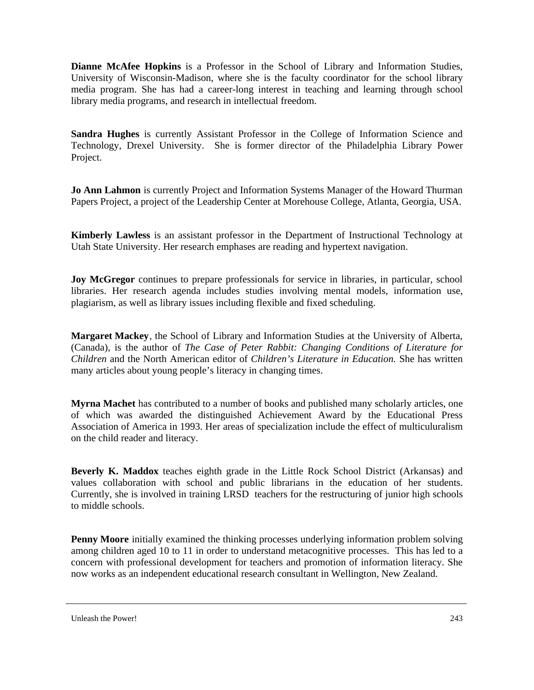**Dianne McAfee Hopkins** is a Professor in the School of Library and Information Studies, University of Wisconsin-Madison, where she is the faculty coordinator for the school library media program. She has had a career-long interest in teaching and learning through school library media programs, and research in intellectual freedom.

**Sandra Hughes** is currently Assistant Professor in the College of Information Science and Technology, Drexel University. She is former director of the Philadelphia Library Power Project.

**Jo Ann Lahmon** is currently Project and Information Systems Manager of the Howard Thurman Papers Project, a project of the Leadership Center at Morehouse College, Atlanta, Georgia, USA.

**Kimberly Lawless** is an assistant professor in the Department of Instructional Technology at Utah State University. Her research emphases are reading and hypertext navigation.

**Joy McGregor** continues to prepare professionals for service in libraries, in particular, school libraries. Her research agenda includes studies involving mental models, information use, plagiarism, as well as library issues including flexible and fixed scheduling.

**Margaret Mackey**, the School of Library and Information Studies at the University of Alberta, (Canada), is the author of *The Case of Peter Rabbit: Changing Conditions of Literature for Children* and the North American editor of *Children's Literature in Education.* She has written many articles about young people's literacy in changing times.

**Myrna Machet** has contributed to a number of books and published many scholarly articles, one of which was awarded the distinguished Achievement Award by the Educational Press Association of America in 1993. Her areas of specialization include the effect of multiculuralism on the child reader and literacy.

**Beverly K. Maddox** teaches eighth grade in the Little Rock School District (Arkansas) and values collaboration with school and public librarians in the education of her students. Currently, she is involved in training LRSD teachers for the restructuring of junior high schools to middle schools.

**Penny Moore** initially examined the thinking processes underlying information problem solving among children aged 10 to 11 in order to understand metacognitive processes. This has led to a concern with professional development for teachers and promotion of information literacy. She now works as an independent educational research consultant in Wellington, New Zealand.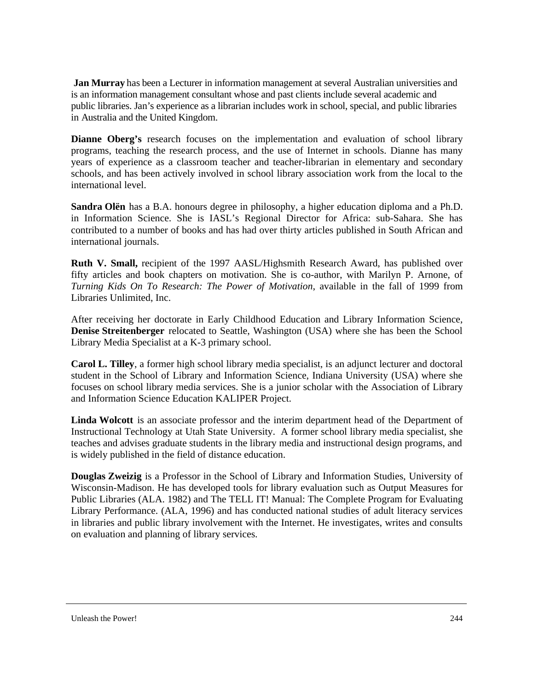**Jan Murray** has been a Lecturer in information management at several Australian universities and is an information management consultant whose and past clients include several academic and public libraries. Jan's experience as a librarian includes work in school, special, and public libraries in Australia and the United Kingdom.

**Dianne Oberg's** research focuses on the implementation and evaluation of school library programs, teaching the research process, and the use of Internet in schools. Dianne has many years of experience as a classroom teacher and teacher-librarian in elementary and secondary schools, and has been actively involved in school library association work from the local to the international level.

**Sandra Olën** has a B.A. honours degree in philosophy, a higher education diploma and a Ph.D. in Information Science. She is IASL's Regional Director for Africa: sub-Sahara. She has contributed to a number of books and has had over thirty articles published in South African and international journals.

**Ruth V. Small,** recipient of the 1997 AASL/Highsmith Research Award, has published over fifty articles and book chapters on motivation. She is co-author, with Marilyn P. Arnone, of *Turning Kids On To Research: The Power of Motivation*, available in the fall of 1999 from Libraries Unlimited, Inc.

After receiving her doctorate in Early Childhood Education and Library Information Science, **Denise Streitenberger** relocated to Seattle, Washington (USA) where she has been the School Library Media Specialist at a K-3 primary school.

**Carol L. Tilley**, a former high school library media specialist, is an adjunct lecturer and doctoral student in the School of Library and Information Science, Indiana University (USA) where she focuses on school library media services. She is a junior scholar with the Association of Library and Information Science Education KALIPER Project.

**Linda Wolcott** is an associate professor and the interim department head of the Department of Instructional Technology at Utah State University. A former school library media specialist, she teaches and advises graduate students in the library media and instructional design programs, and is widely published in the field of distance education.

**Douglas Zweizig** is a Professor in the School of Library and Information Studies, University of Wisconsin-Madison. He has developed tools for library evaluation such as Output Measures for Public Libraries (ALA. 1982) and The TELL IT! Manual: The Complete Program for Evaluating Library Performance. (ALA, 1996) and has conducted national studies of adult literacy services in libraries and public library involvement with the Internet. He investigates, writes and consults on evaluation and planning of library services.